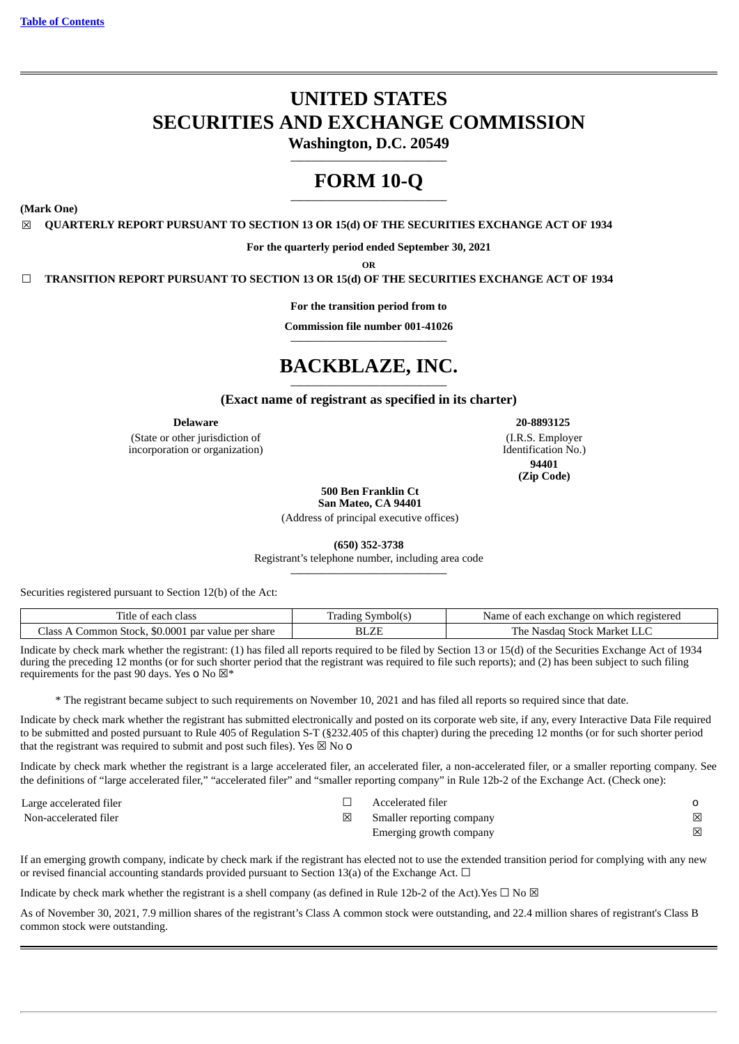# **UNITED STATES SECURITIES AND EXCHANGE COMMISSION**

**Washington, D.C. 20549 \_\_\_\_\_\_\_\_\_\_\_\_\_\_\_\_\_\_\_\_\_\_\_\_\_\_\_\_\_\_\_\_\_\_\_**

## **FORM 10-Q \_\_\_\_\_\_\_\_\_\_\_\_\_\_\_\_\_\_\_\_\_\_\_\_\_\_\_\_\_\_\_\_\_\_\_**

**(Mark One)**

☒ **QUARTERLY REPORT PURSUANT TO SECTION 13 OR 15(d) OF THE SECURITIES EXCHANGE ACT OF 1934**

**For the quarterly period ended September 30, 2021**

**OR**

☐ **TRANSITION REPORT PURSUANT TO SECTION 13 OR 15(d) OF THE SECURITIES EXCHANGE ACT OF 1934**

**For the transition period from to**

**Commission file number 001-41026 \_\_\_\_\_\_\_\_\_\_\_\_\_\_\_\_\_\_\_\_\_\_\_\_\_\_\_\_\_\_\_\_\_\_\_**

## **BACKBLAZE, INC. \_\_\_\_\_\_\_\_\_\_\_\_\_\_\_\_\_\_\_\_\_\_\_\_\_\_\_\_\_\_\_\_\_\_\_**

**(Exact name of registrant as specified in its charter)**

(State or other jurisdiction of incorporation or organization)

**Delaware 20-8893125** (I.R.S. Employer Identification No.)

**94401 (Zip Code)**

**500 Ben Franklin Ct San Mateo, CA 94401**

(Address of principal executive offices)

**(650) 352-3738**

Registrant's telephone number, including area code **\_\_\_\_\_\_\_\_\_\_\_\_\_\_\_\_\_\_\_\_\_\_\_\_\_\_\_\_\_\_\_\_\_\_\_**

Securities registered pursuant to Section 12(b) of the Act:

| —<br>class<br>htle<br>eac).<br>u                                                            | w<br>dıng   | registerer<br>which<br>ea <sub>'</sub><br>$\alpha v$<br>. nangel<br>on<br>Name |
|---------------------------------------------------------------------------------------------|-------------|--------------------------------------------------------------------------------|
| $.000^{\circ}$<br>r.<br>ሓ ጣ<br>las<br>. par value<br>' share<br>Stock.<br>ner<br>ገm<br>ımon | <b>BLZI</b> | r ne<br>Stock Market<br>Nasdad                                                 |

Indicate by check mark whether the registrant: (1) has filed all reports required to be filed by Section 13 or 15(d) of the Securities Exchange Act of 1934 during the preceding 12 months (or for such shorter period that the registrant was required to file such reports); and (2) has been subject to such filing requirements for the past 90 days. Yes o No  $\boxtimes^*$ 

\* The registrant became subject to such requirements on November 10, 2021 and has filed all reports so required since that date.

Indicate by check mark whether the registrant has submitted electronically and posted on its corporate web site, if any, every Interactive Data File required to be submitted and posted pursuant to Rule 405 of Regulation S-T (§232.405 of this chapter) during the preceding 12 months (or for such shorter period that the registrant was required to submit and post such files). Yes  $\boxtimes$  No o

Indicate by check mark whether the registrant is a large accelerated filer, an accelerated filer, a non-accelerated filer, or a smaller reporting company. See the definitions of "large accelerated filer," "accelerated filer" and "smaller reporting company" in Rule 12b-2 of the Exchange Act. (Check one):

Large accelerated filer Non-accelerated filer

| Accelerated filer         |  |
|---------------------------|--|
| Smaller reporting company |  |
| Emerging growth company   |  |

If an emerging growth company, indicate by check mark if the registrant has elected not to use the extended transition period for complying with any new or revised financial accounting standards provided pursuant to Section 13(a) of the Exchange Act.  $\Box$ 

Indicate by check mark whether the registrant is a shell company (as defined in Rule 12b-2 of the Act).Yes  $\Box$  No  $\boxtimes$ 

<span id="page-0-0"></span>As of November 30, 2021, 7.9 million shares of the registrant's Class A common stock were outstanding, and 22.4 million shares of registrant's Class B common stock were outstanding.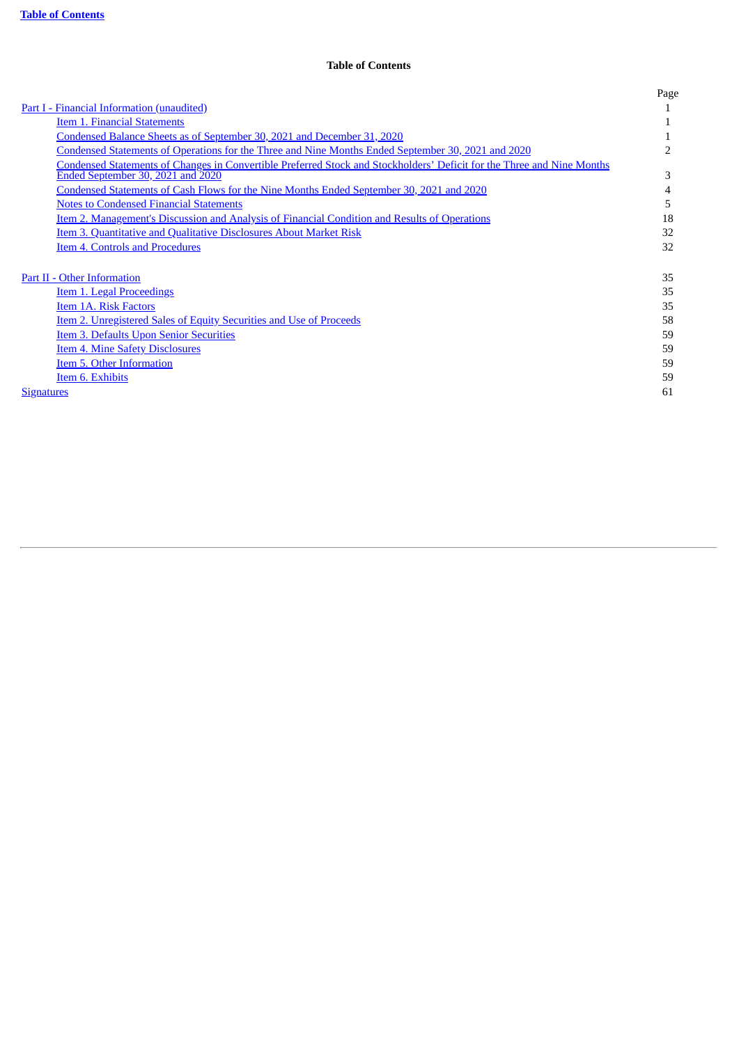## **Table of Contents**

|                   |                                                                                                                                                             | Page |
|-------------------|-------------------------------------------------------------------------------------------------------------------------------------------------------------|------|
|                   | Part I - Financial Information (unaudited)                                                                                                                  | 1    |
|                   | Item 1. Financial Statements                                                                                                                                |      |
|                   | Condensed Balance Sheets as of September 30, 2021 and December 31, 2020                                                                                     |      |
|                   | Condensed Statements of Operations for the Three and Nine Months Ended September 30, 2021 and 2020                                                          |      |
|                   | Condensed Statements of Changes in Convertible Preferred Stock and Stockholders' Deficit for the Three and Nine Months<br>Ended September 30, 2021 and 2020 | 3    |
|                   | Condensed Statements of Cash Flows for the Nine Months Ended September 30, 2021 and 2020                                                                    | 4    |
|                   | <b>Notes to Condensed Financial Statements</b>                                                                                                              | 5    |
|                   | Item 2. Management's Discussion and Analysis of Financial Condition and Results of Operations                                                               | 18   |
|                   | <b>Item 3. Quantitative and Qualitative Disclosures About Market Risk</b>                                                                                   | 32   |
|                   | Item 4. Controls and Procedures                                                                                                                             | 32   |
|                   | <b>Part II - Other Information</b>                                                                                                                          | 35   |
|                   | Item 1. Legal Proceedings                                                                                                                                   | 35   |
|                   | Item 1A. Risk Factors                                                                                                                                       | 35   |
|                   | <b>Item 2. Unregistered Sales of Equity Securities and Use of Proceeds</b>                                                                                  | 58   |
|                   | <b>Item 3. Defaults Upon Senior Securities</b>                                                                                                              | 59   |
|                   | <b>Item 4. Mine Safety Disclosures</b>                                                                                                                      | 59   |
|                   | Item 5. Other Information                                                                                                                                   | 59   |
|                   | Item 6. Exhibits                                                                                                                                            | 59   |
| <u>Signatures</u> |                                                                                                                                                             | 61   |
|                   |                                                                                                                                                             |      |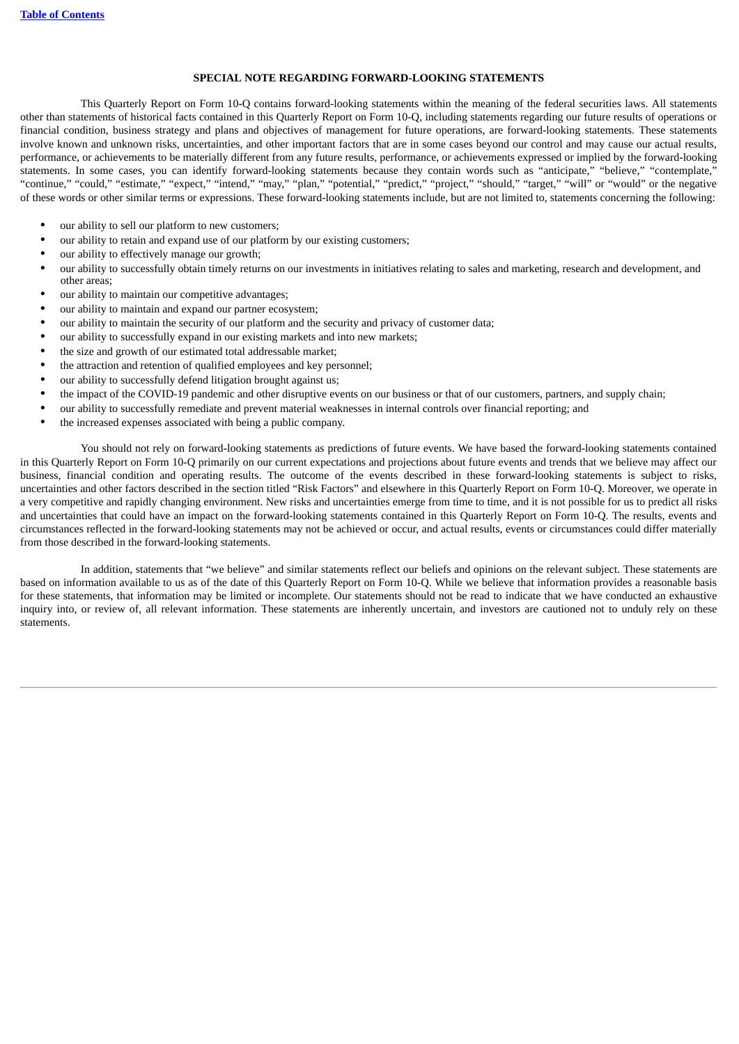## **SPECIAL NOTE REGARDING FORWARD-LOOKING STATEMENTS**

This Quarterly Report on Form 10-Q contains forward-looking statements within the meaning of the federal securities laws. All statements other than statements of historical facts contained in this Quarterly Report on Form 10-Q, including statements regarding our future results of operations or financial condition, business strategy and plans and objectives of management for future operations, are forward-looking statements. These statements involve known and unknown risks, uncertainties, and other important factors that are in some cases beyond our control and may cause our actual results, performance, or achievements to be materially different from any future results, performance, or achievements expressed or implied by the forward-looking statements. In some cases, you can identify forward-looking statements because they contain words such as "anticipate," "believe," "contemplate," "continue," "could," "estimate," "expect," "intend," "may," "plan," "potential," "predict," "project," "should," "target," "will" or "would" or the negative of these words or other similar terms or expressions. These forward-looking statements include, but are not limited to, statements concerning the following:

- our ability to sell our platform to new customers;
- our ability to retain and expand use of our platform by our existing customers;
- our ability to effectively manage our growth;
- our ability to successfully obtain timely returns on our investments in initiatives relating to sales and marketing, research and development, and other areas;
- our ability to maintain our competitive advantages;
- our ability to maintain and expand our partner ecosystem;
- our ability to maintain the security of our platform and the security and privacy of customer data;
- our ability to successfully expand in our existing markets and into new markets;
- the size and growth of our estimated total addressable market;
- the attraction and retention of qualified employees and key personnel;
- our ability to successfully defend litigation brought against us;
- the impact of the COVID-19 pandemic and other disruptive events on our business or that of our customers, partners, and supply chain;
- our ability to successfully remediate and prevent material weaknesses in internal controls over financial reporting; and
- the increased expenses associated with being a public company.

You should not rely on forward-looking statements as predictions of future events. We have based the forward-looking statements contained in this Quarterly Report on Form 10-Q primarily on our current expectations and projections about future events and trends that we believe may affect our business, financial condition and operating results. The outcome of the events described in these forward-looking statements is subject to risks, uncertainties and other factors described in the section titled "Risk Factors" and elsewhere in this Quarterly Report on Form 10-Q. Moreover, we operate in a very competitive and rapidly changing environment. New risks and uncertainties emerge from time to time, and it is not possible for us to predict all risks and uncertainties that could have an impact on the forward-looking statements contained in this Quarterly Report on Form 10-Q. The results, events and circumstances reflected in the forward-looking statements may not be achieved or occur, and actual results, events or circumstances could differ materially from those described in the forward-looking statements.

In addition, statements that "we believe" and similar statements reflect our beliefs and opinions on the relevant subject. These statements are based on information available to us as of the date of this Quarterly Report on Form 10-Q. While we believe that information provides a reasonable basis for these statements, that information may be limited or incomplete. Our statements should not be read to indicate that we have conducted an exhaustive inquiry into, or review of, all relevant information. These statements are inherently uncertain, and investors are cautioned not to unduly rely on these statements.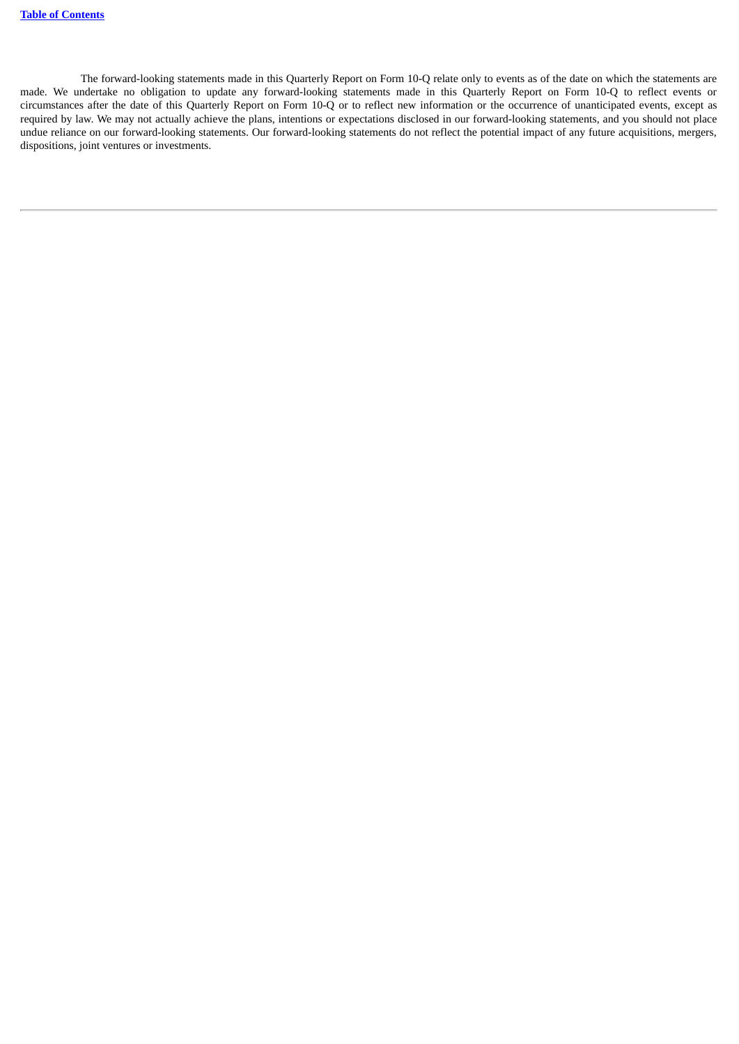<span id="page-3-0"></span>The forward-looking statements made in this Quarterly Report on Form 10-Q relate only to events as of the date on which the statements are made. We undertake no obligation to update any forward-looking statements made in this Quarterly Report on Form 10-Q to reflect events or circumstances after the date of this Quarterly Report on Form 10-Q or to reflect new information or the occurrence of unanticipated events, except as required by law. We may not actually achieve the plans, intentions or expectations disclosed in our forward-looking statements, and you should not place undue reliance on our forward-looking statements. Our forward-looking statements do not reflect the potential impact of any future acquisitions, mergers, dispositions, joint ventures or investments.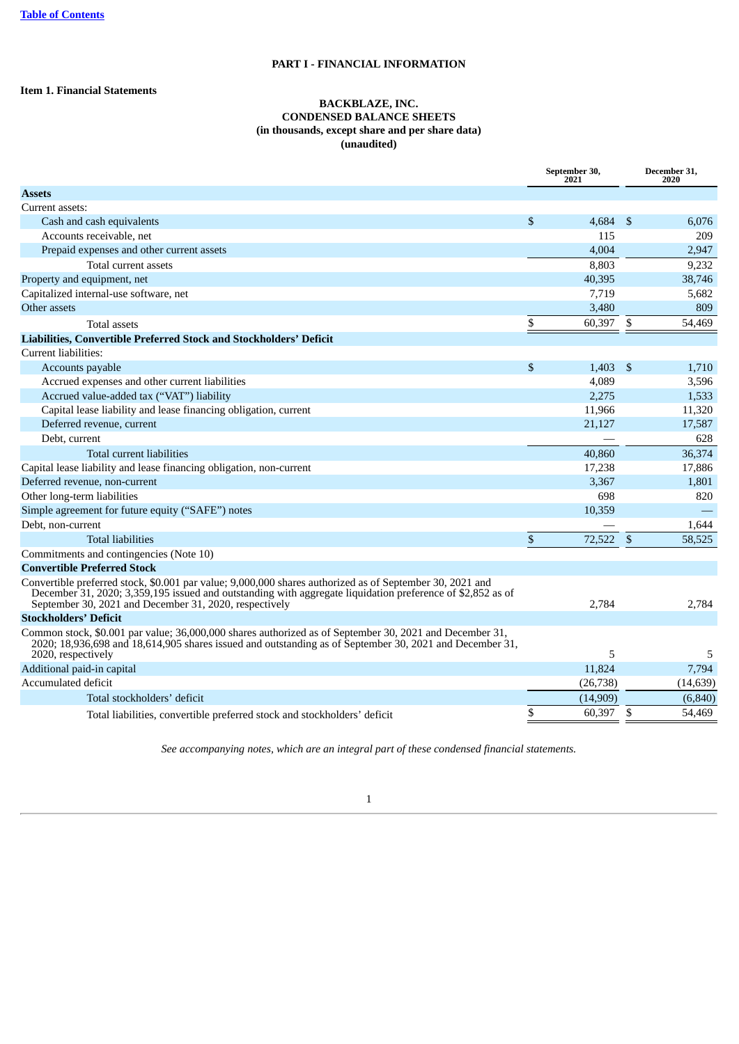## **PART I - FINANCIAL INFORMATION**

## <span id="page-4-1"></span><span id="page-4-0"></span>**Item 1. Financial Statements**

## **BACKBLAZE, INC. CONDENSED BALANCE SHEETS (in thousands, except share and per share data) (unaudited)**

|                                                                                                                                                                                                                        |            | September 30,<br>2021 |                | December 31,<br>2020 |
|------------------------------------------------------------------------------------------------------------------------------------------------------------------------------------------------------------------------|------------|-----------------------|----------------|----------------------|
| <b>Assets</b>                                                                                                                                                                                                          |            |                       |                |                      |
| Current assets:                                                                                                                                                                                                        |            |                       |                |                      |
| Cash and cash equivalents                                                                                                                                                                                              | \$         | 4,684                 | \$             | 6,076                |
| Accounts receivable, net                                                                                                                                                                                               |            | 115                   |                | 209                  |
| Prepaid expenses and other current assets                                                                                                                                                                              |            | 4,004                 |                | 2,947                |
| Total current assets                                                                                                                                                                                                   |            | 8,803                 |                | 9,232                |
| Property and equipment, net                                                                                                                                                                                            |            | 40,395                |                | 38,746               |
| Capitalized internal-use software, net                                                                                                                                                                                 |            | 7,719                 |                | 5,682                |
| Other assets                                                                                                                                                                                                           |            | 3,480                 |                | 809                  |
| <b>Total assets</b>                                                                                                                                                                                                    | \$         | 60,397                | \$             | 54,469               |
| Liabilities, Convertible Preferred Stock and Stockholders' Deficit                                                                                                                                                     |            |                       |                |                      |
| Current liabilities:                                                                                                                                                                                                   |            |                       |                |                      |
| Accounts payable                                                                                                                                                                                                       | \$         | 1,403                 | \$             | 1,710                |
| Accrued expenses and other current liabilities                                                                                                                                                                         |            | 4,089                 |                | 3,596                |
| Accrued value-added tax ("VAT") liability                                                                                                                                                                              |            | 2,275                 |                | 1,533                |
| Capital lease liability and lease financing obligation, current                                                                                                                                                        |            | 11,966                |                | 11,320               |
| Deferred revenue, current                                                                                                                                                                                              |            | 21,127                |                | 17,587               |
| Debt, current                                                                                                                                                                                                          |            |                       |                | 628                  |
| Total current liabilities                                                                                                                                                                                              |            | 40,860                |                | 36,374               |
| Capital lease liability and lease financing obligation, non-current                                                                                                                                                    |            | 17,238                |                | 17,886               |
| Deferred revenue, non-current                                                                                                                                                                                          |            | 3,367                 |                | 1,801                |
| Other long-term liabilities                                                                                                                                                                                            |            | 698                   |                | 820                  |
| Simple agreement for future equity ("SAFE") notes                                                                                                                                                                      |            | 10,359                |                |                      |
| Debt. non-current                                                                                                                                                                                                      |            |                       |                | 1,644                |
| <b>Total liabilities</b>                                                                                                                                                                                               | $\sqrt{3}$ | 72,522                | $\mathfrak{s}$ | 58,525               |
| Commitments and contingencies (Note 10)                                                                                                                                                                                |            |                       |                |                      |
| <b>Convertible Preferred Stock</b>                                                                                                                                                                                     |            |                       |                |                      |
| Convertible preferred stock, \$0.001 par value; 9,000,000 shares authorized as of September 30, 2021 and<br>December 31, 2020; 3,359,195 issued and outstanding with aggregate liquidation preference of \$2,852 as of |            |                       |                |                      |
| September 30, 2021 and December 31, 2020, respectively<br><b>Stockholders' Deficit</b>                                                                                                                                 |            | 2,784                 |                | 2,784                |
| Common stock, \$0.001 par value; 36,000,000 shares authorized as of September 30, 2021 and December 31,                                                                                                                |            |                       |                |                      |
| 2020; 18,936,698 and 18,614,905 shares issued and outstanding as of September 30, 2021 and December 31,<br>2020, respectively                                                                                          |            | 5                     |                | 5                    |
| Additional paid-in capital                                                                                                                                                                                             |            | 11,824                |                | 7,794                |
| Accumulated deficit                                                                                                                                                                                                    |            | (26, 738)             |                | (14, 639)            |
| Total stockholders' deficit                                                                                                                                                                                            |            | (14,909)              |                | (6, 840)             |
| Total liabilities, convertible preferred stock and stockholders' deficit                                                                                                                                               | \$         | 60,397                | $\mathfrak{S}$ | 54.469               |

<span id="page-4-2"></span>*See accompanying notes, which are an integral part of these condensed financial statements.*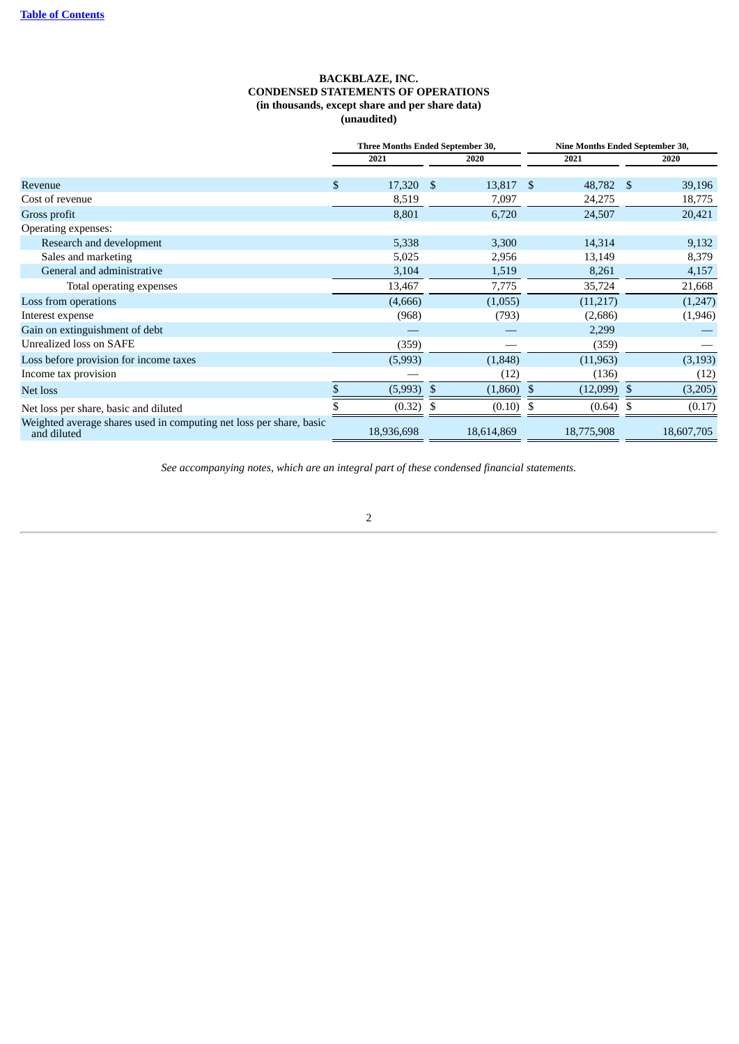## **BACKBLAZE, INC. CONDENSED STATEMENTS OF OPERATIONS (in thousands, except share and per share data) (unaudited)**

|                                                                                    |     | Three Months Ended September 30, |      |            |     |            | Nine Months Ended September 30, |            |  |  |
|------------------------------------------------------------------------------------|-----|----------------------------------|------|------------|-----|------------|---------------------------------|------------|--|--|
|                                                                                    |     | 2021                             |      | 2020       |     | 2021       |                                 | 2020       |  |  |
| Revenue                                                                            | \$. | 17,320 \$                        |      | 13,817 \$  |     | 48,782     | -S                              | 39,196     |  |  |
| Cost of revenue                                                                    |     | 8,519                            |      | 7,097      |     | 24,275     |                                 | 18,775     |  |  |
| Gross profit                                                                       |     | 8,801                            |      | 6,720      |     | 24,507     |                                 | 20,421     |  |  |
| Operating expenses:                                                                |     |                                  |      |            |     |            |                                 |            |  |  |
| Research and development                                                           |     | 5,338                            |      | 3,300      |     | 14,314     |                                 | 9,132      |  |  |
| Sales and marketing                                                                |     | 5,025                            |      | 2,956      |     | 13,149     |                                 | 8,379      |  |  |
| General and administrative                                                         |     | 3,104                            |      | 1,519      |     | 8,261      |                                 | 4,157      |  |  |
| Total operating expenses                                                           |     | 13,467                           |      | 7,775      |     | 35,724     |                                 | 21,668     |  |  |
| Loss from operations                                                               |     | (4,666)                          |      | (1,055)    |     | (11,217)   |                                 | (1,247)    |  |  |
| Interest expense                                                                   |     | (968)                            |      | (793)      |     | (2,686)    |                                 | (1,946)    |  |  |
| Gain on extinguishment of debt                                                     |     |                                  |      |            |     | 2,299      |                                 |            |  |  |
| Unrealized loss on SAFE                                                            |     | (359)                            |      |            |     | (359)      |                                 |            |  |  |
| Loss before provision for income taxes                                             |     | (5,993)                          |      | (1,848)    |     | (11,963)   |                                 | (3, 193)   |  |  |
| Income tax provision                                                               |     |                                  |      | (12)       |     | (136)      |                                 | (12)       |  |  |
| Net loss                                                                           |     | (5,993)                          | - \$ | (1,860)    | -\$ | (12,099)   | \$                              | (3,205)    |  |  |
| Net loss per share, basic and diluted                                              |     | (0.32)                           | Ж    | (0.10)     |     | (0.64)     |                                 | (0.17)     |  |  |
| Weighted average shares used in computing net loss per share, basic<br>and diluted |     | 18,936,698                       |      | 18,614,869 |     | 18,775,908 |                                 | 18,607,705 |  |  |

<span id="page-5-0"></span>*See accompanying notes, which are an integral part of these condensed financial statements.*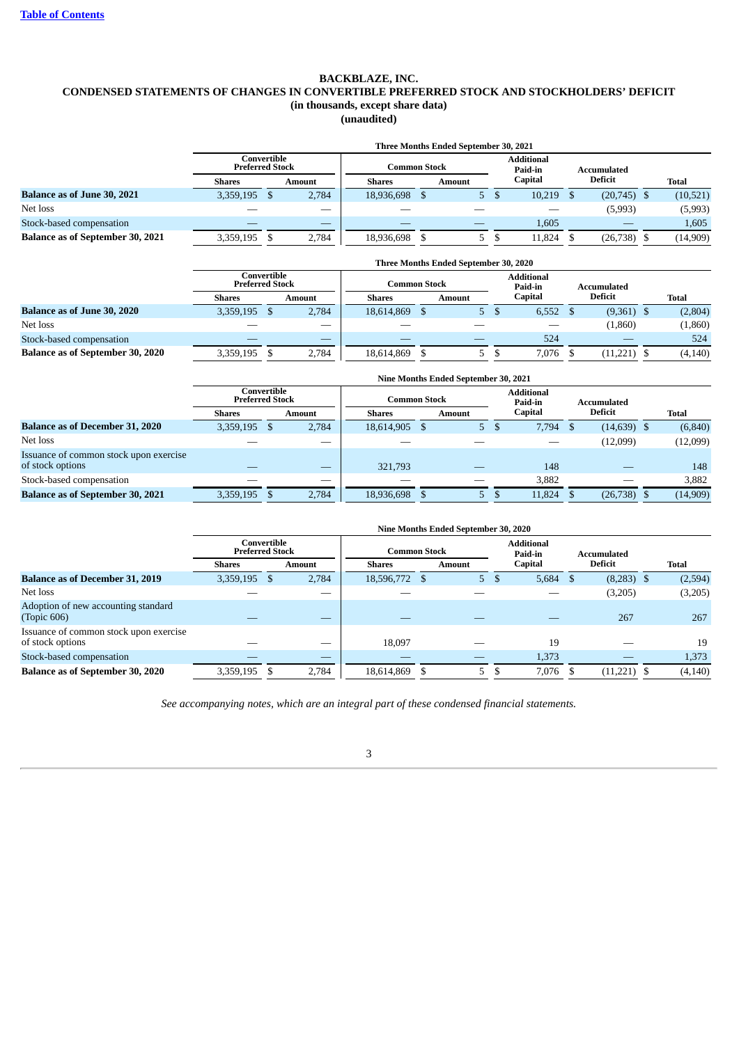## **BACKBLAZE, INC. CONDENSED STATEMENTS OF CHANGES IN CONVERTIBLE PREFERRED STOCK AND STOCKHOLDERS' DEFICIT (in thousands, except share data) (unaudited)**

|                                         |               |                                       |        |  |               |  | Three Months Ended September 30, 2021 |                              |                |             |               |          |                |              |  |
|-----------------------------------------|---------------|---------------------------------------|--------|--|---------------|--|---------------------------------------|------------------------------|----------------|-------------|---------------|----------|----------------|--------------|--|
|                                         |               | Convertible<br><b>Preferred Stock</b> |        |  | Common Stock  |  |                                       | <b>Additional</b><br>Paid-in |                | Accumulated |               |          |                |              |  |
|                                         | <b>Shares</b> |                                       | Amount |  | <b>Shares</b> |  | Amount                                |                              | <b>Capital</b> |             |               |          | <b>Deficit</b> | <b>Total</b> |  |
| <b>Balance as of June 30, 2021</b>      | 3,359,195     |                                       | 2,784  |  | 18,936,698    |  | 5S                                    |                              | 10,219         |             | $(20,745)$ \$ | (10,521) |                |              |  |
| Net loss                                |               |                                       |        |  |               |  |                                       |                              |                |             | (5,993)       | (5,993)  |                |              |  |
| Stock-based compensation                |               |                                       |        |  |               |  |                                       |                              | 1,605          |             | _             | 1,605    |                |              |  |
| <b>Balance as of September 30, 2021</b> | 3,359,195     |                                       | 2,784  |  | 18.936.698    |  |                                       |                              | 11,824         |             | $(26,738)$ \$ | (14,909) |                |              |  |
|                                         |               |                                       |        |  |               |  |                                       |                              |                |             |               |          |                |              |  |

|                                         |                         |                                       |                          |            |              | Three Months Ended September 30, 2020 |         |            |                |               |          |
|-----------------------------------------|-------------------------|---------------------------------------|--------------------------|------------|--------------|---------------------------------------|---------|------------|----------------|---------------|----------|
|                                         |                         | Convertible<br><b>Preferred Stock</b> |                          |            | Common Stock |                                       |         |            |                | Accumulated   |          |
|                                         | <b>Shares</b><br>Amount |                                       | <b>Shares</b>            | Amount     |              |                                       | Capital |            | <b>Deficit</b> | <b>Total</b>  |          |
| <b>Balance as of June 30, 2020</b>      | 3,359,195               |                                       | 2,784                    | 18.614.869 |              | 5 S                                   |         | $6,552$ \$ |                | $(9,361)$ \$  | (2,804)  |
| Net loss                                |                         |                                       | $\overline{\phantom{a}}$ |            |              |                                       |         |            |                | (1,860)       | (1,860)  |
| Stock-based compensation                |                         |                                       | __                       |            |              |                                       |         | 524        |                |               | 524      |
| <b>Balance as of September 30, 2020</b> | 3,359,195               |                                       | 2,784                    | 18,614,869 |              | 5                                     |         | 7,076 \$   |                | $(11,221)$ \$ | (4, 140) |
|                                         |                         |                                       |                          |            |              |                                       |         |            |                |               |          |

|                                                            |                                       |  |        |               |                     | Nine Months Ended September 30, 2021 |  |          |  |                |          |
|------------------------------------------------------------|---------------------------------------|--|--------|---------------|---------------------|--------------------------------------|--|----------|--|----------------|----------|
|                                                            | Convertible<br><b>Preferred Stock</b> |  |        |               | <b>Common Stock</b> |                                      |  |          |  | Accumulated    |          |
|                                                            | <b>Shares</b>                         |  | Amount | <b>Shares</b> |                     | Amount                               |  | Capital  |  | <b>Deficit</b> | Total    |
| <b>Balance as of December 31, 2020</b>                     | 3,359,195                             |  | 2,784  | 18,614,905    |                     | 5 S                                  |  | 7,794 \$ |  | $(14,639)$ \$  | (6, 840) |
| Net loss                                                   |                                       |  |        |               |                     |                                      |  |          |  | (12,099)       | (12,099) |
| Issuance of common stock upon exercise<br>of stock options |                                       |  |        | 321,793       |                     |                                      |  | 148      |  |                | 148      |
| Stock-based compensation                                   |                                       |  |        |               |                     |                                      |  | 3.882    |  |                | 3.882    |
| <b>Balance as of September 30, 2021</b>                    | 3,359,195                             |  | 2,784  | 18,936,698    |                     | 5.                                   |  | 11.824   |  | $(26,738)$ \$  | (14,909) |

|                                                            |                        |             |               |               |                     | Nine Months Ended September 30, 2020 |    |            |                    |                |          |
|------------------------------------------------------------|------------------------|-------------|---------------|---------------|---------------------|--------------------------------------|----|------------|--------------------|----------------|----------|
|                                                            | <b>Preferred Stock</b> | Convertible |               |               | <b>Common Stock</b> |                                      |    |            | <b>Accumulated</b> |                |          |
|                                                            | <b>Shares</b>          |             | <b>Amount</b> | <b>Shares</b> |                     | Amount                               |    | Capital    |                    | <b>Deficit</b> | Total    |
| <b>Balance as of December 31, 2019</b>                     | 3,359,195              |             | 2,784         | 18,596,772 \$ |                     | 5 <sub>1</sub>                       | -S | $5,684$ \$ |                    | $(8,283)$ \$   | (2,594)  |
| Net loss                                                   |                        |             |               |               |                     |                                      |    |            |                    | (3,205)        | (3,205)  |
| Adoption of new accounting standard<br>(Topic 606)         |                        |             |               |               |                     |                                      |    |            |                    | 267            | 267      |
| Issuance of common stock upon exercise<br>of stock options |                        |             |               | 18.097        |                     |                                      |    | 19         |                    |                | 19       |
| Stock-based compensation                                   |                        |             |               |               |                     |                                      |    | 1,373      |                    |                | 1,373    |
| <b>Balance as of September 30, 2020</b>                    | 3,359,195              |             | 2,784         | 18,614,869    |                     | 5                                    |    | 7,076 \$   |                    | $(11,221)$ \$  | (4, 140) |

<span id="page-6-0"></span>*See accompanying notes, which are an integral part of these condensed financial statements.*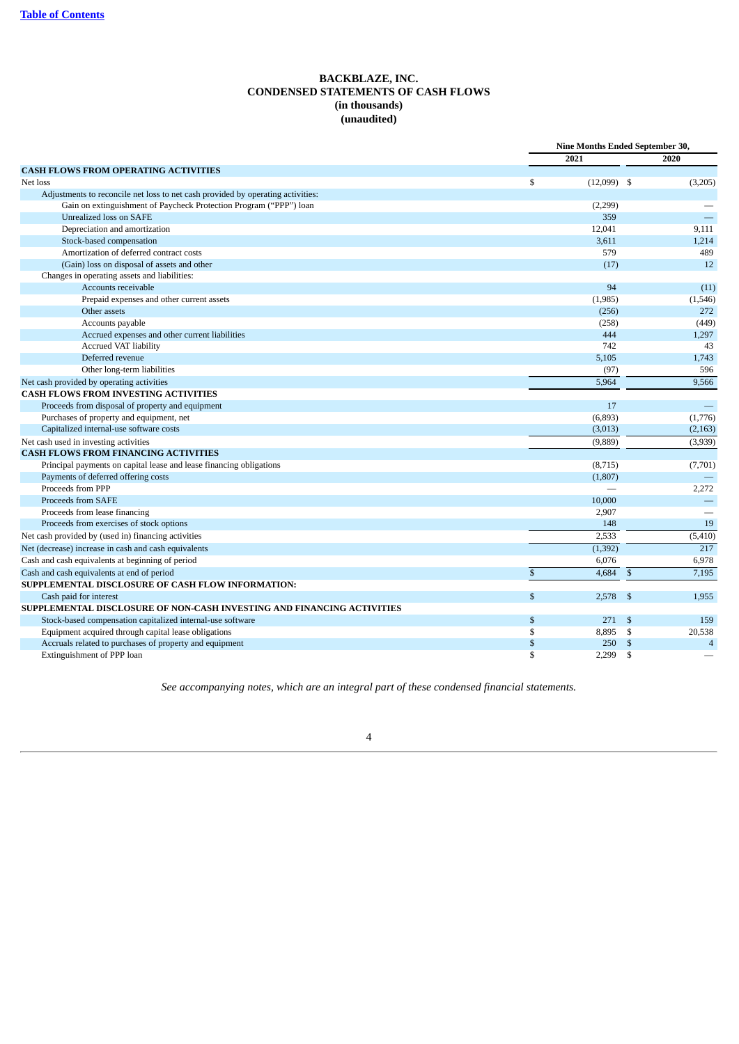## **BACKBLAZE, INC. CONDENSED STATEMENTS OF CASH FLOWS (in thousands) (unaudited)**

|                                                                                 |              | <b>Nine Months Ended September 30,</b> |                |                |  |  |
|---------------------------------------------------------------------------------|--------------|----------------------------------------|----------------|----------------|--|--|
|                                                                                 |              | 2021                                   |                | 2020           |  |  |
| <b>CASH FLOWS FROM OPERATING ACTIVITIES</b>                                     |              |                                        |                |                |  |  |
| Net loss                                                                        | \$           | $(12,099)$ \$                          |                | (3,205)        |  |  |
| Adjustments to reconcile net loss to net cash provided by operating activities: |              |                                        |                |                |  |  |
| Gain on extinguishment of Paycheck Protection Program ("PPP") loan              |              | (2,299)                                |                |                |  |  |
| <b>Unrealized loss on SAFE</b>                                                  |              | 359                                    |                |                |  |  |
| Depreciation and amortization                                                   |              | 12,041                                 |                | 9,111          |  |  |
| Stock-based compensation                                                        |              | 3,611                                  |                | 1,214          |  |  |
| Amortization of deferred contract costs                                         |              | 579                                    |                | 489            |  |  |
| (Gain) loss on disposal of assets and other                                     |              | (17)                                   |                | 12             |  |  |
| Changes in operating assets and liabilities:                                    |              |                                        |                |                |  |  |
| Accounts receivable                                                             |              | 94                                     |                | (11)           |  |  |
| Prepaid expenses and other current assets                                       |              | (1,985)                                |                | (1, 546)       |  |  |
| Other assets                                                                    |              | (256)                                  |                | 272            |  |  |
| Accounts payable                                                                |              | (258)                                  |                | (449)          |  |  |
| Accrued expenses and other current liabilities                                  |              | 444                                    |                | 1,297          |  |  |
| <b>Accrued VAT liability</b>                                                    |              | 742                                    |                | 43             |  |  |
| Deferred revenue                                                                |              | 5,105                                  |                | 1,743          |  |  |
| Other long-term liabilities                                                     |              | (97)                                   |                | 596            |  |  |
| Net cash provided by operating activities                                       |              | 5,964                                  |                | 9,566          |  |  |
| <b>CASH FLOWS FROM INVESTING ACTIVITIES</b>                                     |              |                                        |                |                |  |  |
| Proceeds from disposal of property and equipment                                |              | 17                                     |                |                |  |  |
| Purchases of property and equipment, net                                        |              | (6, 893)                               |                | (1,776)        |  |  |
| Capitalized internal-use software costs                                         |              | (3,013)                                |                | (2, 163)       |  |  |
| Net cash used in investing activities                                           |              | (9,889)                                |                | (3,939)        |  |  |
| <b>CASH FLOWS FROM FINANCING ACTIVITIES</b>                                     |              |                                        |                |                |  |  |
| Principal payments on capital lease and lease financing obligations             |              | (8,715)                                |                | (7, 701)       |  |  |
| Payments of deferred offering costs                                             |              | (1,807)                                |                |                |  |  |
| Proceeds from PPP                                                               |              | $\frac{1}{2}$                          |                | 2,272          |  |  |
| Proceeds from SAFE                                                              |              | 10,000                                 |                |                |  |  |
| Proceeds from lease financing                                                   |              | 2,907                                  |                |                |  |  |
| Proceeds from exercises of stock options                                        |              | 148                                    |                | 19             |  |  |
| Net cash provided by (used in) financing activities                             |              | 2,533                                  |                | (5, 410)       |  |  |
| Net (decrease) increase in cash and cash equivalents                            |              | (1, 392)                               |                | 217            |  |  |
| Cash and cash equivalents at beginning of period                                |              | 6,076                                  |                | 6,978          |  |  |
| Cash and cash equivalents at end of period                                      | $\mathbb{S}$ | 4,684                                  | $\mathfrak{S}$ | 7,195          |  |  |
| SUPPLEMENTAL DISCLOSURE OF CASH FLOW INFORMATION:                               |              |                                        |                |                |  |  |
| Cash paid for interest                                                          | \$           | 2,578                                  | <sup>\$</sup>  | 1,955          |  |  |
| SUPPLEMENTAL DISCLOSURE OF NON-CASH INVESTING AND FINANCING ACTIVITIES          |              |                                        |                |                |  |  |
| Stock-based compensation capitalized internal-use software                      | \$           | 271                                    | -\$            | 159            |  |  |
| Equipment acquired through capital lease obligations                            | \$           | 8,895                                  | \$             | 20,538         |  |  |
| Accruals related to purchases of property and equipment                         | \$           | 250                                    | $\mathfrak{s}$ | $\overline{4}$ |  |  |
| Extinguishment of PPP loan                                                      | \$           | 2,299                                  | \$             |                |  |  |
|                                                                                 |              |                                        |                |                |  |  |

<span id="page-7-0"></span>*See accompanying notes, which are an integral part of these condensed financial statements.*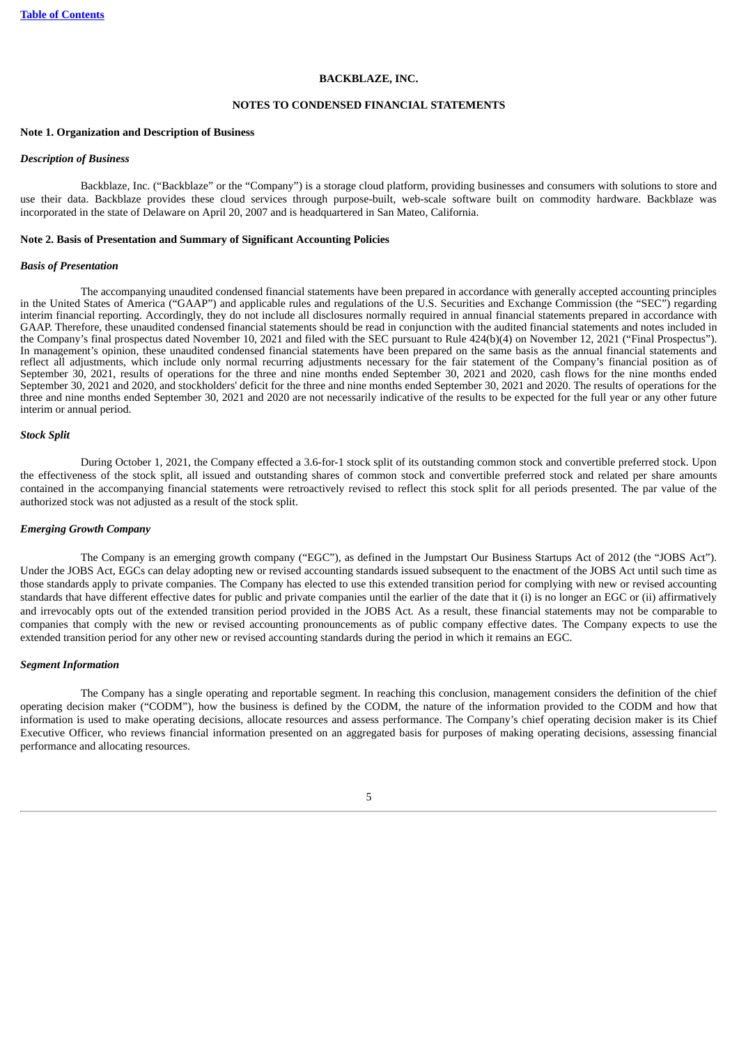#### **BACKBLAZE, INC.**

#### **NOTES TO CONDENSED FINANCIAL STATEMENTS**

#### **Note 1. Organization and Description of Business**

#### *Description of Business*

Backblaze, Inc. ("Backblaze" or the "Company") is a storage cloud platform, providing businesses and consumers with solutions to store and use their data. Backblaze provides these cloud services through purpose-built, web-scale software built on commodity hardware. Backblaze was incorporated in the state of Delaware on April 20, 2007 and is headquartered in San Mateo, California.

#### **Note 2. Basis of Presentation and Summary of Significant Accounting Policies**

#### *Basis of Presentation*

The accompanying unaudited condensed financial statements have been prepared in accordance with generally accepted accounting principles in the United States of America ("GAAP") and applicable rules and regulations of the U.S. Securities and Exchange Commission (the "SEC") regarding interim financial reporting. Accordingly, they do not include all disclosures normally required in annual financial statements prepared in accordance with GAAP. Therefore, these unaudited condensed financial statements should be read in conjunction with the audited financial statements and notes included in the Company's final prospectus dated November 10, 2021 and filed with the SEC pursuant to Rule 424(b)(4) on November 12, 2021 ("Final Prospectus"). In management's opinion, these unaudited condensed financial statements have been prepared on the same basis as the annual financial statements and reflect all adjustments, which include only normal recurring adjustments necessary for the fair statement of the Company's financial position as of September 30, 2021, results of operations for the three and nine months ended September 30, 2021 and 2020, cash flows for the nine months ended September 30, 2021 and 2020, and stockholders' deficit for the three and nine months ended September 30, 2021 and 2020. The results of operations for the three and nine months ended September 30, 2021 and 2020 are not necessarily indicative of the results to be expected for the full year or any other future interim or annual period.

#### *Stock Split*

During October 1, 2021, the Company effected a 3.6-for-1 stock split of its outstanding common stock and convertible preferred stock. Upon the effectiveness of the stock split, all issued and outstanding shares of common stock and convertible preferred stock and related per share amounts contained in the accompanying financial statements were retroactively revised to reflect this stock split for all periods presented. The par value of the authorized stock was not adjusted as a result of the stock split.

## *Emerging Growth Company*

The Company is an emerging growth company ("EGC"), as defined in the Jumpstart Our Business Startups Act of 2012 (the "JOBS Act"). Under the JOBS Act, EGCs can delay adopting new or revised accounting standards issued subsequent to the enactment of the JOBS Act until such time as those standards apply to private companies. The Company has elected to use this extended transition period for complying with new or revised accounting standards that have different effective dates for public and private companies until the earlier of the date that it (i) is no longer an EGC or (ii) affirmatively and irrevocably opts out of the extended transition period provided in the JOBS Act. As a result, these financial statements may not be comparable to companies that comply with the new or revised accounting pronouncements as of public company effective dates. The Company expects to use the extended transition period for any other new or revised accounting standards during the period in which it remains an EGC.

## *Segment Information*

The Company has a single operating and reportable segment. In reaching this conclusion, management considers the definition of the chief operating decision maker ("CODM"), how the business is defined by the CODM, the nature of the information provided to the CODM and how that information is used to make operating decisions, allocate resources and assess performance. The Company's chief operating decision maker is its Chief Executive Officer, who reviews financial information presented on an aggregated basis for purposes of making operating decisions, assessing financial performance and allocating resources.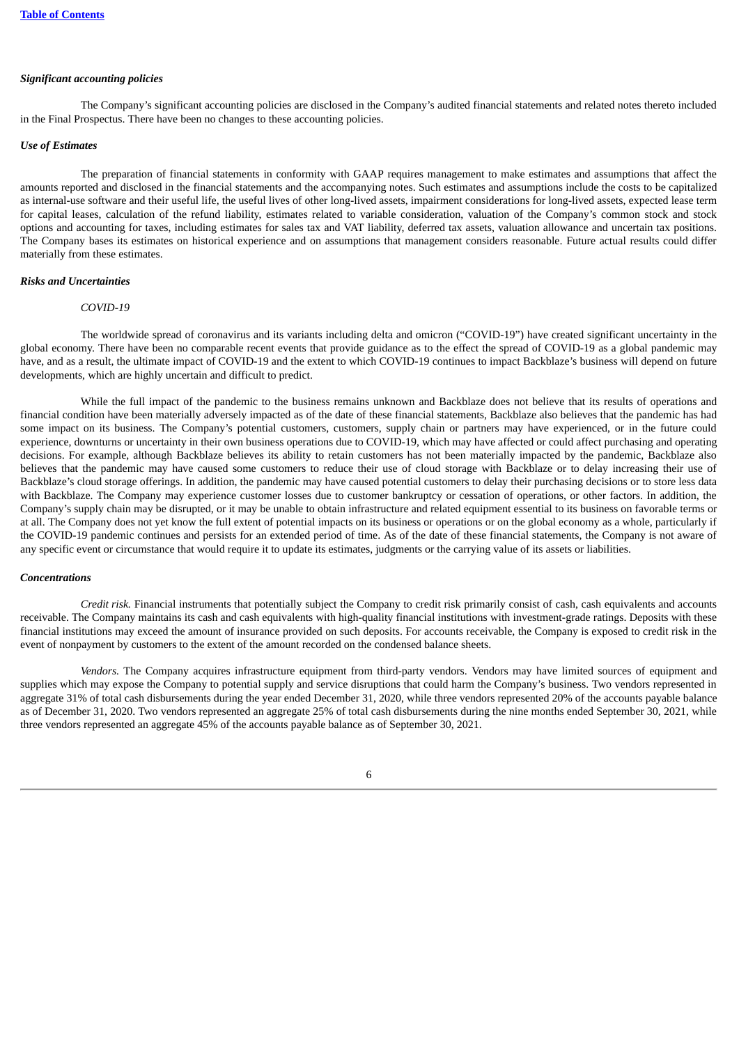#### *Significant accounting policies*

The Company's significant accounting policies are disclosed in the Company's audited financial statements and related notes thereto included in the Final Prospectus. There have been no changes to these accounting policies.

#### *Use of Estimates*

The preparation of financial statements in conformity with GAAP requires management to make estimates and assumptions that affect the amounts reported and disclosed in the financial statements and the accompanying notes. Such estimates and assumptions include the costs to be capitalized as internal-use software and their useful life, the useful lives of other long-lived assets, impairment considerations for long-lived assets, expected lease term for capital leases, calculation of the refund liability, estimates related to variable consideration, valuation of the Company's common stock and stock options and accounting for taxes, including estimates for sales tax and VAT liability, deferred tax assets, valuation allowance and uncertain tax positions. The Company bases its estimates on historical experience and on assumptions that management considers reasonable. Future actual results could differ materially from these estimates.

#### *Risks and Uncertainties*

## *COVID-19*

The worldwide spread of coronavirus and its variants including delta and omicron ("COVID-19") have created significant uncertainty in the global economy. There have been no comparable recent events that provide guidance as to the effect the spread of COVID-19 as a global pandemic may have, and as a result, the ultimate impact of COVID-19 and the extent to which COVID-19 continues to impact Backblaze's business will depend on future developments, which are highly uncertain and difficult to predict.

While the full impact of the pandemic to the business remains unknown and Backblaze does not believe that its results of operations and financial condition have been materially adversely impacted as of the date of these financial statements, Backblaze also believes that the pandemic has had some impact on its business. The Company's potential customers, customers, supply chain or partners may have experienced, or in the future could experience, downturns or uncertainty in their own business operations due to COVID-19, which may have affected or could affect purchasing and operating decisions. For example, although Backblaze believes its ability to retain customers has not been materially impacted by the pandemic, Backblaze also believes that the pandemic may have caused some customers to reduce their use of cloud storage with Backblaze or to delay increasing their use of Backblaze's cloud storage offerings. In addition, the pandemic may have caused potential customers to delay their purchasing decisions or to store less data with Backblaze. The Company may experience customer losses due to customer bankruptcy or cessation of operations, or other factors. In addition, the Company's supply chain may be disrupted, or it may be unable to obtain infrastructure and related equipment essential to its business on favorable terms or at all. The Company does not yet know the full extent of potential impacts on its business or operations or on the global economy as a whole, particularly if the COVID-19 pandemic continues and persists for an extended period of time. As of the date of these financial statements, the Company is not aware of any specific event or circumstance that would require it to update its estimates, judgments or the carrying value of its assets or liabilities.

#### *Concentrations*

*Credit risk.* Financial instruments that potentially subject the Company to credit risk primarily consist of cash, cash equivalents and accounts receivable. The Company maintains its cash and cash equivalents with high-quality financial institutions with investment-grade ratings. Deposits with these financial institutions may exceed the amount of insurance provided on such deposits. For accounts receivable, the Company is exposed to credit risk in the event of nonpayment by customers to the extent of the amount recorded on the condensed balance sheets.

*Vendors.* The Company acquires infrastructure equipment from third-party vendors. Vendors may have limited sources of equipment and supplies which may expose the Company to potential supply and service disruptions that could harm the Company's business. Two vendors represented in aggregate 31% of total cash disbursements during the year ended December 31, 2020, while three vendors represented 20% of the accounts payable balance as of December 31, 2020. Two vendors represented an aggregate 25% of total cash disbursements during the nine months ended September 30, 2021, while three vendors represented an aggregate 45% of the accounts payable balance as of September 30, 2021.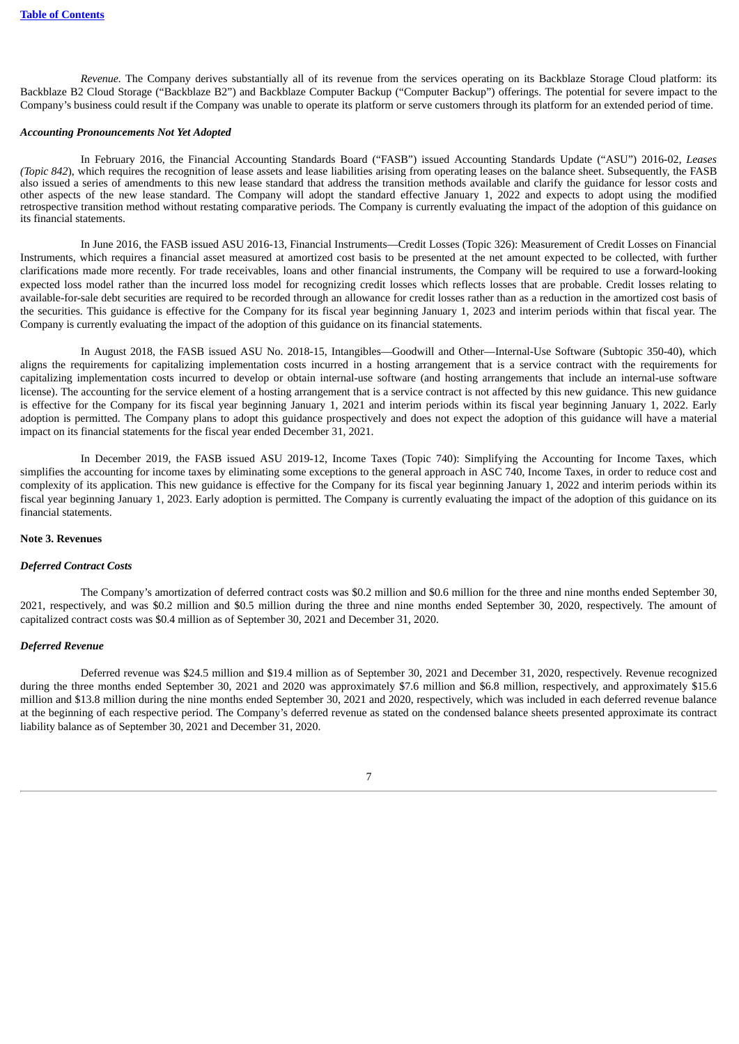*Revenue.* The Company derives substantially all of its revenue from the services operating on its Backblaze Storage Cloud platform: its Backblaze B2 Cloud Storage ("Backblaze B2") and Backblaze Computer Backup ("Computer Backup") offerings. The potential for severe impact to the Company's business could result if the Company was unable to operate its platform or serve customers through its platform for an extended period of time.

#### *Accounting Pronouncements Not Yet Adopted*

In February 2016, the Financial Accounting Standards Board ("FASB") issued Accounting Standards Update ("ASU") 2016-02, *Leases (Topic 842*), which requires the recognition of lease assets and lease liabilities arising from operating leases on the balance sheet. Subsequently, the FASB also issued a series of amendments to this new lease standard that address the transition methods available and clarify the guidance for lessor costs and other aspects of the new lease standard. The Company will adopt the standard effective January 1, 2022 and expects to adopt using the modified retrospective transition method without restating comparative periods. The Company is currently evaluating the impact of the adoption of this guidance on its financial statements.

In June 2016, the FASB issued ASU 2016-13, Financial Instruments—Credit Losses (Topic 326): Measurement of Credit Losses on Financial Instruments, which requires a financial asset measured at amortized cost basis to be presented at the net amount expected to be collected, with further clarifications made more recently. For trade receivables, loans and other financial instruments, the Company will be required to use a forward-looking expected loss model rather than the incurred loss model for recognizing credit losses which reflects losses that are probable. Credit losses relating to available-for-sale debt securities are required to be recorded through an allowance for credit losses rather than as a reduction in the amortized cost basis of the securities. This guidance is effective for the Company for its fiscal year beginning January 1, 2023 and interim periods within that fiscal year. The Company is currently evaluating the impact of the adoption of this guidance on its financial statements.

In August 2018, the FASB issued ASU No. 2018-15, Intangibles—Goodwill and Other—Internal-Use Software (Subtopic 350-40), which aligns the requirements for capitalizing implementation costs incurred in a hosting arrangement that is a service contract with the requirements for capitalizing implementation costs incurred to develop or obtain internal-use software (and hosting arrangements that include an internal-use software license). The accounting for the service element of a hosting arrangement that is a service contract is not affected by this new guidance. This new guidance is effective for the Company for its fiscal year beginning January 1, 2021 and interim periods within its fiscal year beginning January 1, 2022. Early adoption is permitted. The Company plans to adopt this guidance prospectively and does not expect the adoption of this guidance will have a material impact on its financial statements for the fiscal year ended December 31, 2021.

In December 2019, the FASB issued ASU 2019-12, Income Taxes (Topic 740): Simplifying the Accounting for Income Taxes, which simplifies the accounting for income taxes by eliminating some exceptions to the general approach in ASC 740, Income Taxes, in order to reduce cost and complexity of its application. This new guidance is effective for the Company for its fiscal year beginning January 1, 2022 and interim periods within its fiscal year beginning January 1, 2023. Early adoption is permitted. The Company is currently evaluating the impact of the adoption of this guidance on its financial statements.

## **Note 3. Revenues**

#### *Deferred Contract Costs*

The Company's amortization of deferred contract costs was \$0.2 million and \$0.6 million for the three and nine months ended September 30, 2021, respectively, and was \$0.2 million and \$0.5 million during the three and nine months ended September 30, 2020, respectively. The amount of capitalized contract costs was \$0.4 million as of September 30, 2021 and December 31, 2020.

## *Deferred Revenue*

Deferred revenue was \$24.5 million and \$19.4 million as of September 30, 2021 and December 31, 2020, respectively. Revenue recognized during the three months ended September 30, 2021 and 2020 was approximately \$7.6 million and \$6.8 million, respectively, and approximately \$15.6 million and \$13.8 million during the nine months ended September 30, 2021 and 2020, respectively, which was included in each deferred revenue balance at the beginning of each respective period. The Company's deferred revenue as stated on the condensed balance sheets presented approximate its contract liability balance as of September 30, 2021 and December 31, 2020.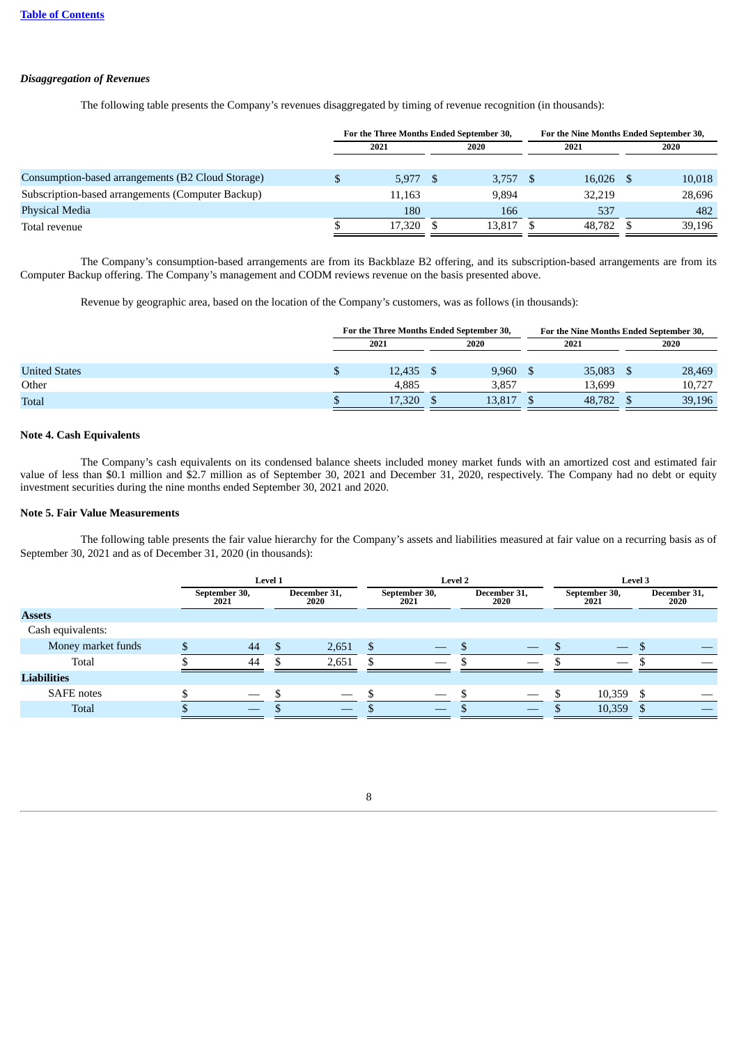## *Disaggregation of Revenues*

The following table presents the Company's revenues disaggregated by timing of revenue recognition (in thousands):

|                                                   |      | For the Three Months Ended September 30, |  |            |      | For the Nine Months Ended September 30, |  |        |
|---------------------------------------------------|------|------------------------------------------|--|------------|------|-----------------------------------------|--|--------|
|                                                   | 2021 |                                          |  | 2020       | 2021 |                                         |  | 2020   |
|                                                   |      |                                          |  |            |      |                                         |  |        |
| Consumption-based arrangements (B2 Cloud Storage) |      | 5.977                                    |  | $3,757$ \$ |      | 16,026                                  |  | 10,018 |
| Subscription-based arrangements (Computer Backup) |      | 11.163                                   |  | 9.894      |      | 32.219                                  |  | 28,696 |
| Physical Media                                    |      | 180                                      |  | 166        |      | 537                                     |  | 482    |
| Total revenue                                     |      | 17.320                                   |  | 13,817     |      | 48.782                                  |  | 39,196 |

The Company's consumption-based arrangements are from its Backblaze B2 offering, and its subscription-based arrangements are from its Computer Backup offering. The Company's management and CODM reviews revenue on the basis presented above.

Revenue by geographic area, based on the location of the Company's customers, was as follows (in thousands):

|                      |      |        |  | For the Three Months Ended September 30, |      | For the Nine Months Ended September 30, |  |        |
|----------------------|------|--------|--|------------------------------------------|------|-----------------------------------------|--|--------|
|                      | 2021 |        |  | 2020                                     | 2021 |                                         |  | 2020   |
|                      |      |        |  |                                          |      |                                         |  |        |
| <b>United States</b> |      | 12,435 |  | 9,960                                    |      | 35,083                                  |  | 28,469 |
| Other                |      | 4.885  |  | 3.857                                    |      | 13.699                                  |  | 10,727 |
| Total                |      | 17,320 |  | 13,817                                   |      | 48,782                                  |  | 39,196 |

## **Note 4. Cash Equivalents**

The Company's cash equivalents on its condensed balance sheets included money market funds with an amortized cost and estimated fair value of less than \$0.1 million and \$2.7 million as of September 30, 2021 and December 31, 2020, respectively. The Company had no debt or equity investment securities during the nine months ended September 30, 2021 and 2020.

## **Note 5. Fair Value Measurements**

The following table presents the fair value hierarchy for the Company's assets and liabilities measured at fair value on a recurring basis as of September 30, 2021 and as of December 31, 2020 (in thousands):

|                    | Level 1 |                       |  |                                | <b>Level 2</b> |                                |  |                      | Level 3 |                       |  |                      |
|--------------------|---------|-----------------------|--|--------------------------------|----------------|--------------------------------|--|----------------------|---------|-----------------------|--|----------------------|
|                    |         | September 30,<br>2021 |  | December 31,<br>2020           |                | September 30,<br>2021          |  | December 31,<br>2020 |         | September 30,<br>2021 |  | December 31,<br>2020 |
| <b>Assets</b>      |         |                       |  |                                |                |                                |  |                      |         |                       |  |                      |
| Cash equivalents:  |         |                       |  |                                |                |                                |  |                      |         |                       |  |                      |
| Money market funds |         | 44                    |  | 2,651                          | \$.            |                                |  |                      |         |                       |  |                      |
| Total              |         | 44                    |  | 2,651                          |                | $\overbrace{\hspace{25mm}}^{}$ |  |                      |         |                       |  |                      |
| <b>Liabilities</b> |         |                       |  |                                |                |                                |  |                      |         |                       |  |                      |
| <b>SAFE</b> notes  |         | $\hspace{0.05cm}$     |  | $\overbrace{\hspace{25mm}}^{}$ |                | $\overbrace{\hspace{25mm}}^{}$ |  |                      |         | $10,359$ \$           |  |                      |
| <b>Total</b>       |         |                       |  |                                |                |                                |  |                      |         | 10,359                |  |                      |
|                    |         |                       |  |                                |                |                                |  |                      |         |                       |  |                      |

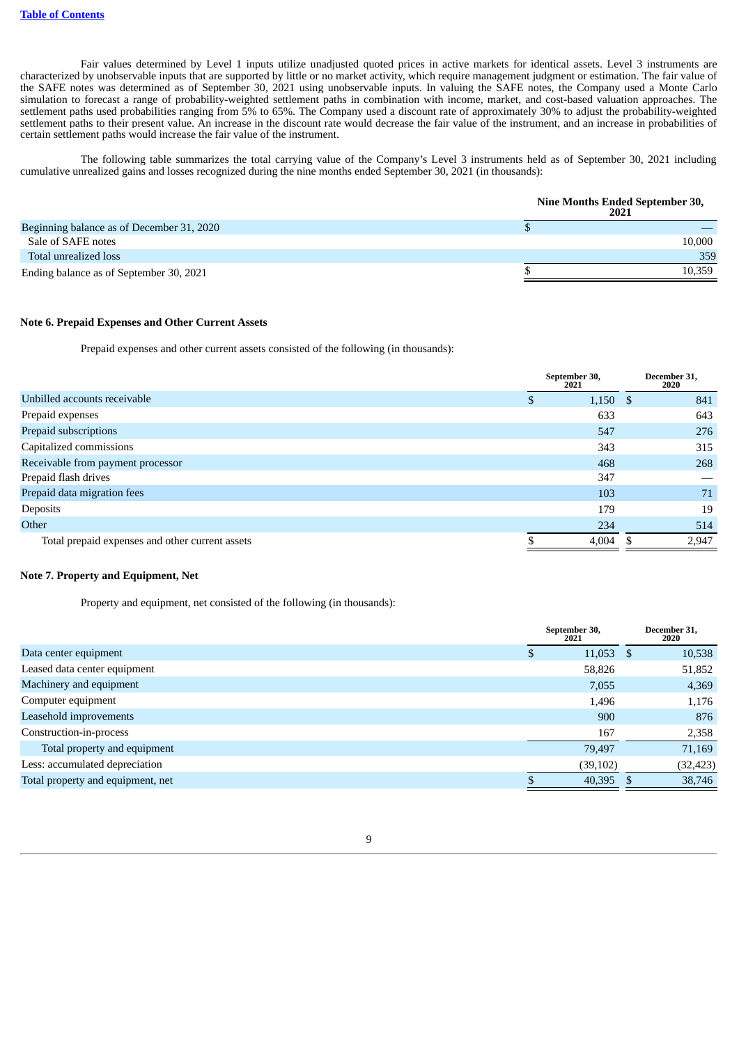Fair values determined by Level 1 inputs utilize unadjusted quoted prices in active markets for identical assets. Level 3 instruments are characterized by unobservable inputs that are supported by little or no market activity, which require management judgment or estimation. The fair value of the SAFE notes was determined as of September 30, 2021 using unobservable inputs. In valuing the SAFE notes, the Company used a Monte Carlo simulation to forecast a range of probability-weighted settlement paths in combination with income, market, and cost-based valuation approaches. The settlement paths used probabilities ranging from 5% to 65%. The Company used a discount rate of approximately 30% to adjust the probability-weighted settlement paths to their present value. An increase in the discount rate would decrease the fair value of the instrument, and an increase in probabilities of certain settlement paths would increase the fair value of the instrument.

The following table summarizes the total carrying value of the Company's Level 3 instruments held as of September 30, 2021 including cumulative unrealized gains and losses recognized during the nine months ended September 30, 2021 (in thousands):

|                                           | Nine Months Ended September 30,<br>2021 |        |
|-------------------------------------------|-----------------------------------------|--------|
| Beginning balance as of December 31, 2020 |                                         |        |
| Sale of SAFE notes                        |                                         | 10,000 |
| Total unrealized loss                     |                                         | 359    |
| Ending balance as of September 30, 2021   |                                         | 10,359 |

#### **Note 6. Prepaid Expenses and Other Current Assets**

Prepaid expenses and other current assets consisted of the following (in thousands):

|                                                 |               | September 30,<br>2021 |      | December 31,<br>2020 |
|-------------------------------------------------|---------------|-----------------------|------|----------------------|
| Unbilled accounts receivable                    | <sup>\$</sup> | 1,150                 | - \$ | 841                  |
| Prepaid expenses                                |               | 633                   |      | 643                  |
| Prepaid subscriptions                           |               | 547                   |      | 276                  |
| Capitalized commissions                         |               | 343                   |      | 315                  |
| Receivable from payment processor               |               | 468                   |      | 268                  |
| Prepaid flash drives                            |               | 347                   |      |                      |
| Prepaid data migration fees                     |               | 103                   |      | 71                   |
| Deposits                                        |               | 179                   |      | 19                   |
| Other                                           |               | 234                   |      | 514                  |
| Total prepaid expenses and other current assets |               | 4,004                 |      | 2,947                |

## **Note 7. Property and Equipment, Net**

Property and equipment, net consisted of the following (in thousands):

|                                   | September 30,<br>2021       | December 31.<br>2020 |
|-----------------------------------|-----------------------------|----------------------|
| Data center equipment             | $11,053$ \$<br><sup>S</sup> | 10,538               |
| Leased data center equipment      | 58,826                      | 51,852               |
| Machinery and equipment           | 7,055                       | 4,369                |
| Computer equipment                | 1,496                       | 1,176                |
| Leasehold improvements            | 900                         | 876                  |
| Construction-in-process           | 167                         | 2,358                |
| Total property and equipment      | 79,497                      | 71,169               |
| Less: accumulated depreciation    | (39, 102)                   | (32, 423)            |
| Total property and equipment, net | 40,395                      | 38,746               |
|                                   |                             |                      |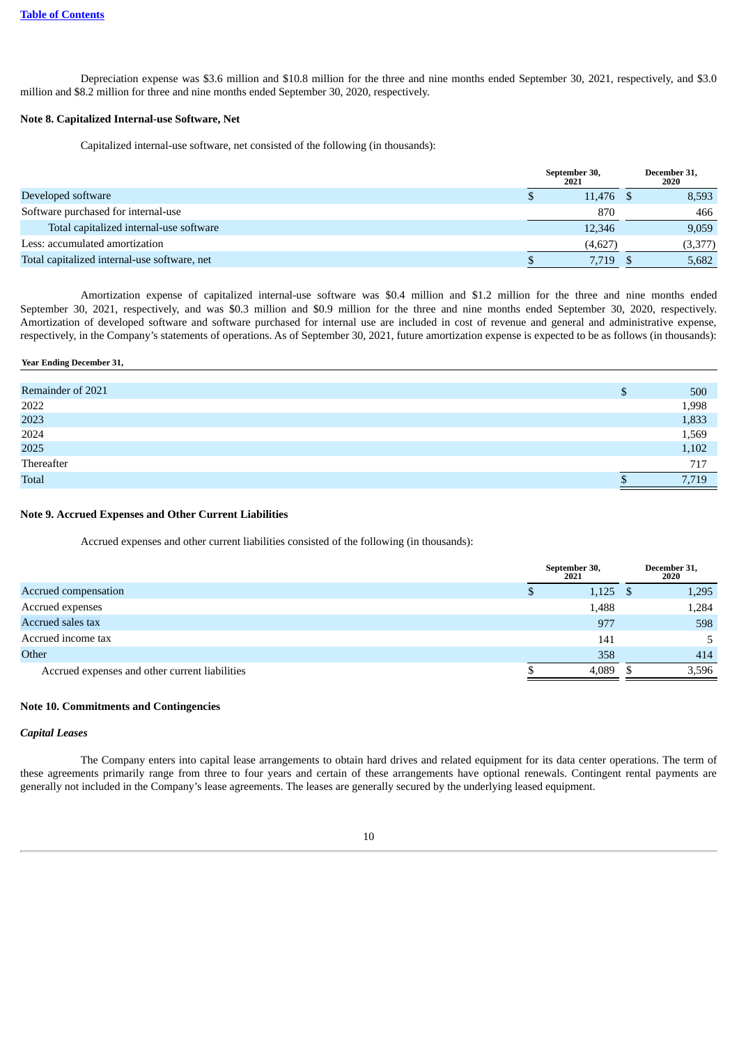Depreciation expense was \$3.6 million and \$10.8 million for the three and nine months ended September 30, 2021, respectively, and \$3.0 million and \$8.2 million for three and nine months ended September 30, 2020, respectively.

## **Note 8. Capitalized Internal-use Software, Net**

Capitalized internal-use software, net consisted of the following (in thousands):

|                                              | September 30,<br>2021 | December 31,<br>2020 |
|----------------------------------------------|-----------------------|----------------------|
| Developed software                           | 11,476                | 8,593                |
| Software purchased for internal-use          | 870                   | 466                  |
| Total capitalized internal-use software      | 12,346                | 9,059                |
| Less: accumulated amortization               | (4,627)               | (3,377)              |
| Total capitalized internal-use software, net | 7.719                 | 5,682                |

Amortization expense of capitalized internal-use software was \$0.4 million and \$1.2 million for the three and nine months ended September 30, 2021, respectively, and was \$0.3 million and \$0.9 million for the three and nine months ended September 30, 2020, respectively. Amortization of developed software and software purchased for internal use are included in cost of revenue and general and administrative expense, respectively, in the Company's statements of operations. As of September 30, 2021, future amortization expense is expected to be as follows (in thousands):

## **Year Ending December 31,** Remainder of 2021 **5000 Seconds and Seconds and Seconds and Seconds and Seconds and Seconds and Seconds and Seconds and Seconds and Seconds and Seconds and Seconds and Seconds and Seconds and Seconds and Seconds and Second** 2022 1,998 2023 1,833 2024 1,569  $2025$  . The contract of the contract of the contract of the contract of the contract of the contract of the contract of the contract of the contract of the contract of the contract of the contract of the contract of the Thereafter **717** Total  $\sim$  7,719  $\sim$  7,719  $\sim$  7,719  $\sim$  7,719  $\sim$  7,719  $\sim$  7,719  $\sim$  7,719  $\sim$

## **Note 9. Accrued Expenses and Other Current Liabilities**

Accrued expenses and other current liabilities consisted of the following (in thousands):

|                                                |   | September 30,<br>2021 | December 31,<br>2020 |
|------------------------------------------------|---|-----------------------|----------------------|
| Accrued compensation                           | D | $1,125$ \$            | 1,295                |
| Accrued expenses                               |   | 1,488                 | 1,284                |
| Accrued sales tax                              |   | 977                   | 598                  |
| Accrued income tax                             |   | 141                   | 5                    |
| Other                                          |   | 358                   | 414                  |
| Accrued expenses and other current liabilities |   | 4,089                 | 3,596                |

### **Note 10. Commitments and Contingencies**

#### *Capital Leases*

The Company enters into capital lease arrangements to obtain hard drives and related equipment for its data center operations. The term of these agreements primarily range from three to four years and certain of these arrangements have optional renewals. Contingent rental payments are generally not included in the Company's lease agreements. The leases are generally secured by the underlying leased equipment.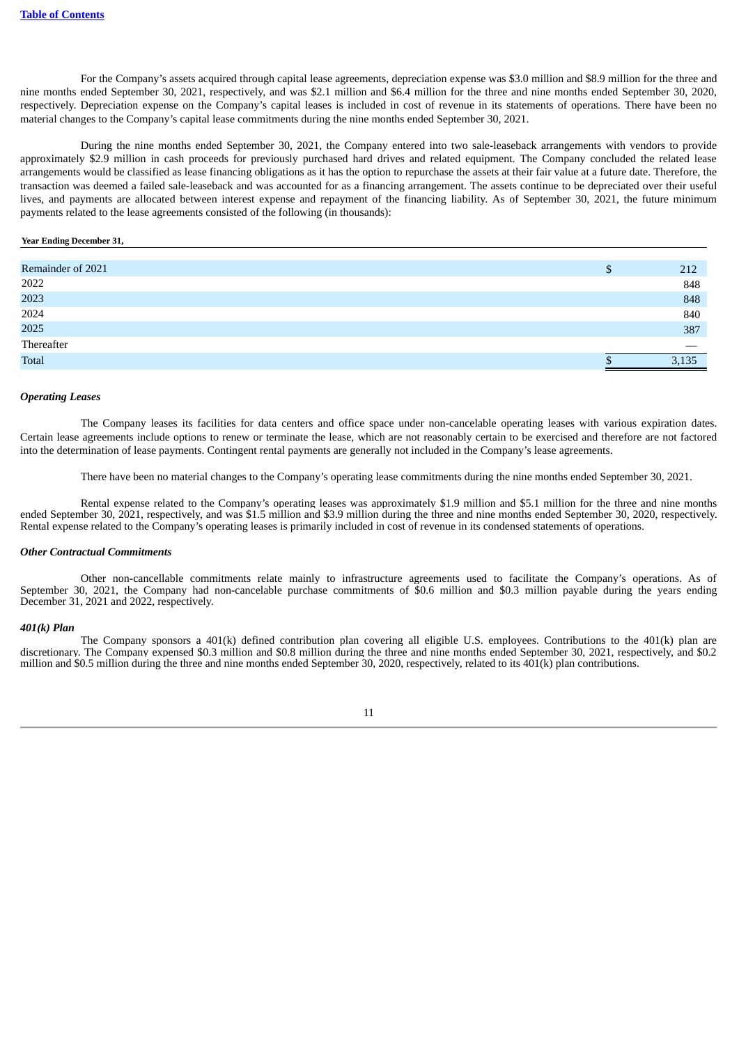For the Company's assets acquired through capital lease agreements, depreciation expense was \$3.0 million and \$8.9 million for the three and nine months ended September 30, 2021, respectively, and was \$2.1 million and \$6.4 million for the three and nine months ended September 30, 2020, respectively. Depreciation expense on the Company's capital leases is included in cost of revenue in its statements of operations. There have been no material changes to the Company's capital lease commitments during the nine months ended September 30, 2021.

During the nine months ended September 30, 2021, the Company entered into two sale-leaseback arrangements with vendors to provide approximately \$2.9 million in cash proceeds for previously purchased hard drives and related equipment. The Company concluded the related lease arrangements would be classified as lease financing obligations as it has the option to repurchase the assets at their fair value at a future date. Therefore, the transaction was deemed a failed sale-leaseback and was accounted for as a financing arrangement. The assets continue to be depreciated over their useful lives, and payments are allocated between interest expense and repayment of the financing liability. As of September 30, 2021, the future minimum payments related to the lease agreements consisted of the following (in thousands):

#### **Year Ending December 31,**

| Remainder of 2021 | 212   |
|-------------------|-------|
| 2022              | 848   |
| 2023              | 848   |
| 2024              | 840   |
| 2025              | 387   |
| Thereafter        |       |
| <b>Total</b>      | 3.135 |
|                   |       |

#### *Operating Leases*

The Company leases its facilities for data centers and office space under non-cancelable operating leases with various expiration dates. Certain lease agreements include options to renew or terminate the lease, which are not reasonably certain to be exercised and therefore are not factored into the determination of lease payments. Contingent rental payments are generally not included in the Company's lease agreements.

There have been no material changes to the Company's operating lease commitments during the nine months ended September 30, 2021.

Rental expense related to the Company's operating leases was approximately \$1.9 million and \$5.1 million for the three and nine months ended September 30, 2021, respectively, and was \$1.5 million and \$3.9 million during the three and nine months ended September 30, 2020, respectively. Rental expense related to the Company's operating leases is primarily included in cost of revenue in its condensed statements of operations.

## *Other Contractual Commitments*

Other non-cancellable commitments relate mainly to infrastructure agreements used to facilitate the Company's operations. As of September 30, 2021, the Company had non-cancelable purchase commitments of \$0.6 million and \$0.3 million payable during the years ending December 31, 2021 and 2022, respectively.

#### *401(k) Plan*

The Company sponsors a 401(k) defined contribution plan covering all eligible U.S. employees. Contributions to the 401(k) plan are discretionary. The Company expensed \$0.3 million and \$0.8 million during the three and nine months ended September 30, 2021, respectively, and \$0.2 million and \$0.5 million during the three and nine months ended September 30, 2020, respectively, related to its 401(k) plan contributions.

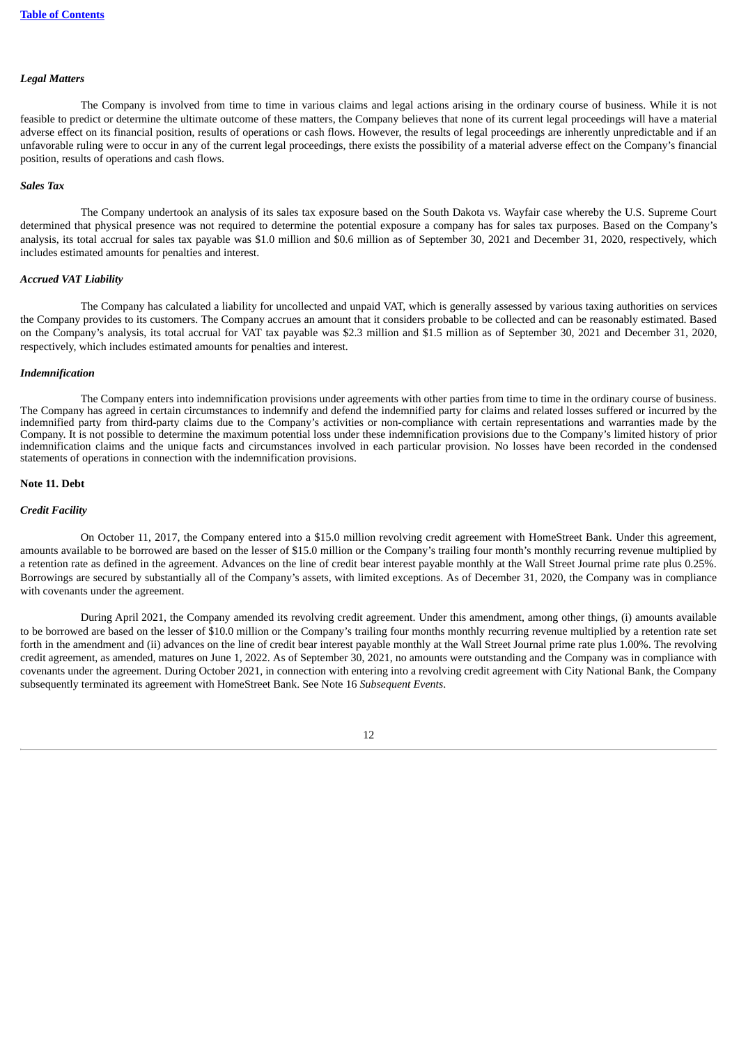#### *Legal Matters*

The Company is involved from time to time in various claims and legal actions arising in the ordinary course of business. While it is not feasible to predict or determine the ultimate outcome of these matters, the Company believes that none of its current legal proceedings will have a material adverse effect on its financial position, results of operations or cash flows. However, the results of legal proceedings are inherently unpredictable and if an unfavorable ruling were to occur in any of the current legal proceedings, there exists the possibility of a material adverse effect on the Company's financial position, results of operations and cash flows.

#### *Sales Tax*

The Company undertook an analysis of its sales tax exposure based on the South Dakota vs. Wayfair case whereby the U.S. Supreme Court determined that physical presence was not required to determine the potential exposure a company has for sales tax purposes. Based on the Company's analysis, its total accrual for sales tax payable was \$1.0 million and \$0.6 million as of September 30, 2021 and December 31, 2020, respectively, which includes estimated amounts for penalties and interest.

#### *Accrued VAT Liability*

The Company has calculated a liability for uncollected and unpaid VAT, which is generally assessed by various taxing authorities on services the Company provides to its customers. The Company accrues an amount that it considers probable to be collected and can be reasonably estimated. Based on the Company's analysis, its total accrual for VAT tax payable was \$2.3 million and \$1.5 million as of September 30, 2021 and December 31, 2020, respectively, which includes estimated amounts for penalties and interest.

## *Indemnification*

The Company enters into indemnification provisions under agreements with other parties from time to time in the ordinary course of business. The Company has agreed in certain circumstances to indemnify and defend the indemnified party for claims and related losses suffered or incurred by the indemnified party from third-party claims due to the Company's activities or non-compliance with certain representations and warranties made by the Company. It is not possible to determine the maximum potential loss under these indemnification provisions due to the Company's limited history of prior indemnification claims and the unique facts and circumstances involved in each particular provision. No losses have been recorded in the condensed statements of operations in connection with the indemnification provisions.

## **Note 11. Debt**

## *Credit Facility*

On October 11, 2017, the Company entered into a \$15.0 million revolving credit agreement with HomeStreet Bank. Under this agreement, amounts available to be borrowed are based on the lesser of \$15.0 million or the Company's trailing four month's monthly recurring revenue multiplied by a retention rate as defined in the agreement. Advances on the line of credit bear interest payable monthly at the Wall Street Journal prime rate plus 0.25%. Borrowings are secured by substantially all of the Company's assets, with limited exceptions. As of December 31, 2020, the Company was in compliance with covenants under the agreement.

During April 2021, the Company amended its revolving credit agreement. Under this amendment, among other things, (i) amounts available to be borrowed are based on the lesser of \$10.0 million or the Company's trailing four months monthly recurring revenue multiplied by a retention rate set forth in the amendment and (ii) advances on the line of credit bear interest payable monthly at the Wall Street Journal prime rate plus 1.00%. The revolving credit agreement, as amended, matures on June 1, 2022. As of September 30, 2021, no amounts were outstanding and the Company was in compliance with covenants under the agreement. During October 2021, in connection with entering into a revolving credit agreement with City National Bank, the Company subsequently terminated its agreement with HomeStreet Bank. See Note 16 *Subsequent Events*.

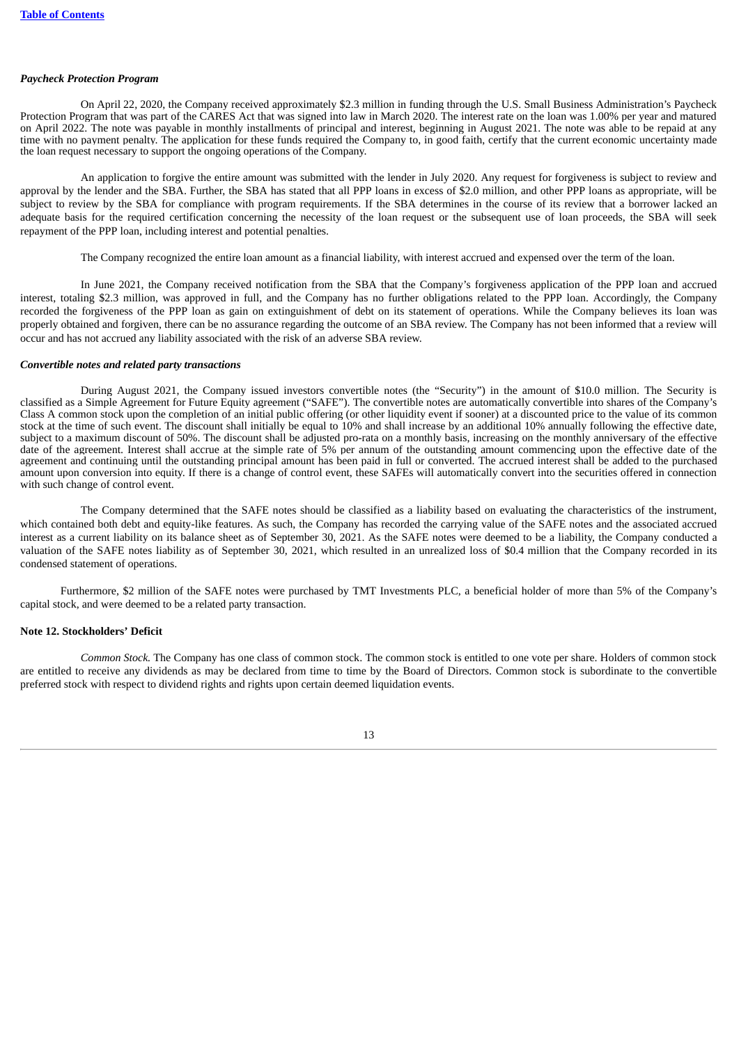#### *Paycheck Protection Program*

On April 22, 2020, the Company received approximately \$2.3 million in funding through the U.S. Small Business Administration's Paycheck Protection Program that was part of the CARES Act that was signed into law in March 2020. The interest rate on the loan was 1.00% per year and matured on April 2022. The note was payable in monthly installments of principal and interest, beginning in August 2021. The note was able to be repaid at any time with no payment penalty. The application for these funds required the Company to, in good faith, certify that the current economic uncertainty made the loan request necessary to support the ongoing operations of the Company.

An application to forgive the entire amount was submitted with the lender in July 2020. Any request for forgiveness is subject to review and approval by the lender and the SBA. Further, the SBA has stated that all PPP loans in excess of \$2.0 million, and other PPP loans as appropriate, will be subject to review by the SBA for compliance with program requirements. If the SBA determines in the course of its review that a borrower lacked an adequate basis for the required certification concerning the necessity of the loan request or the subsequent use of loan proceeds, the SBA will seek repayment of the PPP loan, including interest and potential penalties.

The Company recognized the entire loan amount as a financial liability, with interest accrued and expensed over the term of the loan.

In June 2021, the Company received notification from the SBA that the Company's forgiveness application of the PPP loan and accrued interest, totaling \$2.3 million, was approved in full, and the Company has no further obligations related to the PPP loan. Accordingly, the Company recorded the forgiveness of the PPP loan as gain on extinguishment of debt on its statement of operations. While the Company believes its loan was properly obtained and forgiven, there can be no assurance regarding the outcome of an SBA review. The Company has not been informed that a review will occur and has not accrued any liability associated with the risk of an adverse SBA review.

#### *Convertible notes and related party transactions*

During August 2021, the Company issued investors convertible notes (the "Security") in the amount of \$10.0 million. The Security is classified as a Simple Agreement for Future Equity agreement ("SAFE"). The convertible notes are automatically convertible into shares of the Company's Class A common stock upon the completion of an initial public offering (or other liquidity event if sooner) at a discounted price to the value of its common stock at the time of such event. The discount shall initially be equal to 10% and shall increase by an additional 10% annually following the effective date, subject to a maximum discount of 50%. The discount shall be adjusted pro-rata on a monthly basis, increasing on the monthly anniversary of the effective date of the agreement. Interest shall accrue at the simple rate of 5% per annum of the outstanding amount commencing upon the effective date of the agreement and continuing until the outstanding principal amount has been paid in full or converted. The accrued interest shall be added to the purchased amount upon conversion into equity. If there is a change of control event, these SAFEs will automatically convert into the securities offered in connection with such change of control event.

The Company determined that the SAFE notes should be classified as a liability based on evaluating the characteristics of the instrument, which contained both debt and equity-like features. As such, the Company has recorded the carrying value of the SAFE notes and the associated accrued interest as a current liability on its balance sheet as of September 30, 2021. As the SAFE notes were deemed to be a liability, the Company conducted a valuation of the SAFE notes liability as of September 30, 2021, which resulted in an unrealized loss of \$0.4 million that the Company recorded in its condensed statement of operations.

Furthermore, \$2 million of the SAFE notes were purchased by TMT Investments PLC, a beneficial holder of more than 5% of the Company's capital stock, and were deemed to be a related party transaction.

## **Note 12. Stockholders' Deficit**

*Common Stock.* The Company has one class of common stock. The common stock is entitled to one vote per share. Holders of common stock are entitled to receive any dividends as may be declared from time to time by the Board of Directors. Common stock is subordinate to the convertible preferred stock with respect to dividend rights and rights upon certain deemed liquidation events.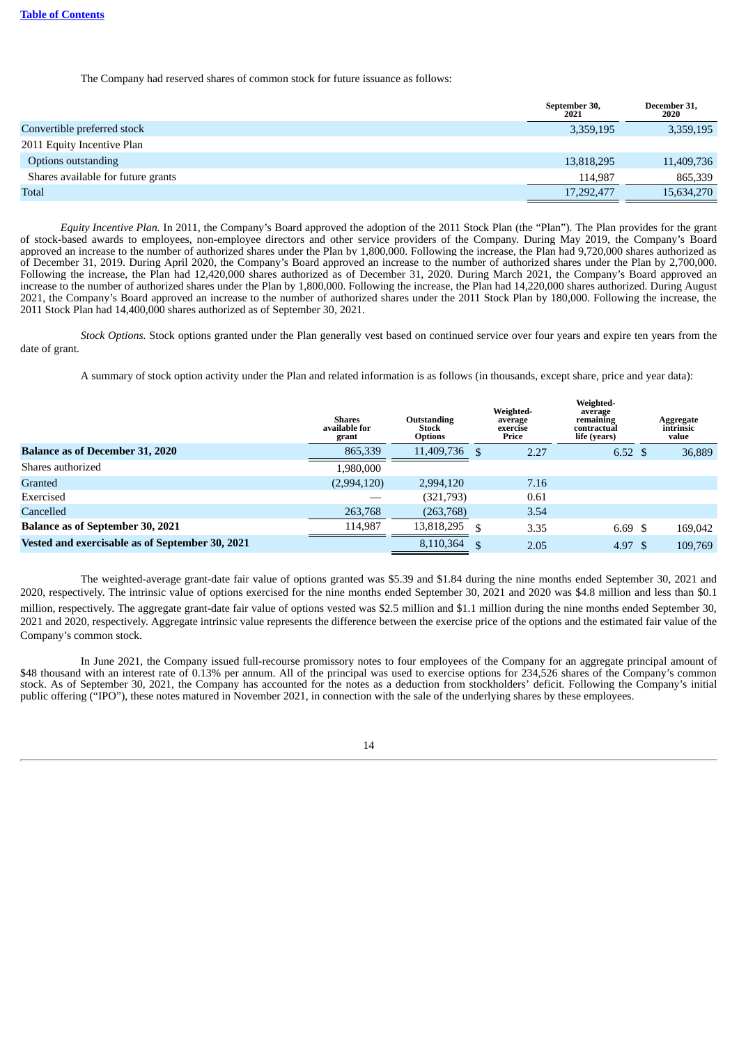The Company had reserved shares of common stock for future issuance as follows:

|                                    | September 30,<br>2021 | December 31,<br>2020 |
|------------------------------------|-----------------------|----------------------|
| Convertible preferred stock        | 3,359,195             | 3,359,195            |
| 2011 Equity Incentive Plan         |                       |                      |
| <b>Options outstanding</b>         | 13,818,295            | 11,409,736           |
| Shares available for future grants | 114.987               | 865,339              |
| Total                              | 17,292,477            | 15,634,270           |

*Equity Incentive Plan.* In 2011, the Company's Board approved the adoption of the 2011 Stock Plan (the "Plan"). The Plan provides for the grant of stock-based awards to employees, non-employee directors and other service providers of the Company. During May 2019, the Company's Board approved an increase to the number of authorized shares under the Plan by 1,800,000. Following the increase, the Plan had 9,720,000 shares authorized as of December 31, 2019. During April 2020, the Company's Board approved an increase to the number of authorized shares under the Plan by 2,700,000. Following the increase, the Plan had 12,420,000 shares authorized as of December 31, 2020. During March 2021, the Company's Board approved an increase to the number of authorized shares under the Plan by 1,800,000. Following the increase, the Plan had 14,220,000 shares authorized. During August 2021, the Company's Board approved an increase to the number of authorized shares under the 2011 Stock Plan by 180,000. Following the increase, the 2011 Stock Plan had 14,400,000 shares authorized as of September 30, 2021.

*Stock Options.* Stock options granted under the Plan generally vest based on continued service over four years and expire ten years from the date of grant.

A summary of stock option activity under the Plan and related information is as follows (in thousands, except share, price and year data):

|                                                 | <b>Shares</b><br>available for<br>grant | Outstanding<br><b>Stock</b><br><b>Options</b> | Weighted-<br>average<br>exercise<br>Price | Weighted-<br>average<br>remaining<br>contractual<br>life (years) | Aggregate<br>intrinsic<br>value |
|-------------------------------------------------|-----------------------------------------|-----------------------------------------------|-------------------------------------------|------------------------------------------------------------------|---------------------------------|
| <b>Balance as of December 31, 2020</b>          | 865,339                                 | 11,409,736                                    | 2.27                                      | $6.52 \text{ } $s$                                               | 36,889                          |
| Shares authorized                               | 1,980,000                               |                                               |                                           |                                                                  |                                 |
| Granted                                         | (2,994,120)                             | 2,994,120                                     | 7.16                                      |                                                                  |                                 |
| Exercised                                       |                                         | (321,793)                                     | 0.61                                      |                                                                  |                                 |
| Cancelled                                       | 263,768                                 | (263,768)                                     | 3.54                                      |                                                                  |                                 |
| <b>Balance as of September 30, 2021</b>         | 114,987                                 | 13,818,295                                    | 3.35                                      | $6.69$ \$                                                        | 169.042                         |
| Vested and exercisable as of September 30, 2021 |                                         | 8,110,364                                     | 2.05                                      | 4.97 <sup>5</sup>                                                | 109,769                         |
|                                                 |                                         |                                               |                                           |                                                                  |                                 |

The weighted-average grant-date fair value of options granted was \$5.39 and \$1.84 during the nine months ended September 30, 2021 and 2020, respectively. The intrinsic value of options exercised for the nine months ended September 30, 2021 and 2020 was \$4.8 million and less than \$0.1 million, respectively. The aggregate grant-date fair value of options vested was \$2.5 million and \$1.1 million during the nine months ended September 30, 2021 and 2020, respectively. Aggregate intrinsic value represents the difference between the exercise price of the options and the estimated fair value of the Company's common stock.

In June 2021, the Company issued full-recourse promissory notes to four employees of the Company for an aggregate principal amount of \$48 thousand with an interest rate of 0.13% per annum. All of the principal was used to exercise options for 234,526 shares of the Company's common stock. As of September 30, 2021, the Company has accounted for the notes as a deduction from stockholders' deficit. Following the Company's initial public offering ("IPO"), these notes matured in November 2021, in connection with the sale of the underlying shares by these employees.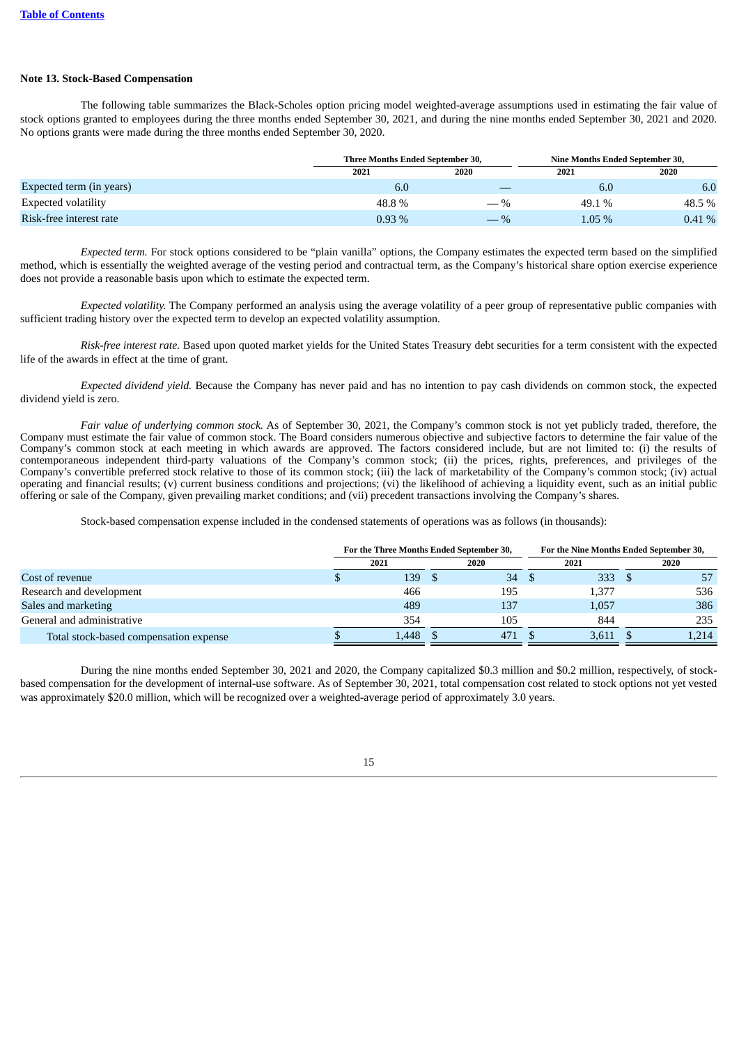## **Note 13. Stock-Based Compensation**

The following table summarizes the Black-Scholes option pricing model weighted-average assumptions used in estimating the fair value of stock options granted to employees during the three months ended September 30, 2021, and during the nine months ended September 30, 2021 and 2020. No options grants were made during the three months ended September 30, 2020.

|                            | Three Months Ended September 30, |       | Nine Months Ended September 30, |        |  |  |
|----------------------------|----------------------------------|-------|---------------------------------|--------|--|--|
|                            | 2021                             | 2020  | 2021                            | 2020   |  |  |
| Expected term (in years)   | 6.0                              |       | 6.0                             | 6.0    |  |  |
| <b>Expected volatility</b> | 48.8%                            | $-$ % | 49.1 %                          | 48.5 % |  |  |
| Risk-free interest rate    | 0.93%                            | $-$ % | $1.05\,\%$                      | 0.41%  |  |  |

*Expected term.* For stock options considered to be "plain vanilla" options, the Company estimates the expected term based on the simplified method, which is essentially the weighted average of the vesting period and contractual term, as the Company's historical share option exercise experience does not provide a reasonable basis upon which to estimate the expected term.

*Expected volatility.* The Company performed an analysis using the average volatility of a peer group of representative public companies with sufficient trading history over the expected term to develop an expected volatility assumption.

*Risk-free interest rate.* Based upon quoted market yields for the United States Treasury debt securities for a term consistent with the expected life of the awards in effect at the time of grant.

*Expected dividend yield.* Because the Company has never paid and has no intention to pay cash dividends on common stock, the expected dividend yield is zero.

*Fair value of underlying common stock.* As of September 30, 2021, the Company's common stock is not yet publicly traded, therefore, the Company must estimate the fair value of common stock. The Board considers numerous objective and subjective factors to determine the fair value of the Company's common stock at each meeting in which awards are approved. The factors considered include, but are not limited to: (i) the results of contemporaneous independent third-party valuations of the Company's common stock; (ii) the prices, rights, preferences, and privileges of the Company's convertible preferred stock relative to those of its common stock; (iii) the lack of marketability of the Company's common stock; (iv) actual operating and financial results; (v) current business conditions and projections; (vi) the likelihood of achieving a liquidity event, such as an initial public offering or sale of the Company, given prevailing market conditions; and (vii) precedent transactions involving the Company's shares.

Stock-based compensation expense included in the condensed statements of operations was as follows (in thousands):

|                                        | For the Three Months Ended September 30, | For the Nine Months Ended September 30, |     |       |  |       |
|----------------------------------------|------------------------------------------|-----------------------------------------|-----|-------|--|-------|
|                                        | 2021                                     | 2020                                    |     | 2021  |  | 2020  |
| Cost of revenue                        | 139                                      |                                         | 34  | 333   |  | 57    |
| Research and development               | 466                                      |                                         | 195 | 1,377 |  | 536   |
| Sales and marketing                    | 489                                      |                                         | 137 | 1,057 |  | 386   |
| General and administrative             | 354                                      |                                         | 105 | 844   |  | 235   |
| Total stock-based compensation expense | 1,448                                    |                                         | 471 | 3,611 |  | 1,214 |

During the nine months ended September 30, 2021 and 2020, the Company capitalized \$0.3 million and \$0.2 million, respectively, of stockbased compensation for the development of internal-use software. As of September 30, 2021, total compensation cost related to stock options not yet vested was approximately \$20.0 million, which will be recognized over a weighted-average period of approximately 3.0 years.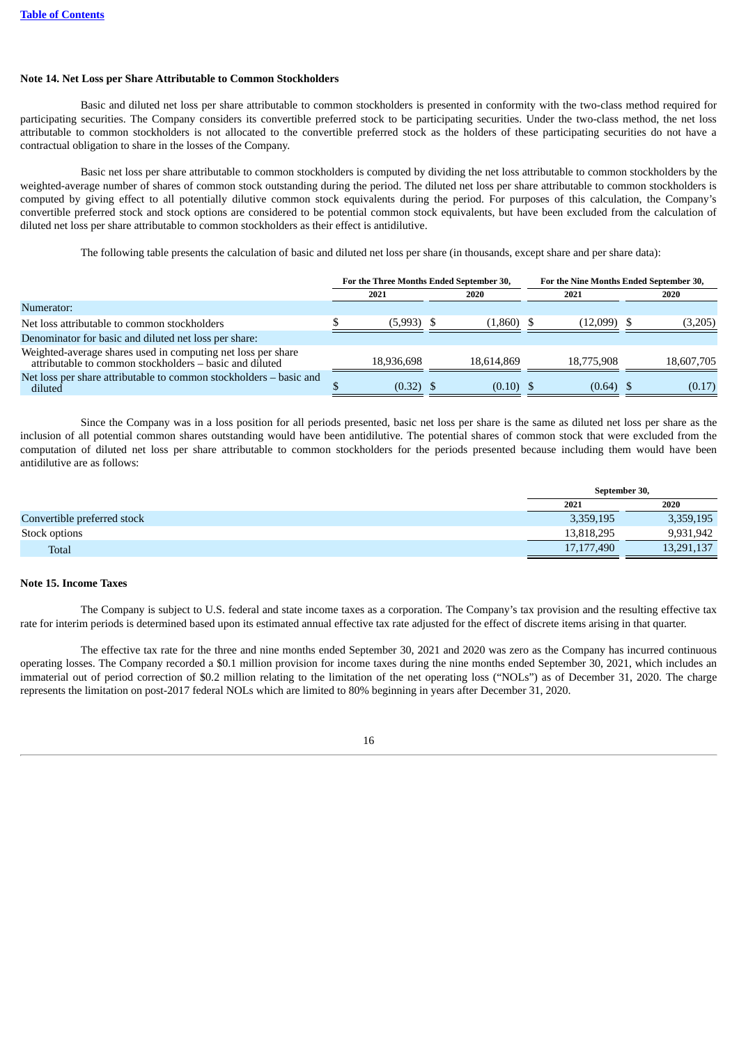## **Note 14. Net Loss per Share Attributable to Common Stockholders**

Basic and diluted net loss per share attributable to common stockholders is presented in conformity with the two-class method required for participating securities. The Company considers its convertible preferred stock to be participating securities. Under the two-class method, the net loss attributable to common stockholders is not allocated to the convertible preferred stock as the holders of these participating securities do not have a contractual obligation to share in the losses of the Company.

Basic net loss per share attributable to common stockholders is computed by dividing the net loss attributable to common stockholders by the weighted-average number of shares of common stock outstanding during the period. The diluted net loss per share attributable to common stockholders is computed by giving effect to all potentially dilutive common stock equivalents during the period. For purposes of this calculation, the Company's convertible preferred stock and stock options are considered to be potential common stock equivalents, but have been excluded from the calculation of diluted net loss per share attributable to common stockholders as their effect is antidilutive.

The following table presents the calculation of basic and diluted net loss per share (in thousands, except share and per share data):

|                                                                                                                         |             | For the Three Months Ended September 30, |             | For the Nine Months Ended September 30, |
|-------------------------------------------------------------------------------------------------------------------------|-------------|------------------------------------------|-------------|-----------------------------------------|
|                                                                                                                         | 2021        | 2020                                     | 2021        | 2020                                    |
| Numerator:                                                                                                              |             |                                          |             |                                         |
| Net loss attributable to common stockholders                                                                            | (5,993)     | $(1,860)$ \$                             | (12,099)    | (3,205)                                 |
| Denominator for basic and diluted net loss per share:                                                                   |             |                                          |             |                                         |
| Weighted-average shares used in computing net loss per share<br>attributable to common stockholders – basic and diluted | 18,936,698  | 18.614.869                               | 18,775,908  | 18,607,705                              |
| Net loss per share attributable to common stockholders – basic and<br>diluted                                           | $(0.32)$ \$ | $(0.10)$ \$                              | $(0.64)$ \$ | (0.17)                                  |

Since the Company was in a loss position for all periods presented, basic net loss per share is the same as diluted net loss per share as the inclusion of all potential common shares outstanding would have been antidilutive. The potential shares of common stock that were excluded from the computation of diluted net loss per share attributable to common stockholders for the periods presented because including them would have been antidilutive are as follows:

|                             | September 30, |            |
|-----------------------------|---------------|------------|
|                             | 2021          | 2020       |
| Convertible preferred stock | 3,359,195     | 3,359,195  |
| Stock options               | 13,818,295    | 9,931,942  |
| <b>Total</b>                | 17,177,490    | 13,291,137 |

## **Note 15. Income Taxes**

The Company is subject to U.S. federal and state income taxes as a corporation. The Company's tax provision and the resulting effective tax rate for interim periods is determined based upon its estimated annual effective tax rate adjusted for the effect of discrete items arising in that quarter.

The effective tax rate for the three and nine months ended September 30, 2021 and 2020 was zero as the Company has incurred continuous operating losses. The Company recorded a \$0.1 million provision for income taxes during the nine months ended September 30, 2021, which includes an immaterial out of period correction of \$0.2 million relating to the limitation of the net operating loss ("NOLs") as of December 31, 2020. The charge represents the limitation on post-2017 federal NOLs which are limited to 80% beginning in years after December 31, 2020.

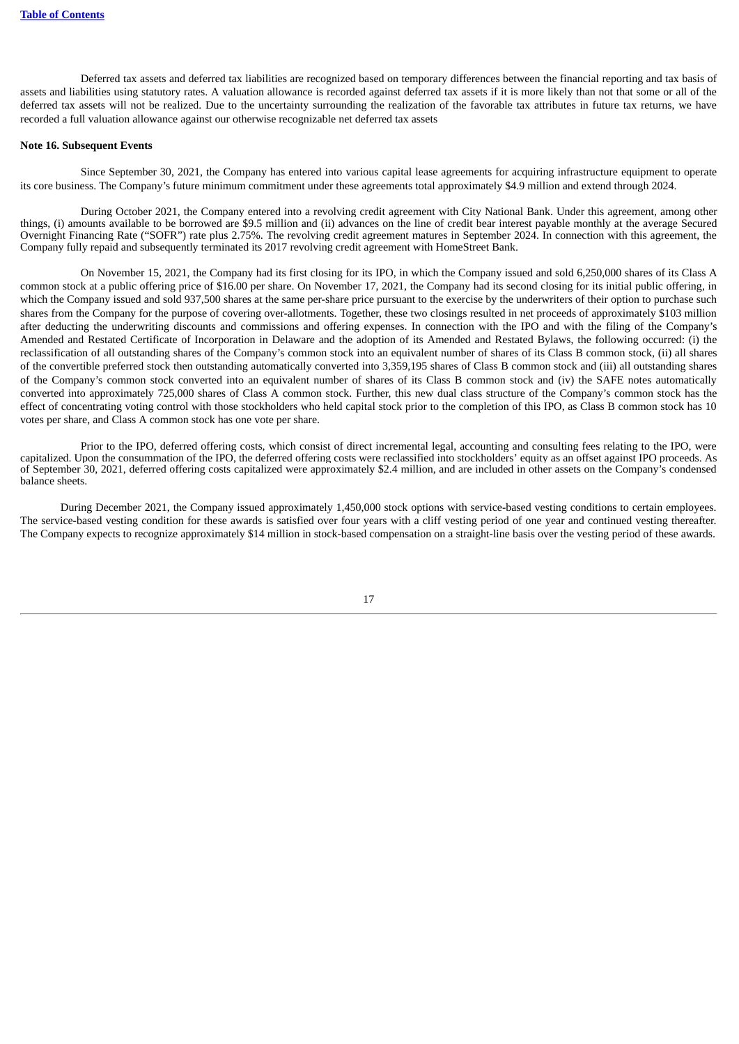Deferred tax assets and deferred tax liabilities are recognized based on temporary differences between the financial reporting and tax basis of assets and liabilities using statutory rates. A valuation allowance is recorded against deferred tax assets if it is more likely than not that some or all of the deferred tax assets will not be realized. Due to the uncertainty surrounding the realization of the favorable tax attributes in future tax returns, we have recorded a full valuation allowance against our otherwise recognizable net deferred tax assets

#### **Note 16. Subsequent Events**

Since September 30, 2021, the Company has entered into various capital lease agreements for acquiring infrastructure equipment to operate its core business. The Company's future minimum commitment under these agreements total approximately \$4.9 million and extend through 2024.

During October 2021, the Company entered into a revolving credit agreement with City National Bank. Under this agreement, among other things, (i) amounts available to be borrowed are \$9.5 million and (ii) advances on the line of credit bear interest payable monthly at the average Secured Overnight Financing Rate ("SOFR") rate plus 2.75%. The revolving credit agreement matures in September 2024. In connection with this agreement, the Company fully repaid and subsequently terminated its 2017 revolving credit agreement with HomeStreet Bank.

On November 15, 2021, the Company had its first closing for its IPO, in which the Company issued and sold 6,250,000 shares of its Class A common stock at a public offering price of \$16.00 per share. On November 17, 2021, the Company had its second closing for its initial public offering, in which the Company issued and sold 937,500 shares at the same per-share price pursuant to the exercise by the underwriters of their option to purchase such shares from the Company for the purpose of covering over-allotments. Together, these two closings resulted in net proceeds of approximately \$103 million after deducting the underwriting discounts and commissions and offering expenses. In connection with the IPO and with the filing of the Company's Amended and Restated Certificate of Incorporation in Delaware and the adoption of its Amended and Restated Bylaws, the following occurred: (i) the reclassification of all outstanding shares of the Company's common stock into an equivalent number of shares of its Class B common stock, (ii) all shares of the convertible preferred stock then outstanding automatically converted into 3,359,195 shares of Class B common stock and (iii) all outstanding shares of the Company's common stock converted into an equivalent number of shares of its Class B common stock and (iv) the SAFE notes automatically converted into approximately 725,000 shares of Class A common stock. Further, this new dual class structure of the Company's common stock has the effect of concentrating voting control with those stockholders who held capital stock prior to the completion of this IPO, as Class B common stock has 10 votes per share, and Class A common stock has one vote per share.

Prior to the IPO, deferred offering costs, which consist of direct incremental legal, accounting and consulting fees relating to the IPO, were capitalized. Upon the consummation of the IPO, the deferred offering costs were reclassified into stockholders' equity as an offset against IPO proceeds. As of September 30, 2021, deferred offering costs capitalized were approximately \$2.4 million, and are included in other assets on the Company's condensed balance sheets.

<span id="page-20-0"></span>During December 2021, the Company issued approximately 1,450,000 stock options with service-based vesting conditions to certain employees. The service-based vesting condition for these awards is satisfied over four years with a cliff vesting period of one year and continued vesting thereafter. The Company expects to recognize approximately \$14 million in stock-based compensation on a straight-line basis over the vesting period of these awards.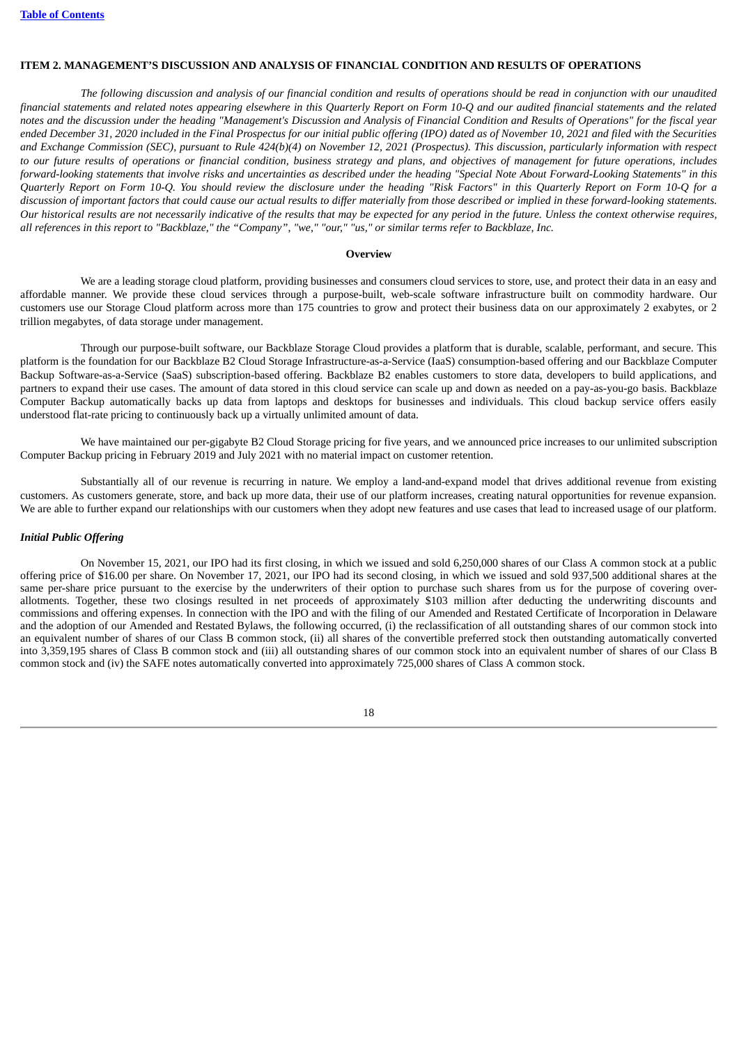## **ITEM 2. MANAGEMENT'S DISCUSSION AND ANALYSIS OF FINANCIAL CONDITION AND RESULTS OF OPERATIONS**

The following discussion and analysis of our financial condition and results of operations should be read in conjunction with our unaudited financial statements and related notes appearing elsewhere in this Quarterly Report on Form 10-Q and our audited financial statements and the related notes and the discussion under the heading "Management's Discussion and Analysis of Financial Condition and Results of Operations" for the fiscal year ended December 31, 2020 included in the Final Prospectus for our initial public offering (IPO) dated as of November 10, 2021 and filed with the Securities and Exchange Commission (SEC), pursuant to Rule 424(b)(4) on November 12, 2021 (Prospectus). This discussion, particularly information with respect to our future results of operations or financial condition, business strategy and plans, and objectives of management for future operations, includes forward-looking statements that involve risks and uncertainties as described under the heading "Special Note About Forward-Looking Statements" in this Quarterly Report on Form 10-Q. You should review the disclosure under the heading "Risk Factors" in this Quarterly Report on Form 10-Q for a discussion of important factors that could cause our actual results to differ materially from those described or implied in these forward-looking statements. Our historical results are not necessarily indicative of the results that may be expected for any period in the future. Unless the context otherwise requires, all references in this report to "Backblaze," the "Company", "we," "our," "us," or similar terms refer to Backblaze, Inc.

#### **Overview**

We are a leading storage cloud platform, providing businesses and consumers cloud services to store, use, and protect their data in an easy and affordable manner. We provide these cloud services through a purpose-built, web-scale software infrastructure built on commodity hardware. Our customers use our Storage Cloud platform across more than 175 countries to grow and protect their business data on our approximately 2 exabytes, or 2 trillion megabytes, of data storage under management.

Through our purpose-built software, our Backblaze Storage Cloud provides a platform that is durable, scalable, performant, and secure. This platform is the foundation for our Backblaze B2 Cloud Storage Infrastructure-as-a-Service (IaaS) consumption-based offering and our Backblaze Computer Backup Software-as-a-Service (SaaS) subscription-based offering. Backblaze B2 enables customers to store data, developers to build applications, and partners to expand their use cases. The amount of data stored in this cloud service can scale up and down as needed on a pay-as-you-go basis. Backblaze Computer Backup automatically backs up data from laptops and desktops for businesses and individuals. This cloud backup service offers easily understood flat-rate pricing to continuously back up a virtually unlimited amount of data.

We have maintained our per-gigabyte B2 Cloud Storage pricing for five years, and we announced price increases to our unlimited subscription Computer Backup pricing in February 2019 and July 2021 with no material impact on customer retention.

Substantially all of our revenue is recurring in nature. We employ a land-and-expand model that drives additional revenue from existing customers. As customers generate, store, and back up more data, their use of our platform increases, creating natural opportunities for revenue expansion. We are able to further expand our relationships with our customers when they adopt new features and use cases that lead to increased usage of our platform.

## *Initial Public Offering*

On November 15, 2021, our IPO had its first closing, in which we issued and sold 6,250,000 shares of our Class A common stock at a public offering price of \$16.00 per share. On November 17, 2021, our IPO had its second closing, in which we issued and sold 937,500 additional shares at the same per-share price pursuant to the exercise by the underwriters of their option to purchase such shares from us for the purpose of covering overallotments. Together, these two closings resulted in net proceeds of approximately \$103 million after deducting the underwriting discounts and commissions and offering expenses. In connection with the IPO and with the filing of our Amended and Restated Certificate of Incorporation in Delaware and the adoption of our Amended and Restated Bylaws, the following occurred, (i) the reclassification of all outstanding shares of our common stock into an equivalent number of shares of our Class B common stock, (ii) all shares of the convertible preferred stock then outstanding automatically converted into 3,359,195 shares of Class B common stock and (iii) all outstanding shares of our common stock into an equivalent number of shares of our Class B common stock and (iv) the SAFE notes automatically converted into approximately 725,000 shares of Class A common stock.

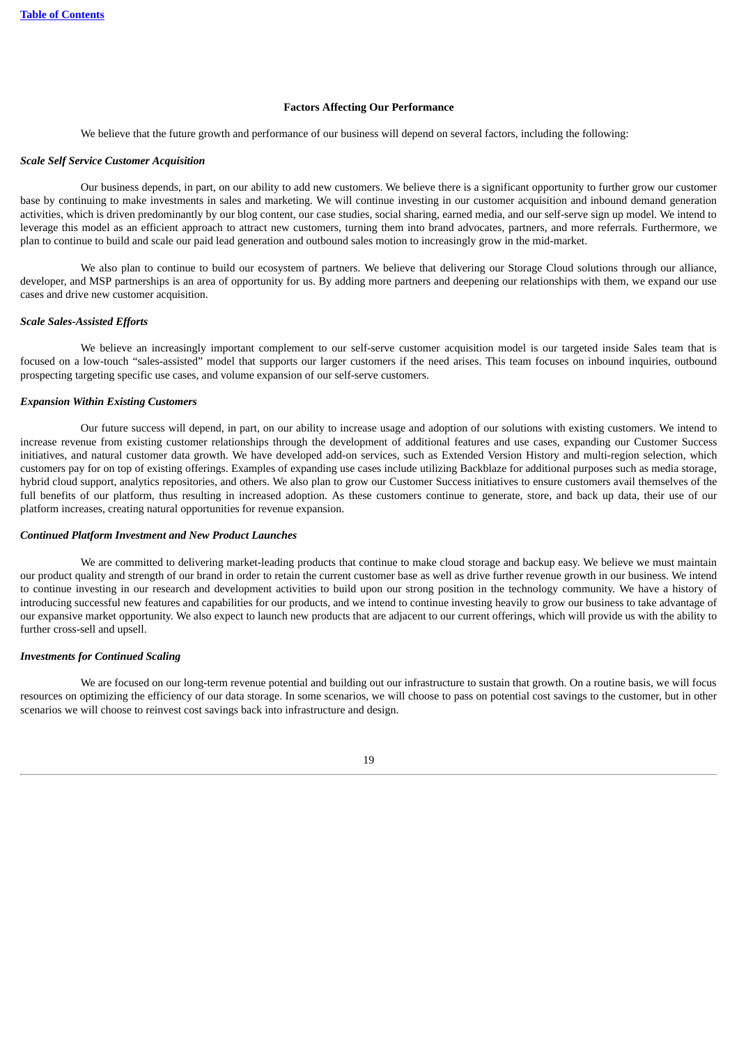#### **Factors Affecting Our Performance**

We believe that the future growth and performance of our business will depend on several factors, including the following:

#### *Scale Self Service Customer Acquisition*

Our business depends, in part, on our ability to add new customers. We believe there is a significant opportunity to further grow our customer base by continuing to make investments in sales and marketing. We will continue investing in our customer acquisition and inbound demand generation activities, which is driven predominantly by our blog content, our case studies, social sharing, earned media, and our self-serve sign up model. We intend to leverage this model as an efficient approach to attract new customers, turning them into brand advocates, partners, and more referrals. Furthermore, we plan to continue to build and scale our paid lead generation and outbound sales motion to increasingly grow in the mid-market.

We also plan to continue to build our ecosystem of partners. We believe that delivering our Storage Cloud solutions through our alliance, developer, and MSP partnerships is an area of opportunity for us. By adding more partners and deepening our relationships with them, we expand our use cases and drive new customer acquisition.

### *Scale Sales-Assisted Efforts*

We believe an increasingly important complement to our self-serve customer acquisition model is our targeted inside Sales team that is focused on a low-touch "sales-assisted" model that supports our larger customers if the need arises. This team focuses on inbound inquiries, outbound prospecting targeting specific use cases, and volume expansion of our self-serve customers.

#### *Expansion Within Existing Customers*

Our future success will depend, in part, on our ability to increase usage and adoption of our solutions with existing customers. We intend to increase revenue from existing customer relationships through the development of additional features and use cases, expanding our Customer Success initiatives, and natural customer data growth. We have developed add-on services, such as Extended Version History and multi-region selection, which customers pay for on top of existing offerings. Examples of expanding use cases include utilizing Backblaze for additional purposes such as media storage, hybrid cloud support, analytics repositories, and others. We also plan to grow our Customer Success initiatives to ensure customers avail themselves of the full benefits of our platform, thus resulting in increased adoption. As these customers continue to generate, store, and back up data, their use of our platform increases, creating natural opportunities for revenue expansion.

#### *Continued Platform Investment and New Product Launches*

We are committed to delivering market-leading products that continue to make cloud storage and backup easy. We believe we must maintain our product quality and strength of our brand in order to retain the current customer base as well as drive further revenue growth in our business. We intend to continue investing in our research and development activities to build upon our strong position in the technology community. We have a history of introducing successful new features and capabilities for our products, and we intend to continue investing heavily to grow our business to take advantage of our expansive market opportunity. We also expect to launch new products that are adjacent to our current offerings, which will provide us with the ability to further cross-sell and upsell.

## *Investments for Continued Scaling*

We are focused on our long-term revenue potential and building out our infrastructure to sustain that growth. On a routine basis, we will focus resources on optimizing the efficiency of our data storage. In some scenarios, we will choose to pass on potential cost savings to the customer, but in other scenarios we will choose to reinvest cost savings back into infrastructure and design.

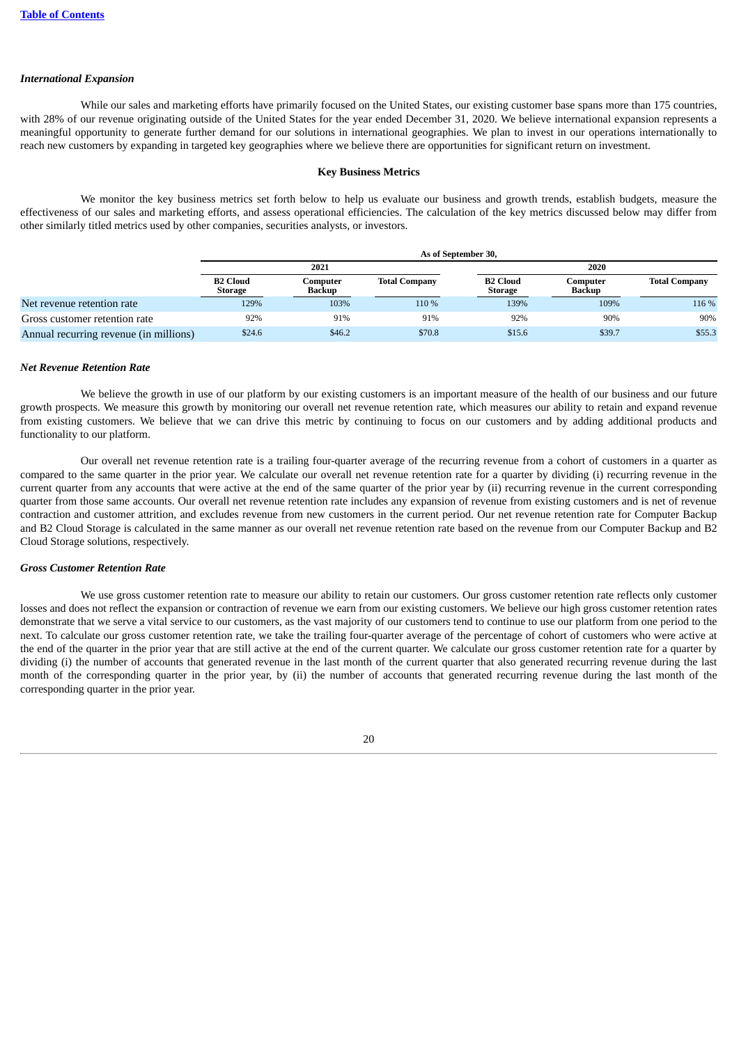### *International Expansion*

While our sales and marketing efforts have primarily focused on the United States, our existing customer base spans more than 175 countries, with 28% of our revenue originating outside of the United States for the year ended December 31, 2020. We believe international expansion represents a meaningful opportunity to generate further demand for our solutions in international geographies. We plan to invest in our operations internationally to reach new customers by expanding in targeted key geographies where we believe there are opportunities for significant return on investment.

#### **Key Business Metrics**

We monitor the key business metrics set forth below to help us evaluate our business and growth trends, establish budgets, measure the effectiveness of our sales and marketing efforts, and assess operational efficiencies. The calculation of the key metrics discussed below may differ from other similarly titled metrics used by other companies, securities analysts, or investors.

|                                        |                            | As of September 30, |                      |                            |                           |                      |  |  |  |  |  |
|----------------------------------------|----------------------------|---------------------|----------------------|----------------------------|---------------------------|----------------------|--|--|--|--|--|
|                                        |                            | 2021                |                      |                            | 2020                      |                      |  |  |  |  |  |
|                                        | <b>B2 Cloud</b><br>Storage | Computer<br>Backup  | <b>Total Company</b> | <b>B2 Cloud</b><br>Storage | Computer<br><b>Backup</b> | <b>Total Company</b> |  |  |  |  |  |
| Net revenue retention rate             | 129%                       | 103%                | 110 %                | 139%                       | 109%                      | 116 %                |  |  |  |  |  |
| Gross customer retention rate          | 92%                        | 91%                 | 91%                  | 92%                        | 90%                       | 90%                  |  |  |  |  |  |
| Annual recurring revenue (in millions) | \$24.6                     | \$46.2              | \$70.8               | \$15.6                     | \$39.7                    | \$55.3               |  |  |  |  |  |

#### *Net Revenue Retention Rate*

We believe the growth in use of our platform by our existing customers is an important measure of the health of our business and our future growth prospects. We measure this growth by monitoring our overall net revenue retention rate, which measures our ability to retain and expand revenue from existing customers. We believe that we can drive this metric by continuing to focus on our customers and by adding additional products and functionality to our platform.

Our overall net revenue retention rate is a trailing four-quarter average of the recurring revenue from a cohort of customers in a quarter as compared to the same quarter in the prior year. We calculate our overall net revenue retention rate for a quarter by dividing (i) recurring revenue in the current quarter from any accounts that were active at the end of the same quarter of the prior year by (ii) recurring revenue in the current corresponding quarter from those same accounts. Our overall net revenue retention rate includes any expansion of revenue from existing customers and is net of revenue contraction and customer attrition, and excludes revenue from new customers in the current period. Our net revenue retention rate for Computer Backup and B2 Cloud Storage is calculated in the same manner as our overall net revenue retention rate based on the revenue from our Computer Backup and B2 Cloud Storage solutions, respectively.

## *Gross Customer Retention Rate*

We use gross customer retention rate to measure our ability to retain our customers. Our gross customer retention rate reflects only customer losses and does not reflect the expansion or contraction of revenue we earn from our existing customers. We believe our high gross customer retention rates demonstrate that we serve a vital service to our customers, as the vast majority of our customers tend to continue to use our platform from one period to the next. To calculate our gross customer retention rate, we take the trailing four-quarter average of the percentage of cohort of customers who were active at the end of the quarter in the prior year that are still active at the end of the current quarter. We calculate our gross customer retention rate for a quarter by dividing (i) the number of accounts that generated revenue in the last month of the current quarter that also generated recurring revenue during the last month of the corresponding quarter in the prior year, by (ii) the number of accounts that generated recurring revenue during the last month of the corresponding quarter in the prior year.

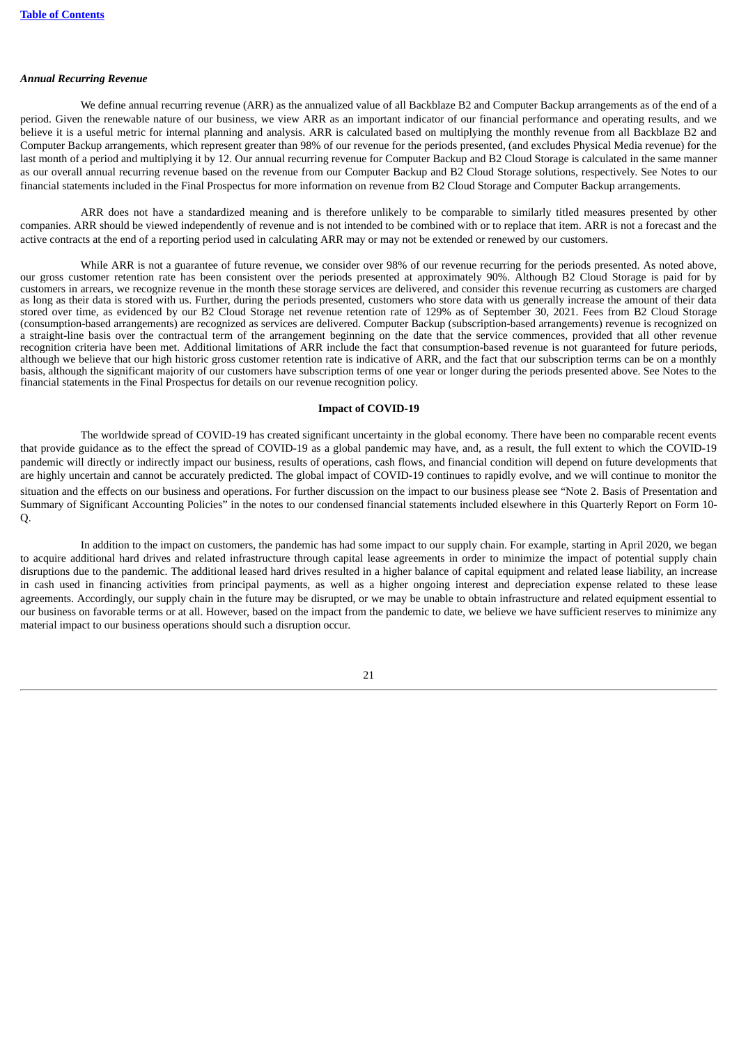#### *Annual Recurring Revenue*

We define annual recurring revenue (ARR) as the annualized value of all Backblaze B2 and Computer Backup arrangements as of the end of a period. Given the renewable nature of our business, we view ARR as an important indicator of our financial performance and operating results, and we believe it is a useful metric for internal planning and analysis. ARR is calculated based on multiplying the monthly revenue from all Backblaze B2 and Computer Backup arrangements, which represent greater than 98% of our revenue for the periods presented, (and excludes Physical Media revenue) for the last month of a period and multiplying it by 12. Our annual recurring revenue for Computer Backup and B2 Cloud Storage is calculated in the same manner as our overall annual recurring revenue based on the revenue from our Computer Backup and B2 Cloud Storage solutions, respectively. See Notes to our financial statements included in the Final Prospectus for more information on revenue from B2 Cloud Storage and Computer Backup arrangements.

ARR does not have a standardized meaning and is therefore unlikely to be comparable to similarly titled measures presented by other companies. ARR should be viewed independently of revenue and is not intended to be combined with or to replace that item. ARR is not a forecast and the active contracts at the end of a reporting period used in calculating ARR may or may not be extended or renewed by our customers.

While ARR is not a guarantee of future revenue, we consider over 98% of our revenue recurring for the periods presented. As noted above, our gross customer retention rate has been consistent over the periods presented at approximately 90%. Although B2 Cloud Storage is paid for by customers in arrears, we recognize revenue in the month these storage services are delivered, and consider this revenue recurring as customers are charged as long as their data is stored with us. Further, during the periods presented, customers who store data with us generally increase the amount of their data stored over time, as evidenced by our B2 Cloud Storage net revenue retention rate of 129% as of September 30, 2021. Fees from B2 Cloud Storage (consumption-based arrangements) are recognized as services are delivered. Computer Backup (subscription-based arrangements) revenue is recognized on a straight-line basis over the contractual term of the arrangement beginning on the date that the service commences, provided that all other revenue recognition criteria have been met. Additional limitations of ARR include the fact that consumption-based revenue is not guaranteed for future periods, although we believe that our high historic gross customer retention rate is indicative of ARR, and the fact that our subscription terms can be on a monthly basis, although the significant majority of our customers have subscription terms of one year or longer during the periods presented above. See Notes to the financial statements in the Final Prospectus for details on our revenue recognition policy.

#### **Impact of COVID-19**

The worldwide spread of COVID-19 has created significant uncertainty in the global economy. There have been no comparable recent events that provide guidance as to the effect the spread of COVID-19 as a global pandemic may have, and, as a result, the full extent to which the COVID-19 pandemic will directly or indirectly impact our business, results of operations, cash flows, and financial condition will depend on future developments that are highly uncertain and cannot be accurately predicted. The global impact of COVID-19 continues to rapidly evolve, and we will continue to monitor the situation and the effects on our business and operations. For further discussion on the impact to our business please see "Note 2. Basis of Presentation and Summary of Significant Accounting Policies" in the notes to our condensed financial statements included elsewhere in this Quarterly Report on Form 10- Q.

In addition to the impact on customers, the pandemic has had some impact to our supply chain. For example, starting in April 2020, we began to acquire additional hard drives and related infrastructure through capital lease agreements in order to minimize the impact of potential supply chain disruptions due to the pandemic. The additional leased hard drives resulted in a higher balance of capital equipment and related lease liability, an increase in cash used in financing activities from principal payments, as well as a higher ongoing interest and depreciation expense related to these lease agreements. Accordingly, our supply chain in the future may be disrupted, or we may be unable to obtain infrastructure and related equipment essential to our business on favorable terms or at all. However, based on the impact from the pandemic to date, we believe we have sufficient reserves to minimize any material impact to our business operations should such a disruption occur.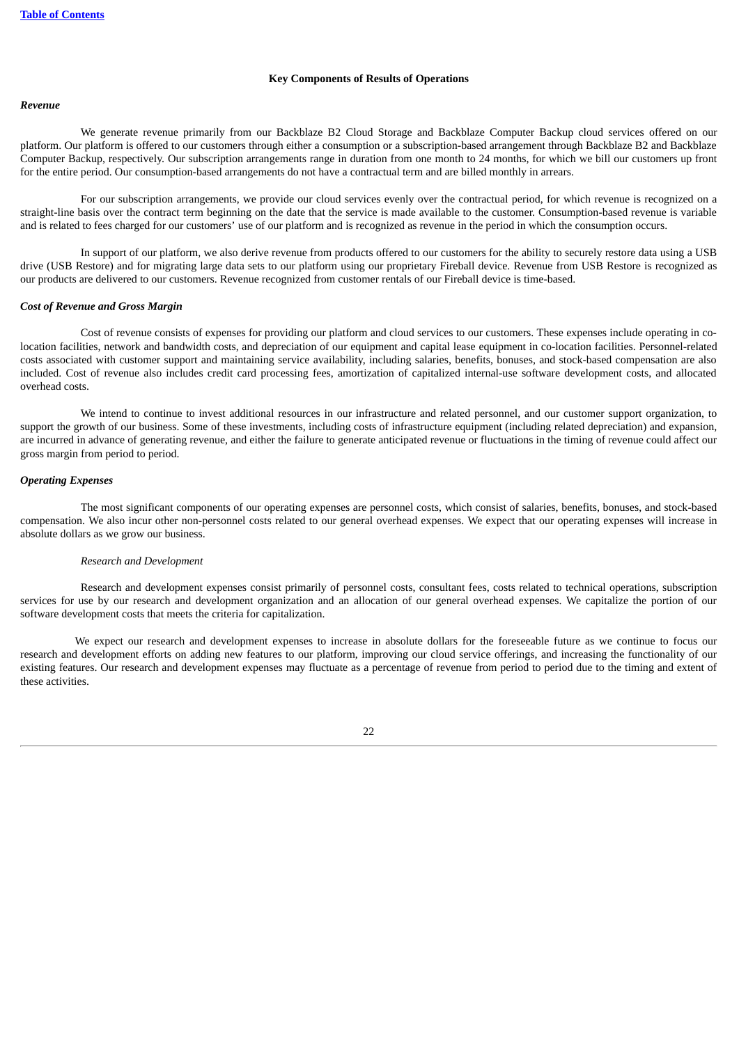### **Key Components of Results of Operations**

## *Revenue*

We generate revenue primarily from our Backblaze B2 Cloud Storage and Backblaze Computer Backup cloud services offered on our platform. Our platform is offered to our customers through either a consumption or a subscription-based arrangement through Backblaze B2 and Backblaze Computer Backup, respectively. Our subscription arrangements range in duration from one month to 24 months, for which we bill our customers up front for the entire period. Our consumption-based arrangements do not have a contractual term and are billed monthly in arrears.

For our subscription arrangements, we provide our cloud services evenly over the contractual period, for which revenue is recognized on a straight-line basis over the contract term beginning on the date that the service is made available to the customer. Consumption-based revenue is variable and is related to fees charged for our customers' use of our platform and is recognized as revenue in the period in which the consumption occurs.

In support of our platform, we also derive revenue from products offered to our customers for the ability to securely restore data using a USB drive (USB Restore) and for migrating large data sets to our platform using our proprietary Fireball device. Revenue from USB Restore is recognized as our products are delivered to our customers. Revenue recognized from customer rentals of our Fireball device is time-based.

### *Cost of Revenue and Gross Margin*

Cost of revenue consists of expenses for providing our platform and cloud services to our customers. These expenses include operating in colocation facilities, network and bandwidth costs, and depreciation of our equipment and capital lease equipment in co-location facilities. Personnel-related costs associated with customer support and maintaining service availability, including salaries, benefits, bonuses, and stock-based compensation are also included. Cost of revenue also includes credit card processing fees, amortization of capitalized internal-use software development costs, and allocated overhead costs.

We intend to continue to invest additional resources in our infrastructure and related personnel, and our customer support organization, to support the growth of our business. Some of these investments, including costs of infrastructure equipment (including related depreciation) and expansion, are incurred in advance of generating revenue, and either the failure to generate anticipated revenue or fluctuations in the timing of revenue could affect our gross margin from period to period.

## *Operating Expenses*

The most significant components of our operating expenses are personnel costs, which consist of salaries, benefits, bonuses, and stock-based compensation. We also incur other non-personnel costs related to our general overhead expenses. We expect that our operating expenses will increase in absolute dollars as we grow our business.

#### *Research and Development*

Research and development expenses consist primarily of personnel costs, consultant fees, costs related to technical operations, subscription services for use by our research and development organization and an allocation of our general overhead expenses. We capitalize the portion of our software development costs that meets the criteria for capitalization.

We expect our research and development expenses to increase in absolute dollars for the foreseeable future as we continue to focus our research and development efforts on adding new features to our platform, improving our cloud service offerings, and increasing the functionality of our existing features. Our research and development expenses may fluctuate as a percentage of revenue from period to period due to the timing and extent of these activities.

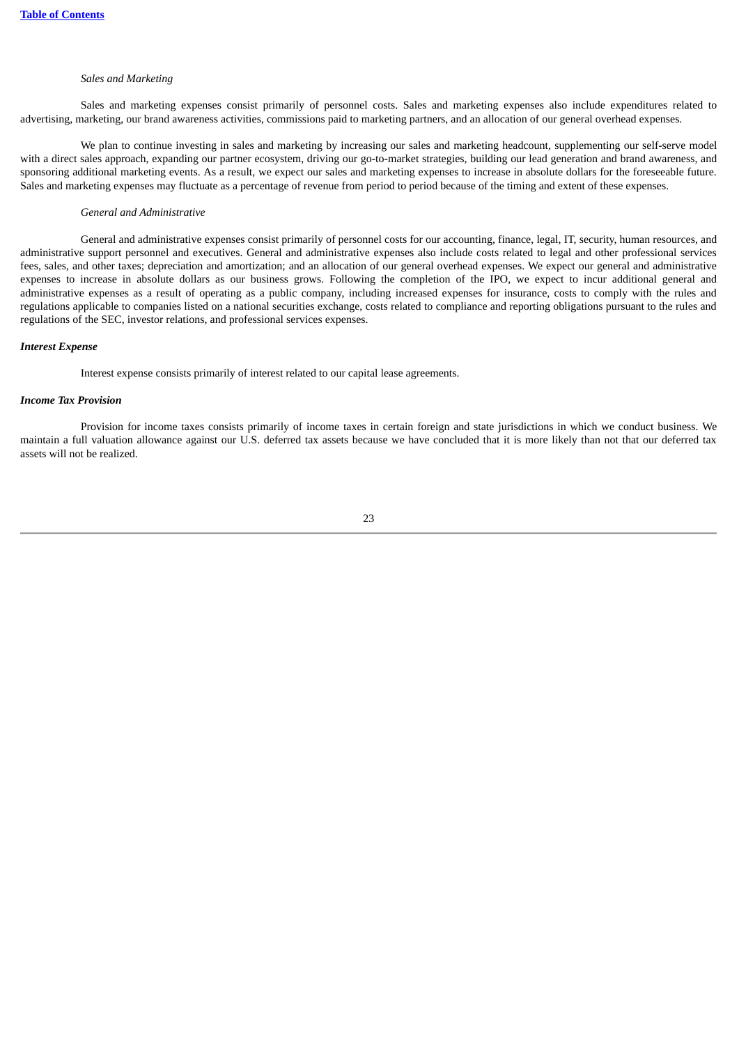#### *Sales and Marketing*

Sales and marketing expenses consist primarily of personnel costs. Sales and marketing expenses also include expenditures related to advertising, marketing, our brand awareness activities, commissions paid to marketing partners, and an allocation of our general overhead expenses.

We plan to continue investing in sales and marketing by increasing our sales and marketing headcount, supplementing our self-serve model with a direct sales approach, expanding our partner ecosystem, driving our go-to-market strategies, building our lead generation and brand awareness, and sponsoring additional marketing events. As a result, we expect our sales and marketing expenses to increase in absolute dollars for the foreseeable future. Sales and marketing expenses may fluctuate as a percentage of revenue from period to period because of the timing and extent of these expenses.

### *General and Administrative*

General and administrative expenses consist primarily of personnel costs for our accounting, finance, legal, IT, security, human resources, and administrative support personnel and executives. General and administrative expenses also include costs related to legal and other professional services fees, sales, and other taxes; depreciation and amortization; and an allocation of our general overhead expenses. We expect our general and administrative expenses to increase in absolute dollars as our business grows. Following the completion of the IPO, we expect to incur additional general and administrative expenses as a result of operating as a public company, including increased expenses for insurance, costs to comply with the rules and regulations applicable to companies listed on a national securities exchange, costs related to compliance and reporting obligations pursuant to the rules and regulations of the SEC, investor relations, and professional services expenses.

#### *Interest Expense*

Interest expense consists primarily of interest related to our capital lease agreements.

## *Income Tax Provision*

Provision for income taxes consists primarily of income taxes in certain foreign and state jurisdictions in which we conduct business. We maintain a full valuation allowance against our U.S. deferred tax assets because we have concluded that it is more likely than not that our deferred tax assets will not be realized.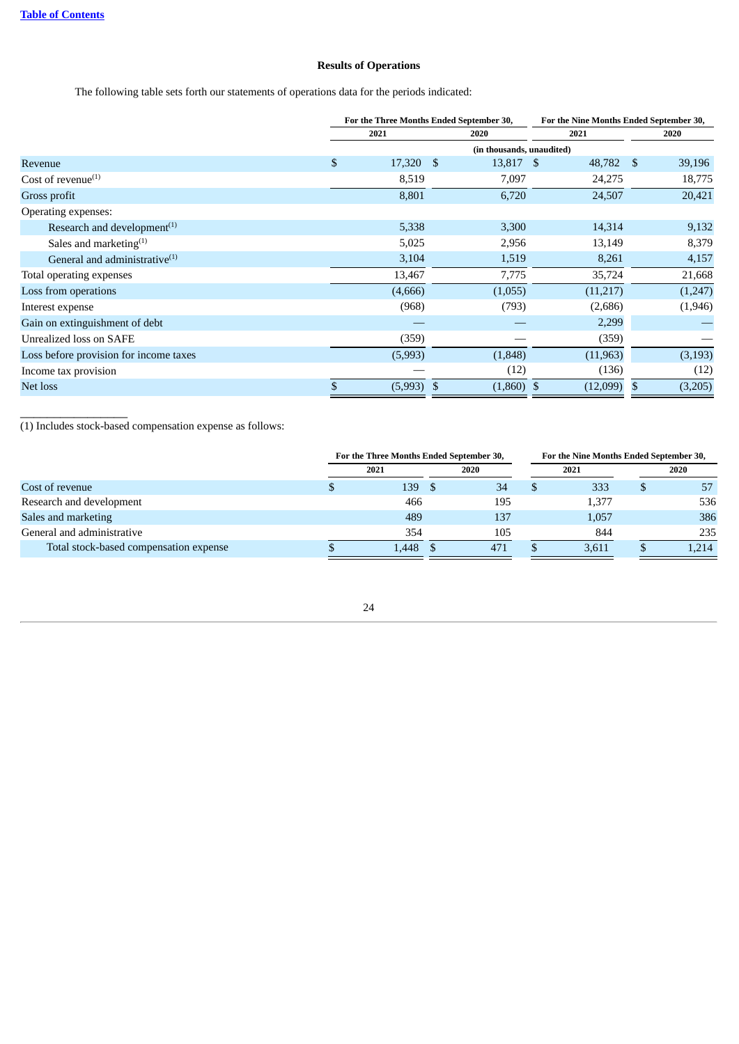## **Results of Operations**

The following table sets forth our statements of operations data for the periods indicated:

|                                           |              | For the Three Months Ended September 30, | For the Nine Months Ended September 30, |                          |  |
|-------------------------------------------|--------------|------------------------------------------|-----------------------------------------|--------------------------|--|
|                                           | 2021         | 2020                                     | 2021                                    | 2020                     |  |
|                                           |              | (in thousands, unaudited)                |                                         |                          |  |
| Revenue                                   | \$<br>17,320 | 13,817 \$<br>- \$                        | 48,782                                  | 39,196<br>- \$           |  |
| Cost of revenue $(1)$                     | 8,519        | 7,097                                    | 24,275                                  | 18,775                   |  |
| Gross profit                              | 8,801        | 6,720                                    | 24,507                                  | 20,421                   |  |
| Operating expenses:                       |              |                                          |                                         |                          |  |
| Research and development $(1)$            | 5,338        | 3,300                                    | 14,314                                  | 9,132                    |  |
| Sales and marketing <sup>(1)</sup>        | 5,025        | 2,956                                    | 13,149                                  | 8,379                    |  |
| General and administrative <sup>(1)</sup> | 3,104        | 1,519                                    | 8,261                                   | 4,157                    |  |
| Total operating expenses                  | 13,467       | 7,775                                    | 35,724                                  | 21,668                   |  |
| Loss from operations                      | (4,666)      | (1,055)                                  | (11,217)                                | (1,247)                  |  |
| Interest expense                          | (968)        | (793)                                    | (2,686)                                 | (1,946)                  |  |
| Gain on extinguishment of debt            |              |                                          | 2,299                                   |                          |  |
| Unrealized loss on SAFE                   | (359)        |                                          | (359)                                   |                          |  |
| Loss before provision for income taxes    | (5,993)      | (1,848)                                  | (11, 963)                               | (3, 193)                 |  |
| Income tax provision                      |              | (12)                                     | (136)                                   | (12)                     |  |
| Net loss                                  | $(5,993)$ \$ | $(1,860)$ \$                             | (12,099)                                | (3,205)<br><sup>\$</sup> |  |

(1) Includes stock-based compensation expense as follows:

\_\_\_\_\_\_\_\_\_\_\_\_\_\_\_\_

|                                        | For the Three Months Ended September 30, |       |      |     | For the Nine Months Ended September 30, |       |      |       |
|----------------------------------------|------------------------------------------|-------|------|-----|-----------------------------------------|-------|------|-------|
|                                        | 2021                                     |       | 2020 |     | 2021                                    |       | 2020 |       |
| Cost of revenue                        |                                          | 139   |      | 34  |                                         | 333   |      | 57    |
| Research and development               |                                          | 466   |      | 195 |                                         | 1,377 |      | 536   |
| Sales and marketing                    |                                          | 489   |      | 137 |                                         | 1,057 |      | 386   |
| General and administrative             |                                          | 354   |      | 105 |                                         | 844   |      | 235   |
| Total stock-based compensation expense |                                          | 1.448 |      | 471 |                                         | 3.611 |      | 1,214 |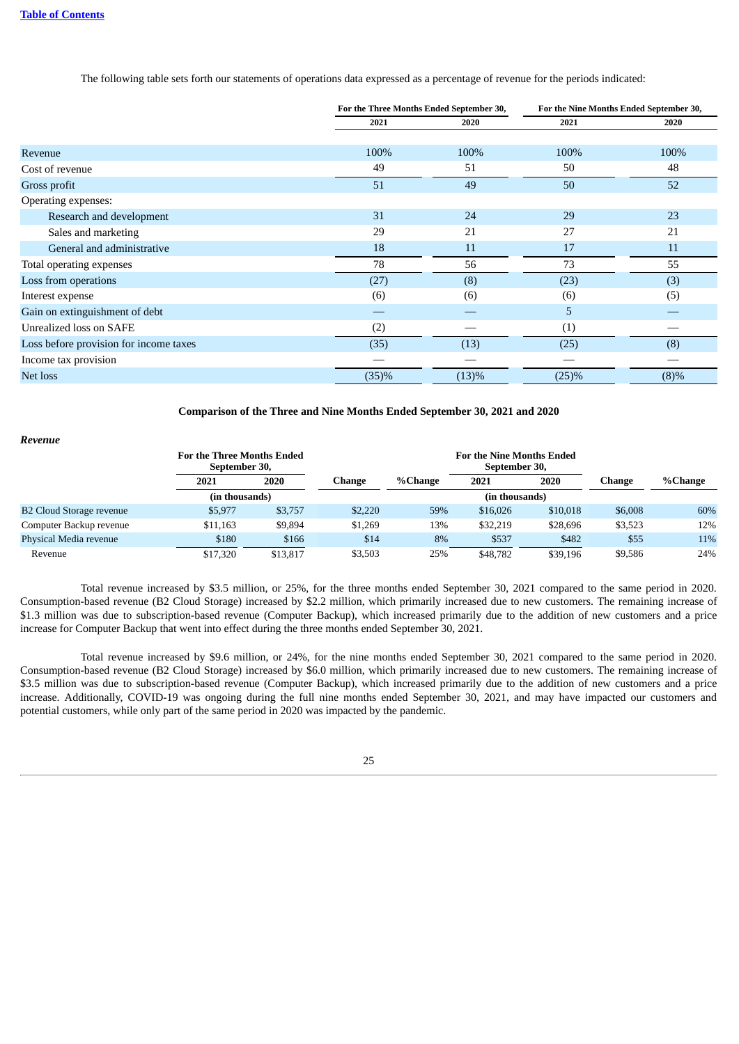*Revenue*

The following table sets forth our statements of operations data expressed as a percentage of revenue for the periods indicated:

|                                        | For the Three Months Ended September 30, |       | For the Nine Months Ended September 30, |      |  |
|----------------------------------------|------------------------------------------|-------|-----------------------------------------|------|--|
|                                        | 2021                                     | 2020  | 2021                                    | 2020 |  |
|                                        |                                          |       |                                         |      |  |
| Revenue                                | 100%                                     | 100%  | 100%                                    | 100% |  |
| Cost of revenue                        | 49                                       | 51    | 50                                      | 48   |  |
| Gross profit                           | 51                                       | 49    | 50                                      | 52   |  |
| Operating expenses:                    |                                          |       |                                         |      |  |
| Research and development               | 31                                       | 24    | 29                                      | 23   |  |
| Sales and marketing                    | 29                                       | 21    | 27                                      | 21   |  |
| General and administrative             | 18                                       | 11    | 17                                      | 11   |  |
| Total operating expenses               | 78                                       | 56    | 73                                      | 55   |  |
| Loss from operations                   | (27)                                     | (8)   | (23)                                    | (3)  |  |
| Interest expense                       | (6)                                      | (6)   | (6)                                     | (5)  |  |
| Gain on extinguishment of debt         |                                          |       | 5                                       |      |  |
| Unrealized loss on SAFE                | (2)                                      |       | (1)                                     |      |  |
| Loss before provision for income taxes | (35)                                     | (13)  | (25)                                    | (8)  |  |
| Income tax provision                   | --                                       |       |                                         |      |  |
| Net loss                               | (35)%                                    | (13)% | (25)%                                   | (8)% |  |

## **Comparison of the Three and Nine Months Ended September 30, 2021 and 2020**

|                                 | For the Three Months Ended<br>September 30, |                |         |         | <b>For the Nine Months Ended</b><br>September 30, |          |         |         |
|---------------------------------|---------------------------------------------|----------------|---------|---------|---------------------------------------------------|----------|---------|---------|
|                                 | 2021                                        | 2020           | Change  | %Change | 2021                                              | 2020     | Change  | %Change |
|                                 |                                             | (in thousands) |         |         | (in thousands)                                    |          |         |         |
| <b>B2 Cloud Storage revenue</b> | \$5,977                                     | \$3,757        | \$2,220 | 59%     | \$16,026                                          | \$10,018 | \$6,008 | 60%     |
| Computer Backup revenue         | \$11,163                                    | \$9,894        | \$1,269 | 13%     | \$32,219                                          | \$28,696 | \$3,523 | 12%     |
| Physical Media revenue          | \$180                                       | \$166          | \$14    | 8%      | \$537                                             | \$482    | \$55    | 11%     |
| Revenue                         | \$17,320                                    | \$13,817       | \$3,503 | 25%     | \$48,782                                          | \$39,196 | \$9,586 | 24%     |

Total revenue increased by \$3.5 million, or 25%, for the three months ended September 30, 2021 compared to the same period in 2020. Consumption-based revenue (B2 Cloud Storage) increased by \$2.2 million, which primarily increased due to new customers. The remaining increase of \$1.3 million was due to subscription-based revenue (Computer Backup), which increased primarily due to the addition of new customers and a price increase for Computer Backup that went into effect during the three months ended September 30, 2021.

Total revenue increased by \$9.6 million, or 24%, for the nine months ended September 30, 2021 compared to the same period in 2020. Consumption-based revenue (B2 Cloud Storage) increased by \$6.0 million, which primarily increased due to new customers. The remaining increase of \$3.5 million was due to subscription-based revenue (Computer Backup), which increased primarily due to the addition of new customers and a price increase. Additionally, COVID-19 was ongoing during the full nine months ended September 30, 2021, and may have impacted our customers and potential customers, while only part of the same period in 2020 was impacted by the pandemic.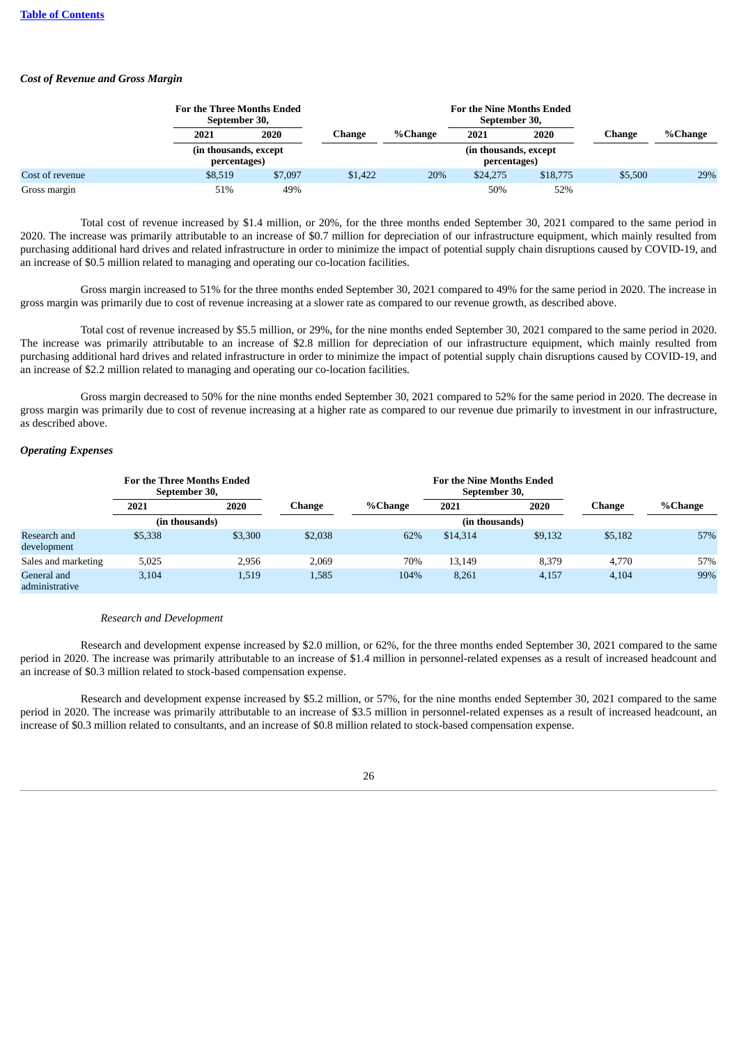## *Cost of Revenue and Gross Margin*

|                 | <b>For the Three Months Ended</b><br>September 30, |                                        |         |         | <b>For the Nine Months Ended</b><br>September 30, |          |         |         |
|-----------------|----------------------------------------------------|----------------------------------------|---------|---------|---------------------------------------------------|----------|---------|---------|
|                 | 2021                                               | 2020                                   | Change  | %Change | 2021                                              | 2020     | Change  | %Change |
|                 |                                                    | (in thousands, except)<br>percentages) |         |         | (in thousands, except)<br>percentages)            |          |         |         |
| Cost of revenue | \$8,519                                            | \$7,097                                | \$1,422 | 20%     | \$24,275                                          | \$18,775 | \$5,500 | 29%     |
| Gross margin    | 51%                                                | 49%                                    |         |         | 50%                                               | 52%      |         |         |

Total cost of revenue increased by \$1.4 million, or 20%, for the three months ended September 30, 2021 compared to the same period in 2020. The increase was primarily attributable to an increase of \$0.7 million for depreciation of our infrastructure equipment, which mainly resulted from purchasing additional hard drives and related infrastructure in order to minimize the impact of potential supply chain disruptions caused by COVID-19, and an increase of \$0.5 million related to managing and operating our co-location facilities.

Gross margin increased to 51% for the three months ended September 30, 2021 compared to 49% for the same period in 2020. The increase in gross margin was primarily due to cost of revenue increasing at a slower rate as compared to our revenue growth, as described above.

Total cost of revenue increased by \$5.5 million, or 29%, for the nine months ended September 30, 2021 compared to the same period in 2020. The increase was primarily attributable to an increase of \$2.8 million for depreciation of our infrastructure equipment, which mainly resulted from purchasing additional hard drives and related infrastructure in order to minimize the impact of potential supply chain disruptions caused by COVID-19, and an increase of \$2.2 million related to managing and operating our co-location facilities.

Gross margin decreased to 50% for the nine months ended September 30, 2021 compared to 52% for the same period in 2020. The decrease in gross margin was primarily due to cost of revenue increasing at a higher rate as compared to our revenue due primarily to investment in our infrastructure, as described above.

## *Operating Expenses*

|                               | For the Three Months Ended<br>September 30, |         |         |                | <b>For the Nine Months Ended</b><br>September 30, |         |               |         |
|-------------------------------|---------------------------------------------|---------|---------|----------------|---------------------------------------------------|---------|---------------|---------|
|                               | 2021                                        | 2020    | Change  | %Change        | 2021                                              | 2020    | <b>Change</b> | %Change |
|                               | (in thousands)                              |         |         | (in thousands) |                                                   |         |               |         |
| Research and<br>development   | \$5,338                                     | \$3,300 | \$2,038 | 62%            | \$14,314                                          | \$9,132 | \$5,182       | 57%     |
| Sales and marketing           | 5,025                                       | 2.956   | 2.069   | 70%            | 13.149                                            | 8,379   | 4,770         | 57%     |
| General and<br>administrative | 3.104                                       | 1,519   | 1,585   | 104%           | 8,261                                             | 4,157   | 4,104         | 99%     |

*Research and Development*

Research and development expense increased by \$2.0 million, or 62%, for the three months ended September 30, 2021 compared to the same period in 2020. The increase was primarily attributable to an increase of \$1.4 million in personnel-related expenses as a result of increased headcount and an increase of \$0.3 million related to stock-based compensation expense.

Research and development expense increased by \$5.2 million, or 57%, for the nine months ended September 30, 2021 compared to the same period in 2020. The increase was primarily attributable to an increase of \$3.5 million in personnel-related expenses as a result of increased headcount, an increase of \$0.3 million related to consultants, and an increase of \$0.8 million related to stock-based compensation expense.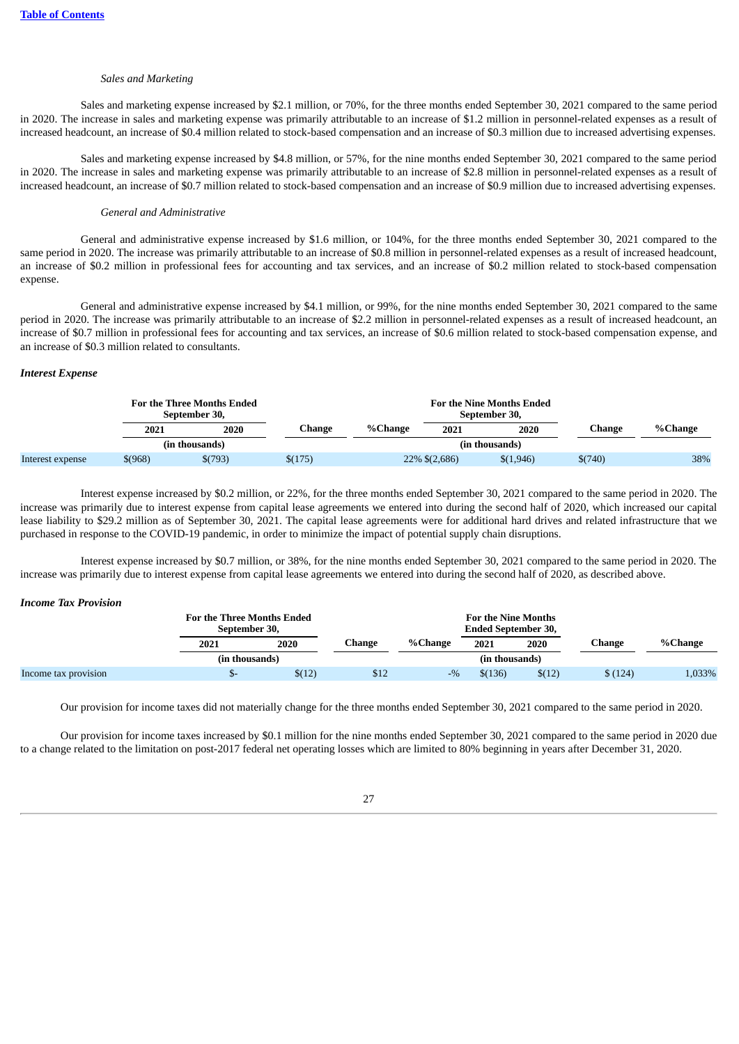#### *Sales and Marketing*

Sales and marketing expense increased by \$2.1 million, or 70%, for the three months ended September 30, 2021 compared to the same period in 2020. The increase in sales and marketing expense was primarily attributable to an increase of \$1.2 million in personnel-related expenses as a result of increased headcount, an increase of \$0.4 million related to stock-based compensation and an increase of \$0.3 million due to increased advertising expenses.

Sales and marketing expense increased by \$4.8 million, or 57%, for the nine months ended September 30, 2021 compared to the same period in 2020. The increase in sales and marketing expense was primarily attributable to an increase of \$2.8 million in personnel-related expenses as a result of increased headcount, an increase of \$0.7 million related to stock-based compensation and an increase of \$0.9 million due to increased advertising expenses.

#### *General and Administrative*

General and administrative expense increased by \$1.6 million, or 104%, for the three months ended September 30, 2021 compared to the same period in 2020. The increase was primarily attributable to an increase of \$0.8 million in personnel-related expenses as a result of increased headcount, an increase of \$0.2 million in professional fees for accounting and tax services, and an increase of \$0.2 million related to stock-based compensation expense.

General and administrative expense increased by \$4.1 million, or 99%, for the nine months ended September 30, 2021 compared to the same period in 2020. The increase was primarily attributable to an increase of \$2.2 million in personnel-related expenses as a result of increased headcount, an increase of \$0.7 million in professional fees for accounting and tax services, an increase of \$0.6 million related to stock-based compensation expense, and an increase of \$0.3 million related to consultants.

## *Interest Expense*

|                  |             | For the Three Months Ended<br>September 30, |         |         |                | <b>For the Nine Months Ended</b><br>September 30, |         |         |
|------------------|-------------|---------------------------------------------|---------|---------|----------------|---------------------------------------------------|---------|---------|
|                  | 2021        | 2020                                        | Change  | %Change | 2021           | 2020                                              | Change  | %Change |
|                  |             | (in thousands)                              |         |         | (in thousands) |                                                   |         |         |
| Interest expense | $$^{(968)}$ | \$(793)                                     | \$(175) |         | 22% \$(2,686)  | \$(1,946)                                         | \$(740) | 38%     |

Interest expense increased by \$0.2 million, or 22%, for the three months ended September 30, 2021 compared to the same period in 2020. The increase was primarily due to interest expense from capital lease agreements we entered into during the second half of 2020, which increased our capital lease liability to \$29.2 million as of September 30, 2021. The capital lease agreements were for additional hard drives and related infrastructure that we purchased in response to the COVID-19 pandemic, in order to minimize the impact of potential supply chain disruptions.

Interest expense increased by \$0.7 million, or 38%, for the nine months ended September 30, 2021 compared to the same period in 2020. The increase was primarily due to interest expense from capital lease agreements we entered into during the second half of 2020, as described above.

#### *Income Tax Provision*

|                      | <b>For the Three Months Ended</b><br>September 30, |        |        |         | For the Nine Months<br><b>Ended September 30,</b> |        |         |         |
|----------------------|----------------------------------------------------|--------|--------|---------|---------------------------------------------------|--------|---------|---------|
|                      | 2021                                               | 2020   | Change | %Change | 2021<br>2020                                      |        | Change  | %Change |
|                      | (in thousands)                                     |        |        |         | (in thousands)                                    |        |         |         |
| Income tax provision | - D-                                               | \$(12) | \$12   | $-$ %   | \$(136)                                           | \$(12) | \$(124) | 1,033%  |

Our provision for income taxes did not materially change for the three months ended September 30, 2021 compared to the same period in 2020.

Our provision for income taxes increased by \$0.1 million for the nine months ended September 30, 2021 compared to the same period in 2020 due to a change related to the limitation on post-2017 federal net operating losses which are limited to 80% beginning in years after December 31, 2020.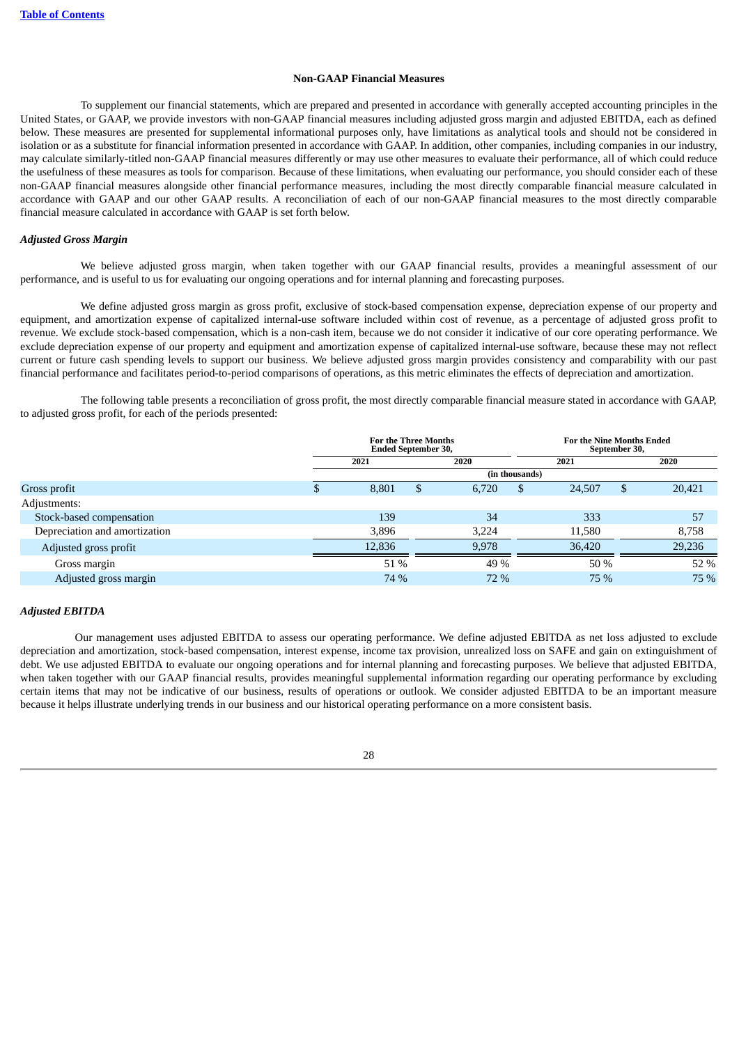## **Non-GAAP Financial Measures**

To supplement our financial statements, which are prepared and presented in accordance with generally accepted accounting principles in the United States, or GAAP, we provide investors with non-GAAP financial measures including adjusted gross margin and adjusted EBITDA, each as defined below. These measures are presented for supplemental informational purposes only, have limitations as analytical tools and should not be considered in isolation or as a substitute for financial information presented in accordance with GAAP. In addition, other companies, including companies in our industry, may calculate similarly-titled non-GAAP financial measures differently or may use other measures to evaluate their performance, all of which could reduce the usefulness of these measures as tools for comparison. Because of these limitations, when evaluating our performance, you should consider each of these non-GAAP financial measures alongside other financial performance measures, including the most directly comparable financial measure calculated in accordance with GAAP and our other GAAP results. A reconciliation of each of our non-GAAP financial measures to the most directly comparable financial measure calculated in accordance with GAAP is set forth below.

#### *Adjusted Gross Margin*

We believe adjusted gross margin, when taken together with our GAAP financial results, provides a meaningful assessment of our performance, and is useful to us for evaluating our ongoing operations and for internal planning and forecasting purposes.

We define adjusted gross margin as gross profit, exclusive of stock-based compensation expense, depreciation expense of our property and equipment, and amortization expense of capitalized internal-use software included within cost of revenue, as a percentage of adjusted gross profit to revenue. We exclude stock-based compensation, which is a non-cash item, because we do not consider it indicative of our core operating performance. We exclude depreciation expense of our property and equipment and amortization expense of capitalized internal-use software, because these may not reflect current or future cash spending levels to support our business. We believe adjusted gross margin provides consistency and comparability with our past financial performance and facilitates period-to-period comparisons of operations, as this metric eliminates the effects of depreciation and amortization.

The following table presents a reconciliation of gross profit, the most directly comparable financial measure stated in accordance with GAAP, to adjusted gross profit, for each of the periods presented:

|                               |   | <b>For the Three Months</b><br><b>Ended September 30,</b> |      | <b>For the Nine Months Ended</b><br>September 30, |                |        |   |        |  |
|-------------------------------|---|-----------------------------------------------------------|------|---------------------------------------------------|----------------|--------|---|--------|--|
|                               |   | 2021                                                      | 2020 |                                                   |                | 2021   |   | 2020   |  |
|                               |   |                                                           |      |                                                   | (in thousands) |        |   |        |  |
| Gross profit                  | D | 8,801                                                     | S    | 6,720                                             | \$             | 24,507 | S | 20,421 |  |
| Adjustments:                  |   |                                                           |      |                                                   |                |        |   |        |  |
| Stock-based compensation      |   | 139                                                       |      | 34                                                |                | 333    |   | 57     |  |
| Depreciation and amortization |   | 3,896                                                     |      | 3,224                                             |                | 11,580 |   | 8,758  |  |
| Adjusted gross profit         |   | 12,836                                                    |      | 9,978                                             |                | 36,420 |   | 29,236 |  |
| Gross margin                  |   | 51 %                                                      |      | 49 %                                              |                | 50 %   |   | 52 %   |  |
| Adjusted gross margin         |   | 74 %                                                      |      | 72 %                                              |                | 75 %   |   | 75 %   |  |

### *Adjusted EBITDA*

Our management uses adjusted EBITDA to assess our operating performance. We define adjusted EBITDA as net loss adjusted to exclude depreciation and amortization, stock-based compensation, interest expense, income tax provision, unrealized loss on SAFE and gain on extinguishment of debt. We use adjusted EBITDA to evaluate our ongoing operations and for internal planning and forecasting purposes. We believe that adjusted EBITDA, when taken together with our GAAP financial results, provides meaningful supplemental information regarding our operating performance by excluding certain items that may not be indicative of our business, results of operations or outlook. We consider adjusted EBITDA to be an important measure because it helps illustrate underlying trends in our business and our historical operating performance on a more consistent basis.

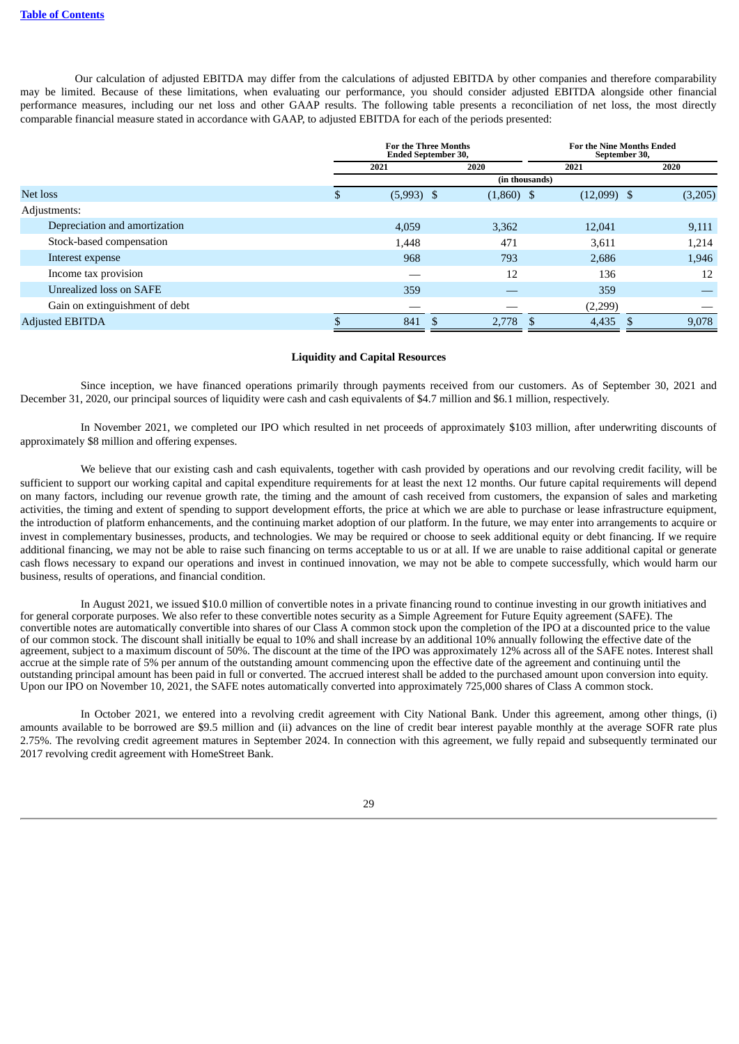Our calculation of adjusted EBITDA may differ from the calculations of adjusted EBITDA by other companies and therefore comparability may be limited. Because of these limitations, when evaluating our performance, you should consider adjusted EBITDA alongside other financial performance measures, including our net loss and other GAAP results. The following table presents a reconciliation of net loss, the most directly comparable financial measure stated in accordance with GAAP, to adjusted EBITDA for each of the periods presented:

|                                |   | <b>For the Three Months</b><br><b>Ended September 30,</b> |   |              |                | <b>For the Nine Months Ended</b><br>September 30, |   |         |  |
|--------------------------------|---|-----------------------------------------------------------|---|--------------|----------------|---------------------------------------------------|---|---------|--|
|                                |   | 2021                                                      |   | 2020         |                | 2021                                              |   | 2020    |  |
|                                |   |                                                           |   |              | (in thousands) |                                                   |   |         |  |
| Net loss                       | S | $(5,993)$ \$                                              |   | $(1,860)$ \$ |                | $(12,099)$ \$                                     |   | (3,205) |  |
| Adjustments:                   |   |                                                           |   |              |                |                                                   |   |         |  |
| Depreciation and amortization  |   | 4,059                                                     |   | 3,362        |                | 12,041                                            |   | 9,111   |  |
| Stock-based compensation       |   | 1,448                                                     |   | 471          |                | 3,611                                             |   | 1,214   |  |
| Interest expense               |   | 968                                                       |   | 793          |                | 2,686                                             |   | 1,946   |  |
| Income tax provision           |   |                                                           |   | 12           |                | 136                                               |   | 12      |  |
| Unrealized loss on SAFE        |   | 359                                                       |   |              |                | 359                                               |   |         |  |
| Gain on extinguishment of debt |   |                                                           |   |              |                | (2,299)                                           |   |         |  |
| <b>Adjusted EBITDA</b>         |   | 841                                                       | S | 2,778        |                | 4,435                                             | S | 9,078   |  |

#### **Liquidity and Capital Resources**

Since inception, we have financed operations primarily through payments received from our customers. As of September 30, 2021 and December 31, 2020, our principal sources of liquidity were cash and cash equivalents of \$4.7 million and \$6.1 million, respectively.

In November 2021, we completed our IPO which resulted in net proceeds of approximately \$103 million, after underwriting discounts of approximately \$8 million and offering expenses.

We believe that our existing cash and cash equivalents, together with cash provided by operations and our revolving credit facility, will be sufficient to support our working capital and capital expenditure requirements for at least the next 12 months. Our future capital requirements will depend on many factors, including our revenue growth rate, the timing and the amount of cash received from customers, the expansion of sales and marketing activities, the timing and extent of spending to support development efforts, the price at which we are able to purchase or lease infrastructure equipment, the introduction of platform enhancements, and the continuing market adoption of our platform. In the future, we may enter into arrangements to acquire or invest in complementary businesses, products, and technologies. We may be required or choose to seek additional equity or debt financing. If we require additional financing, we may not be able to raise such financing on terms acceptable to us or at all. If we are unable to raise additional capital or generate cash flows necessary to expand our operations and invest in continued innovation, we may not be able to compete successfully, which would harm our business, results of operations, and financial condition.

In August 2021, we issued \$10.0 million of convertible notes in a private financing round to continue investing in our growth initiatives and for general corporate purposes. We also refer to these convertible notes security as a Simple Agreement for Future Equity agreement (SAFE). The convertible notes are automatically convertible into shares of our Class A common stock upon the completion of the IPO at a discounted price to the value of our common stock. The discount shall initially be equal to 10% and shall increase by an additional 10% annually following the effective date of the agreement, subject to a maximum discount of 50%. The discount at the time of the IPO was approximately 12% across all of the SAFE notes. Interest shall accrue at the simple rate of 5% per annum of the outstanding amount commencing upon the effective date of the agreement and continuing until the outstanding principal amount has been paid in full or converted. The accrued interest shall be added to the purchased amount upon conversion into equity. Upon our IPO on November 10, 2021, the SAFE notes automatically converted into approximately 725,000 shares of Class A common stock.

In October 2021, we entered into a revolving credit agreement with City National Bank. Under this agreement, among other things, (i) amounts available to be borrowed are \$9.5 million and (ii) advances on the line of credit bear interest payable monthly at the average SOFR rate plus 2.75%. The revolving credit agreement matures in September 2024. In connection with this agreement, we fully repaid and subsequently terminated our 2017 revolving credit agreement with HomeStreet Bank.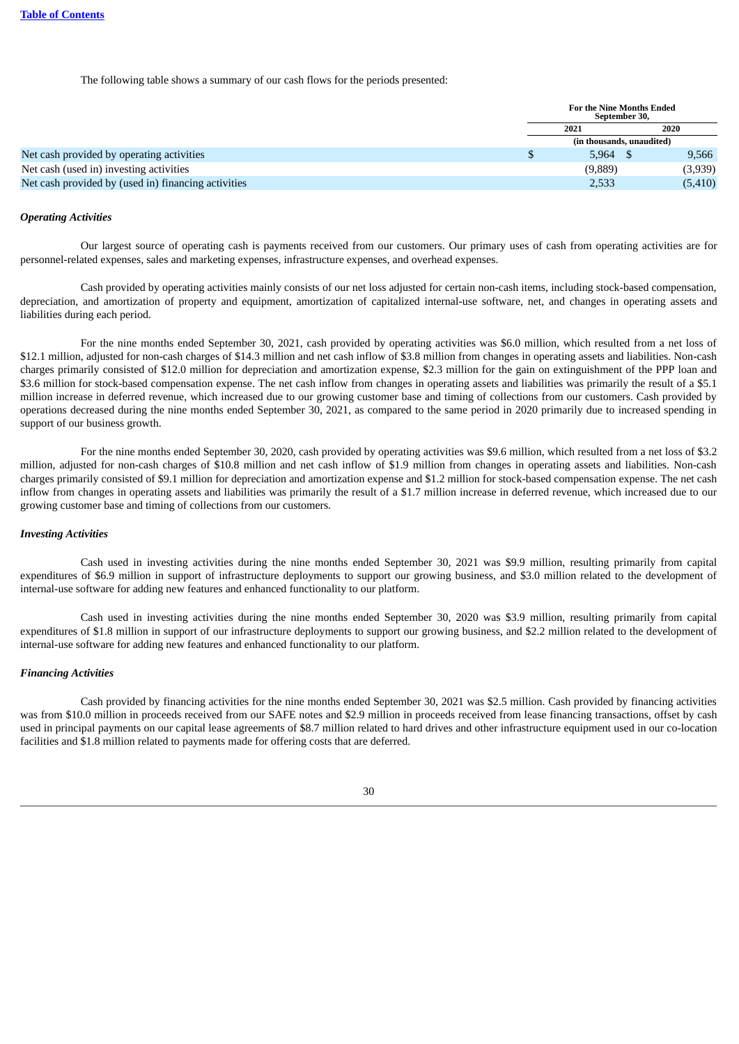The following table shows a summary of our cash flows for the periods presented:

|                                                     | <b>For the Nine Months Ended</b><br>September 30, |          |  |
|-----------------------------------------------------|---------------------------------------------------|----------|--|
|                                                     | 2021                                              | 2020     |  |
|                                                     | (in thousands, unaudited)                         |          |  |
| Net cash provided by operating activities           | 5.964                                             | 9,566    |  |
| Net cash (used in) investing activities             | (9,889)                                           | (3,939)  |  |
| Net cash provided by (used in) financing activities | 2,533                                             | (5, 410) |  |

#### *Operating Activities*

Our largest source of operating cash is payments received from our customers. Our primary uses of cash from operating activities are for personnel-related expenses, sales and marketing expenses, infrastructure expenses, and overhead expenses.

Cash provided by operating activities mainly consists of our net loss adjusted for certain non-cash items, including stock-based compensation, depreciation, and amortization of property and equipment, amortization of capitalized internal-use software, net, and changes in operating assets and liabilities during each period.

For the nine months ended September 30, 2021, cash provided by operating activities was \$6.0 million, which resulted from a net loss of \$12.1 million, adjusted for non-cash charges of \$14.3 million and net cash inflow of \$3.8 million from changes in operating assets and liabilities. Non-cash charges primarily consisted of \$12.0 million for depreciation and amortization expense, \$2.3 million for the gain on extinguishment of the PPP loan and \$3.6 million for stock-based compensation expense. The net cash inflow from changes in operating assets and liabilities was primarily the result of a \$5.1 million increase in deferred revenue, which increased due to our growing customer base and timing of collections from our customers. Cash provided by operations decreased during the nine months ended September 30, 2021, as compared to the same period in 2020 primarily due to increased spending in support of our business growth.

For the nine months ended September 30, 2020, cash provided by operating activities was \$9.6 million, which resulted from a net loss of \$3.2 million, adjusted for non-cash charges of \$10.8 million and net cash inflow of \$1.9 million from changes in operating assets and liabilities. Non-cash charges primarily consisted of \$9.1 million for depreciation and amortization expense and \$1.2 million for stock-based compensation expense. The net cash inflow from changes in operating assets and liabilities was primarily the result of a \$1.7 million increase in deferred revenue, which increased due to our growing customer base and timing of collections from our customers.

#### *Investing Activities*

Cash used in investing activities during the nine months ended September 30, 2021 was \$9.9 million, resulting primarily from capital expenditures of \$6.9 million in support of infrastructure deployments to support our growing business, and \$3.0 million related to the development of internal-use software for adding new features and enhanced functionality to our platform.

Cash used in investing activities during the nine months ended September 30, 2020 was \$3.9 million, resulting primarily from capital expenditures of \$1.8 million in support of our infrastructure deployments to support our growing business, and \$2.2 million related to the development of internal-use software for adding new features and enhanced functionality to our platform.

#### *Financing Activities*

Cash provided by financing activities for the nine months ended September 30, 2021 was \$2.5 million. Cash provided by financing activities was from \$10.0 million in proceeds received from our SAFE notes and \$2.9 million in proceeds received from lease financing transactions, offset by cash used in principal payments on our capital lease agreements of \$8.7 million related to hard drives and other infrastructure equipment used in our co-location facilities and \$1.8 million related to payments made for offering costs that are deferred.

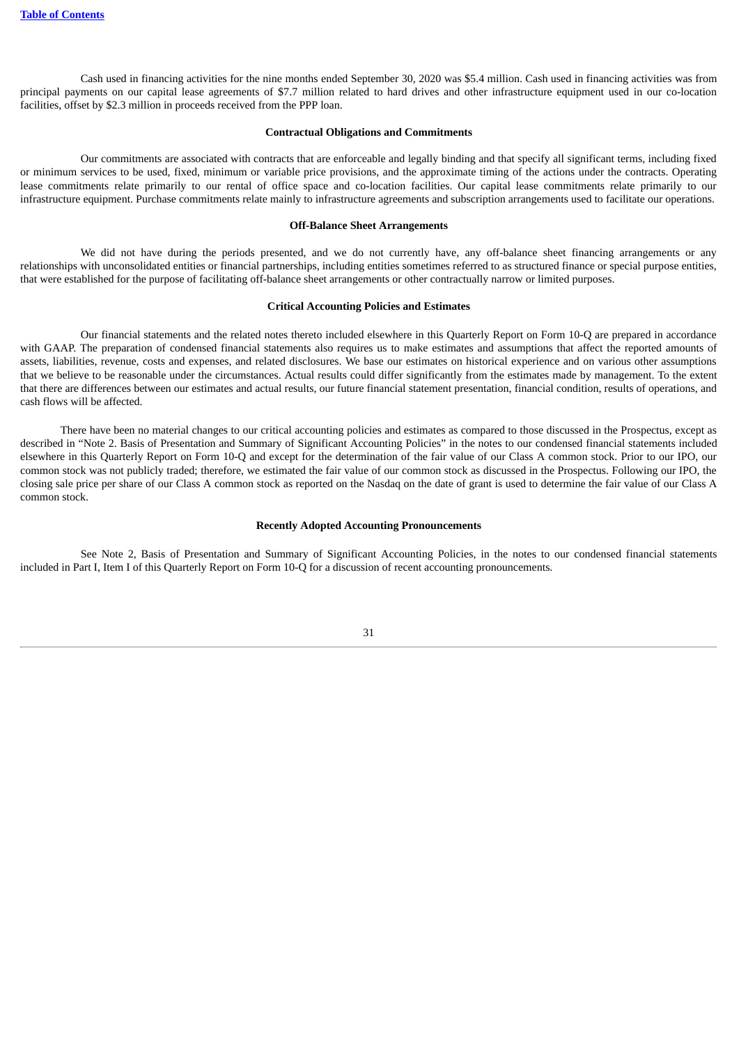Cash used in financing activities for the nine months ended September 30, 2020 was \$5.4 million. Cash used in financing activities was from principal payments on our capital lease agreements of \$7.7 million related to hard drives and other infrastructure equipment used in our co-location facilities, offset by \$2.3 million in proceeds received from the PPP loan.

#### **Contractual Obligations and Commitments**

Our commitments are associated with contracts that are enforceable and legally binding and that specify all significant terms, including fixed or minimum services to be used, fixed, minimum or variable price provisions, and the approximate timing of the actions under the contracts. Operating lease commitments relate primarily to our rental of office space and co-location facilities. Our capital lease commitments relate primarily to our infrastructure equipment. Purchase commitments relate mainly to infrastructure agreements and subscription arrangements used to facilitate our operations.

#### **Off-Balance Sheet Arrangements**

We did not have during the periods presented, and we do not currently have, any off-balance sheet financing arrangements or any relationships with unconsolidated entities or financial partnerships, including entities sometimes referred to as structured finance or special purpose entities, that were established for the purpose of facilitating off-balance sheet arrangements or other contractually narrow or limited purposes.

#### **Critical Accounting Policies and Estimates**

Our financial statements and the related notes thereto included elsewhere in this Quarterly Report on Form 10-Q are prepared in accordance with GAAP. The preparation of condensed financial statements also requires us to make estimates and assumptions that affect the reported amounts of assets, liabilities, revenue, costs and expenses, and related disclosures. We base our estimates on historical experience and on various other assumptions that we believe to be reasonable under the circumstances. Actual results could differ significantly from the estimates made by management. To the extent that there are differences between our estimates and actual results, our future financial statement presentation, financial condition, results of operations, and cash flows will be affected.

There have been no material changes to our critical accounting policies and estimates as compared to those discussed in the Prospectus, except as described in "Note 2. Basis of Presentation and Summary of Significant Accounting Policies" in the notes to our condensed financial statements included elsewhere in this Quarterly Report on Form 10-Q and except for the determination of the fair value of our Class A common stock. Prior to our IPO, our common stock was not publicly traded; therefore, we estimated the fair value of our common stock as discussed in the Prospectus. Following our IPO, the closing sale price per share of our Class A common stock as reported on the Nasdaq on the date of grant is used to determine the fair value of our Class A common stock.

#### **Recently Adopted Accounting Pronouncements**

See Note 2, Basis of Presentation and Summary of Significant Accounting Policies, in the notes to our condensed financial statements included in Part I, Item I of this Quarterly Report on Form 10-Q for a discussion of recent accounting pronouncements.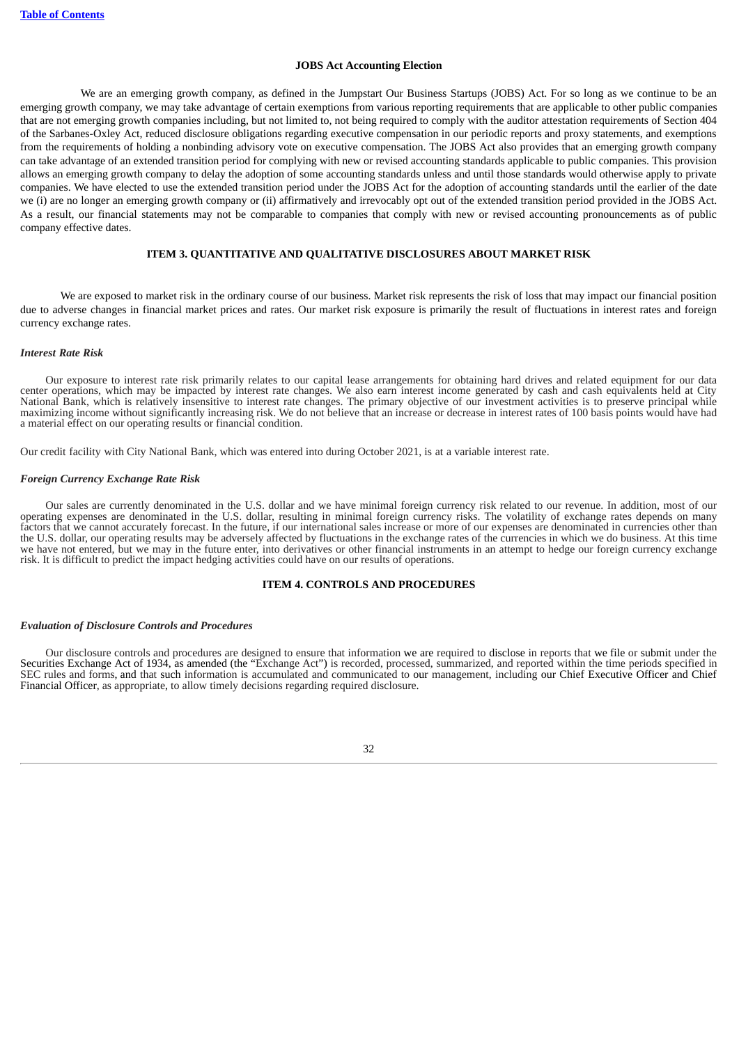## **JOBS Act Accounting Election**

We are an emerging growth company, as defined in the Jumpstart Our Business Startups (JOBS) Act. For so long as we continue to be an emerging growth company, we may take advantage of certain exemptions from various reporting requirements that are applicable to other public companies that are not emerging growth companies including, but not limited to, not being required to comply with the auditor attestation requirements of Section 404 of the Sarbanes-Oxley Act, reduced disclosure obligations regarding executive compensation in our periodic reports and proxy statements, and exemptions from the requirements of holding a nonbinding advisory vote on executive compensation. The JOBS Act also provides that an emerging growth company can take advantage of an extended transition period for complying with new or revised accounting standards applicable to public companies. This provision allows an emerging growth company to delay the adoption of some accounting standards unless and until those standards would otherwise apply to private companies. We have elected to use the extended transition period under the JOBS Act for the adoption of accounting standards until the earlier of the date we (i) are no longer an emerging growth company or (ii) affirmatively and irrevocably opt out of the extended transition period provided in the JOBS Act. As a result, our financial statements may not be comparable to companies that comply with new or revised accounting pronouncements as of public company effective dates.

## **ITEM 3. QUANTITATIVE AND QUALITATIVE DISCLOSURES ABOUT MARKET RISK**

<span id="page-35-0"></span>We are exposed to market risk in the ordinary course of our business. Market risk represents the risk of loss that may impact our financial position due to adverse changes in financial market prices and rates. Our market risk exposure is primarily the result of fluctuations in interest rates and foreign currency exchange rates.

#### *Interest Rate Risk*

Our exposure to interest rate risk primarily relates to our capital lease arrangements for obtaining hard drives and related equipment for our data center operations, which may be impacted by interest rate changes. We also earn interest income generated by cash and cash equivalents held at City National Bank, which is relatively insensitive to interest rate changes. The primary objective of our investment activities is to preserve principal while maximizing income without significantly increasing risk. We do not believe that an increase or decrease in interest rates of 100 basis points would have had a material effect on our operating results or financial condition.

Our credit facility with City National Bank, which was entered into during October 2021, is at a variable interest rate.

#### *Foreign Currency Exchange Rate Risk*

Our sales are currently denominated in the U.S. dollar and we have minimal foreign currency risk related to our revenue. In addition, most of our operating expenses are denominated in the U.S. dollar, resulting in minimal foreign currency risks. The volatility of exchange rates depends on many factors that we cannot accurately forecast. In the future, if our international sales increase or more of our expenses are denominated in currencies other than the U.S. dollar, our operating results may be adversely affected by fluctuations in the exchange rates of the currencies in which we do business. At this time we have not entered, but we may in the future enter, into derivatives or other financial instruments in an attempt to hedge our foreign currency exchange risk. It is difficult to predict the impact hedging activities could have on our results of operations.

### **ITEM 4. CONTROLS AND PROCEDURES**

#### <span id="page-35-1"></span>*Evaluation of Disclosure Controls and Procedures*

Our disclosure controls and procedures are designed to ensure that information we are required to disclose in reports that we file or submit under the Securities Exchange Act of 1934, as amended (the "Exchange Act") is recorded, processed, summarized, and reported within the time periods specified in SEC rules and forms, and that such information is accumulated and communicated to our management, including our Chief Executive Officer and Chief Financial Officer, as appropriate, to allow timely decisions regarding required disclosure.

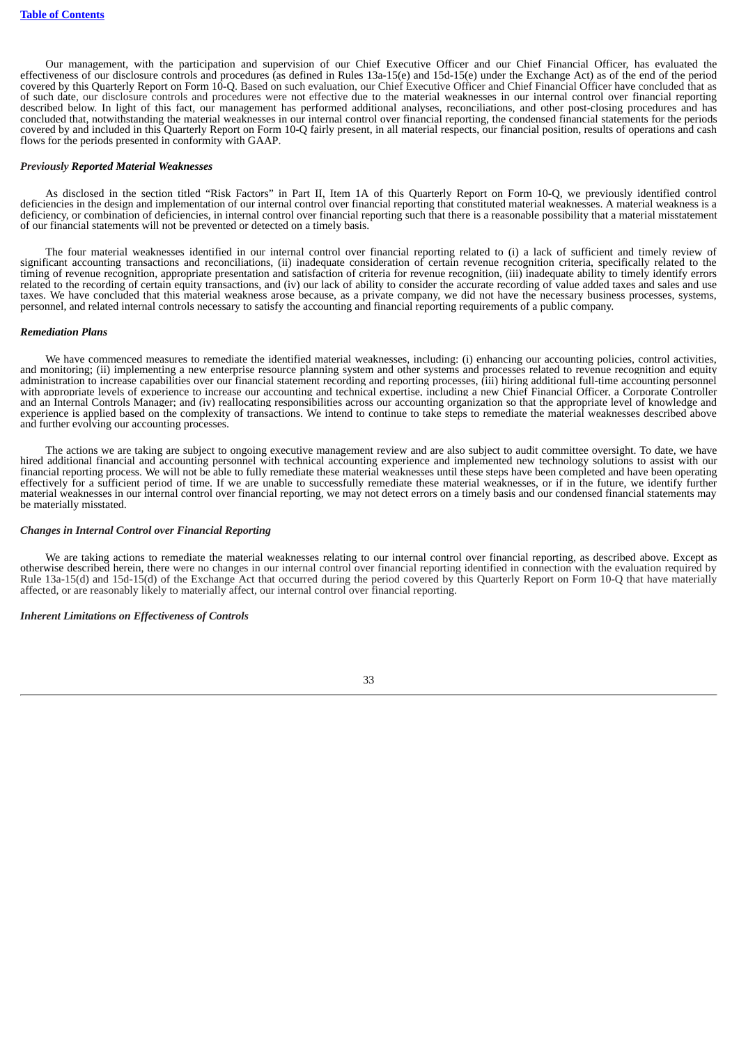Our management, with the participation and supervision of our Chief Executive Officer and our Chief Financial Officer, has evaluated the effectiveness of our disclosure controls and procedures (as defined in Rules 13a-15(e) and 15d-15(e) under the Exchange Act) as of the end of the period covered by this Quarterly Report on Form 10-Q. Based on such evaluation, our Chief Executive Officer and Chief Financial Officer have concluded that as of such date, our disclosure controls and procedures were not effective due to the material weaknesses in our internal control over financial reporting described below. In light of this fact, our management has performed additional analyses, reconciliations, and other post-closing procedures and has concluded that, notwithstanding the material weaknesses in our internal control over financial reporting, the condensed financial statements for the periods covered by and included in this Quarterly Report on Form 10-Q fairly present, in all material respects, our financial position, results of operations and cash flows for the periods presented in conformity with GAAP.

#### *Previously Reported Material Weaknesses*

As disclosed in the section titled "Risk Factors" in Part II, Item 1A of this Quarterly Report on Form 10-Q, we previously identified control deficiencies in the design and implementation of our internal control over financial reporting that constituted material weaknesses. A material weakness is a deficiency, or combination of deficiencies, in internal control over financial reporting such that there is a reasonable possibility that a material misstatement of our financial statements will not be prevented or detected on a timely basis.

The four material weaknesses identified in our internal control over financial reporting related to (i) a lack of sufficient and timely review of significant accounting transactions and reconciliations, (ii) inadequate consideration of certain revenue recognition criteria, specifically related to the timing of revenue recognition, appropriate presentation and satisfaction of criteria for revenue recognition, (iii) inadequate ability to timely identify errors related to the recording of certain equity transactions, and (iv) our lack of ability to consider the accurate recording of value added taxes and sales and use taxes. We have concluded that this material weakness arose because, as a private company, we did not have the necessary business processes, systems, personnel, and related internal controls necessary to satisfy the accounting and financial reporting requirements of a public company.

#### *Remediation Plans*

We have commenced measures to remediate the identified material weaknesses, including: (i) enhancing our accounting policies, control activities, and monitoring; (ii) implementing a new enterprise resource planning system and other systems and processes related to revenue recognition and equity administration to increase capabilities over our financial statement recording and reporting processes, (iii) hiring additional full-time accounting personnel with appropriate levels of experience to increase our accounting and technical expertise, including a new Chief Financial Officer, a Corporate Controller and an Internal Controls Manager; and (iv) reallocating responsibilities across our accounting organization so that the appropriate level of knowledge and experience is applied based on the complexity of transactions. We intend to continue to take steps to remediate the material weaknesses described above and further evolving our accounting processes.

The actions we are taking are subject to ongoing executive management review and are also subject to audit committee oversight. To date, we have hired additional financial and accounting personnel with technical accounting experience and implemented new technology solutions to assist with our financial reporting process. We will not be able to fully remediate these material weaknesses until these steps have been completed and have been operating effectively for a sufficient period of time. If we are unable to successfully remediate these material weaknesses, or if in the future, we identify further material weaknesses in our internal control over financial reporting, we may not detect errors on a timely basis and our condensed financial statements may be materially misstated.

#### *Changes in Internal Control over Financial Reporting*

We are taking actions to remediate the material weaknesses relating to our internal control over financial reporting, as described above. Except as otherwise described herein, there were no changes in our internal control over financial reporting identified in connection with the evaluation required by Rule 13a-15(d) and 15d-15(d) of the Exchange Act that occurred during the period covered by this Quarterly Report on Form 10-Q that have materially affected, or are reasonably likely to materially affect, our internal control over financial reporting.

## *Inherent Limitations on Effectiveness of Controls*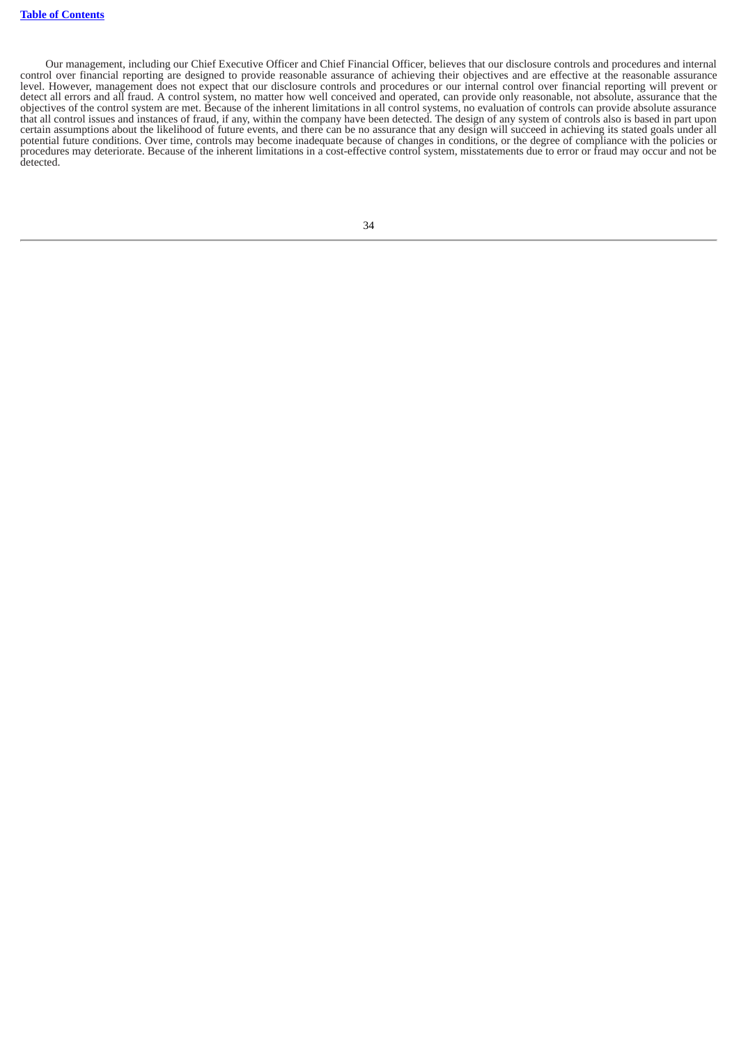Our management, including our Chief Executive Officer and Chief Financial Officer, believes that our disclosure controls and procedures and internal control over financial reporting are designed to provide reasonable assurance of achieving their objectives and are effective at the reasonable assurance level. However, management does not expect that our disclosure controls and procedures or our internal control over financial reporting will prevent or detect all errors and all fraud. A control system, no matter how well conceived and operated, can provide only reasonable, not absolute, assurance that the objectives of the control system are met. Because of the inherent limitations in all control systems, no evaluation of controls can provide absolute assurance that all control issues and instances of fraud, if any, within the company have been detected. The design of any system of controls also is based in part upon certain assumptions about the likelihood of future events, and there can be no assurance that any design will succeed in achieving its stated goals under all potential future conditions. Over time, controls may become inadequate because of changes in conditions, or the degree of compliance with the policies or procedures may deteriorate. Because of the inherent limitations in a cost-effective control system, misstatements due to error or fraud may occur and not be detected.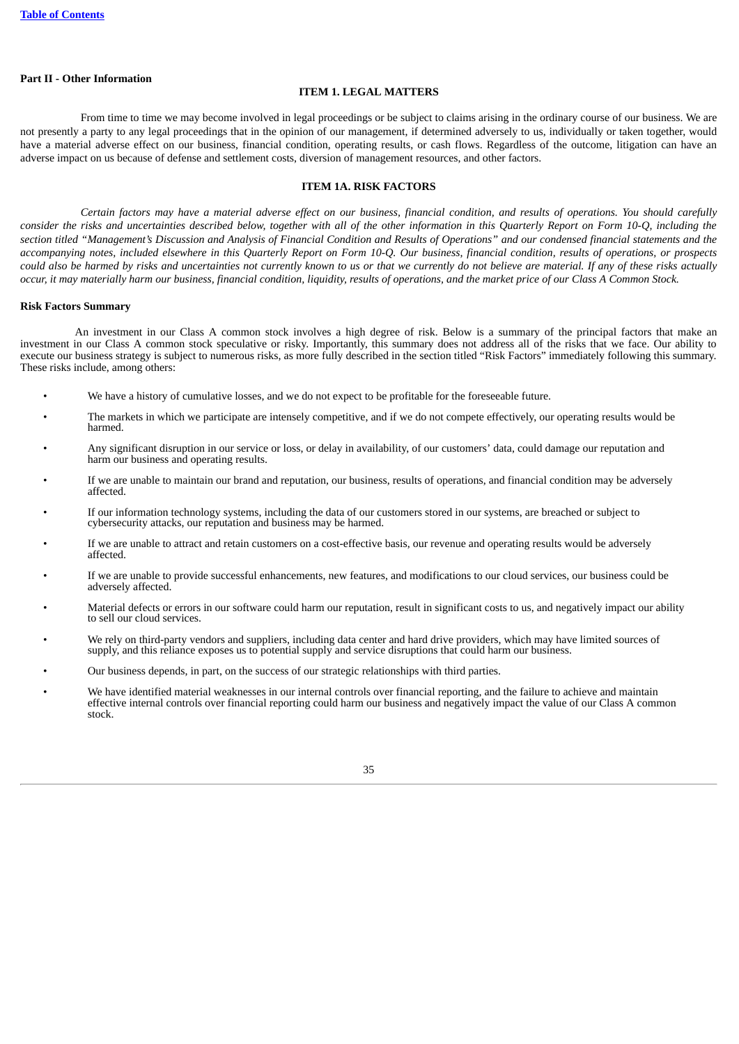## **Part II - Other Information**

## **ITEM 1. LEGAL MATTERS**

From time to time we may become involved in legal proceedings or be subject to claims arising in the ordinary course of our business. We are not presently a party to any legal proceedings that in the opinion of our management, if determined adversely to us, individually or taken together, would have a material adverse effect on our business, financial condition, operating results, or cash flows. Regardless of the outcome, litigation can have an adverse impact on us because of defense and settlement costs, diversion of management resources, and other factors.

#### **ITEM 1A. RISK FACTORS**

Certain factors may have a material adverse effect on our business, financial condition, and results of operations. You should carefully consider the risks and uncertainties described below, together with all of the other information in this Quarterly Report on Form 10-O, including the section titled "Management's Discussion and Analysis of Financial Condition and Results of Operations" and our condensed financial statements and the accompanying notes, included elsewhere in this Quarterly Report on Form 10-Q. Our business, financial condition, results of operations, or prospects could also be harmed by risks and uncertainties not currently known to us or that we currently do not believe are material. If any of these risks actually occur, it may materially harm our business, financial condition, liquidity, results of operations, and the market price of our Class A Common Stock.

#### **Risk Factors Summary**

An investment in our Class A common stock involves a high degree of risk. Below is a summary of the principal factors that make an investment in our Class A common stock speculative or risky. Importantly, this summary does not address all of the risks that we face. Our ability to execute our business strategy is subject to numerous risks, as more fully described in the section titled "Risk Factors" immediately following this summary. These risks include, among others:

- We have a history of cumulative losses, and we do not expect to be profitable for the foreseeable future.
- The markets in which we participate are intensely competitive, and if we do not compete effectively, our operating results would be harmed.
- Any significant disruption in our service or loss, or delay in availability, of our customers' data, could damage our reputation and harm our business and operating results.
- If we are unable to maintain our brand and reputation, our business, results of operations, and financial condition may be adversely affected.
- If our information technology systems, including the data of our customers stored in our systems, are breached or subject to cybersecurity attacks, our reputation and business may be harmed.
- If we are unable to attract and retain customers on a cost-effective basis, our revenue and operating results would be adversely affected.
- If we are unable to provide successful enhancements, new features, and modifications to our cloud services, our business could be adversely affected.
- Material defects or errors in our software could harm our reputation, result in significant costs to us, and negatively impact our ability to sell our cloud services.
- We rely on third-party vendors and suppliers, including data center and hard drive providers, which may have limited sources of supply, and this reliance exposes us to potential supply and service disruptions that could harm our business.
- Our business depends, in part, on the success of our strategic relationships with third parties.
- We have identified material weaknesses in our internal controls over financial reporting, and the failure to achieve and maintain effective internal controls over financial reporting could harm our business and negatively impact the value of our Class A common stock.

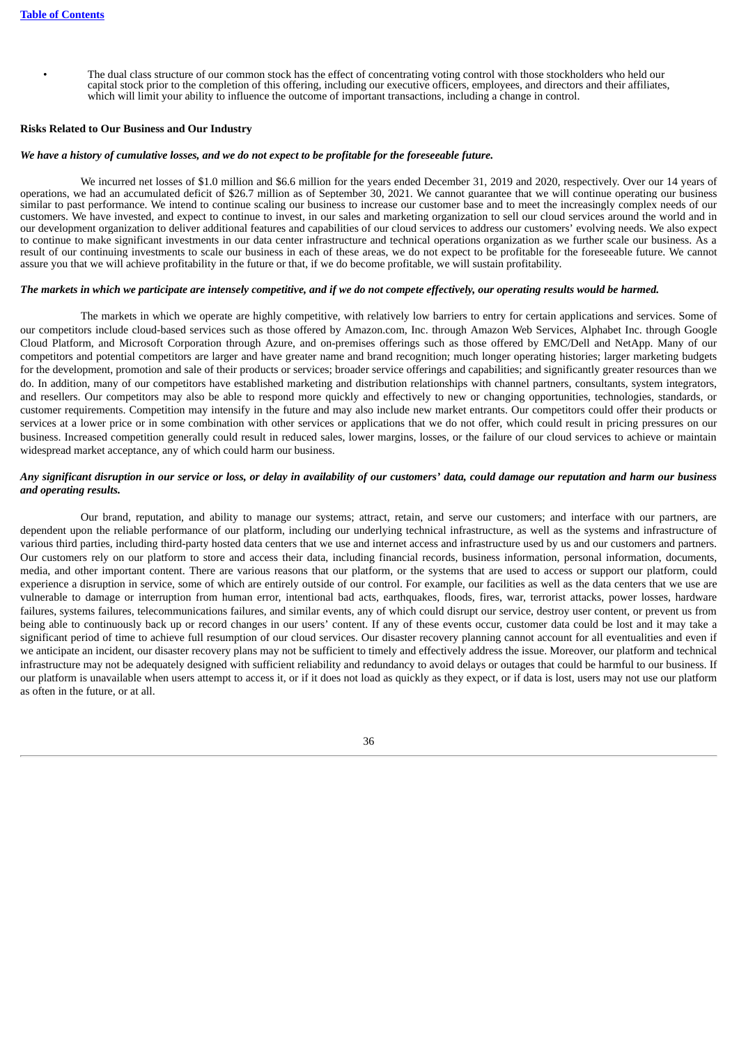The dual class structure of our common stock has the effect of concentrating voting control with those stockholders who held our capital stock prior to the completion of this offering, including our executive officers, employees, and directors and their affiliates, which will limit your ability to influence the outcome of important transactions, including a change in control.

## **Risks Related to Our Business and Our Industry**

#### We have a history of cumulative losses, and we do not expect to be profitable for the foreseeable future.

We incurred net losses of \$1.0 million and \$6.6 million for the years ended December 31, 2019 and 2020, respectively. Over our 14 years of operations, we had an accumulated deficit of \$26.7 million as of September 30, 2021. We cannot guarantee that we will continue operating our business similar to past performance. We intend to continue scaling our business to increase our customer base and to meet the increasingly complex needs of our customers. We have invested, and expect to continue to invest, in our sales and marketing organization to sell our cloud services around the world and in our development organization to deliver additional features and capabilities of our cloud services to address our customers' evolving needs. We also expect to continue to make significant investments in our data center infrastructure and technical operations organization as we further scale our business. As a result of our continuing investments to scale our business in each of these areas, we do not expect to be profitable for the foreseeable future. We cannot assure you that we will achieve profitability in the future or that, if we do become profitable, we will sustain profitability.

#### The markets in which we participate are intensely competitive, and if we do not compete effectively, our operating results would be harmed.

The markets in which we operate are highly competitive, with relatively low barriers to entry for certain applications and services. Some of our competitors include cloud-based services such as those offered by Amazon.com, Inc. through Amazon Web Services, Alphabet Inc. through Google Cloud Platform, and Microsoft Corporation through Azure, and on-premises offerings such as those offered by EMC/Dell and NetApp. Many of our competitors and potential competitors are larger and have greater name and brand recognition; much longer operating histories; larger marketing budgets for the development, promotion and sale of their products or services; broader service offerings and capabilities; and significantly greater resources than we do. In addition, many of our competitors have established marketing and distribution relationships with channel partners, consultants, system integrators, and resellers. Our competitors may also be able to respond more quickly and effectively to new or changing opportunities, technologies, standards, or customer requirements. Competition may intensify in the future and may also include new market entrants. Our competitors could offer their products or services at a lower price or in some combination with other services or applications that we do not offer, which could result in pricing pressures on our business. Increased competition generally could result in reduced sales, lower margins, losses, or the failure of our cloud services to achieve or maintain widespread market acceptance, any of which could harm our business.

## Any significant disruption in our service or loss, or delay in availability of our customers' data, could damage our reputation and harm our business *and operating results.*

Our brand, reputation, and ability to manage our systems; attract, retain, and serve our customers; and interface with our partners, are dependent upon the reliable performance of our platform, including our underlying technical infrastructure, as well as the systems and infrastructure of various third parties, including third-party hosted data centers that we use and internet access and infrastructure used by us and our customers and partners. Our customers rely on our platform to store and access their data, including financial records, business information, personal information, documents, media, and other important content. There are various reasons that our platform, or the systems that are used to access or support our platform, could experience a disruption in service, some of which are entirely outside of our control. For example, our facilities as well as the data centers that we use are vulnerable to damage or interruption from human error, intentional bad acts, earthquakes, floods, fires, war, terrorist attacks, power losses, hardware failures, systems failures, telecommunications failures, and similar events, any of which could disrupt our service, destroy user content, or prevent us from being able to continuously back up or record changes in our users' content. If any of these events occur, customer data could be lost and it may take a significant period of time to achieve full resumption of our cloud services. Our disaster recovery planning cannot account for all eventualities and even if we anticipate an incident, our disaster recovery plans may not be sufficient to timely and effectively address the issue. Moreover, our platform and technical infrastructure may not be adequately designed with sufficient reliability and redundancy to avoid delays or outages that could be harmful to our business. If our platform is unavailable when users attempt to access it, or if it does not load as quickly as they expect, or if data is lost, users may not use our platform as often in the future, or at all.

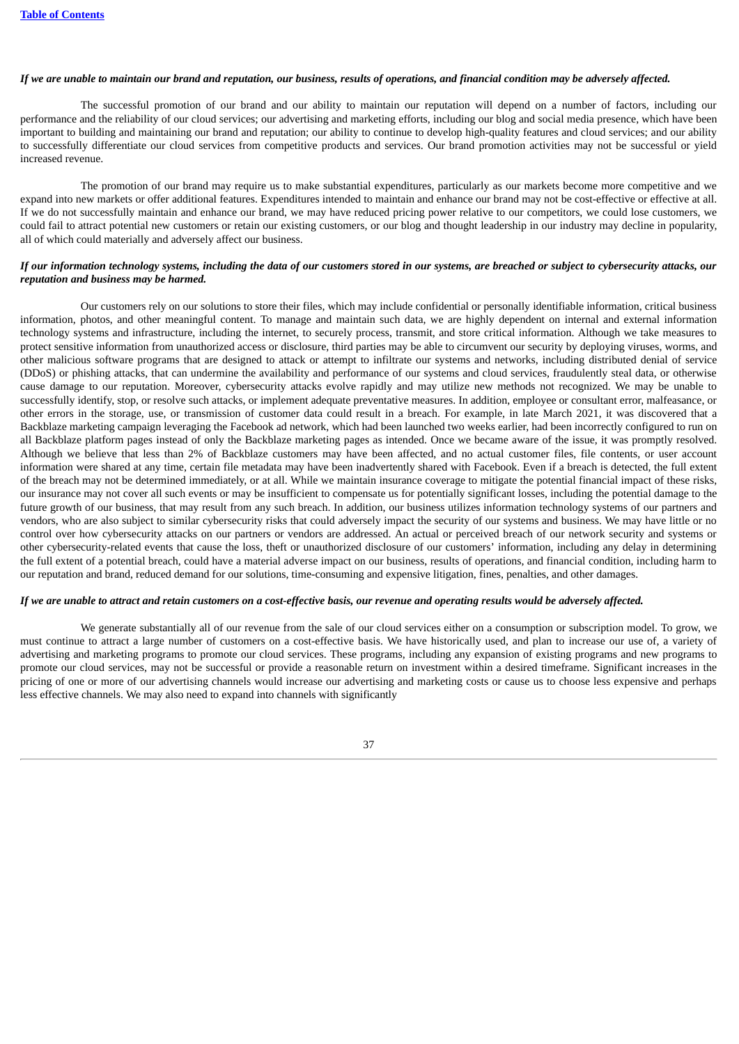## If we are unable to maintain our brand and reputation, our business, results of operations, and financial condition may be adversely affected.

The successful promotion of our brand and our ability to maintain our reputation will depend on a number of factors, including our performance and the reliability of our cloud services; our advertising and marketing efforts, including our blog and social media presence, which have been important to building and maintaining our brand and reputation; our ability to continue to develop high-quality features and cloud services; and our ability to successfully differentiate our cloud services from competitive products and services. Our brand promotion activities may not be successful or yield increased revenue.

The promotion of our brand may require us to make substantial expenditures, particularly as our markets become more competitive and we expand into new markets or offer additional features. Expenditures intended to maintain and enhance our brand may not be cost-effective or effective at all. If we do not successfully maintain and enhance our brand, we may have reduced pricing power relative to our competitors, we could lose customers, we could fail to attract potential new customers or retain our existing customers, or our blog and thought leadership in our industry may decline in popularity, all of which could materially and adversely affect our business.

## If our information technology systems, including the data of our customers stored in our systems, are breached or subject to cybersecurity attacks, our *reputation and business may be harmed.*

Our customers rely on our solutions to store their files, which may include confidential or personally identifiable information, critical business information, photos, and other meaningful content. To manage and maintain such data, we are highly dependent on internal and external information technology systems and infrastructure, including the internet, to securely process, transmit, and store critical information. Although we take measures to protect sensitive information from unauthorized access or disclosure, third parties may be able to circumvent our security by deploying viruses, worms, and other malicious software programs that are designed to attack or attempt to infiltrate our systems and networks, including distributed denial of service (DDoS) or phishing attacks, that can undermine the availability and performance of our systems and cloud services, fraudulently steal data, or otherwise cause damage to our reputation. Moreover, cybersecurity attacks evolve rapidly and may utilize new methods not recognized. We may be unable to successfully identify, stop, or resolve such attacks, or implement adequate preventative measures. In addition, employee or consultant error, malfeasance, or other errors in the storage, use, or transmission of customer data could result in a breach. For example, in late March 2021, it was discovered that a Backblaze marketing campaign leveraging the Facebook ad network, which had been launched two weeks earlier, had been incorrectly configured to run on all Backblaze platform pages instead of only the Backblaze marketing pages as intended. Once we became aware of the issue, it was promptly resolved. Although we believe that less than 2% of Backblaze customers may have been affected, and no actual customer files, file contents, or user account information were shared at any time, certain file metadata may have been inadvertently shared with Facebook. Even if a breach is detected, the full extent of the breach may not be determined immediately, or at all. While we maintain insurance coverage to mitigate the potential financial impact of these risks, our insurance may not cover all such events or may be insufficient to compensate us for potentially significant losses, including the potential damage to the future growth of our business, that may result from any such breach. In addition, our business utilizes information technology systems of our partners and vendors, who are also subject to similar cybersecurity risks that could adversely impact the security of our systems and business. We may have little or no control over how cybersecurity attacks on our partners or vendors are addressed. An actual or perceived breach of our network security and systems or other cybersecurity-related events that cause the loss, theft or unauthorized disclosure of our customers' information, including any delay in determining the full extent of a potential breach, could have a material adverse impact on our business, results of operations, and financial condition, including harm to our reputation and brand, reduced demand for our solutions, time-consuming and expensive litigation, fines, penalties, and other damages.

#### If we are unable to attract and retain customers on a cost-effective basis, our revenue and operating results would be adversely affected.

We generate substantially all of our revenue from the sale of our cloud services either on a consumption or subscription model. To grow, we must continue to attract a large number of customers on a cost-effective basis. We have historically used, and plan to increase our use of, a variety of advertising and marketing programs to promote our cloud services. These programs, including any expansion of existing programs and new programs to promote our cloud services, may not be successful or provide a reasonable return on investment within a desired timeframe. Significant increases in the pricing of one or more of our advertising channels would increase our advertising and marketing costs or cause us to choose less expensive and perhaps less effective channels. We may also need to expand into channels with significantly

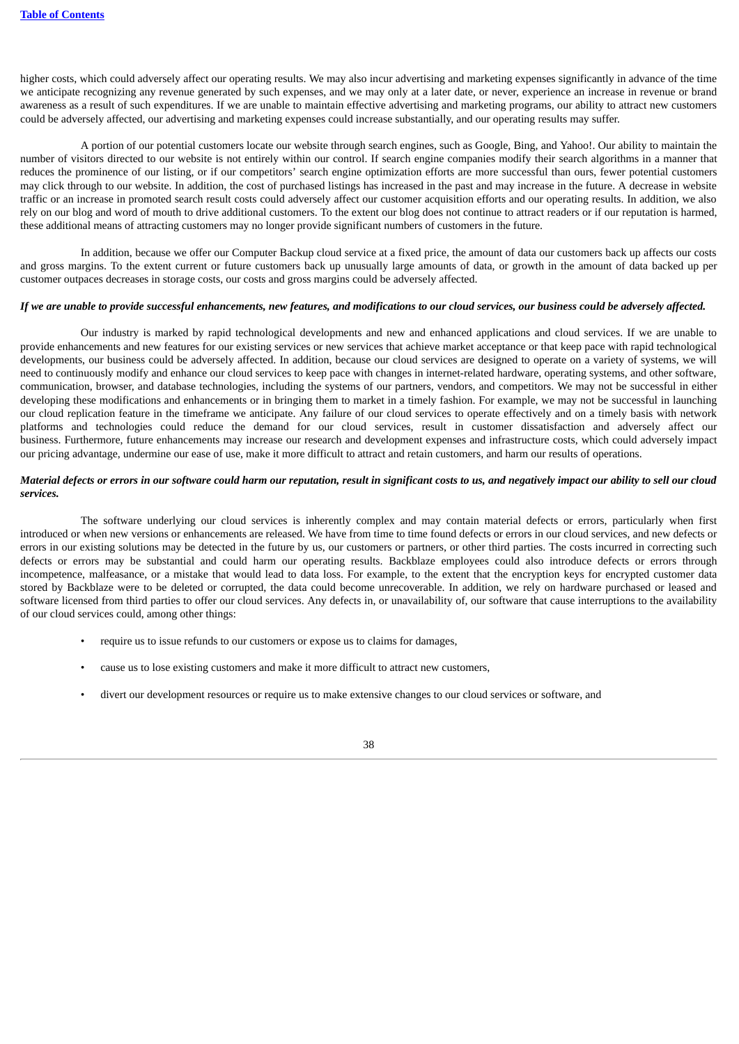higher costs, which could adversely affect our operating results. We may also incur advertising and marketing expenses significantly in advance of the time we anticipate recognizing any revenue generated by such expenses, and we may only at a later date, or never, experience an increase in revenue or brand awareness as a result of such expenditures. If we are unable to maintain effective advertising and marketing programs, our ability to attract new customers could be adversely affected, our advertising and marketing expenses could increase substantially, and our operating results may suffer.

A portion of our potential customers locate our website through search engines, such as Google, Bing, and Yahoo!. Our ability to maintain the number of visitors directed to our website is not entirely within our control. If search engine companies modify their search algorithms in a manner that reduces the prominence of our listing, or if our competitors' search engine optimization efforts are more successful than ours, fewer potential customers may click through to our website. In addition, the cost of purchased listings has increased in the past and may increase in the future. A decrease in website traffic or an increase in promoted search result costs could adversely affect our customer acquisition efforts and our operating results. In addition, we also rely on our blog and word of mouth to drive additional customers. To the extent our blog does not continue to attract readers or if our reputation is harmed, these additional means of attracting customers may no longer provide significant numbers of customers in the future.

In addition, because we offer our Computer Backup cloud service at a fixed price, the amount of data our customers back up affects our costs and gross margins. To the extent current or future customers back up unusually large amounts of data, or growth in the amount of data backed up per customer outpaces decreases in storage costs, our costs and gross margins could be adversely affected.

## If we are unable to provide successful enhancements, new features, and modifications to our cloud services, our business could be adversely affected.

Our industry is marked by rapid technological developments and new and enhanced applications and cloud services. If we are unable to provide enhancements and new features for our existing services or new services that achieve market acceptance or that keep pace with rapid technological developments, our business could be adversely affected. In addition, because our cloud services are designed to operate on a variety of systems, we will need to continuously modify and enhance our cloud services to keep pace with changes in internet-related hardware, operating systems, and other software, communication, browser, and database technologies, including the systems of our partners, vendors, and competitors. We may not be successful in either developing these modifications and enhancements or in bringing them to market in a timely fashion. For example, we may not be successful in launching our cloud replication feature in the timeframe we anticipate. Any failure of our cloud services to operate effectively and on a timely basis with network platforms and technologies could reduce the demand for our cloud services, result in customer dissatisfaction and adversely affect our business. Furthermore, future enhancements may increase our research and development expenses and infrastructure costs, which could adversely impact our pricing advantage, undermine our ease of use, make it more difficult to attract and retain customers, and harm our results of operations.

## Material defects or errors in our software could harm our reputation, result in significant costs to us, and negatively impact our ability to sell our cloud *services.*

The software underlying our cloud services is inherently complex and may contain material defects or errors, particularly when first introduced or when new versions or enhancements are released. We have from time to time found defects or errors in our cloud services, and new defects or errors in our existing solutions may be detected in the future by us, our customers or partners, or other third parties. The costs incurred in correcting such defects or errors may be substantial and could harm our operating results. Backblaze employees could also introduce defects or errors through incompetence, malfeasance, or a mistake that would lead to data loss. For example, to the extent that the encryption keys for encrypted customer data stored by Backblaze were to be deleted or corrupted, the data could become unrecoverable. In addition, we rely on hardware purchased or leased and software licensed from third parties to offer our cloud services. Any defects in, or unavailability of, our software that cause interruptions to the availability of our cloud services could, among other things:

- require us to issue refunds to our customers or expose us to claims for damages,
- cause us to lose existing customers and make it more difficult to attract new customers,
- divert our development resources or require us to make extensive changes to our cloud services or software, and

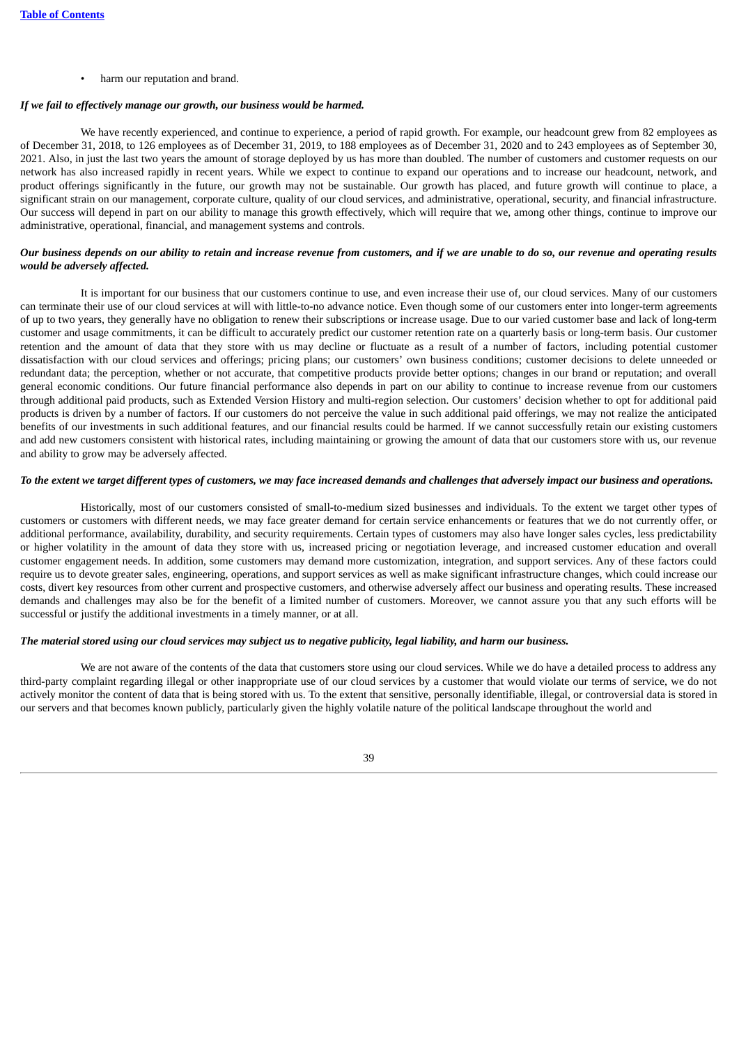harm our reputation and brand.

#### *If we fail to effectively manage our growth, our business would be harmed.*

We have recently experienced, and continue to experience, a period of rapid growth. For example, our headcount grew from 82 employees as of December 31, 2018, to 126 employees as of December 31, 2019, to 188 employees as of December 31, 2020 and to 243 employees as of September 30, 2021. Also, in just the last two years the amount of storage deployed by us has more than doubled. The number of customers and customer requests on our network has also increased rapidly in recent years. While we expect to continue to expand our operations and to increase our headcount, network, and product offerings significantly in the future, our growth may not be sustainable. Our growth has placed, and future growth will continue to place, a significant strain on our management, corporate culture, quality of our cloud services, and administrative, operational, security, and financial infrastructure. Our success will depend in part on our ability to manage this growth effectively, which will require that we, among other things, continue to improve our administrative, operational, financial, and management systems and controls.

## Our business depends on our ability to retain and increase revenue from customers, and if we are unable to do so, our revenue and operating results *would be adversely affected.*

It is important for our business that our customers continue to use, and even increase their use of, our cloud services. Many of our customers can terminate their use of our cloud services at will with little-to-no advance notice. Even though some of our customers enter into longer-term agreements of up to two years, they generally have no obligation to renew their subscriptions or increase usage. Due to our varied customer base and lack of long-term customer and usage commitments, it can be difficult to accurately predict our customer retention rate on a quarterly basis or long-term basis. Our customer retention and the amount of data that they store with us may decline or fluctuate as a result of a number of factors, including potential customer dissatisfaction with our cloud services and offerings; pricing plans; our customers' own business conditions; customer decisions to delete unneeded or redundant data; the perception, whether or not accurate, that competitive products provide better options; changes in our brand or reputation; and overall general economic conditions. Our future financial performance also depends in part on our ability to continue to increase revenue from our customers through additional paid products, such as Extended Version History and multi-region selection. Our customers' decision whether to opt for additional paid products is driven by a number of factors. If our customers do not perceive the value in such additional paid offerings, we may not realize the anticipated benefits of our investments in such additional features, and our financial results could be harmed. If we cannot successfully retain our existing customers and add new customers consistent with historical rates, including maintaining or growing the amount of data that our customers store with us, our revenue and ability to grow may be adversely affected.

# To the extent we target different types of customers, we may face increased demands and challenges that adversely impact our business and operations.

Historically, most of our customers consisted of small-to-medium sized businesses and individuals. To the extent we target other types of customers or customers with different needs, we may face greater demand for certain service enhancements or features that we do not currently offer, or additional performance, availability, durability, and security requirements. Certain types of customers may also have longer sales cycles, less predictability or higher volatility in the amount of data they store with us, increased pricing or negotiation leverage, and increased customer education and overall customer engagement needs. In addition, some customers may demand more customization, integration, and support services. Any of these factors could require us to devote greater sales, engineering, operations, and support services as well as make significant infrastructure changes, which could increase our costs, divert key resources from other current and prospective customers, and otherwise adversely affect our business and operating results. These increased demands and challenges may also be for the benefit of a limited number of customers. Moreover, we cannot assure you that any such efforts will be successful or justify the additional investments in a timely manner, or at all.

#### The material stored using our cloud services may subject us to negative publicity, legal liability, and harm our business.

We are not aware of the contents of the data that customers store using our cloud services. While we do have a detailed process to address any third-party complaint regarding illegal or other inappropriate use of our cloud services by a customer that would violate our terms of service, we do not actively monitor the content of data that is being stored with us. To the extent that sensitive, personally identifiable, illegal, or controversial data is stored in our servers and that becomes known publicly, particularly given the highly volatile nature of the political landscape throughout the world and

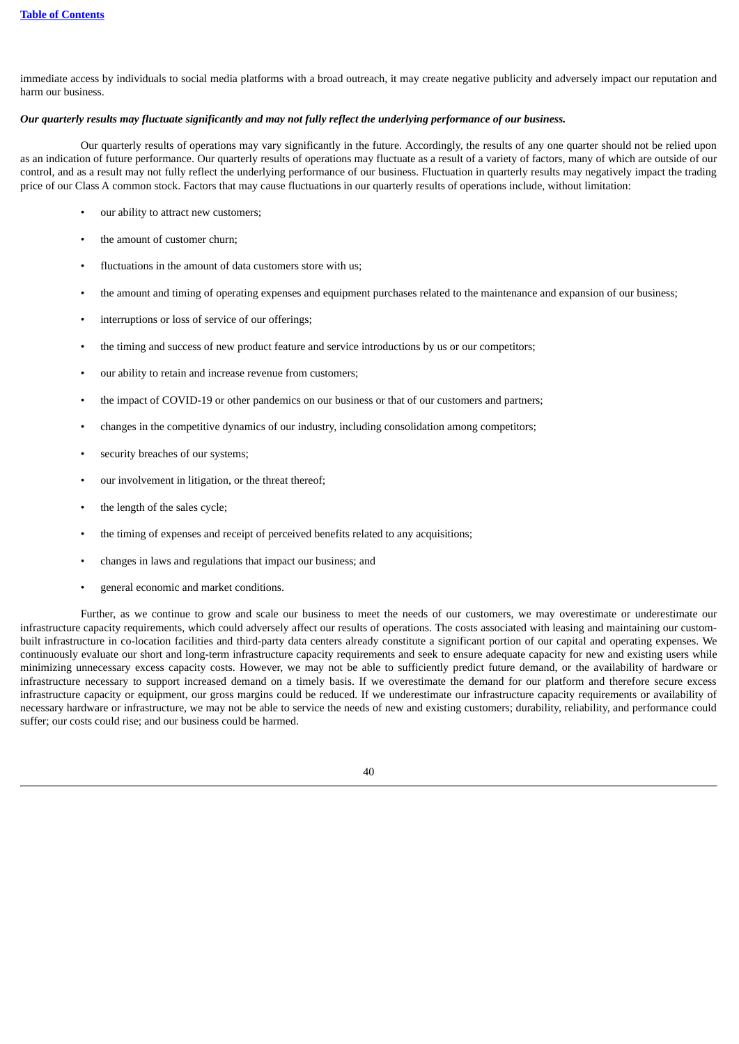immediate access by individuals to social media platforms with a broad outreach, it may create negative publicity and adversely impact our reputation and harm our business.

## Our quarterly results may fluctuate significantly and may not fully reflect the underlying performance of our business.

Our quarterly results of operations may vary significantly in the future. Accordingly, the results of any one quarter should not be relied upon as an indication of future performance. Our quarterly results of operations may fluctuate as a result of a variety of factors, many of which are outside of our control, and as a result may not fully reflect the underlying performance of our business. Fluctuation in quarterly results may negatively impact the trading price of our Class A common stock. Factors that may cause fluctuations in our quarterly results of operations include, without limitation:

- our ability to attract new customers;
- the amount of customer churn;
- fluctuations in the amount of data customers store with us;
- the amount and timing of operating expenses and equipment purchases related to the maintenance and expansion of our business;
- interruptions or loss of service of our offerings;
- the timing and success of new product feature and service introductions by us or our competitors;
- our ability to retain and increase revenue from customers:
- the impact of COVID-19 or other pandemics on our business or that of our customers and partners;
- changes in the competitive dynamics of our industry, including consolidation among competitors;
- security breaches of our systems;
- our involvement in litigation, or the threat thereof;
- the length of the sales cycle;
- the timing of expenses and receipt of perceived benefits related to any acquisitions;
- changes in laws and regulations that impact our business; and
- general economic and market conditions.

Further, as we continue to grow and scale our business to meet the needs of our customers, we may overestimate or underestimate our infrastructure capacity requirements, which could adversely affect our results of operations. The costs associated with leasing and maintaining our custombuilt infrastructure in co-location facilities and third-party data centers already constitute a significant portion of our capital and operating expenses. We continuously evaluate our short and long-term infrastructure capacity requirements and seek to ensure adequate capacity for new and existing users while minimizing unnecessary excess capacity costs. However, we may not be able to sufficiently predict future demand, or the availability of hardware or infrastructure necessary to support increased demand on a timely basis. If we overestimate the demand for our platform and therefore secure excess infrastructure capacity or equipment, our gross margins could be reduced. If we underestimate our infrastructure capacity requirements or availability of necessary hardware or infrastructure, we may not be able to service the needs of new and existing customers; durability, reliability, and performance could suffer; our costs could rise; and our business could be harmed.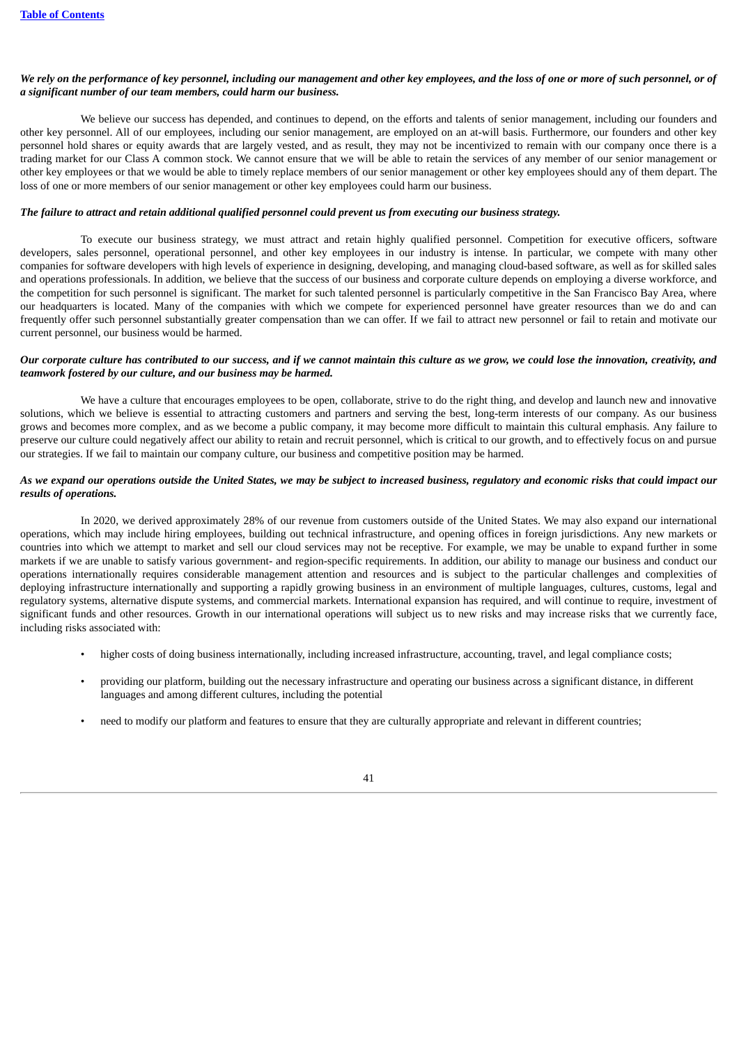## We rely on the performance of key personnel, including our management and other key employees, and the loss of one or more of such personnel, or of *a significant number of our team members, could harm our business.*

We believe our success has depended, and continues to depend, on the efforts and talents of senior management, including our founders and other key personnel. All of our employees, including our senior management, are employed on an at-will basis. Furthermore, our founders and other key personnel hold shares or equity awards that are largely vested, and as result, they may not be incentivized to remain with our company once there is a trading market for our Class A common stock. We cannot ensure that we will be able to retain the services of any member of our senior management or other key employees or that we would be able to timely replace members of our senior management or other key employees should any of them depart. The loss of one or more members of our senior management or other key employees could harm our business.

## The failure to attract and retain additional qualified personnel could prevent us from executing our business strategy.

To execute our business strategy, we must attract and retain highly qualified personnel. Competition for executive officers, software developers, sales personnel, operational personnel, and other key employees in our industry is intense. In particular, we compete with many other companies for software developers with high levels of experience in designing, developing, and managing cloud-based software, as well as for skilled sales and operations professionals. In addition, we believe that the success of our business and corporate culture depends on employing a diverse workforce, and the competition for such personnel is significant. The market for such talented personnel is particularly competitive in the San Francisco Bay Area, where our headquarters is located. Many of the companies with which we compete for experienced personnel have greater resources than we do and can frequently offer such personnel substantially greater compensation than we can offer. If we fail to attract new personnel or fail to retain and motivate our current personnel, our business would be harmed.

## Our corporate culture has contributed to our success, and if we cannot maintain this culture as we grow, we could lose the innovation, creativity, and *teamwork fostered by our culture, and our business may be harmed.*

We have a culture that encourages employees to be open, collaborate, strive to do the right thing, and develop and launch new and innovative solutions, which we believe is essential to attracting customers and partners and serving the best, long-term interests of our company. As our business grows and becomes more complex, and as we become a public company, it may become more difficult to maintain this cultural emphasis. Any failure to preserve our culture could negatively affect our ability to retain and recruit personnel, which is critical to our growth, and to effectively focus on and pursue our strategies. If we fail to maintain our company culture, our business and competitive position may be harmed.

## As we expand our operations outside the United States, we may be subject to increased business, regulatory and economic risks that could impact our *results of operations.*

In 2020, we derived approximately 28% of our revenue from customers outside of the United States. We may also expand our international operations, which may include hiring employees, building out technical infrastructure, and opening offices in foreign jurisdictions. Any new markets or countries into which we attempt to market and sell our cloud services may not be receptive. For example, we may be unable to expand further in some markets if we are unable to satisfy various government- and region-specific requirements. In addition, our ability to manage our business and conduct our operations internationally requires considerable management attention and resources and is subject to the particular challenges and complexities of deploying infrastructure internationally and supporting a rapidly growing business in an environment of multiple languages, cultures, customs, legal and regulatory systems, alternative dispute systems, and commercial markets. International expansion has required, and will continue to require, investment of significant funds and other resources. Growth in our international operations will subject us to new risks and may increase risks that we currently face, including risks associated with:

- higher costs of doing business internationally, including increased infrastructure, accounting, travel, and legal compliance costs;
- providing our platform, building out the necessary infrastructure and operating our business across a significant distance, in different languages and among different cultures, including the potential
- need to modify our platform and features to ensure that they are culturally appropriate and relevant in different countries;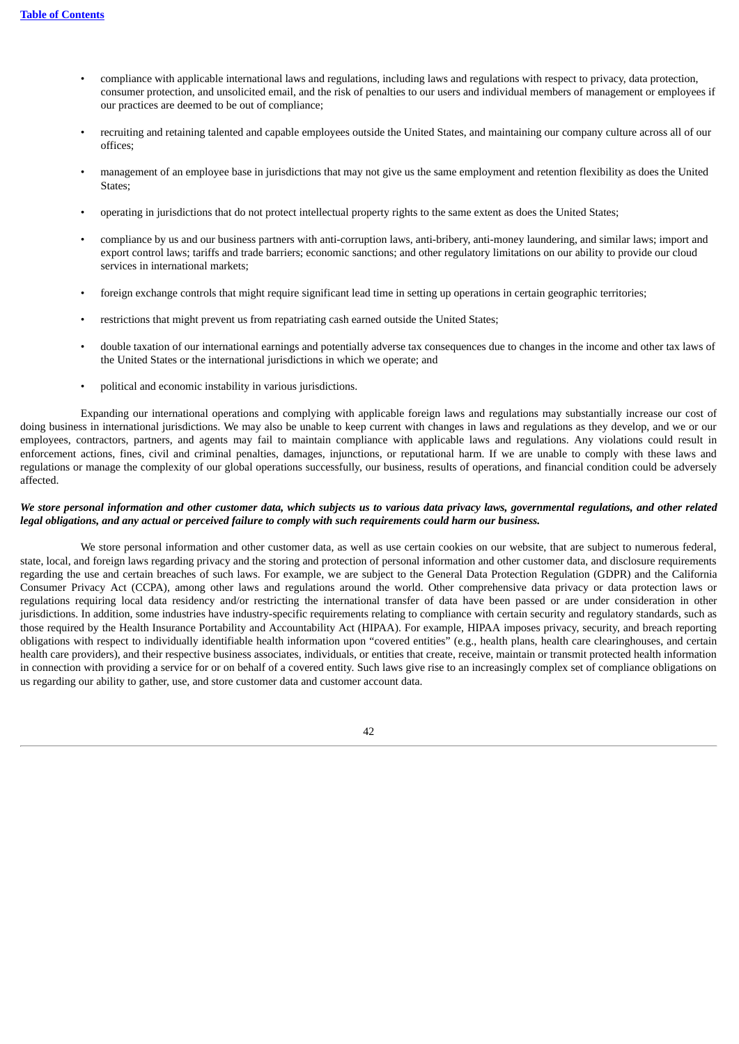- compliance with applicable international laws and regulations, including laws and regulations with respect to privacy, data protection, consumer protection, and unsolicited email, and the risk of penalties to our users and individual members of management or employees if our practices are deemed to be out of compliance;
- recruiting and retaining talented and capable employees outside the United States, and maintaining our company culture across all of our offices;
- management of an employee base in jurisdictions that may not give us the same employment and retention flexibility as does the United States;
- operating in jurisdictions that do not protect intellectual property rights to the same extent as does the United States;
- compliance by us and our business partners with anti-corruption laws, anti-bribery, anti-money laundering, and similar laws; import and export control laws; tariffs and trade barriers; economic sanctions; and other regulatory limitations on our ability to provide our cloud services in international markets;
- foreign exchange controls that might require significant lead time in setting up operations in certain geographic territories;
- restrictions that might prevent us from repatriating cash earned outside the United States;
- double taxation of our international earnings and potentially adverse tax consequences due to changes in the income and other tax laws of the United States or the international jurisdictions in which we operate; and
- political and economic instability in various jurisdictions.

Expanding our international operations and complying with applicable foreign laws and regulations may substantially increase our cost of doing business in international jurisdictions. We may also be unable to keep current with changes in laws and regulations as they develop, and we or our employees, contractors, partners, and agents may fail to maintain compliance with applicable laws and regulations. Any violations could result in enforcement actions, fines, civil and criminal penalties, damages, injunctions, or reputational harm. If we are unable to comply with these laws and regulations or manage the complexity of our global operations successfully, our business, results of operations, and financial condition could be adversely affected.

## We store personal information and other customer data, which subjects us to various data privacy laws, governmental regulations, and other related legal obligations, and any actual or perceived failure to comply with such requirements could harm our business.

We store personal information and other customer data, as well as use certain cookies on our website, that are subject to numerous federal, state, local, and foreign laws regarding privacy and the storing and protection of personal information and other customer data, and disclosure requirements regarding the use and certain breaches of such laws. For example, we are subject to the General Data Protection Regulation (GDPR) and the California Consumer Privacy Act (CCPA), among other laws and regulations around the world. Other comprehensive data privacy or data protection laws or regulations requiring local data residency and/or restricting the international transfer of data have been passed or are under consideration in other jurisdictions. In addition, some industries have industry-specific requirements relating to compliance with certain security and regulatory standards, such as those required by the Health Insurance Portability and Accountability Act (HIPAA). For example, HIPAA imposes privacy, security, and breach reporting obligations with respect to individually identifiable health information upon "covered entities" (e.g., health plans, health care clearinghouses, and certain health care providers), and their respective business associates, individuals, or entities that create, receive, maintain or transmit protected health information in connection with providing a service for or on behalf of a covered entity. Such laws give rise to an increasingly complex set of compliance obligations on us regarding our ability to gather, use, and store customer data and customer account data.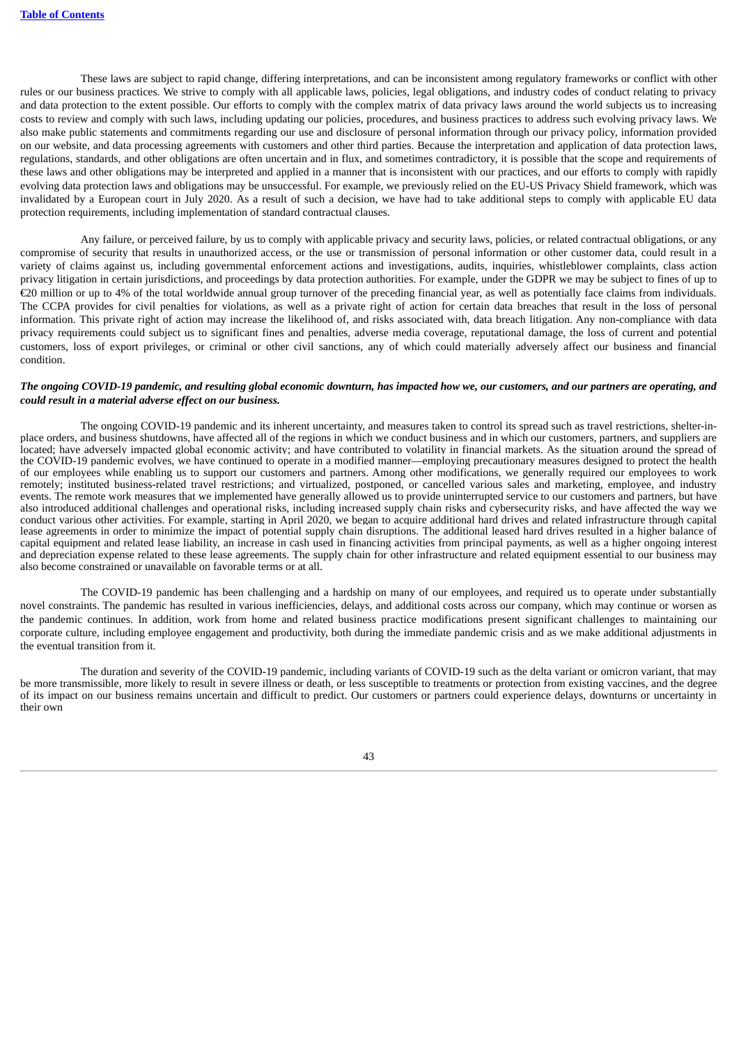These laws are subject to rapid change, differing interpretations, and can be inconsistent among regulatory frameworks or conflict with other rules or our business practices. We strive to comply with all applicable laws, policies, legal obligations, and industry codes of conduct relating to privacy and data protection to the extent possible. Our efforts to comply with the complex matrix of data privacy laws around the world subjects us to increasing costs to review and comply with such laws, including updating our policies, procedures, and business practices to address such evolving privacy laws. We also make public statements and commitments regarding our use and disclosure of personal information through our privacy policy, information provided on our website, and data processing agreements with customers and other third parties. Because the interpretation and application of data protection laws, regulations, standards, and other obligations are often uncertain and in flux, and sometimes contradictory, it is possible that the scope and requirements of these laws and other obligations may be interpreted and applied in a manner that is inconsistent with our practices, and our efforts to comply with rapidly evolving data protection laws and obligations may be unsuccessful. For example, we previously relied on the EU-US Privacy Shield framework, which was invalidated by a European court in July 2020. As a result of such a decision, we have had to take additional steps to comply with applicable EU data protection requirements, including implementation of standard contractual clauses.

Any failure, or perceived failure, by us to comply with applicable privacy and security laws, policies, or related contractual obligations, or any compromise of security that results in unauthorized access, or the use or transmission of personal information or other customer data, could result in a variety of claims against us, including governmental enforcement actions and investigations, audits, inquiries, whistleblower complaints, class action privacy litigation in certain jurisdictions, and proceedings by data protection authorities. For example, under the GDPR we may be subject to fines of up to €20 million or up to 4% of the total worldwide annual group turnover of the preceding financial year, as well as potentially face claims from individuals. The CCPA provides for civil penalties for violations, as well as a private right of action for certain data breaches that result in the loss of personal information. This private right of action may increase the likelihood of, and risks associated with, data breach litigation. Any non-compliance with data privacy requirements could subject us to significant fines and penalties, adverse media coverage, reputational damage, the loss of current and potential customers, loss of export privileges, or criminal or other civil sanctions, any of which could materially adversely affect our business and financial condition.

### The ongoing COVID-19 pandemic, and resulting global economic downturn, has impacted how we, our customers, and our partners are operating, and *could result in a material adverse effect on our business.*

The ongoing COVID-19 pandemic and its inherent uncertainty, and measures taken to control its spread such as travel restrictions, shelter-inplace orders, and business shutdowns, have affected all of the regions in which we conduct business and in which our customers, partners, and suppliers are located; have adversely impacted global economic activity; and have contributed to volatility in financial markets. As the situation around the spread of the COVID-19 pandemic evolves, we have continued to operate in a modified manner—employing precautionary measures designed to protect the health of our employees while enabling us to support our customers and partners. Among other modifications, we generally required our employees to work remotely; instituted business-related travel restrictions; and virtualized, postponed, or cancelled various sales and marketing, employee, and industry events. The remote work measures that we implemented have generally allowed us to provide uninterrupted service to our customers and partners, but have also introduced additional challenges and operational risks, including increased supply chain risks and cybersecurity risks, and have affected the way we conduct various other activities. For example, starting in April 2020, we began to acquire additional hard drives and related infrastructure through capital lease agreements in order to minimize the impact of potential supply chain disruptions. The additional leased hard drives resulted in a higher balance of capital equipment and related lease liability, an increase in cash used in financing activities from principal payments, as well as a higher ongoing interest and depreciation expense related to these lease agreements. The supply chain for other infrastructure and related equipment essential to our business may also become constrained or unavailable on favorable terms or at all.

The COVID-19 pandemic has been challenging and a hardship on many of our employees, and required us to operate under substantially novel constraints. The pandemic has resulted in various inefficiencies, delays, and additional costs across our company, which may continue or worsen as the pandemic continues. In addition, work from home and related business practice modifications present significant challenges to maintaining our corporate culture, including employee engagement and productivity, both during the immediate pandemic crisis and as we make additional adjustments in the eventual transition from it.

The duration and severity of the COVID-19 pandemic, including variants of COVID-19 such as the delta variant or omicron variant, that may be more transmissible, more likely to result in severe illness or death, or less susceptible to treatments or protection from existing vaccines, and the degree of its impact on our business remains uncertain and difficult to predict. Our customers or partners could experience delays, downturns or uncertainty in their own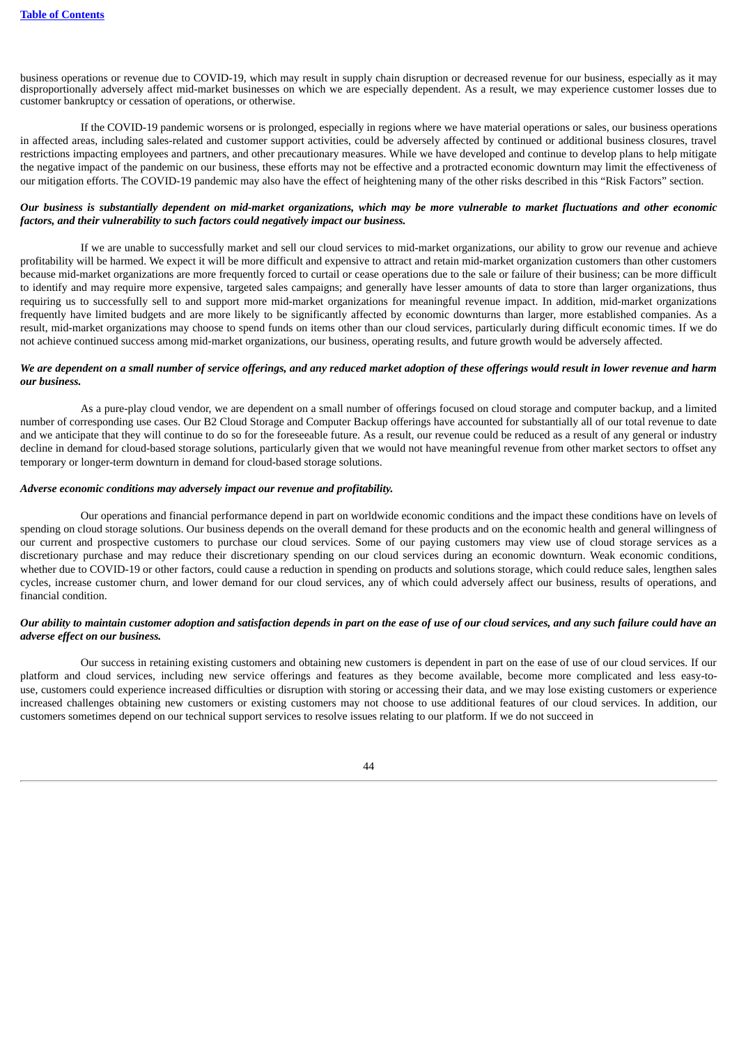business operations or revenue due to COVID-19, which may result in supply chain disruption or decreased revenue for our business, especially as it may disproportionally adversely affect mid-market businesses on which we are especially dependent. As a result, we may experience customer losses due to customer bankruptcy or cessation of operations, or otherwise.

If the COVID-19 pandemic worsens or is prolonged, especially in regions where we have material operations or sales, our business operations in affected areas, including sales-related and customer support activities, could be adversely affected by continued or additional business closures, travel restrictions impacting employees and partners, and other precautionary measures. While we have developed and continue to develop plans to help mitigate the negative impact of the pandemic on our business, these efforts may not be effective and a protracted economic downturn may limit the effectiveness of our mitigation efforts. The COVID-19 pandemic may also have the effect of heightening many of the other risks described in this "Risk Factors" section.

## Our business is substantially dependent on mid-market organizations, which may be more vulnerable to market fluctuations and other economic *factors, and their vulnerability to such factors could negatively impact our business.*

If we are unable to successfully market and sell our cloud services to mid-market organizations, our ability to grow our revenue and achieve profitability will be harmed. We expect it will be more difficult and expensive to attract and retain mid-market organization customers than other customers because mid-market organizations are more frequently forced to curtail or cease operations due to the sale or failure of their business; can be more difficult to identify and may require more expensive, targeted sales campaigns; and generally have lesser amounts of data to store than larger organizations, thus requiring us to successfully sell to and support more mid-market organizations for meaningful revenue impact. In addition, mid-market organizations frequently have limited budgets and are more likely to be significantly affected by economic downturns than larger, more established companies. As a result, mid-market organizations may choose to spend funds on items other than our cloud services, particularly during difficult economic times. If we do not achieve continued success among mid-market organizations, our business, operating results, and future growth would be adversely affected.

## We are dependent on a small number of service offerings, and any reduced market adoption of these offerings would result in lower revenue and harm *our business.*

As a pure-play cloud vendor, we are dependent on a small number of offerings focused on cloud storage and computer backup, and a limited number of corresponding use cases. Our B2 Cloud Storage and Computer Backup offerings have accounted for substantially all of our total revenue to date and we anticipate that they will continue to do so for the foreseeable future. As a result, our revenue could be reduced as a result of any general or industry decline in demand for cloud-based storage solutions, particularly given that we would not have meaningful revenue from other market sectors to offset any temporary or longer-term downturn in demand for cloud-based storage solutions.

#### *Adverse economic conditions may adversely impact our revenue and profitability.*

Our operations and financial performance depend in part on worldwide economic conditions and the impact these conditions have on levels of spending on cloud storage solutions. Our business depends on the overall demand for these products and on the economic health and general willingness of our current and prospective customers to purchase our cloud services. Some of our paying customers may view use of cloud storage services as a discretionary purchase and may reduce their discretionary spending on our cloud services during an economic downturn. Weak economic conditions, whether due to COVID-19 or other factors, could cause a reduction in spending on products and solutions storage, which could reduce sales, lengthen sales cycles, increase customer churn, and lower demand for our cloud services, any of which could adversely affect our business, results of operations, and financial condition.

## Our ability to maintain customer adoption and satisfaction depends in part on the ease of use of our cloud services, and any such failure could have an *adverse effect on our business.*

Our success in retaining existing customers and obtaining new customers is dependent in part on the ease of use of our cloud services. If our platform and cloud services, including new service offerings and features as they become available, become more complicated and less easy-touse, customers could experience increased difficulties or disruption with storing or accessing their data, and we may lose existing customers or experience increased challenges obtaining new customers or existing customers may not choose to use additional features of our cloud services. In addition, our customers sometimes depend on our technical support services to resolve issues relating to our platform. If we do not succeed in

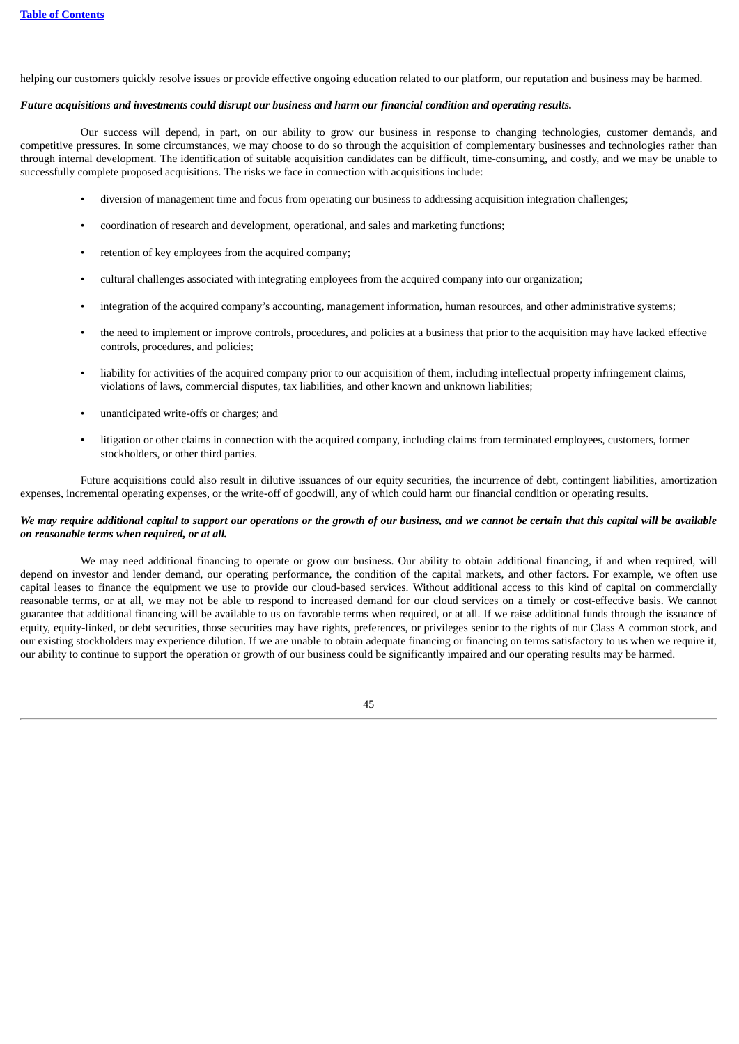helping our customers quickly resolve issues or provide effective ongoing education related to our platform, our reputation and business may be harmed.

# Future acauisitions and investments could disrupt our business and harm our financial condition and operating results.

Our success will depend, in part, on our ability to grow our business in response to changing technologies, customer demands, and competitive pressures. In some circumstances, we may choose to do so through the acquisition of complementary businesses and technologies rather than through internal development. The identification of suitable acquisition candidates can be difficult, time-consuming, and costly, and we may be unable to successfully complete proposed acquisitions. The risks we face in connection with acquisitions include:

- diversion of management time and focus from operating our business to addressing acquisition integration challenges;
- coordination of research and development, operational, and sales and marketing functions;
- retention of key employees from the acquired company;
- cultural challenges associated with integrating employees from the acquired company into our organization;
- integration of the acquired company's accounting, management information, human resources, and other administrative systems;
- the need to implement or improve controls, procedures, and policies at a business that prior to the acquisition may have lacked effective controls, procedures, and policies;
- liability for activities of the acquired company prior to our acquisition of them, including intellectual property infringement claims, violations of laws, commercial disputes, tax liabilities, and other known and unknown liabilities;
- unanticipated write-offs or charges; and
- litigation or other claims in connection with the acquired company, including claims from terminated employees, customers, former stockholders, or other third parties.

Future acquisitions could also result in dilutive issuances of our equity securities, the incurrence of debt, contingent liabilities, amortization expenses, incremental operating expenses, or the write-off of goodwill, any of which could harm our financial condition or operating results.

## We may require additional capital to support our operations or the growth of our business, and we cannot be certain that this capital will be available *on reasonable terms when required, or at all.*

We may need additional financing to operate or grow our business. Our ability to obtain additional financing, if and when required, will depend on investor and lender demand, our operating performance, the condition of the capital markets, and other factors. For example, we often use capital leases to finance the equipment we use to provide our cloud-based services. Without additional access to this kind of capital on commercially reasonable terms, or at all, we may not be able to respond to increased demand for our cloud services on a timely or cost-effective basis. We cannot guarantee that additional financing will be available to us on favorable terms when required, or at all. If we raise additional funds through the issuance of equity, equity-linked, or debt securities, those securities may have rights, preferences, or privileges senior to the rights of our Class A common stock, and our existing stockholders may experience dilution. If we are unable to obtain adequate financing or financing on terms satisfactory to us when we require it, our ability to continue to support the operation or growth of our business could be significantly impaired and our operating results may be harmed.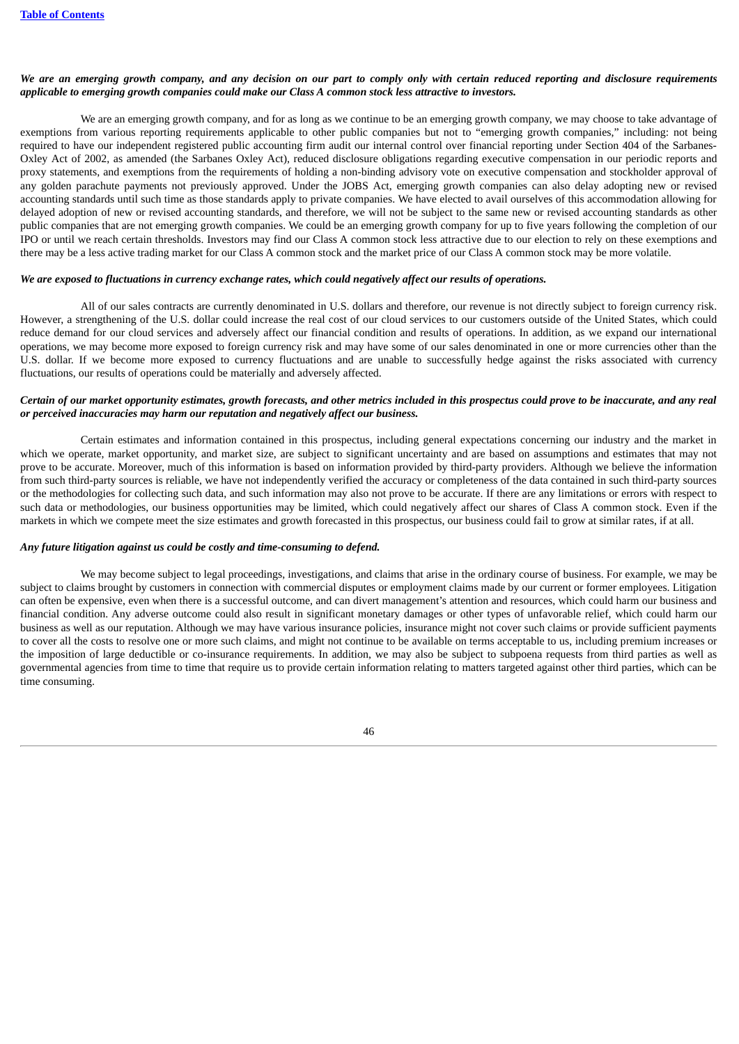## We are an emerging growth company, and any decision on our part to comply only with certain reduced reporting and disclosure requirements *applicable to emerging growth companies could make our Class A common stock less attractive to investors.*

We are an emerging growth company, and for as long as we continue to be an emerging growth company, we may choose to take advantage of exemptions from various reporting requirements applicable to other public companies but not to "emerging growth companies," including: not being required to have our independent registered public accounting firm audit our internal control over financial reporting under Section 404 of the Sarbanes-Oxley Act of 2002, as amended (the Sarbanes Oxley Act), reduced disclosure obligations regarding executive compensation in our periodic reports and proxy statements, and exemptions from the requirements of holding a non-binding advisory vote on executive compensation and stockholder approval of any golden parachute payments not previously approved. Under the JOBS Act, emerging growth companies can also delay adopting new or revised accounting standards until such time as those standards apply to private companies. We have elected to avail ourselves of this accommodation allowing for delayed adoption of new or revised accounting standards, and therefore, we will not be subject to the same new or revised accounting standards as other public companies that are not emerging growth companies. We could be an emerging growth company for up to five years following the completion of our IPO or until we reach certain thresholds. Investors may find our Class A common stock less attractive due to our election to rely on these exemptions and there may be a less active trading market for our Class A common stock and the market price of our Class A common stock may be more volatile.

#### We are exposed to fluctuations in currency exchange rates, which could negatively affect our results of operations.

All of our sales contracts are currently denominated in U.S. dollars and therefore, our revenue is not directly subject to foreign currency risk. However, a strengthening of the U.S. dollar could increase the real cost of our cloud services to our customers outside of the United States, which could reduce demand for our cloud services and adversely affect our financial condition and results of operations. In addition, as we expand our international operations, we may become more exposed to foreign currency risk and may have some of our sales denominated in one or more currencies other than the U.S. dollar. If we become more exposed to currency fluctuations and are unable to successfully hedge against the risks associated with currency fluctuations, our results of operations could be materially and adversely affected.

## Certain of our market opportunity estimates, growth forecasts, and other metrics included in this prospectus could prove to be inaccurate, and any real *or perceived inaccuracies may harm our reputation and negatively affect our business.*

Certain estimates and information contained in this prospectus, including general expectations concerning our industry and the market in which we operate, market opportunity, and market size, are subject to significant uncertainty and are based on assumptions and estimates that may not prove to be accurate. Moreover, much of this information is based on information provided by third-party providers. Although we believe the information from such third-party sources is reliable, we have not independently verified the accuracy or completeness of the data contained in such third-party sources or the methodologies for collecting such data, and such information may also not prove to be accurate. If there are any limitations or errors with respect to such data or methodologies, our business opportunities may be limited, which could negatively affect our shares of Class A common stock. Even if the markets in which we compete meet the size estimates and growth forecasted in this prospectus, our business could fail to grow at similar rates, if at all.

# *Any future litigation against us could be costly and time-consuming to defend.*

We may become subject to legal proceedings, investigations, and claims that arise in the ordinary course of business. For example, we may be subject to claims brought by customers in connection with commercial disputes or employment claims made by our current or former employees. Litigation can often be expensive, even when there is a successful outcome, and can divert management's attention and resources, which could harm our business and financial condition. Any adverse outcome could also result in significant monetary damages or other types of unfavorable relief, which could harm our business as well as our reputation. Although we may have various insurance policies, insurance might not cover such claims or provide sufficient payments to cover all the costs to resolve one or more such claims, and might not continue to be available on terms acceptable to us, including premium increases or the imposition of large deductible or co-insurance requirements. In addition, we may also be subject to subpoena requests from third parties as well as governmental agencies from time to time that require us to provide certain information relating to matters targeted against other third parties, which can be time consuming.

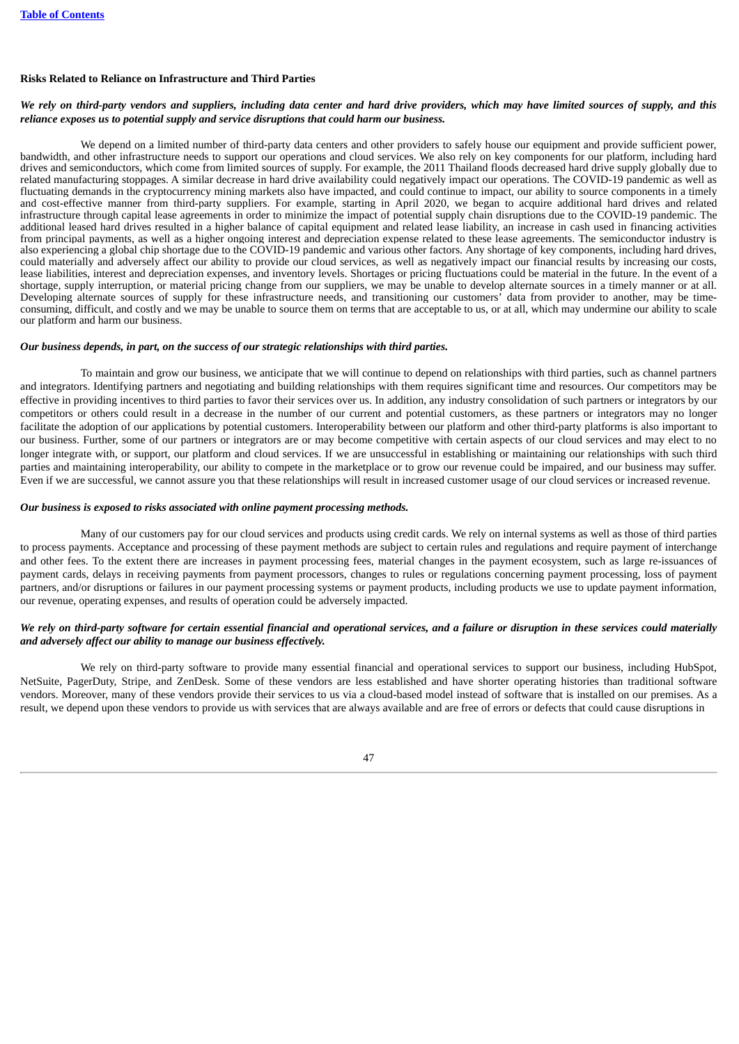#### **Risks Related to Reliance on Infrastructure and Third Parties**

## We rely on third-party vendors and suppliers, including data center and hard drive providers, which may have limited sources of supply, and this *reliance exposes us to potential supply and service disruptions that could harm our business.*

We depend on a limited number of third-party data centers and other providers to safely house our equipment and provide sufficient power, bandwidth, and other infrastructure needs to support our operations and cloud services. We also rely on key components for our platform, including hard drives and semiconductors, which come from limited sources of supply. For example, the 2011 Thailand floods decreased hard drive supply globally due to related manufacturing stoppages. A similar decrease in hard drive availability could negatively impact our operations. The COVID-19 pandemic as well as fluctuating demands in the cryptocurrency mining markets also have impacted, and could continue to impact, our ability to source components in a timely and cost-effective manner from third-party suppliers. For example, starting in April 2020, we began to acquire additional hard drives and related infrastructure through capital lease agreements in order to minimize the impact of potential supply chain disruptions due to the COVID-19 pandemic. The additional leased hard drives resulted in a higher balance of capital equipment and related lease liability, an increase in cash used in financing activities from principal payments, as well as a higher ongoing interest and depreciation expense related to these lease agreements. The semiconductor industry is also experiencing a global chip shortage due to the COVID-19 pandemic and various other factors. Any shortage of key components, including hard drives, could materially and adversely affect our ability to provide our cloud services, as well as negatively impact our financial results by increasing our costs, lease liabilities, interest and depreciation expenses, and inventory levels. Shortages or pricing fluctuations could be material in the future. In the event of a shortage, supply interruption, or material pricing change from our suppliers, we may be unable to develop alternate sources in a timely manner or at all. Developing alternate sources of supply for these infrastructure needs, and transitioning our customers' data from provider to another, may be timeconsuming, difficult, and costly and we may be unable to source them on terms that are acceptable to us, or at all, which may undermine our ability to scale our platform and harm our business.

## *Our business depends, in part, on the success of our strategic relationships with third parties.*

To maintain and grow our business, we anticipate that we will continue to depend on relationships with third parties, such as channel partners and integrators. Identifying partners and negotiating and building relationships with them requires significant time and resources. Our competitors may be effective in providing incentives to third parties to favor their services over us. In addition, any industry consolidation of such partners or integrators by our competitors or others could result in a decrease in the number of our current and potential customers, as these partners or integrators may no longer facilitate the adoption of our applications by potential customers. Interoperability between our platform and other third-party platforms is also important to our business. Further, some of our partners or integrators are or may become competitive with certain aspects of our cloud services and may elect to no longer integrate with, or support, our platform and cloud services. If we are unsuccessful in establishing or maintaining our relationships with such third parties and maintaining interoperability, our ability to compete in the marketplace or to grow our revenue could be impaired, and our business may suffer. Even if we are successful, we cannot assure you that these relationships will result in increased customer usage of our cloud services or increased revenue.

### *Our business is exposed to risks associated with online payment processing methods.*

Many of our customers pay for our cloud services and products using credit cards. We rely on internal systems as well as those of third parties to process payments. Acceptance and processing of these payment methods are subject to certain rules and regulations and require payment of interchange and other fees. To the extent there are increases in payment processing fees, material changes in the payment ecosystem, such as large re-issuances of payment cards, delays in receiving payments from payment processors, changes to rules or regulations concerning payment processing, loss of payment partners, and/or disruptions or failures in our payment processing systems or payment products, including products we use to update payment information, our revenue, operating expenses, and results of operation could be adversely impacted.

## We rely on third-party software for certain essential financial and operational services, and a failure or disruption in these services could materially *and adversely affect our ability to manage our business effectively.*

We rely on third-party software to provide many essential financial and operational services to support our business, including HubSpot, NetSuite, PagerDuty, Stripe, and ZenDesk. Some of these vendors are less established and have shorter operating histories than traditional software vendors. Moreover, many of these vendors provide their services to us via a cloud-based model instead of software that is installed on our premises. As a result, we depend upon these vendors to provide us with services that are always available and are free of errors or defects that could cause disruptions in

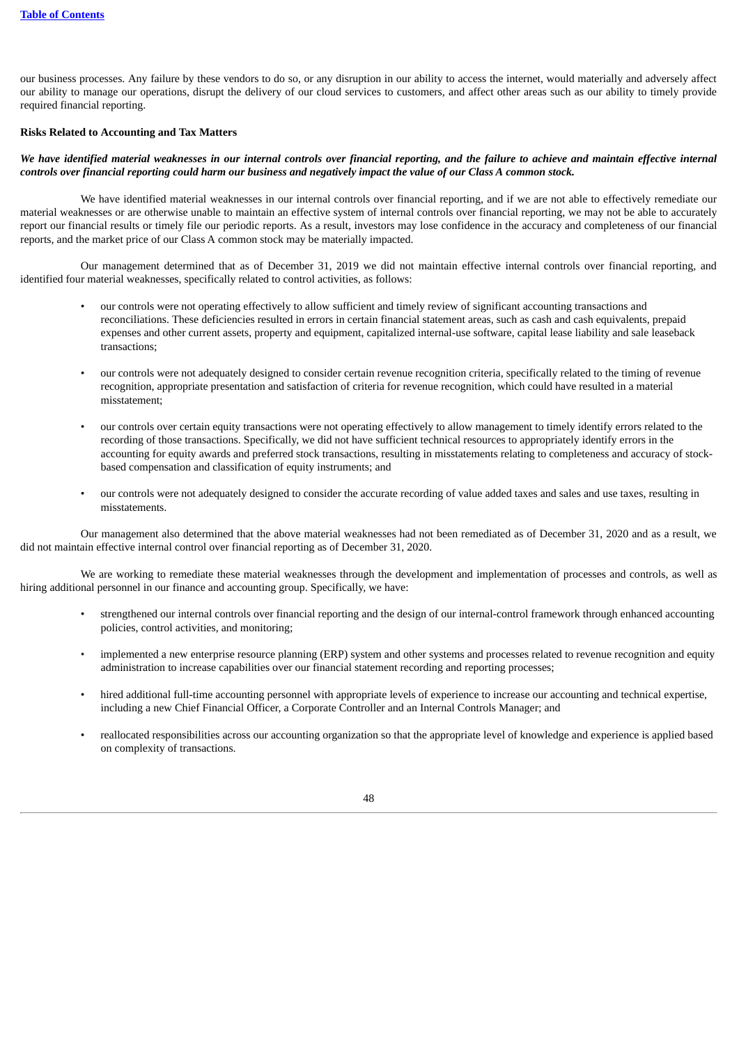our business processes. Any failure by these vendors to do so, or any disruption in our ability to access the internet, would materially and adversely affect our ability to manage our operations, disrupt the delivery of our cloud services to customers, and affect other areas such as our ability to timely provide required financial reporting.

## **Risks Related to Accounting and Tax Matters**

## We have identified material weaknesses in our internal controls over financial reporting, and the failure to achieve and maintain effective internal controls over financial reporting could harm our business and negatively impact the value of our Class A common stock.

We have identified material weaknesses in our internal controls over financial reporting, and if we are not able to effectively remediate our material weaknesses or are otherwise unable to maintain an effective system of internal controls over financial reporting, we may not be able to accurately report our financial results or timely file our periodic reports. As a result, investors may lose confidence in the accuracy and completeness of our financial reports, and the market price of our Class A common stock may be materially impacted.

Our management determined that as of December 31, 2019 we did not maintain effective internal controls over financial reporting, and identified four material weaknesses, specifically related to control activities, as follows:

- our controls were not operating effectively to allow sufficient and timely review of significant accounting transactions and reconciliations. These deficiencies resulted in errors in certain financial statement areas, such as cash and cash equivalents, prepaid expenses and other current assets, property and equipment, capitalized internal-use software, capital lease liability and sale leaseback transactions;
- our controls were not adequately designed to consider certain revenue recognition criteria, specifically related to the timing of revenue recognition, appropriate presentation and satisfaction of criteria for revenue recognition, which could have resulted in a material misstatement;
- our controls over certain equity transactions were not operating effectively to allow management to timely identify errors related to the recording of those transactions. Specifically, we did not have sufficient technical resources to appropriately identify errors in the accounting for equity awards and preferred stock transactions, resulting in misstatements relating to completeness and accuracy of stockbased compensation and classification of equity instruments; and
- our controls were not adequately designed to consider the accurate recording of value added taxes and sales and use taxes, resulting in misstatements.

Our management also determined that the above material weaknesses had not been remediated as of December 31, 2020 and as a result, we did not maintain effective internal control over financial reporting as of December 31, 2020.

We are working to remediate these material weaknesses through the development and implementation of processes and controls, as well as hiring additional personnel in our finance and accounting group. Specifically, we have:

- strengthened our internal controls over financial reporting and the design of our internal-control framework through enhanced accounting policies, control activities, and monitoring;
- implemented a new enterprise resource planning (ERP) system and other systems and processes related to revenue recognition and equity administration to increase capabilities over our financial statement recording and reporting processes;
- hired additional full-time accounting personnel with appropriate levels of experience to increase our accounting and technical expertise, including a new Chief Financial Officer, a Corporate Controller and an Internal Controls Manager; and
- reallocated responsibilities across our accounting organization so that the appropriate level of knowledge and experience is applied based on complexity of transactions.

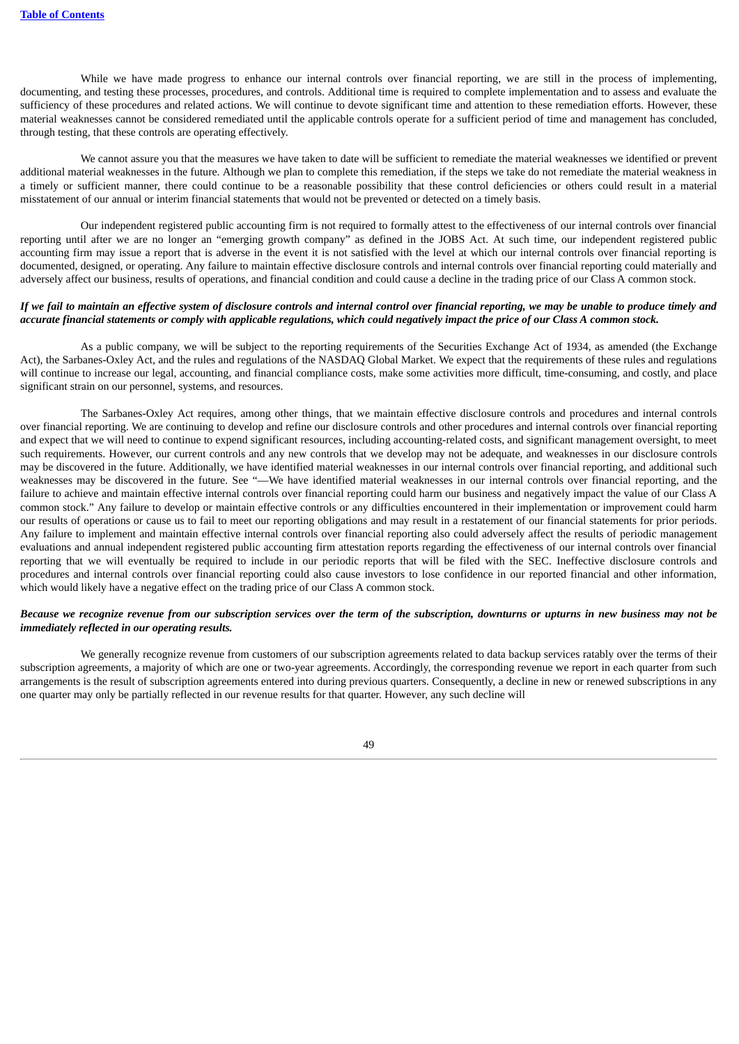While we have made progress to enhance our internal controls over financial reporting, we are still in the process of implementing, documenting, and testing these processes, procedures, and controls. Additional time is required to complete implementation and to assess and evaluate the sufficiency of these procedures and related actions. We will continue to devote significant time and attention to these remediation efforts. However, these material weaknesses cannot be considered remediated until the applicable controls operate for a sufficient period of time and management has concluded, through testing, that these controls are operating effectively.

We cannot assure you that the measures we have taken to date will be sufficient to remediate the material weaknesses we identified or prevent additional material weaknesses in the future. Although we plan to complete this remediation, if the steps we take do not remediate the material weakness in a timely or sufficient manner, there could continue to be a reasonable possibility that these control deficiencies or others could result in a material misstatement of our annual or interim financial statements that would not be prevented or detected on a timely basis.

Our independent registered public accounting firm is not required to formally attest to the effectiveness of our internal controls over financial reporting until after we are no longer an "emerging growth company" as defined in the JOBS Act. At such time, our independent registered public accounting firm may issue a report that is adverse in the event it is not satisfied with the level at which our internal controls over financial reporting is documented, designed, or operating. Any failure to maintain effective disclosure controls and internal controls over financial reporting could materially and adversely affect our business, results of operations, and financial condition and could cause a decline in the trading price of our Class A common stock.

## If we fail to maintain an effective system of disclosure controls and internal control over financial reporting, we may be unable to produce timely and accurate financial statements or comply with applicable regulations, which could negatively impact the price of our Class A common stock.

As a public company, we will be subject to the reporting requirements of the Securities Exchange Act of 1934, as amended (the Exchange Act), the Sarbanes-Oxley Act, and the rules and regulations of the NASDAQ Global Market. We expect that the requirements of these rules and regulations will continue to increase our legal, accounting, and financial compliance costs, make some activities more difficult, time-consuming, and costly, and place significant strain on our personnel, systems, and resources.

The Sarbanes-Oxley Act requires, among other things, that we maintain effective disclosure controls and procedures and internal controls over financial reporting. We are continuing to develop and refine our disclosure controls and other procedures and internal controls over financial reporting and expect that we will need to continue to expend significant resources, including accounting-related costs, and significant management oversight, to meet such requirements. However, our current controls and any new controls that we develop may not be adequate, and weaknesses in our disclosure controls may be discovered in the future. Additionally, we have identified material weaknesses in our internal controls over financial reporting, and additional such weaknesses may be discovered in the future. See "—We have identified material weaknesses in our internal controls over financial reporting, and the failure to achieve and maintain effective internal controls over financial reporting could harm our business and negatively impact the value of our Class A common stock." Any failure to develop or maintain effective controls or any difficulties encountered in their implementation or improvement could harm our results of operations or cause us to fail to meet our reporting obligations and may result in a restatement of our financial statements for prior periods. Any failure to implement and maintain effective internal controls over financial reporting also could adversely affect the results of periodic management evaluations and annual independent registered public accounting firm attestation reports regarding the effectiveness of our internal controls over financial reporting that we will eventually be required to include in our periodic reports that will be filed with the SEC. Ineffective disclosure controls and procedures and internal controls over financial reporting could also cause investors to lose confidence in our reported financial and other information, which would likely have a negative effect on the trading price of our Class A common stock.

## Because we recognize revenue from our subscription services over the term of the subscription, downturns or upturns in new business may not be *immediately reflected in our operating results.*

We generally recognize revenue from customers of our subscription agreements related to data backup services ratably over the terms of their subscription agreements, a majority of which are one or two-year agreements. Accordingly, the corresponding revenue we report in each quarter from such arrangements is the result of subscription agreements entered into during previous quarters. Consequently, a decline in new or renewed subscriptions in any one quarter may only be partially reflected in our revenue results for that quarter. However, any such decline will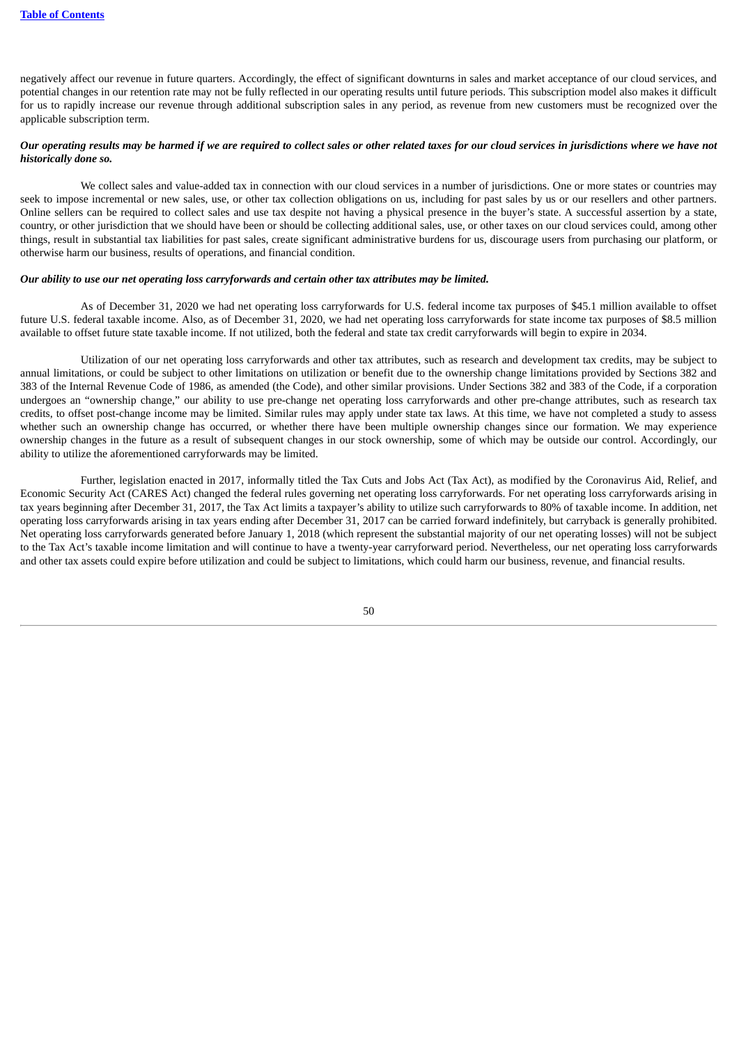negatively affect our revenue in future quarters. Accordingly, the effect of significant downturns in sales and market acceptance of our cloud services, and potential changes in our retention rate may not be fully reflected in our operating results until future periods. This subscription model also makes it difficult for us to rapidly increase our revenue through additional subscription sales in any period, as revenue from new customers must be recognized over the applicable subscription term.

## Our operating results may be harmed if we are required to collect sales or other related taxes for our cloud services in jurisdictions where we have not *historically done so.*

We collect sales and value-added tax in connection with our cloud services in a number of jurisdictions. One or more states or countries may seek to impose incremental or new sales, use, or other tax collection obligations on us, including for past sales by us or our resellers and other partners. Online sellers can be required to collect sales and use tax despite not having a physical presence in the buyer's state. A successful assertion by a state, country, or other jurisdiction that we should have been or should be collecting additional sales, use, or other taxes on our cloud services could, among other things, result in substantial tax liabilities for past sales, create significant administrative burdens for us, discourage users from purchasing our platform, or otherwise harm our business, results of operations, and financial condition.

#### *Our ability to use our net operating loss carryforwards and certain other tax attributes may be limited.*

As of December 31, 2020 we had net operating loss carryforwards for U.S. federal income tax purposes of \$45.1 million available to offset future U.S. federal taxable income. Also, as of December 31, 2020, we had net operating loss carryforwards for state income tax purposes of \$8.5 million available to offset future state taxable income. If not utilized, both the federal and state tax credit carryforwards will begin to expire in 2034.

Utilization of our net operating loss carryforwards and other tax attributes, such as research and development tax credits, may be subject to annual limitations, or could be subject to other limitations on utilization or benefit due to the ownership change limitations provided by Sections 382 and 383 of the Internal Revenue Code of 1986, as amended (the Code), and other similar provisions. Under Sections 382 and 383 of the Code, if a corporation undergoes an "ownership change," our ability to use pre-change net operating loss carryforwards and other pre-change attributes, such as research tax credits, to offset post-change income may be limited. Similar rules may apply under state tax laws. At this time, we have not completed a study to assess whether such an ownership change has occurred, or whether there have been multiple ownership changes since our formation. We may experience ownership changes in the future as a result of subsequent changes in our stock ownership, some of which may be outside our control. Accordingly, our ability to utilize the aforementioned carryforwards may be limited.

Further, legislation enacted in 2017, informally titled the Tax Cuts and Jobs Act (Tax Act), as modified by the Coronavirus Aid, Relief, and Economic Security Act (CARES Act) changed the federal rules governing net operating loss carryforwards. For net operating loss carryforwards arising in tax years beginning after December 31, 2017, the Tax Act limits a taxpayer's ability to utilize such carryforwards to 80% of taxable income. In addition, net operating loss carryforwards arising in tax years ending after December 31, 2017 can be carried forward indefinitely, but carryback is generally prohibited. Net operating loss carryforwards generated before January 1, 2018 (which represent the substantial majority of our net operating losses) will not be subject to the Tax Act's taxable income limitation and will continue to have a twenty-year carryforward period. Nevertheless, our net operating loss carryforwards and other tax assets could expire before utilization and could be subject to limitations, which could harm our business, revenue, and financial results.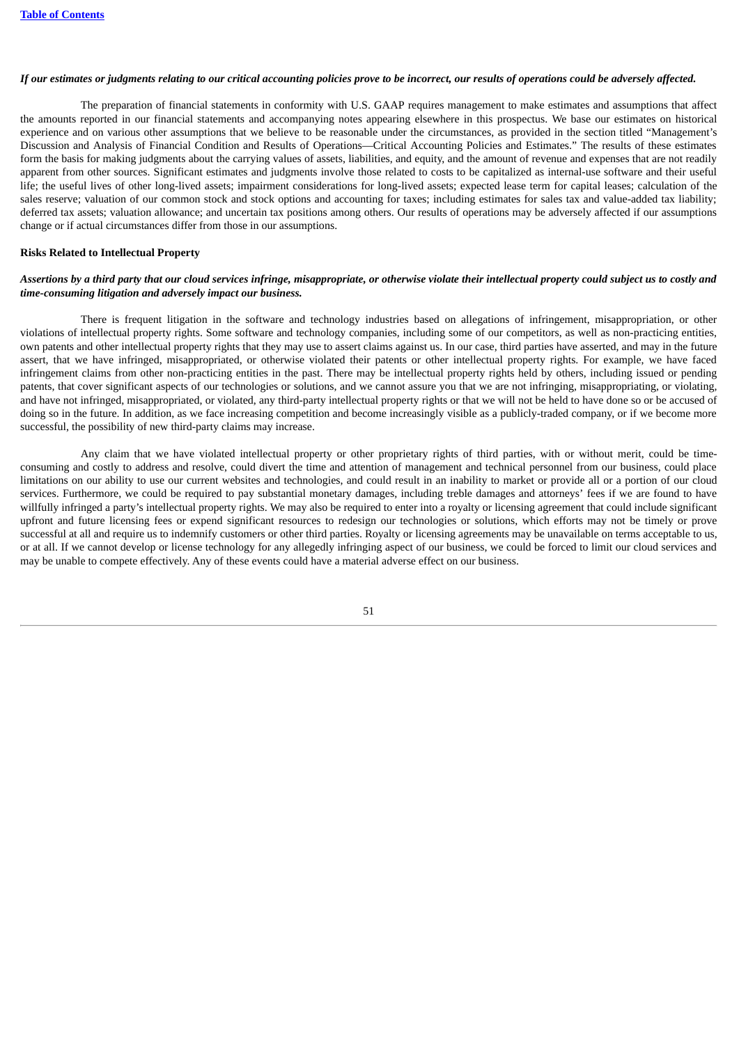#### If our estimates or judgments relating to our critical accounting policies prove to be incorrect, our results of operations could be adversely affected.

The preparation of financial statements in conformity with U.S. GAAP requires management to make estimates and assumptions that affect the amounts reported in our financial statements and accompanying notes appearing elsewhere in this prospectus. We base our estimates on historical experience and on various other assumptions that we believe to be reasonable under the circumstances, as provided in the section titled "Management's Discussion and Analysis of Financial Condition and Results of Operations—Critical Accounting Policies and Estimates." The results of these estimates form the basis for making judgments about the carrying values of assets, liabilities, and equity, and the amount of revenue and expenses that are not readily apparent from other sources. Significant estimates and judgments involve those related to costs to be capitalized as internal-use software and their useful life; the useful lives of other long-lived assets; impairment considerations for long-lived assets; expected lease term for capital leases; calculation of the sales reserve; valuation of our common stock and stock options and accounting for taxes; including estimates for sales tax and value-added tax liability; deferred tax assets; valuation allowance; and uncertain tax positions among others. Our results of operations may be adversely affected if our assumptions change or if actual circumstances differ from those in our assumptions.

#### **Risks Related to Intellectual Property**

## Assertions by a third party that our cloud services infringe, misappropriate, or otherwise violate their intellectual property could subject us to costly and *time-consuming litigation and adversely impact our business.*

There is frequent litigation in the software and technology industries based on allegations of infringement, misappropriation, or other violations of intellectual property rights. Some software and technology companies, including some of our competitors, as well as non-practicing entities, own patents and other intellectual property rights that they may use to assert claims against us. In our case, third parties have asserted, and may in the future assert, that we have infringed, misappropriated, or otherwise violated their patents or other intellectual property rights. For example, we have faced infringement claims from other non-practicing entities in the past. There may be intellectual property rights held by others, including issued or pending patents, that cover significant aspects of our technologies or solutions, and we cannot assure you that we are not infringing, misappropriating, or violating, and have not infringed, misappropriated, or violated, any third-party intellectual property rights or that we will not be held to have done so or be accused of doing so in the future. In addition, as we face increasing competition and become increasingly visible as a publicly-traded company, or if we become more successful, the possibility of new third-party claims may increase.

Any claim that we have violated intellectual property or other proprietary rights of third parties, with or without merit, could be timeconsuming and costly to address and resolve, could divert the time and attention of management and technical personnel from our business, could place limitations on our ability to use our current websites and technologies, and could result in an inability to market or provide all or a portion of our cloud services. Furthermore, we could be required to pay substantial monetary damages, including treble damages and attorneys' fees if we are found to have willfully infringed a party's intellectual property rights. We may also be required to enter into a royalty or licensing agreement that could include significant upfront and future licensing fees or expend significant resources to redesign our technologies or solutions, which efforts may not be timely or prove successful at all and require us to indemnify customers or other third parties. Royalty or licensing agreements may be unavailable on terms acceptable to us, or at all. If we cannot develop or license technology for any allegedly infringing aspect of our business, we could be forced to limit our cloud services and may be unable to compete effectively. Any of these events could have a material adverse effect on our business.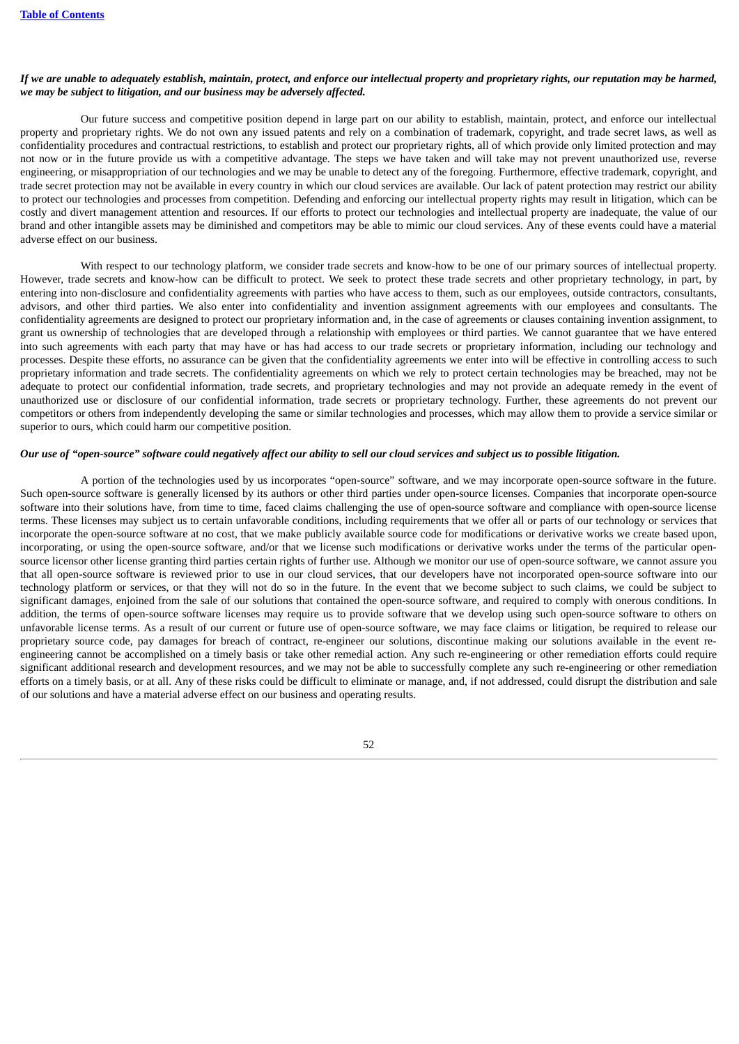## If we are unable to adequately establish, maintain, protect, and enforce our intellectual property and proprietary rights, our reputation may be harmed, *we may be subject to litigation, and our business may be adversely affected.*

Our future success and competitive position depend in large part on our ability to establish, maintain, protect, and enforce our intellectual property and proprietary rights. We do not own any issued patents and rely on a combination of trademark, copyright, and trade secret laws, as well as confidentiality procedures and contractual restrictions, to establish and protect our proprietary rights, all of which provide only limited protection and may not now or in the future provide us with a competitive advantage. The steps we have taken and will take may not prevent unauthorized use, reverse engineering, or misappropriation of our technologies and we may be unable to detect any of the foregoing. Furthermore, effective trademark, copyright, and trade secret protection may not be available in every country in which our cloud services are available. Our lack of patent protection may restrict our ability to protect our technologies and processes from competition. Defending and enforcing our intellectual property rights may result in litigation, which can be costly and divert management attention and resources. If our efforts to protect our technologies and intellectual property are inadequate, the value of our brand and other intangible assets may be diminished and competitors may be able to mimic our cloud services. Any of these events could have a material adverse effect on our business.

With respect to our technology platform, we consider trade secrets and know-how to be one of our primary sources of intellectual property. However, trade secrets and know-how can be difficult to protect. We seek to protect these trade secrets and other proprietary technology, in part, by entering into non-disclosure and confidentiality agreements with parties who have access to them, such as our employees, outside contractors, consultants, advisors, and other third parties. We also enter into confidentiality and invention assignment agreements with our employees and consultants. The confidentiality agreements are designed to protect our proprietary information and, in the case of agreements or clauses containing invention assignment, to grant us ownership of technologies that are developed through a relationship with employees or third parties. We cannot guarantee that we have entered into such agreements with each party that may have or has had access to our trade secrets or proprietary information, including our technology and processes. Despite these efforts, no assurance can be given that the confidentiality agreements we enter into will be effective in controlling access to such proprietary information and trade secrets. The confidentiality agreements on which we rely to protect certain technologies may be breached, may not be adequate to protect our confidential information, trade secrets, and proprietary technologies and may not provide an adequate remedy in the event of unauthorized use or disclosure of our confidential information, trade secrets or proprietary technology. Further, these agreements do not prevent our competitors or others from independently developing the same or similar technologies and processes, which may allow them to provide a service similar or superior to ours, which could harm our competitive position.

## Our use of "open-source" software could negatively affect our ability to sell our cloud services and subject us to possible litigation.

A portion of the technologies used by us incorporates "open-source" software, and we may incorporate open-source software in the future. Such open-source software is generally licensed by its authors or other third parties under open-source licenses. Companies that incorporate open-source software into their solutions have, from time to time, faced claims challenging the use of open-source software and compliance with open-source license terms. These licenses may subject us to certain unfavorable conditions, including requirements that we offer all or parts of our technology or services that incorporate the open-source software at no cost, that we make publicly available source code for modifications or derivative works we create based upon, incorporating, or using the open-source software, and/or that we license such modifications or derivative works under the terms of the particular opensource licensor other license granting third parties certain rights of further use. Although we monitor our use of open-source software, we cannot assure you that all open-source software is reviewed prior to use in our cloud services, that our developers have not incorporated open-source software into our technology platform or services, or that they will not do so in the future. In the event that we become subject to such claims, we could be subject to significant damages, enjoined from the sale of our solutions that contained the open-source software, and required to comply with onerous conditions. In addition, the terms of open-source software licenses may require us to provide software that we develop using such open-source software to others on unfavorable license terms. As a result of our current or future use of open-source software, we may face claims or litigation, be required to release our proprietary source code, pay damages for breach of contract, re-engineer our solutions, discontinue making our solutions available in the event reengineering cannot be accomplished on a timely basis or take other remedial action. Any such re-engineering or other remediation efforts could require significant additional research and development resources, and we may not be able to successfully complete any such re-engineering or other remediation efforts on a timely basis, or at all. Any of these risks could be difficult to eliminate or manage, and, if not addressed, could disrupt the distribution and sale of our solutions and have a material adverse effect on our business and operating results.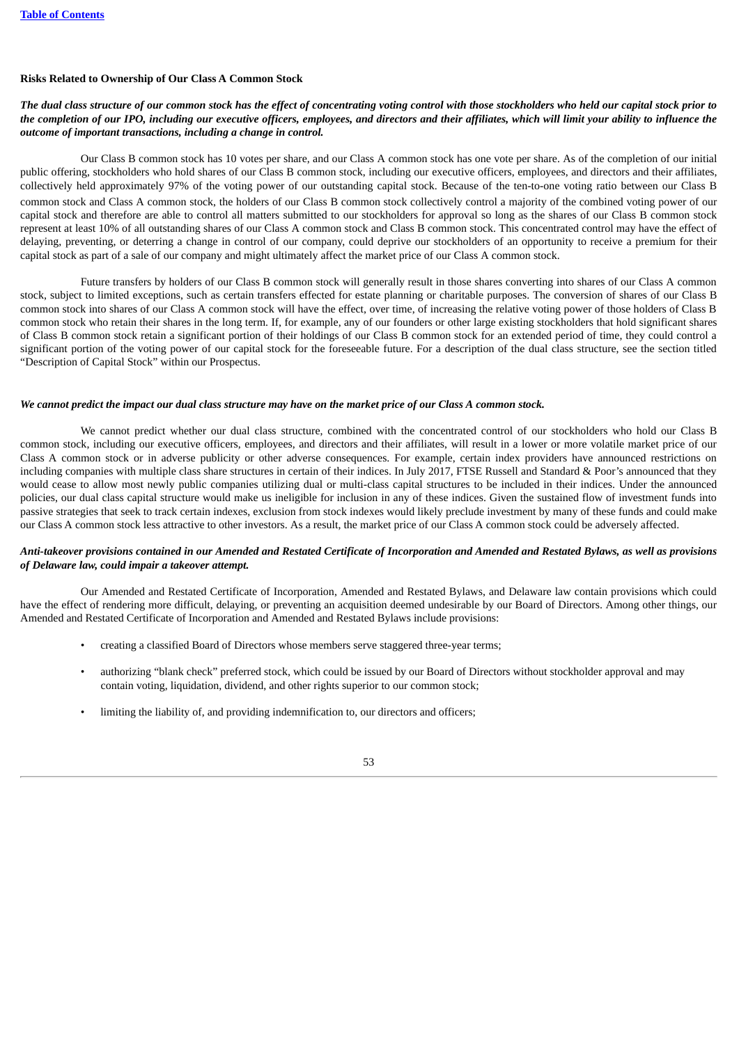## **Risks Related to Ownership of Our Class A Common Stock**

# The dual class structure of our common stock has the effect of concentrating voting control with those stockholders who held our canital stock prior to the completion of our IPO, including our executive officers, employees, and directors and their affiliates, which will limit your ability to influence the *outcome of important transactions, including a change in control.*

Our Class B common stock has 10 votes per share, and our Class A common stock has one vote per share. As of the completion of our initial public offering, stockholders who hold shares of our Class B common stock, including our executive officers, employees, and directors and their affiliates, collectively held approximately 97% of the voting power of our outstanding capital stock. Because of the ten-to-one voting ratio between our Class B common stock and Class A common stock, the holders of our Class B common stock collectively control a majority of the combined voting power of our capital stock and therefore are able to control all matters submitted to our stockholders for approval so long as the shares of our Class B common stock represent at least 10% of all outstanding shares of our Class A common stock and Class B common stock. This concentrated control may have the effect of delaying, preventing, or deterring a change in control of our company, could deprive our stockholders of an opportunity to receive a premium for their capital stock as part of a sale of our company and might ultimately affect the market price of our Class A common stock.

Future transfers by holders of our Class B common stock will generally result in those shares converting into shares of our Class A common stock, subject to limited exceptions, such as certain transfers effected for estate planning or charitable purposes. The conversion of shares of our Class B common stock into shares of our Class A common stock will have the effect, over time, of increasing the relative voting power of those holders of Class B common stock who retain their shares in the long term. If, for example, any of our founders or other large existing stockholders that hold significant shares of Class B common stock retain a significant portion of their holdings of our Class B common stock for an extended period of time, they could control a significant portion of the voting power of our capital stock for the foreseeable future. For a description of the dual class structure, see the section titled "Description of Capital Stock" within our Prospectus.

#### We cannot predict the impact our dual class structure may have on the market price of our Class A common stock.

We cannot predict whether our dual class structure, combined with the concentrated control of our stockholders who hold our Class B common stock, including our executive officers, employees, and directors and their affiliates, will result in a lower or more volatile market price of our Class A common stock or in adverse publicity or other adverse consequences. For example, certain index providers have announced restrictions on including companies with multiple class share structures in certain of their indices. In July 2017, FTSE Russell and Standard & Poor's announced that they would cease to allow most newly public companies utilizing dual or multi-class capital structures to be included in their indices. Under the announced policies, our dual class capital structure would make us ineligible for inclusion in any of these indices. Given the sustained flow of investment funds into passive strategies that seek to track certain indexes, exclusion from stock indexes would likely preclude investment by many of these funds and could make our Class A common stock less attractive to other investors. As a result, the market price of our Class A common stock could be adversely affected.

## Anti-takeover provisions contained in our Amended and Restated Certificate of Incorporation and Amended and Restated Bylaws, as well as provisions *of Delaware law, could impair a takeover attempt.*

Our Amended and Restated Certificate of Incorporation, Amended and Restated Bylaws, and Delaware law contain provisions which could have the effect of rendering more difficult, delaying, or preventing an acquisition deemed undesirable by our Board of Directors. Among other things, our Amended and Restated Certificate of Incorporation and Amended and Restated Bylaws include provisions:

- creating a classified Board of Directors whose members serve staggered three-year terms;
- authorizing "blank check" preferred stock, which could be issued by our Board of Directors without stockholder approval and may contain voting, liquidation, dividend, and other rights superior to our common stock;
- limiting the liability of, and providing indemnification to, our directors and officers;

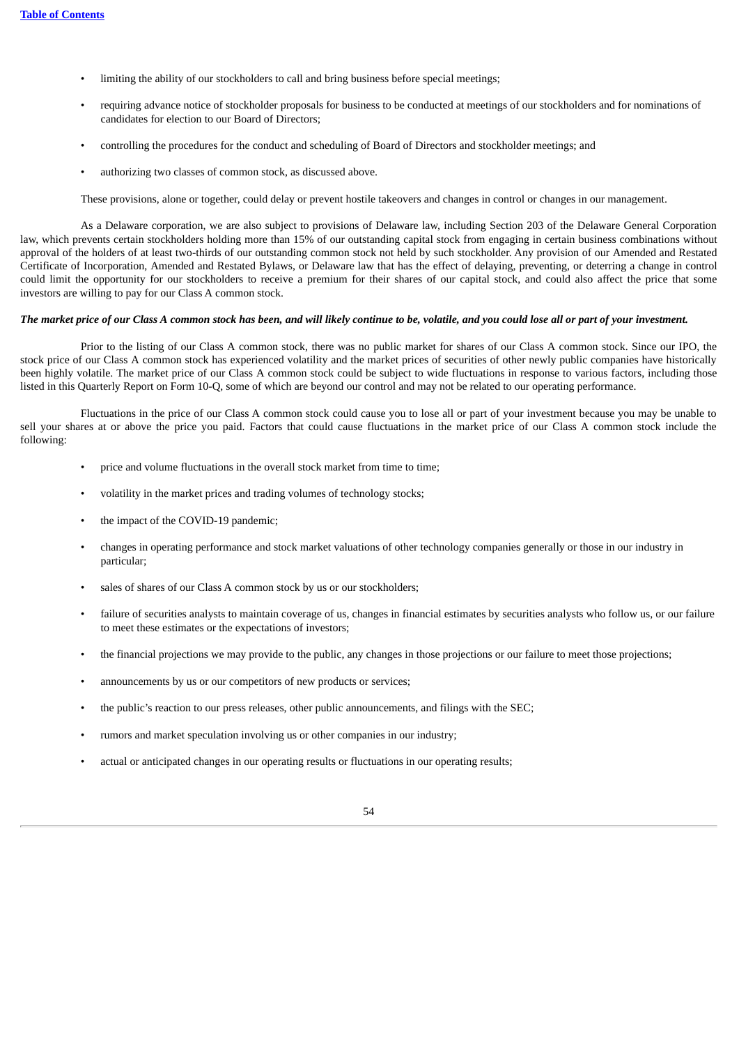- limiting the ability of our stockholders to call and bring business before special meetings;
- requiring advance notice of stockholder proposals for business to be conducted at meetings of our stockholders and for nominations of candidates for election to our Board of Directors;
- controlling the procedures for the conduct and scheduling of Board of Directors and stockholder meetings; and
- authorizing two classes of common stock, as discussed above.

These provisions, alone or together, could delay or prevent hostile takeovers and changes in control or changes in our management.

As a Delaware corporation, we are also subject to provisions of Delaware law, including Section 203 of the Delaware General Corporation law, which prevents certain stockholders holding more than 15% of our outstanding capital stock from engaging in certain business combinations without approval of the holders of at least two-thirds of our outstanding common stock not held by such stockholder. Any provision of our Amended and Restated Certificate of Incorporation, Amended and Restated Bylaws, or Delaware law that has the effect of delaying, preventing, or deterring a change in control could limit the opportunity for our stockholders to receive a premium for their shares of our capital stock, and could also affect the price that some investors are willing to pay for our Class A common stock.

#### The market price of our Class A common stock has been, and will likely continue to be, volatile, and you could lose all or part of your investment.

Prior to the listing of our Class A common stock, there was no public market for shares of our Class A common stock. Since our IPO, the stock price of our Class A common stock has experienced volatility and the market prices of securities of other newly public companies have historically been highly volatile. The market price of our Class A common stock could be subject to wide fluctuations in response to various factors, including those listed in this Quarterly Report on Form 10-Q, some of which are beyond our control and may not be related to our operating performance.

Fluctuations in the price of our Class A common stock could cause you to lose all or part of your investment because you may be unable to sell your shares at or above the price you paid. Factors that could cause fluctuations in the market price of our Class A common stock include the following:

- price and volume fluctuations in the overall stock market from time to time;
- volatility in the market prices and trading volumes of technology stocks;
- the impact of the COVID-19 pandemic;
- changes in operating performance and stock market valuations of other technology companies generally or those in our industry in particular;
- sales of shares of our Class A common stock by us or our stockholders;
- failure of securities analysts to maintain coverage of us, changes in financial estimates by securities analysts who follow us, or our failure to meet these estimates or the expectations of investors;
- the financial projections we may provide to the public, any changes in those projections or our failure to meet those projections;
- announcements by us or our competitors of new products or services;
- the public's reaction to our press releases, other public announcements, and filings with the SEC;
- rumors and market speculation involving us or other companies in our industry;
- actual or anticipated changes in our operating results or fluctuations in our operating results;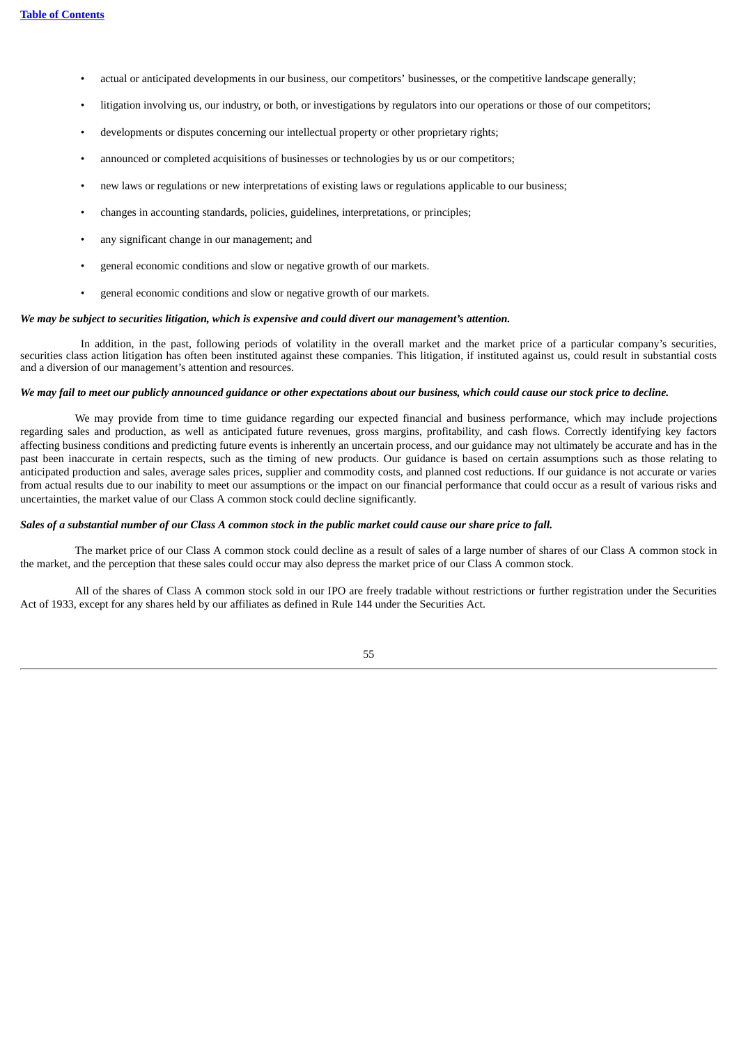- actual or anticipated developments in our business, our competitors' businesses, or the competitive landscape generally;
- litigation involving us, our industry, or both, or investigations by regulators into our operations or those of our competitors;
- developments or disputes concerning our intellectual property or other proprietary rights;
- announced or completed acquisitions of businesses or technologies by us or our competitors;
- new laws or regulations or new interpretations of existing laws or regulations applicable to our business;
- changes in accounting standards, policies, guidelines, interpretations, or principles;
- any significant change in our management; and
- general economic conditions and slow or negative growth of our markets.
- general economic conditions and slow or negative growth of our markets.

#### *We may be subject to securities litigation, which is expensive and could divert our management's attention.*

In addition, in the past, following periods of volatility in the overall market and the market price of a particular company's securities, securities class action litigation has often been instituted against these companies. This litigation, if instituted against us, could result in substantial costs and a diversion of our management's attention and resources.

#### We may fail to meet our publicly announced guidance or other expectations about our business, which could cause our stock price to decline.

We may provide from time to time guidance regarding our expected financial and business performance, which may include projections regarding sales and production, as well as anticipated future revenues, gross margins, profitability, and cash flows. Correctly identifying key factors affecting business conditions and predicting future events is inherently an uncertain process, and our guidance may not ultimately be accurate and has in the past been inaccurate in certain respects, such as the timing of new products. Our guidance is based on certain assumptions such as those relating to anticipated production and sales, average sales prices, supplier and commodity costs, and planned cost reductions. If our guidance is not accurate or varies from actual results due to our inability to meet our assumptions or the impact on our financial performance that could occur as a result of various risks and uncertainties, the market value of our Class A common stock could decline significantly.

## Sales of a substantial number of our Class A common stock in the public market could cause our share price to fall.

The market price of our Class A common stock could decline as a result of sales of a large number of shares of our Class A common stock in the market, and the perception that these sales could occur may also depress the market price of our Class A common stock.

All of the shares of Class A common stock sold in our IPO are freely tradable without restrictions or further registration under the Securities Act of 1933, except for any shares held by our affiliates as defined in Rule 144 under the Securities Act.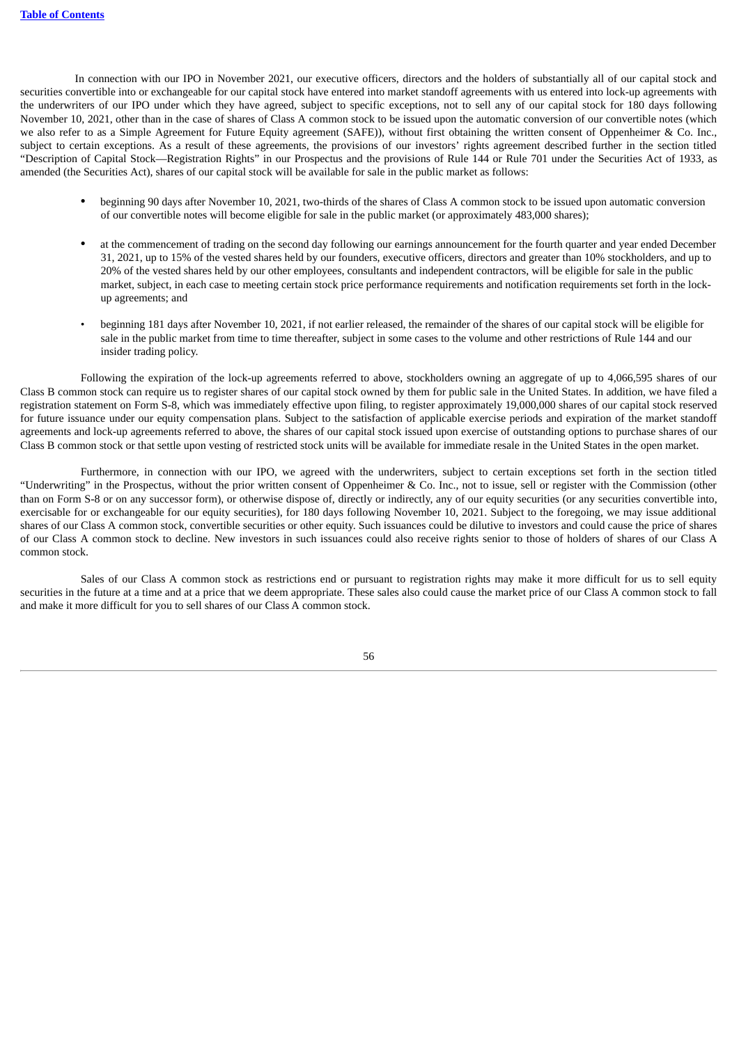In connection with our IPO in November 2021, our executive officers, directors and the holders of substantially all of our capital stock and securities convertible into or exchangeable for our capital stock have entered into market standoff agreements with us entered into lock-up agreements with the underwriters of our IPO under which they have agreed, subject to specific exceptions, not to sell any of our capital stock for 180 days following November 10, 2021, other than in the case of shares of Class A common stock to be issued upon the automatic conversion of our convertible notes (which we also refer to as a Simple Agreement for Future Equity agreement (SAFE)), without first obtaining the written consent of Oppenheimer & Co. Inc., subject to certain exceptions. As a result of these agreements, the provisions of our investors' rights agreement described further in the section titled "Description of Capital Stock—Registration Rights" in our Prospectus and the provisions of Rule 144 or Rule 701 under the Securities Act of 1933, as amended (the Securities Act), shares of our capital stock will be available for sale in the public market as follows:

- beginning 90 days after November 10, 2021, two-thirds of the shares of Class A common stock to be issued upon automatic conversion of our convertible notes will become eligible for sale in the public market (or approximately 483,000 shares);
- at the commencement of trading on the second day following our earnings announcement for the fourth quarter and year ended December 31, 2021, up to 15% of the vested shares held by our founders, executive officers, directors and greater than 10% stockholders, and up to 20% of the vested shares held by our other employees, consultants and independent contractors, will be eligible for sale in the public market, subject, in each case to meeting certain stock price performance requirements and notification requirements set forth in the lockup agreements; and
- beginning 181 days after November 10, 2021, if not earlier released, the remainder of the shares of our capital stock will be eligible for sale in the public market from time to time thereafter, subject in some cases to the volume and other restrictions of Rule 144 and our insider trading policy.

Following the expiration of the lock-up agreements referred to above, stockholders owning an aggregate of up to 4,066,595 shares of our Class B common stock can require us to register shares of our capital stock owned by them for public sale in the United States. In addition, we have filed a registration statement on Form S-8, which was immediately effective upon filing, to register approximately 19,000,000 shares of our capital stock reserved for future issuance under our equity compensation plans. Subject to the satisfaction of applicable exercise periods and expiration of the market standoff agreements and lock-up agreements referred to above, the shares of our capital stock issued upon exercise of outstanding options to purchase shares of our Class B common stock or that settle upon vesting of restricted stock units will be available for immediate resale in the United States in the open market.

Furthermore, in connection with our IPO, we agreed with the underwriters, subject to certain exceptions set forth in the section titled "Underwriting" in the Prospectus, without the prior written consent of Oppenheimer & Co. Inc., not to issue, sell or register with the Commission (other than on Form S-8 or on any successor form), or otherwise dispose of, directly or indirectly, any of our equity securities (or any securities convertible into, exercisable for or exchangeable for our equity securities), for 180 days following November 10, 2021. Subject to the foregoing, we may issue additional shares of our Class A common stock, convertible securities or other equity. Such issuances could be dilutive to investors and could cause the price of shares of our Class A common stock to decline. New investors in such issuances could also receive rights senior to those of holders of shares of our Class A common stock.

Sales of our Class A common stock as restrictions end or pursuant to registration rights may make it more difficult for us to sell equity securities in the future at a time and at a price that we deem appropriate. These sales also could cause the market price of our Class A common stock to fall and make it more difficult for you to sell shares of our Class A common stock.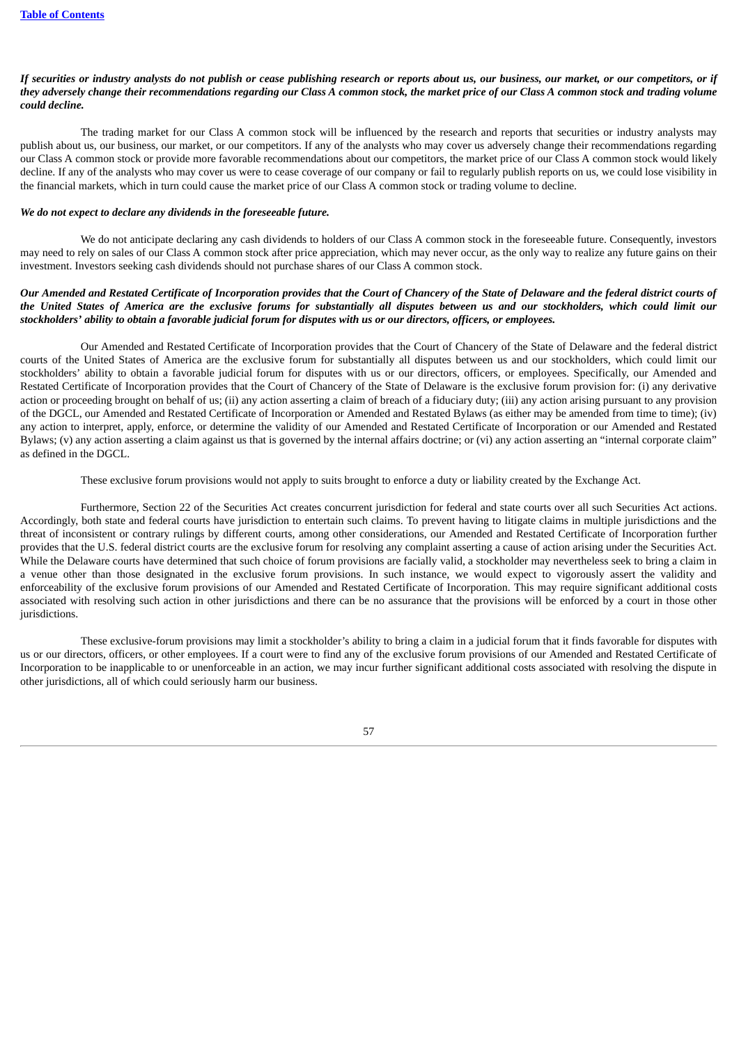## If securities or industry analysts do not publish or cease publishing research or reports about us, our business, our market, or our competitors, or if they adversely change their recommendations regarding our Class A common stock, the market price of our Class A common stock and trading volume *could decline.*

The trading market for our Class A common stock will be influenced by the research and reports that securities or industry analysts may publish about us, our business, our market, or our competitors. If any of the analysts who may cover us adversely change their recommendations regarding our Class A common stock or provide more favorable recommendations about our competitors, the market price of our Class A common stock would likely decline. If any of the analysts who may cover us were to cease coverage of our company or fail to regularly publish reports on us, we could lose visibility in the financial markets, which in turn could cause the market price of our Class A common stock or trading volume to decline.

## *We do not expect to declare any dividends in the foreseeable future.*

We do not anticipate declaring any cash dividends to holders of our Class A common stock in the foreseeable future. Consequently, investors may need to rely on sales of our Class A common stock after price appreciation, which may never occur, as the only way to realize any future gains on their investment. Investors seeking cash dividends should not purchase shares of our Class A common stock.

## Our Amended and Restated Certificate of Incorporation provides that the Court of Chancery of the State of Delaware and the federal district courts of the United States of America are the exclusive forums for substantially all disputes between us and our stockholders, which could limit our stockholders' ability to obtain a favorable judicial forum for disputes with us or our directors, officers, or employees.

Our Amended and Restated Certificate of Incorporation provides that the Court of Chancery of the State of Delaware and the federal district courts of the United States of America are the exclusive forum for substantially all disputes between us and our stockholders, which could limit our stockholders' ability to obtain a favorable judicial forum for disputes with us or our directors, officers, or employees. Specifically, our Amended and Restated Certificate of Incorporation provides that the Court of Chancery of the State of Delaware is the exclusive forum provision for: (i) any derivative action or proceeding brought on behalf of us; (ii) any action asserting a claim of breach of a fiduciary duty; (iii) any action arising pursuant to any provision of the DGCL, our Amended and Restated Certificate of Incorporation or Amended and Restated Bylaws (as either may be amended from time to time); (iv) any action to interpret, apply, enforce, or determine the validity of our Amended and Restated Certificate of Incorporation or our Amended and Restated Bylaws; (v) any action asserting a claim against us that is governed by the internal affairs doctrine; or (vi) any action asserting an "internal corporate claim" as defined in the DGCL.

These exclusive forum provisions would not apply to suits brought to enforce a duty or liability created by the Exchange Act.

Furthermore, Section 22 of the Securities Act creates concurrent jurisdiction for federal and state courts over all such Securities Act actions. Accordingly, both state and federal courts have jurisdiction to entertain such claims. To prevent having to litigate claims in multiple jurisdictions and the threat of inconsistent or contrary rulings by different courts, among other considerations, our Amended and Restated Certificate of Incorporation further provides that the U.S. federal district courts are the exclusive forum for resolving any complaint asserting a cause of action arising under the Securities Act. While the Delaware courts have determined that such choice of forum provisions are facially valid, a stockholder may nevertheless seek to bring a claim in a venue other than those designated in the exclusive forum provisions. In such instance, we would expect to vigorously assert the validity and enforceability of the exclusive forum provisions of our Amended and Restated Certificate of Incorporation. This may require significant additional costs associated with resolving such action in other jurisdictions and there can be no assurance that the provisions will be enforced by a court in those other jurisdictions.

These exclusive-forum provisions may limit a stockholder's ability to bring a claim in a judicial forum that it finds favorable for disputes with us or our directors, officers, or other employees. If a court were to find any of the exclusive forum provisions of our Amended and Restated Certificate of Incorporation to be inapplicable to or unenforceable in an action, we may incur further significant additional costs associated with resolving the dispute in other jurisdictions, all of which could seriously harm our business.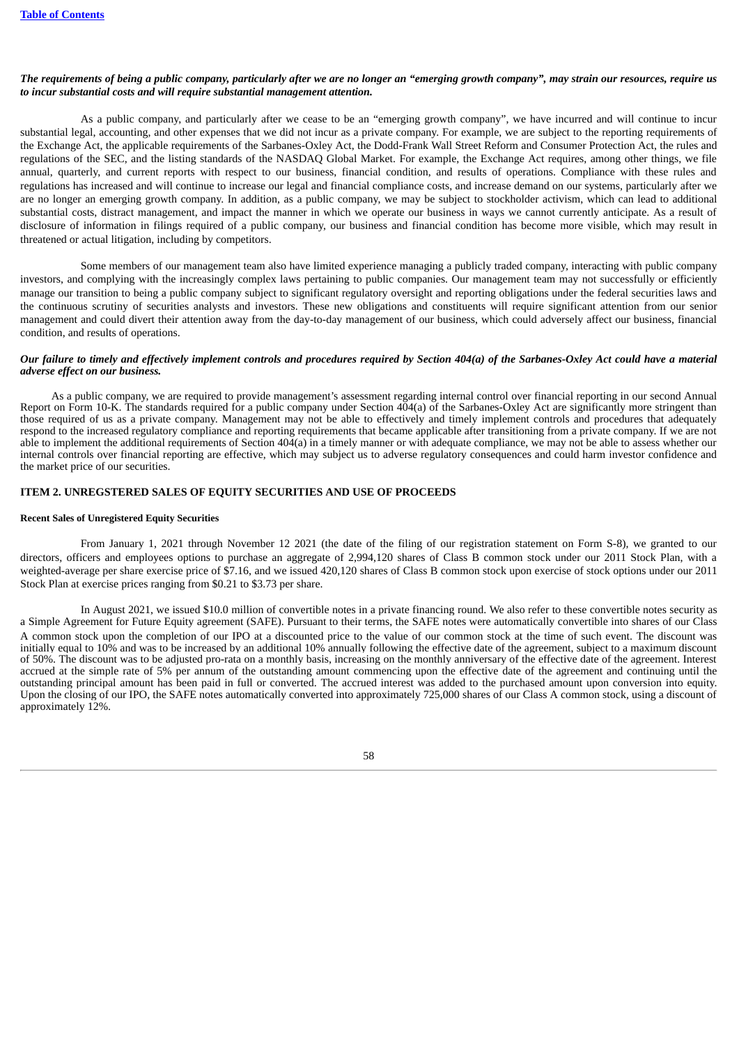## The requirements of being a public company, particularly after we are no longer an "emerging growth company", may strain our resources, require us *to incur substantial costs and will require substantial management attention.*

As a public company, and particularly after we cease to be an "emerging growth company", we have incurred and will continue to incur substantial legal, accounting, and other expenses that we did not incur as a private company. For example, we are subject to the reporting requirements of the Exchange Act, the applicable requirements of the Sarbanes-Oxley Act, the Dodd-Frank Wall Street Reform and Consumer Protection Act, the rules and regulations of the SEC, and the listing standards of the NASDAQ Global Market. For example, the Exchange Act requires, among other things, we file annual, quarterly, and current reports with respect to our business, financial condition, and results of operations. Compliance with these rules and regulations has increased and will continue to increase our legal and financial compliance costs, and increase demand on our systems, particularly after we are no longer an emerging growth company. In addition, as a public company, we may be subject to stockholder activism, which can lead to additional substantial costs, distract management, and impact the manner in which we operate our business in ways we cannot currently anticipate. As a result of disclosure of information in filings required of a public company, our business and financial condition has become more visible, which may result in threatened or actual litigation, including by competitors.

Some members of our management team also have limited experience managing a publicly traded company, interacting with public company investors, and complying with the increasingly complex laws pertaining to public companies. Our management team may not successfully or efficiently manage our transition to being a public company subject to significant regulatory oversight and reporting obligations under the federal securities laws and the continuous scrutiny of securities analysts and investors. These new obligations and constituents will require significant attention from our senior management and could divert their attention away from the day-to-day management of our business, which could adversely affect our business, financial condition, and results of operations.

## Our failure to timely and effectively implement controls and procedures required by Section 404(a) of the Sarbanes-Oxley Act could have a material *adverse effect on our business.*

As a public company, we are required to provide management's assessment regarding internal control over financial reporting in our second Annual Report on Form 10-K. The standards required for a public company under Section 404(a) of the Sarbanes-Oxley Act are significantly more stringent than those required of us as a private company. Management may not be able to effectively and timely implement controls and procedures that adequately respond to the increased regulatory compliance and reporting requirements that became applicable after transitioning from a private company. If we are not able to implement the additional requirements of Section 404(a) in a timely manner or with adequate compliance, we may not be able to assess whether our internal controls over financial reporting are effective, which may subject us to adverse regulatory consequences and could harm investor confidence and the market price of our securities.

## **ITEM 2. UNREGSTERED SALES OF EQUITY SECURITIES AND USE OF PROCEEDS**

#### **Recent Sales of Unregistered Equity Securities**

From January 1, 2021 through November 12 2021 (the date of the filing of our registration statement on Form S-8), we granted to our directors, officers and employees options to purchase an aggregate of 2,994,120 shares of Class B common stock under our 2011 Stock Plan, with a weighted-average per share exercise price of \$7.16, and we issued 420,120 shares of Class B common stock upon exercise of stock options under our 2011 Stock Plan at exercise prices ranging from \$0.21 to \$3.73 per share.

In August 2021, we issued \$10.0 million of convertible notes in a private financing round. We also refer to these convertible notes security as a Simple Agreement for Future Equity agreement (SAFE). Pursuant to their terms, the SAFE notes were automatically convertible into shares of our Class A common stock upon the completion of our IPO at a discounted price to the value of our common stock at the time of such event. The discount was initially equal to 10% and was to be increased by an additional 10% annually following the effective date of the agreement, subject to a maximum discount of 50%. The discount was to be adjusted pro-rata on a monthly basis, increasing on the monthly anniversary of the effective date of the agreement. Interest accrued at the simple rate of 5% per annum of the outstanding amount commencing upon the effective date of the agreement and continuing until the outstanding principal amount has been paid in full or converted. The accrued interest was added to the purchased amount upon conversion into equity. Upon the closing of our IPO, the SAFE notes automatically converted into approximately 725,000 shares of our Class A common stock, using a discount of approximately 12%.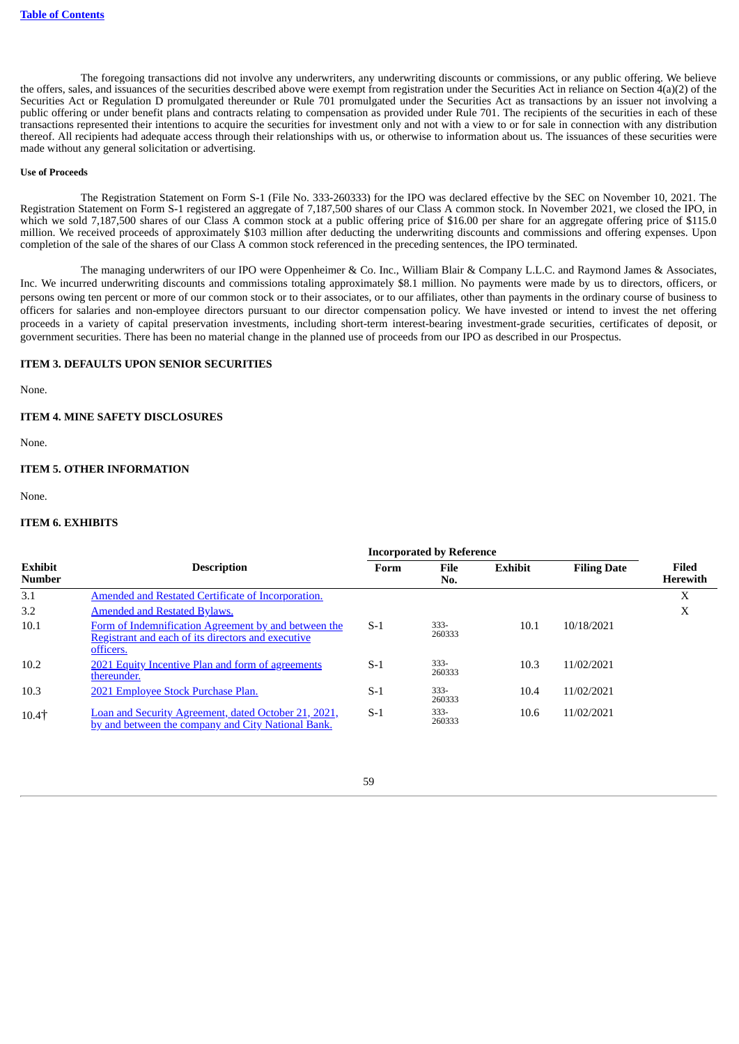The foregoing transactions did not involve any underwriters, any underwriting discounts or commissions, or any public offering. We believe the offers, sales, and issuances of the securities described above were exempt from registration under the Securities Act in reliance on Section  $4(a)(2)$  of the Securities Act or Regulation D promulgated thereunder or Rule 701 promulgated under the Securities Act as transactions by an issuer not involving a public offering or under benefit plans and contracts relating to compensation as provided under Rule 701. The recipients of the securities in each of these transactions represented their intentions to acquire the securities for investment only and not with a view to or for sale in connection with any distribution thereof. All recipients had adequate access through their relationships with us, or otherwise to information about us. The issuances of these securities were made without any general solicitation or advertising.

#### **Use of Proceeds**

The Registration Statement on Form S-1 (File No. 333-260333) for the IPO was declared effective by the SEC on November 10, 2021. The Registration Statement on Form S-1 registered an aggregate of 7,187,500 shares of our Class A common stock. In November 2021, we closed the IPO, in which we sold 7,187,500 shares of our Class A common stock at a public offering price of \$16.00 per share for an aggregate offering price of \$115.0 million. We received proceeds of approximately \$103 million after deducting the underwriting discounts and commissions and offering expenses. Upon completion of the sale of the shares of our Class A common stock referenced in the preceding sentences, the IPO terminated.

The managing underwriters of our IPO were Oppenheimer & Co. Inc., William Blair & Company L.L.C. and Raymond James & Associates, Inc. We incurred underwriting discounts and commissions totaling approximately \$8.1 million. No payments were made by us to directors, officers, or persons owing ten percent or more of our common stock or to their associates, or to our affiliates, other than payments in the ordinary course of business to officers for salaries and non-employee directors pursuant to our director compensation policy. We have invested or intend to invest the net offering proceeds in a variety of capital preservation investments, including short-term interest-bearing investment-grade securities, certificates of deposit, or government securities. There has been no material change in the planned use of proceeds from our IPO as described in our Prospectus.

#### **ITEM 3. DEFAULTS UPON SENIOR SECURITIES**

None.

## **ITEM 4. MINE SAFETY DISCLOSURES**

None.

#### **ITEM 5. OTHER INFORMATION**

None.

# **ITEM 6. EXHIBITS**

| <b>Exhibit</b><br><b>Number</b> | <b>Description</b>                                                                                                      | <b>Incorporated by Reference</b> |                   |         |                    |                          |
|---------------------------------|-------------------------------------------------------------------------------------------------------------------------|----------------------------------|-------------------|---------|--------------------|--------------------------|
|                                 |                                                                                                                         | Form                             | File<br>No.       | Exhibit | <b>Filing Date</b> | Filed<br><b>Herewith</b> |
| 3.1                             | Amended and Restated Certificate of Incorporation.                                                                      |                                  |                   |         |                    | X                        |
| 3.2                             | <b>Amended and Restated Bylaws.</b>                                                                                     |                                  |                   |         |                    | X                        |
| 10.1                            | Form of Indemnification Agreement by and between the<br>Registrant and each of its directors and executive<br>officers. | $S-1$                            | 333-<br>260333    | 10.1    | 10/18/2021         |                          |
| 10.2                            | 2021 Equity Incentive Plan and form of agreements<br>thereunder.                                                        | $S-1$                            | $333 -$<br>260333 | 10.3    | 11/02/2021         |                          |
| 10.3                            | 2021 Employee Stock Purchase Plan.                                                                                      | $S-1$                            | 333-<br>260333    | 10.4    | 11/02/2021         |                          |
| $10.4+$                         | Loan and Security Agreement, dated October 21, 2021,<br>by and between the company and City National Bank.              | $S-1$                            | $333 -$<br>260333 | 10.6    | 11/02/2021         |                          |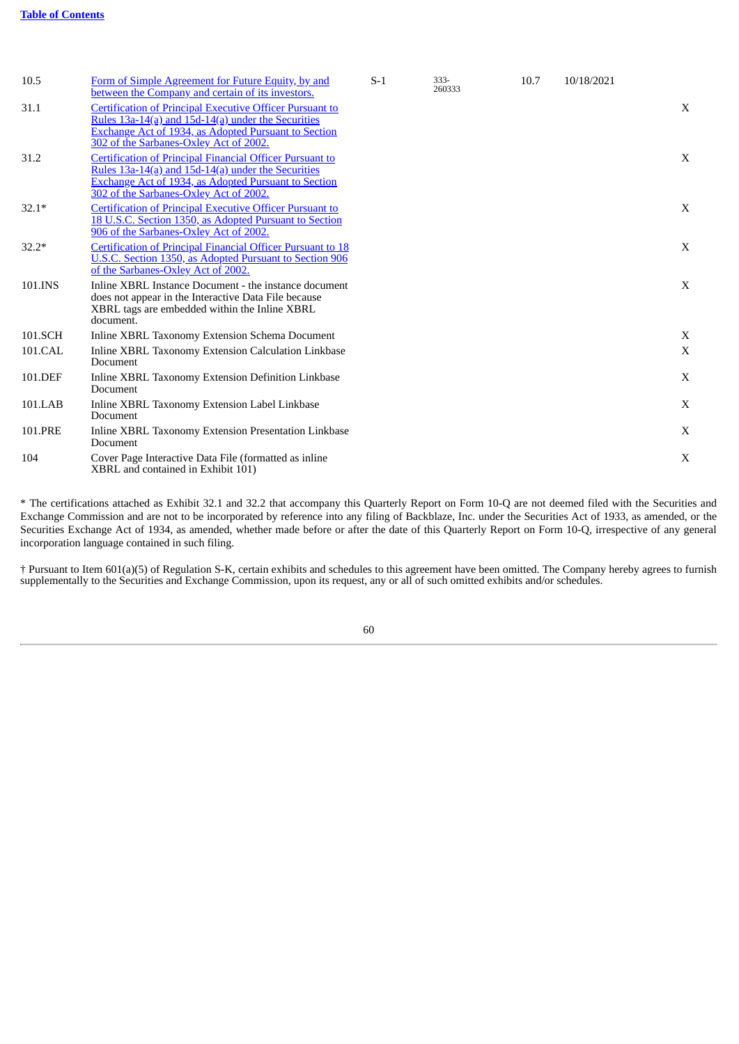| 10.5    | Form of Simple Agreement for Future Equity, by and<br>between the Company and certain of its investors.                                                                                                                 | $S-1$ | $333 -$<br>260333 | 10.7 | 10/18/2021 |   |
|---------|-------------------------------------------------------------------------------------------------------------------------------------------------------------------------------------------------------------------------|-------|-------------------|------|------------|---|
| 31.1    | Certification of Principal Executive Officer Pursuant to<br>Rules 13a-14(a) and 15d-14(a) under the Securities<br><b>Exchange Act of 1934, as Adopted Pursuant to Section</b><br>302 of the Sarbanes-Oxley Act of 2002. |       |                   |      |            | X |
| 31.2    | Certification of Principal Financial Officer Pursuant to<br>Rules 13a-14(a) and 15d-14(a) under the Securities<br><b>Exchange Act of 1934, as Adopted Pursuant to Section</b><br>302 of the Sarbanes-Oxley Act of 2002. |       |                   |      |            | X |
| $32.1*$ | Certification of Principal Executive Officer Pursuant to<br>18 U.S.C. Section 1350, as Adopted Pursuant to Section<br>906 of the Sarbanes-Oxley Act of 2002.                                                            |       |                   |      |            | X |
| $32.2*$ | Certification of Principal Financial Officer Pursuant to 18<br>U.S.C. Section 1350, as Adopted Pursuant to Section 906<br>of the Sarbanes-Oxley Act of 2002.                                                            |       |                   |      |            | X |
| 101.INS | Inline XBRL Instance Document - the instance document<br>does not appear in the Interactive Data File because<br>XBRL tags are embedded within the Inline XBRL<br>document.                                             |       |                   |      |            | X |
| 101.SCH | Inline XBRL Taxonomy Extension Schema Document                                                                                                                                                                          |       |                   |      |            | X |
| 101.CAL | Inline XBRL Taxonomy Extension Calculation Linkbase<br>Document                                                                                                                                                         |       |                   |      |            | X |
| 101.DEF | Inline XBRL Taxonomy Extension Definition Linkbase<br>Document                                                                                                                                                          |       |                   |      |            | X |
| 101.LAB | Inline XBRL Taxonomy Extension Label Linkbase<br>Document                                                                                                                                                               |       |                   |      |            | X |
| 101.PRE | Inline XBRL Taxonomy Extension Presentation Linkbase<br>Document                                                                                                                                                        |       |                   |      |            | X |
| 104     | Cover Page Interactive Data File (formatted as inline<br>XBRL and contained in Exhibit 101)                                                                                                                             |       |                   |      |            | X |

\* The certifications attached as Exhibit 32.1 and 32.2 that accompany this Quarterly Report on Form 10-Q are not deemed filed with the Securities and Exchange Commission and are not to be incorporated by reference into any filing of Backblaze, Inc. under the Securities Act of 1933, as amended, or the Securities Exchange Act of 1934, as amended, whether made before or after the date of this Quarterly Report on Form 10-Q, irrespective of any general incorporation language contained in such filing.

† Pursuant to Item 601(a)(5) of Regulation S-K, certain exhibits and schedules to this agreement have been omitted. The Company hereby agrees to furnish supplementally to the Securities and Exchange Commission, upon its request, any or all of such omitted exhibits and/or schedules.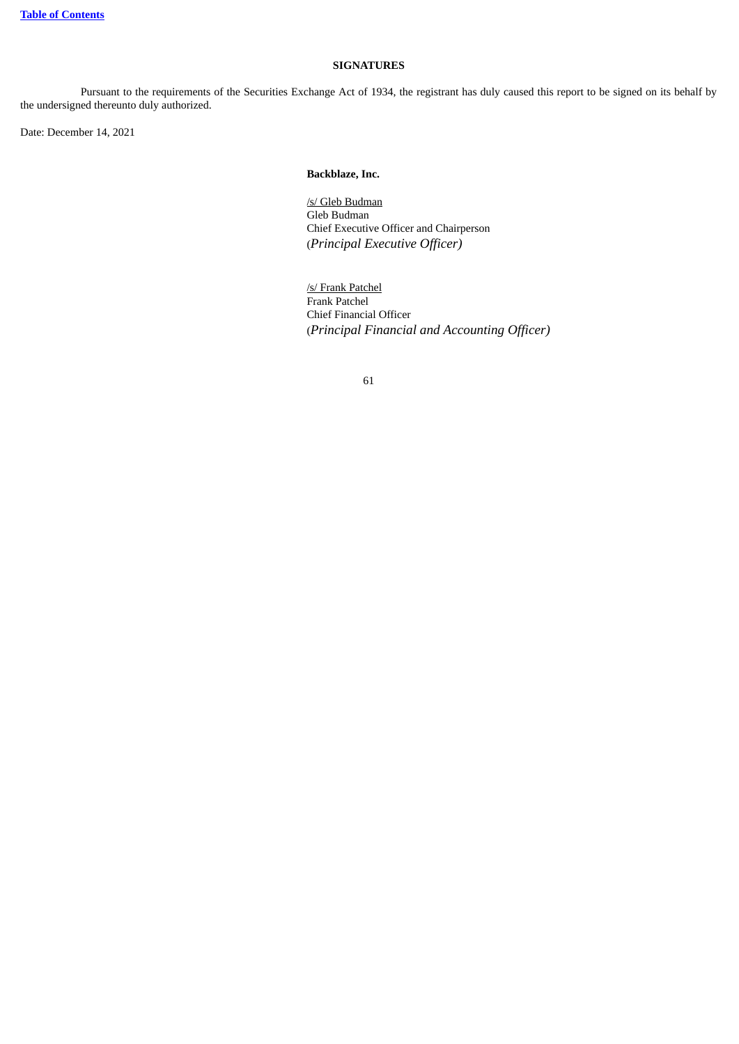# **SIGNATURES**

Pursuant to the requirements of the Securities Exchange Act of 1934, the registrant has duly caused this report to be signed on its behalf by the undersigned thereunto duly authorized.

Date: December 14, 2021

# **Backblaze, Inc.**

/s/ Gleb Budman Gleb Budman Chief Executive Officer and Chairperson (*Principal Executive Officer)*

/s/ Frank Patchel Frank Patchel Chief Financial Officer (*Principal Financial and Accounting Officer)*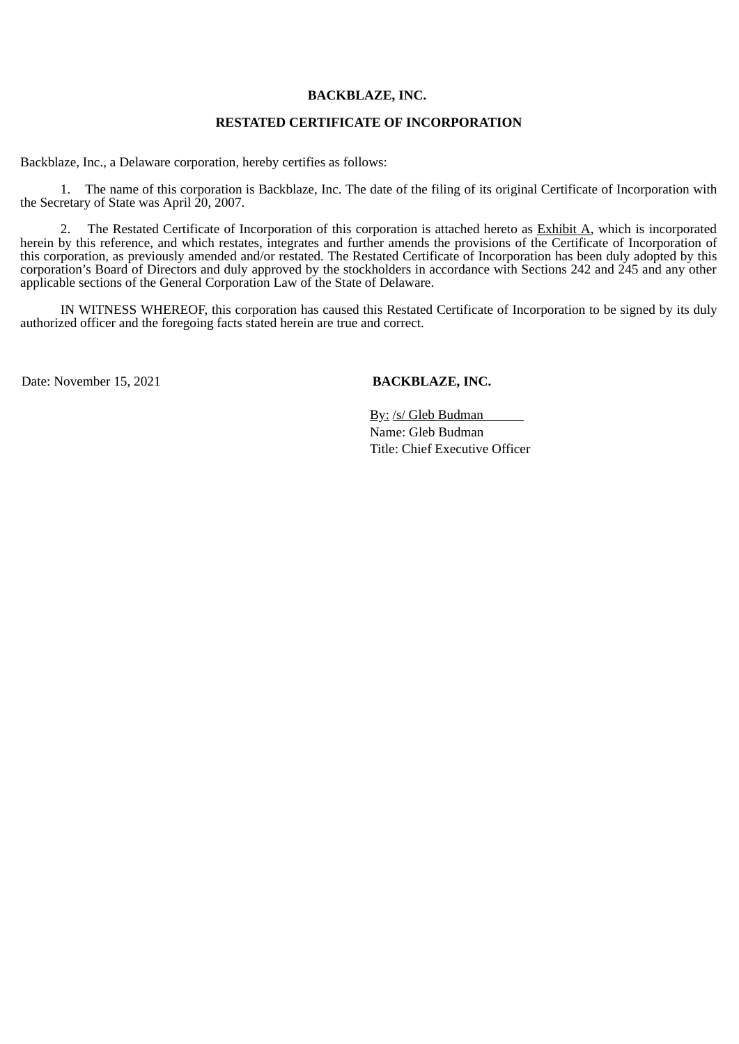# **BACKBLAZE, INC.**

## **RESTATED CERTIFICATE OF INCORPORATION**

<span id="page-65-0"></span>Backblaze, Inc., a Delaware corporation, hereby certifies as follows:

1. The name of this corporation is Backblaze, Inc. The date of the filing of its original Certificate of Incorporation with the Secretary of State was April 20, 2007.

2. The Restated Certificate of Incorporation of this corporation is attached hereto as Exhibit A, which is incorporated herein by this reference, and which restates, integrates and further amends the provisions of the Certificate of Incorporation of this corporation, as previously amended and/or restated. The Restated Certificate of Incorporation has been duly adopted by this corporation's Board of Directors and duly approved by the stockholders in accordance with Sections 242 and 245 and any other applicable sections of the General Corporation Law of the State of Delaware.

IN WITNESS WHEREOF, this corporation has caused this Restated Certificate of Incorporation to be signed by its duly authorized officer and the foregoing facts stated herein are true and correct.

Date: November 15, 2021 **BACKBLAZE, INC.** 

By: /s/ Gleb Budman Name: Gleb Budman Title: Chief Executive Officer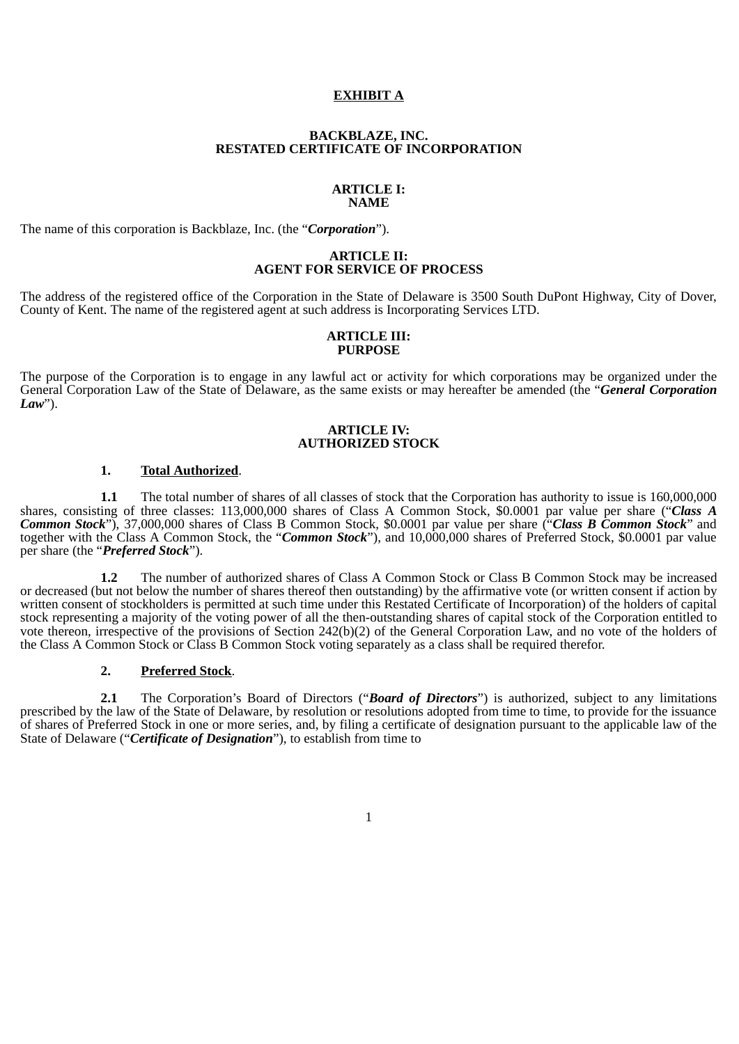# **EXHIBIT A**

# **BACKBLAZE, INC. RESTATED CERTIFICATE OF INCORPORATION**

## **ARTICLE I: NAME**

The name of this corporation is Backblaze, Inc. (the "*Corporation*").

# **ARTICLE II: AGENT FOR SERVICE OF PROCESS**

The address of the registered office of the Corporation in the State of Delaware is 3500 South DuPont Highway, City of Dover, County of Kent. The name of the registered agent at such address is Incorporating Services LTD.

## **ARTICLE III: PURPOSE**

The purpose of the Corporation is to engage in any lawful act or activity for which corporations may be organized under the General Corporation Law of the State of Delaware, as the same exists or may hereafter be amended (the "*General Corporation Law*").

## **ARTICLE IV: AUTHORIZED STOCK**

# **1. Total Authorized**.

**1.1** The total number of shares of all classes of stock that the Corporation has authority to issue is 160,000,000 shares, consisting of three classes: 113,000,000 shares of Class A Common Stock, \$0.0001 par value per share ("*Class A Common Stock*"), 37,000,000 shares of Class B Common Stock, \$0.0001 par value per share ("*Class B Common Stock*" and together with the Class A Common Stock, the "*Common Stock*"), and 10,000,000 shares of Preferred Stock, \$0.0001 par value per share (the "*Preferred Stock*").

**1.2** The number of authorized shares of Class A Common Stock or Class B Common Stock may be increased or decreased (but not below the number of shares thereof then outstanding) by the affirmative vote (or written consent if action by written consent of stockholders is permitted at such time under this Restated Certificate of Incorporation) of the holders of capital stock representing a majority of the voting power of all the then-outstanding shares of capital stock of the Corporation entitled to vote thereon, irrespective of the provisions of Section 242(b)(2) of the General Corporation Law, and no vote of the holders of the Class A Common Stock or Class B Common Stock voting separately as a class shall be required therefor.

# **2. Preferred Stock**.

**2.1** The Corporation's Board of Directors ("*Board of Directors*") is authorized, subject to any limitations prescribed by the law of the State of Delaware, by resolution or resolutions adopted from time to time, to provide for the issuance of shares of Preferred Stock in one or more series, and, by filing a certificate of designation pursuant to the applicable law of the State of Delaware ("*Certificate of Designation*"), to establish from time to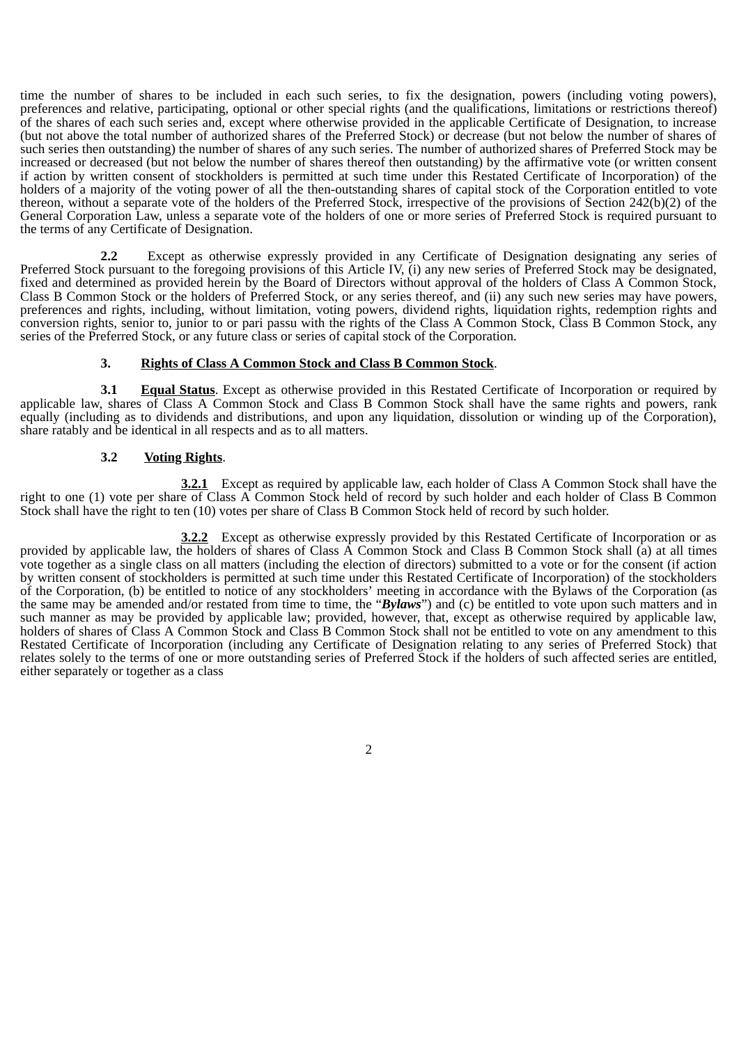time the number of shares to be included in each such series, to fix the designation, powers (including voting powers), preferences and relative, participating, optional or other special rights (and the qualifications, limitations or restrictions thereof) of the shares of each such series and, except where otherwise provided in the applicable Certificate of Designation, to increase (but not above the total number of authorized shares of the Preferred Stock) or decrease (but not below the number of shares of such series then outstanding) the number of shares of any such series. The number of authorized shares of Preferred Stock may be increased or decreased (but not below the number of shares thereof then outstanding) by the affirmative vote (or written consent if action by written consent of stockholders is permitted at such time under this Restated Certificate of Incorporation) of the holders of a majority of the voting power of all the then-outstanding shares of capital stock of the Corporation entitled to vote thereon, without a separate vote of the holders of the Preferred Stock, irrespective of the provisions of Section 242(b)(2) of the General Corporation Law, unless a separate vote of the holders of one or more series of Preferred Stock is required pursuant to the terms of any Certificate of Designation.

**2.2** Except as otherwise expressly provided in any Certificate of Designation designating any series of Preferred Stock pursuant to the foregoing provisions of this Article IV, (i) any new series of Preferred Stock may be designated, fixed and determined as provided herein by the Board of Directors without approval of the holders of Class A Common Stock, Class B Common Stock or the holders of Preferred Stock, or any series thereof, and (ii) any such new series may have powers, preferences and rights, including, without limitation, voting powers, dividend rights, liquidation rights, redemption rights and conversion rights, senior to, junior to or pari passu with the rights of the Class A Common Stock, Class B Common Stock, any series of the Preferred Stock, or any future class or series of capital stock of the Corporation.

# **3. Rights of Class A Common Stock and Class B Common Stock**.

**3.1 Equal Status**. Except as otherwise provided in this Restated Certificate of Incorporation or required by applicable law, shares of Class A Common Stock and Class B Common Stock shall have the same rights and powers, rank equally (including as to dividends and distributions, and upon any liquidation, dissolution or winding up of the Corporation), share ratably and be identical in all respects and as to all matters.

# **3.2 Voting Rights**.

**3.2.1** Except as required by applicable law, each holder of Class A Common Stock shall have the right to one (1) vote per share of Class A Common Stock held of record by such holder and each holder of Class B Common Stock shall have the right to ten (10) votes per share of Class B Common Stock held of record by such holder.

**3.2.2** Except as otherwise expressly provided by this Restated Certificate of Incorporation or as provided by applicable law, the holders of shares of Class  $\overrightarrow{A}$  Common Stock and Class B Common Stock shall (a) at all times vote together as a single class on all matters (including the election of directors) submitted to a vote or for the consent (if action by written consent of stockholders is permitted at such time under this Restated Certificate of Incorporation) of the stockholders of the Corporation, (b) be entitled to notice of any stockholders' meeting in accordance with the Bylaws of the Corporation (as the same may be amended and/or restated from time to time, the "*Bylaws*") and (c) be entitled to vote upon such matters and in such manner as may be provided by applicable law; provided, however, that, except as otherwise required by applicable law, holders of shares of Class A Common Stock and Class B Common Stock shall not be entitled to vote on any amendment to this Restated Certificate of Incorporation (including any Certificate of Designation relating to any series of Preferred Stock) that relates solely to the terms of one or more outstanding series of Preferred Stock if the holders of such affected series are entitled, either separately or together as a class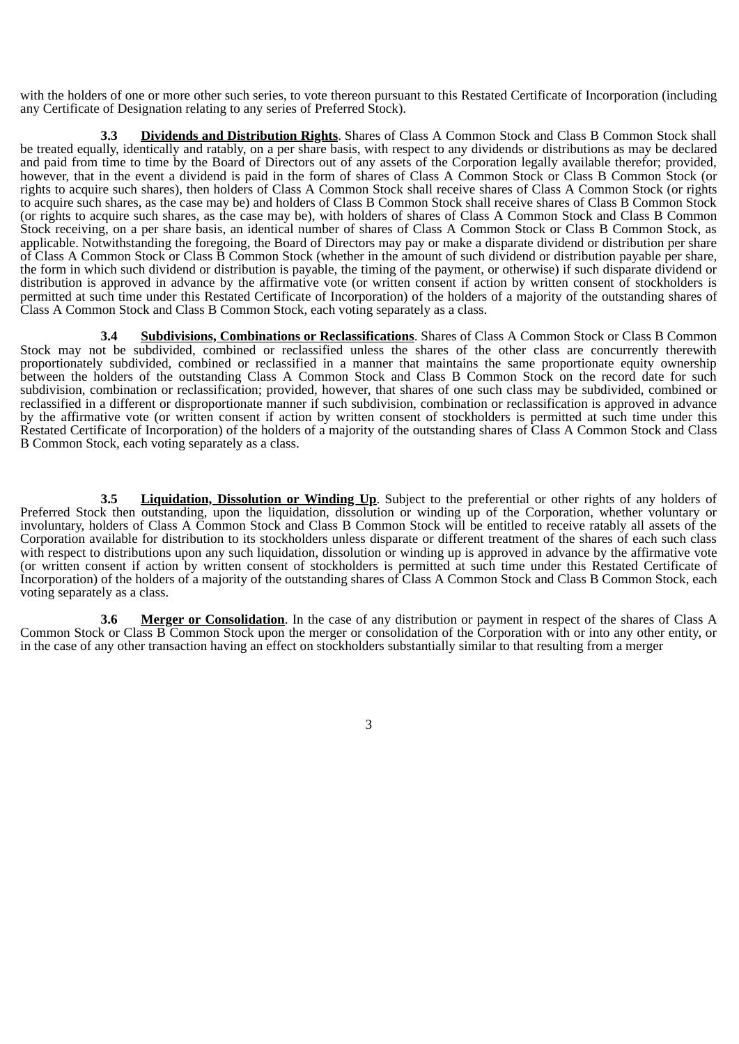with the holders of one or more other such series, to vote thereon pursuant to this Restated Certificate of Incorporation (including any Certificate of Designation relating to any series of Preferred Stock).

**3.3 Dividends and Distribution Rights**. Shares of Class A Common Stock and Class B Common Stock shall be treated equally, identically and ratably, on a per share basis, with respect to any dividends or distributions as may be declared and paid from time to time by the Board of Directors out of any assets of the Corporation legally available therefor; provided, however, that in the event a dividend is paid in the form of shares of Class A Common Stock or Class B Common Stock (or rights to acquire such shares), then holders of Class A Common Stock shall receive shares of Class A Common Stock (or rights to acquire such shares, as the case may be) and holders of Class B Common Stock shall receive shares of Class B Common Stock (or rights to acquire such shares, as the case may be), with holders of shares of Class A Common Stock and Class B Common Stock receiving, on a per share basis, an identical number of shares of Class A Common Stock or Class B Common Stock, as applicable. Notwithstanding the foregoing, the Board of Directors may pay or make a disparate dividend or distribution per share of Class A Common Stock or Class B Common Stock (whether in the amount of such dividend or distribution payable per share, the form in which such dividend or distribution is payable, the timing of the payment, or otherwise) if such disparate dividend or distribution is approved in advance by the affirmative vote (or written consent if action by written consent of stockholders is permitted at such time under this Restated Certificate of Incorporation) of the holders of a majority of the outstanding shares of Class A Common Stock and Class B Common Stock, each voting separately as a class.

**3.4 Subdivisions, Combinations or Reclassifications**. Shares of Class A Common Stock or Class B Common Stock may not be subdivided, combined or reclassified unless the shares of the other class are concurrently therewith proportionately subdivided, combined or reclassified in a manner that maintains the same proportionate equity ownership between the holders of the outstanding Class A Common Stock and Class B Common Stock on the record date for such subdivision, combination or reclassification; provided, however, that shares of one such class may be subdivided, combined or reclassified in a different or disproportionate manner if such subdivision, combination or reclassification is approved in advance by the affirmative vote (or written consent if action by written consent of stockholders is permitted at such time under this Restated Certificate of Incorporation) of the holders of a majority of the outstanding shares of Class A Common Stock and Class B Common Stock, each voting separately as a class.

**3.5 Liquidation, Dissolution or Winding Up**. Subject to the preferential or other rights of any holders of Preferred Stock then outstanding, upon the liquidation, dissolution or winding up of the Corporation, whether voluntary or involuntary, holders of Class A Common Stock and Class B Common Stock will be entitled to receive ratably all assets of the Corporation available for distribution to its stockholders unless disparate or different treatment of the shares of each such class with respect to distributions upon any such liquidation, dissolution or winding up is approved in advance by the affirmative vote (or written consent if action by written consent of stockholders is permitted at such time under this Restated Certificate of Incorporation) of the holders of a majority of the outstanding shares of Class A Common Stock and Class B Common Stock, each voting separately as a class.

**3.6 Merger or Consolidation**. In the case of any distribution or payment in respect of the shares of Class A Common Stock or Class B Common Stock upon the merger or consolidation of the Corporation with or into any other entity, or in the case of any other transaction having an effect on stockholders substantially similar to that resulting from a merger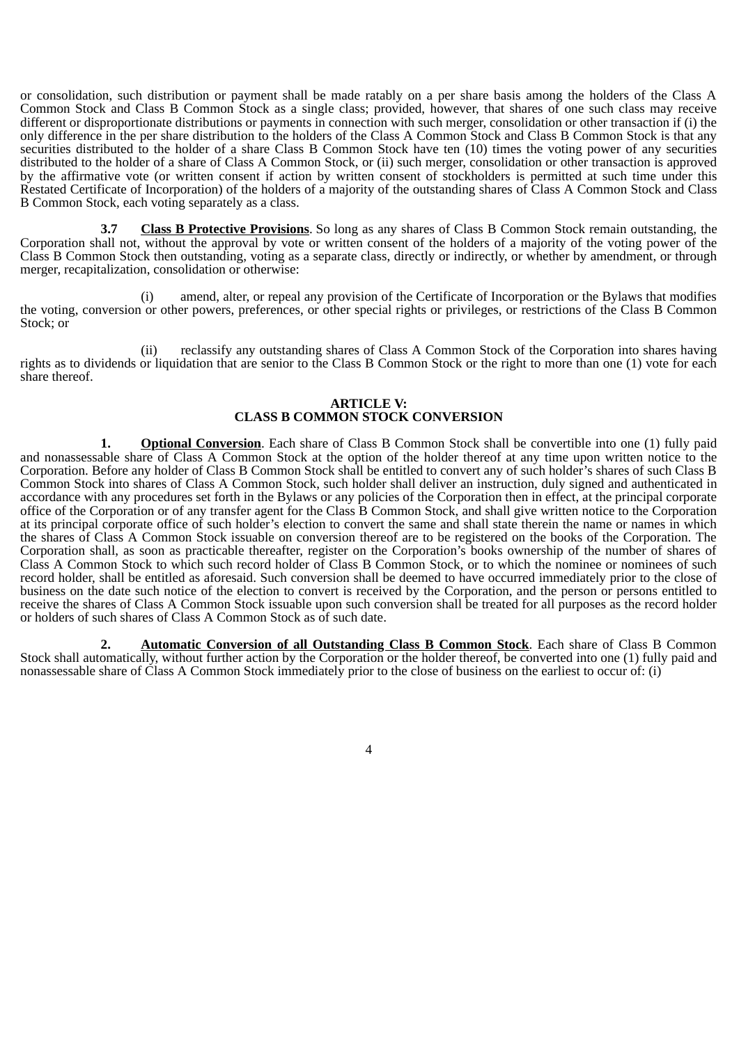or consolidation, such distribution or payment shall be made ratably on a per share basis among the holders of the Class A Common Stock and Class B Common Stock as a single class; provided, however, that shares of one such class may receive different or disproportionate distributions or payments in connection with such merger, consolidation or other transaction if (i) the only difference in the per share distribution to the holders of the Class A Common Stock and Class B Common Stock is that any securities distributed to the holder of a share Class B Common Stock have ten (10) times the voting power of any securities distributed to the holder of a share of Class A Common Stock, or (ii) such merger, consolidation or other transaction is approved by the affirmative vote (or written consent if action by written consent of stockholders is permitted at such time under this Restated Certificate of Incorporation) of the holders of a majority of the outstanding shares of Class A Common Stock and Class B Common Stock, each voting separately as a class.

**3.7 Class B Protective Provisions**. So long as any shares of Class B Common Stock remain outstanding, the Corporation shall not, without the approval by vote or written consent of the holders of a majority of the voting power of the Class B Common Stock then outstanding, voting as a separate class, directly or indirectly, or whether by amendment, or through merger, recapitalization, consolidation or otherwise:

(i) amend, alter, or repeal any provision of the Certificate of Incorporation or the Bylaws that modifies the voting, conversion or other powers, preferences, or other special rights or privileges, or restrictions of the Class B Common Stock: or

(ii) reclassify any outstanding shares of Class A Common Stock of the Corporation into shares having rights as to dividends or liquidation that are senior to the Class B Common Stock or the right to more than one (1) vote for each share thereof.

# **ARTICLE V: CLASS B COMMON STOCK CONVERSION**

**1. Optional Conversion**. Each share of Class B Common Stock shall be convertible into one (1) fully paid and nonassessable share of Class A Common Stock at the option of the holder thereof at any time upon written notice to the Corporation. Before any holder of Class B Common Stock shall be entitled to convert any of such holder's shares of such Class B Common Stock into shares of Class A Common Stock, such holder shall deliver an instruction, duly signed and authenticated in accordance with any procedures set forth in the Bylaws or any policies of the Corporation then in effect, at the principal corporate office of the Corporation or of any transfer agent for the Class B Common Stock, and shall give written notice to the Corporation at its principal corporate office of such holder's election to convert the same and shall state therein the name or names in which the shares of Class A Common Stock issuable on conversion thereof are to be registered on the books of the Corporation. The Corporation shall, as soon as practicable thereafter, register on the Corporation's books ownership of the number of shares of Class A Common Stock to which such record holder of Class B Common Stock, or to which the nominee or nominees of such record holder, shall be entitled as aforesaid. Such conversion shall be deemed to have occurred immediately prior to the close of business on the date such notice of the election to convert is received by the Corporation, and the person or persons entitled to receive the shares of Class A Common Stock issuable upon such conversion shall be treated for all purposes as the record holder or holders of such shares of Class A Common Stock as of such date.

**2. Automatic Conversion of all Outstanding Class B Common Stock**. Each share of Class B Common Stock shall automatically, without further action by the Corporation or the holder thereof, be converted into one (1) fully paid and nonassessable share of Class A Common Stock immediately prior to the close of business on the earliest to occur of: (i)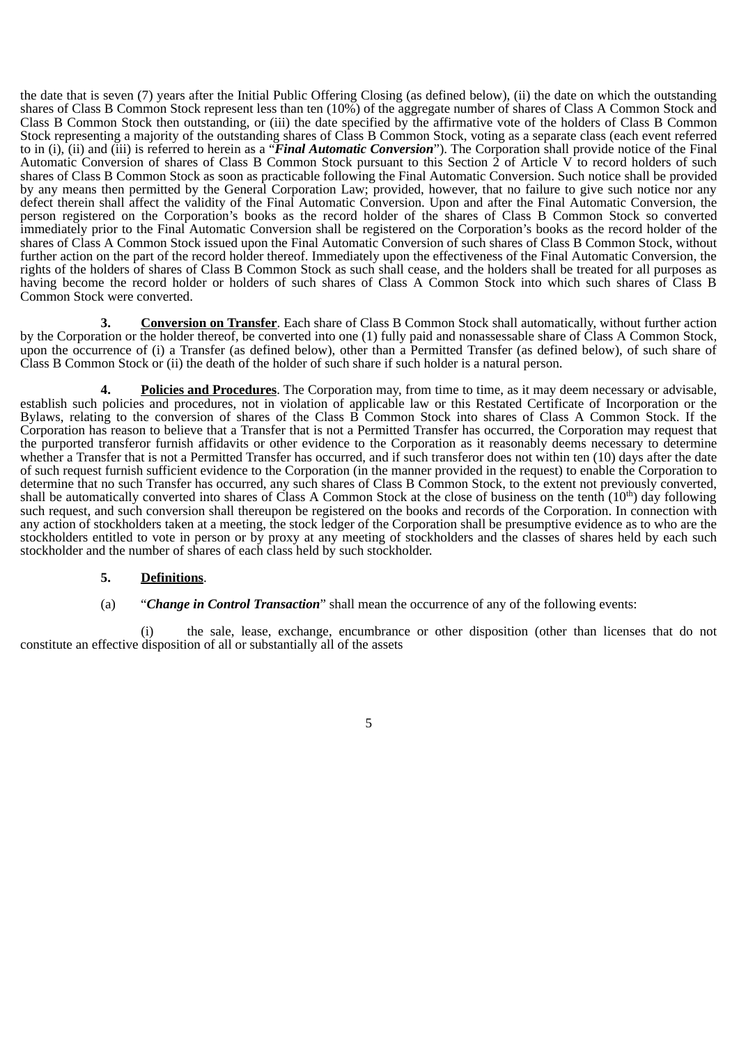the date that is seven (7) years after the Initial Public Offering Closing (as defined below), (ii) the date on which the outstanding shares of Class B Common Stock represent less than ten (10%) of the aggregate number of shares of Class A Common Stock and Class B Common Stock then outstanding, or (iii) the date specified by the affirmative vote of the holders of Class B Common Stock representing a majority of the outstanding shares of Class B Common Stock, voting as a separate class (each event referred to in (i), (ii) and (iii) is referred to herein as a "*Final Automatic Conversion*"). The Corporation shall provide notice of the Final Automatic Conversion of shares of Class B Common Stock pursuant to this Section 2 of Article V to record holders of such shares of Class B Common Stock as soon as practicable following the Final Automatic Conversion. Such notice shall be provided by any means then permitted by the General Corporation Law; provided, however, that no failure to give such notice nor any defect therein shall affect the validity of the Final Automatic Conversion. Upon and after the Final Automatic Conversion, the person registered on the Corporation's books as the record holder of the shares of Class B Common Stock so converted immediately prior to the Final Automatic Conversion shall be registered on the Corporation's books as the record holder of the shares of Class A Common Stock issued upon the Final Automatic Conversion of such shares of Class B Common Stock, without further action on the part of the record holder thereof. Immediately upon the effectiveness of the Final Automatic Conversion, the rights of the holders of shares of Class B Common Stock as such shall cease, and the holders shall be treated for all purposes as having become the record holder or holders of such shares of Class A Common Stock into which such shares of Class B Common Stock were converted.

**3. Conversion on Transfer**. Each share of Class B Common Stock shall automatically, without further action by the Corporation or the holder thereof, be converted into one (1) fully paid and nonassessable share of Class A Common Stock, upon the occurrence of (i) a Transfer (as defined below), other than a Permitted Transfer (as defined below), of such share of Class B Common Stock or (ii) the death of the holder of such share if such holder is a natural person.

**4. Policies and Procedures**. The Corporation may, from time to time, as it may deem necessary or advisable, establish such policies and procedures, not in violation of applicable law or this Restated Certificate of Incorporation or the Bylaws, relating to the conversion of shares of the Class B Common Stock into shares of Class A Common Stock. If the Corporation has reason to believe that a Transfer that is not a Permitted Transfer has occurred, the Corporation may request that the purported transferor furnish affidavits or other evidence to the Corporation as it reasonably deems necessary to determine whether a Transfer that is not a Permitted Transfer has occurred, and if such transferor does not within ten (10) days after the date of such request furnish sufficient evidence to the Corporation (in the manner provided in the request) to enable the Corporation to determine that no such Transfer has occurred, any such shares of Class B Common Stock, to the extent not previously converted, shall be automatically converted into shares of Class A Common Stock at the close of business on the tenth  $(10<sup>th</sup>)$  day following such request, and such conversion shall thereupon be registered on the books and records of the Corporation. In connection with any action of stockholders taken at a meeting, the stock ledger of the Corporation shall be presumptive evidence as to who are the stockholders entitled to vote in person or by proxy at any meeting of stockholders and the classes of shares held by each such stockholder and the number of shares of each class held by such stockholder.

# **5. Definitions**.

# (a) "*Change in Control Transaction*" shall mean the occurrence of any of the following events:

(i) the sale, lease, exchange, encumbrance or other disposition (other than licenses that do not constitute an effective disposition of all or substantially all of the assets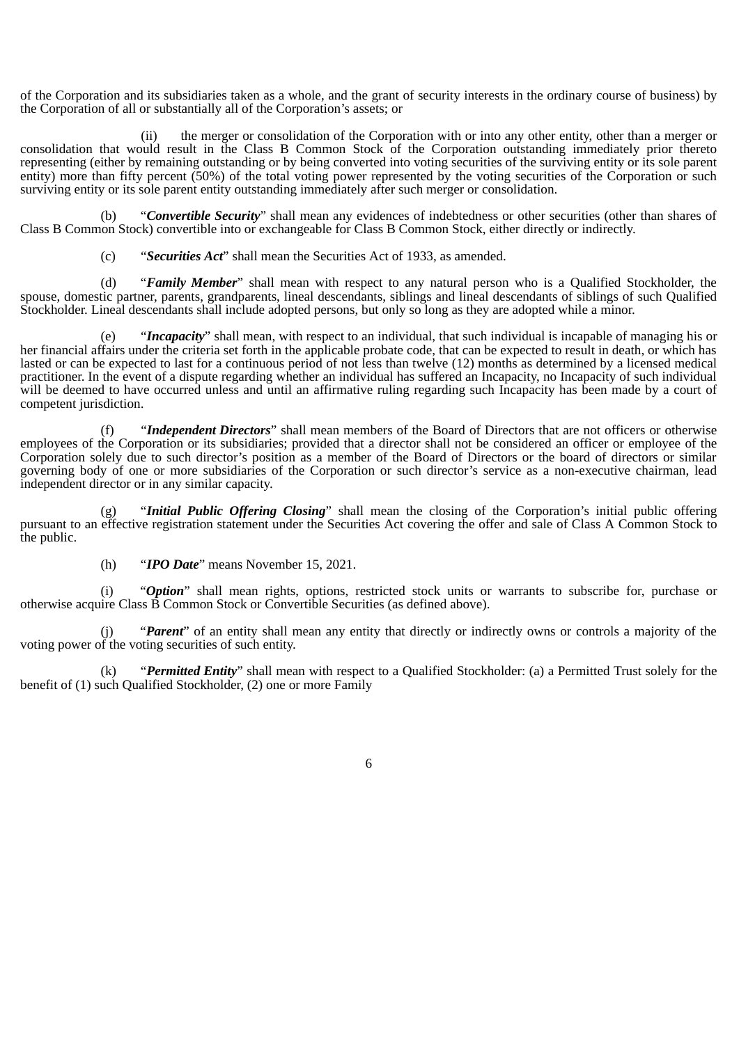of the Corporation and its subsidiaries taken as a whole, and the grant of security interests in the ordinary course of business) by the Corporation of all or substantially all of the Corporation's assets; or

(ii) the merger or consolidation of the Corporation with or into any other entity, other than a merger or consolidation that would result in the Class B Common Stock of the Corporation outstanding immediately prior thereto representing (either by remaining outstanding or by being converted into voting securities of the surviving entity or its sole parent entity) more than fifty percent (50%) of the total voting power represented by the voting securities of the Corporation or such surviving entity or its sole parent entity outstanding immediately after such merger or consolidation.

(b) "*Convertible Security*" shall mean any evidences of indebtedness or other securities (other than shares of Class B Common Stock) convertible into or exchangeable for Class B Common Stock, either directly or indirectly.

(c) "*Securities Act*" shall mean the Securities Act of 1933, as amended.

(d) "*Family Member*" shall mean with respect to any natural person who is a Qualified Stockholder, the spouse, domestic partner, parents, grandparents, lineal descendants, siblings and lineal descendants of siblings of such Qualified Stockholder. Lineal descendants shall include adopted persons, but only so long as they are adopted while a minor.

(e) "*Incapacity*" shall mean, with respect to an individual, that such individual is incapable of managing his or her financial affairs under the criteria set forth in the applicable probate code, that can be expected to result in death, or which has lasted or can be expected to last for a continuous period of not less than twelve (12) months as determined by a licensed medical practitioner. In the event of a dispute regarding whether an individual has suffered an Incapacity, no Incapacity of such individual will be deemed to have occurred unless and until an affirmative ruling regarding such Incapacity has been made by a court of competent jurisdiction.

(f) "*Independent Directors*" shall mean members of the Board of Directors that are not officers or otherwise employees of the Corporation or its subsidiaries; provided that a director shall not be considered an officer or employee of the Corporation solely due to such director's position as a member of the Board of Directors or the board of directors or similar governing body of one or more subsidiaries of the Corporation or such director's service as a non-executive chairman, lead independent director or in any similar capacity.

(g) "*Initial Public Offering Closing*" shall mean the closing of the Corporation's initial public offering pursuant to an effective registration statement under the Securities Act covering the offer and sale of Class A Common Stock to the public.

(h) "*IPO Date*" means November 15, 2021.

(i) "*Option*" shall mean rights, options, restricted stock units or warrants to subscribe for, purchase or otherwise acquire Class B Common Stock or Convertible Securities (as defined above).

"*Parent*" of an entity shall mean any entity that directly or indirectly owns or controls a majority of the voting power of the voting securities of such entity.

(k) "*Permitted Entity*" shall mean with respect to a Qualified Stockholder: (a) a Permitted Trust solely for the benefit of (1) such Qualified Stockholder, (2) one or more Family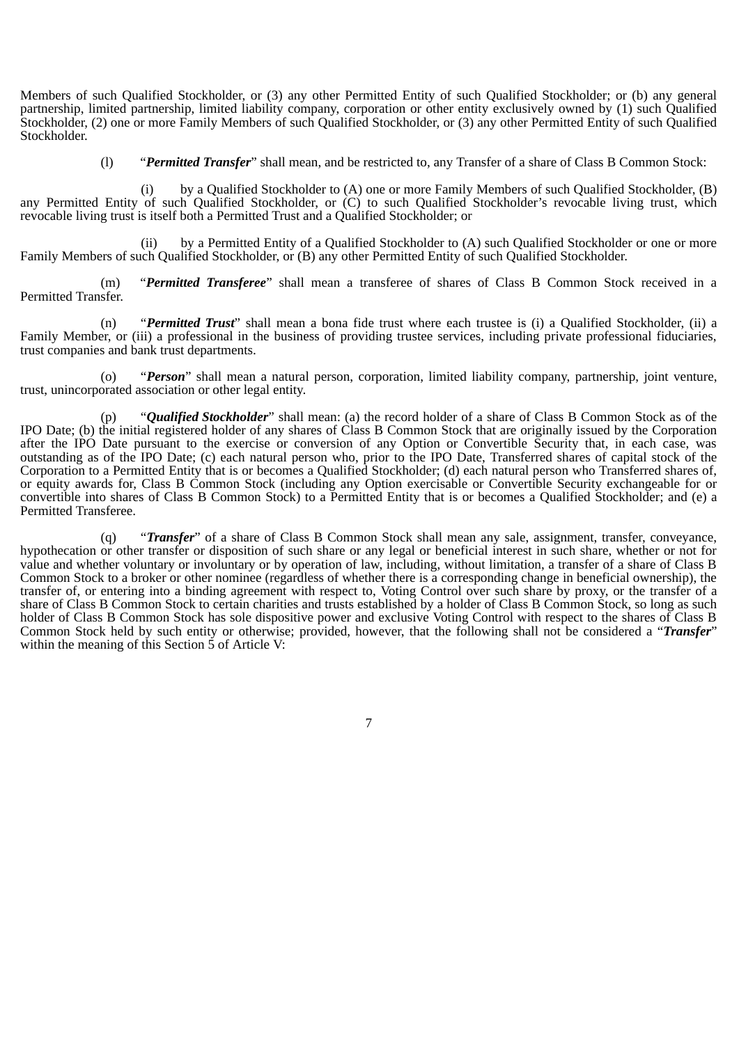Members of such Qualified Stockholder, or (3) any other Permitted Entity of such Qualified Stockholder; or (b) any general partnership, limited partnership, limited liability company, corporation or other entity exclusively owned by (1) such Qualified Stockholder, (2) one or more Family Members of such Qualified Stockholder, or (3) any other Permitted Entity of such Qualified Stockholder.

(l) "*Permitted Transfer*" shall mean, and be restricted to, any Transfer of a share of Class B Common Stock:

(i) by a Qualified Stockholder to (A) one or more Family Members of such Qualified Stockholder, (B) any Permitted Entity of such Qualified Stockholder, or (C) to such Qualified Stockholder's revocable living trust, which revocable living trust is itself both a Permitted Trust and a Qualified Stockholder; or

(ii) by a Permitted Entity of a Qualified Stockholder to (A) such Qualified Stockholder or one or more Family Members of such Qualified Stockholder, or (B) any other Permitted Entity of such Qualified Stockholder.

(m) "*Permitted Transferee*" shall mean a transferee of shares of Class B Common Stock received in a Permitted Transfer.

(n) "*Permitted Trust*" shall mean a bona fide trust where each trustee is (i) a Qualified Stockholder, (ii) a Family Member, or (iii) a professional in the business of providing trustee services, including private professional fiduciaries, trust companies and bank trust departments.

(o) "*Person*" shall mean a natural person, corporation, limited liability company, partnership, joint venture, trust, unincorporated association or other legal entity.

(p) "*Qualified Stockholder*" shall mean: (a) the record holder of a share of Class B Common Stock as of the IPO Date; (b) the initial registered holder of any shares of Class B Common Stock that are originally issued by the Corporation after the IPO Date pursuant to the exercise or conversion of any Option or Convertible Security that, in each case, was outstanding as of the IPO Date; (c) each natural person who, prior to the IPO Date, Transferred shares of capital stock of the Corporation to a Permitted Entity that is or becomes a Qualified Stockholder; (d) each natural person who Transferred shares of, or equity awards for, Class B Common Stock (including any Option exercisable or Convertible Security exchangeable for or convertible into shares of Class B Common Stock) to a Permitted Entity that is or becomes a Qualified Stockholder; and (e) a Permitted Transferee.

(q) "*Transfer*" of a share of Class B Common Stock shall mean any sale, assignment, transfer, conveyance, hypothecation or other transfer or disposition of such share or any legal or beneficial interest in such share, whether or not for value and whether voluntary or involuntary or by operation of law, including, without limitation, a transfer of a share of Class B Common Stock to a broker or other nominee (regardless of whether there is a corresponding change in beneficial ownership), the transfer of, or entering into a binding agreement with respect to, Voting Control over such share by proxy, or the transfer of a share of Class B Common Stock to certain charities and trusts established by a holder of Class B Common Stock, so long as such holder of Class B Common Stock has sole dispositive power and exclusive Voting Control with respect to the shares of Class B Common Stock held by such entity or otherwise; provided, however, that the following shall not be considered a "*Transfer*" within the meaning of this Section 5 of Article V: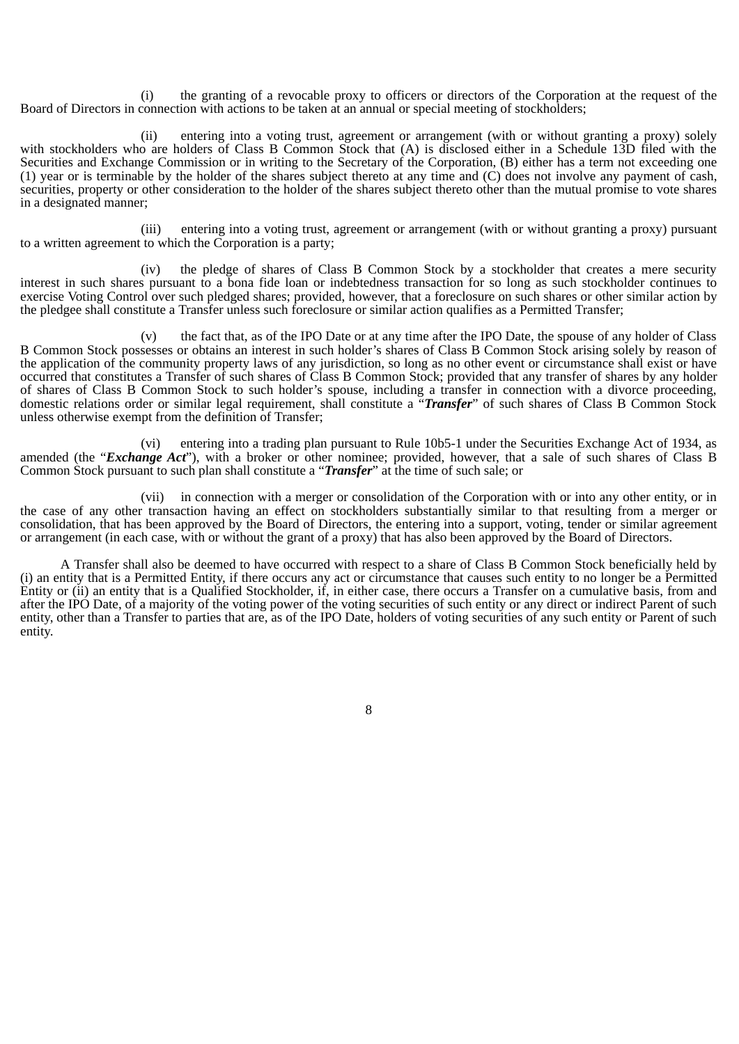(i) the granting of a revocable proxy to officers or directors of the Corporation at the request of the Board of Directors in connection with actions to be taken at an annual or special meeting of stockholders;

(ii) entering into a voting trust, agreement or arrangement (with or without granting a proxy) solely with stockholders who are holders of Class B Common Stock that (A) is disclosed either in a Schedule 13D filed with the Securities and Exchange Commission or in writing to the Secretary of the Corporation, (B) either has a term not exceeding one (1) year or is terminable by the holder of the shares subject thereto at any time and (C) does not involve any payment of cash, securities, property or other consideration to the holder of the shares subject thereto other than the mutual promise to vote shares in a designated manner;

(iii) entering into a voting trust, agreement or arrangement (with or without granting a proxy) pursuant to a written agreement to which the Corporation is a party;

(iv) the pledge of shares of Class B Common Stock by a stockholder that creates a mere security interest in such shares pursuant to a bona fide loan or indebtedness transaction for so long as such stockholder continues to exercise Voting Control over such pledged shares; provided, however, that a foreclosure on such shares or other similar action by the pledgee shall constitute a Transfer unless such foreclosure or similar action qualifies as a Permitted Transfer;

(v) the fact that, as of the IPO Date or at any time after the IPO Date, the spouse of any holder of Class B Common Stock possesses or obtains an interest in such holder's shares of Class B Common Stock arising solely by reason of the application of the community property laws of any jurisdiction, so long as no other event or circumstance shall exist or have occurred that constitutes a Transfer of such shares of Class B Common Stock; provided that any transfer of shares by any holder of shares of Class B Common Stock to such holder's spouse, including a transfer in connection with a divorce proceeding, domestic relations order or similar legal requirement, shall constitute a "*Transfer*" of such shares of Class B Common Stock unless otherwise exempt from the definition of Transfer;

(vi) entering into a trading plan pursuant to Rule 10b5-1 under the Securities Exchange Act of 1934, as amended (the "*Exchange Act*"), with a broker or other nominee; provided, however, that a sale of such shares of Class B Common Stock pursuant to such plan shall constitute a "*Transfer*" at the time of such sale; or

(vii) in connection with a merger or consolidation of the Corporation with or into any other entity, or in the case of any other transaction having an effect on stockholders substantially similar to that resulting from a merger or consolidation, that has been approved by the Board of Directors, the entering into a support, voting, tender or similar agreement or arrangement (in each case, with or without the grant of a proxy) that has also been approved by the Board of Directors.

A Transfer shall also be deemed to have occurred with respect to a share of Class B Common Stock beneficially held by (i) an entity that is a Permitted Entity, if there occurs any act or circumstance that causes such entity to no longer be a Permitted Entity or (ii) an entity that is a Qualified Stockholder, if, in either case, there occurs a Transfer on a cumulative basis, from and after the IPO Date, of a majority of the voting power of the voting securities of such entity or any direct or indirect Parent of such entity, other than a Transfer to parties that are, as of the IPO Date, holders of voting securities of any such entity or Parent of such entity.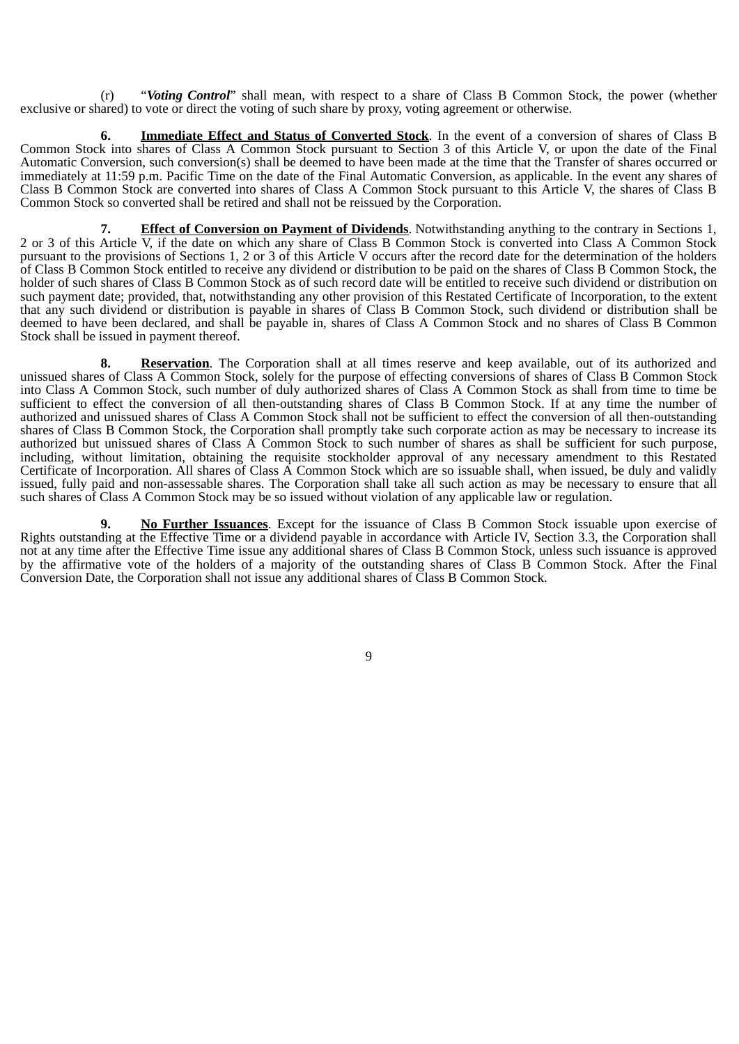(r) "*Voting Control*" shall mean, with respect to a share of Class B Common Stock, the power (whether exclusive or shared) to vote or direct the voting of such share by proxy, voting agreement or otherwise.

**6. Immediate Effect and Status of Converted Stock**. In the event of a conversion of shares of Class B Common Stock into shares of Class A Common Stock pursuant to Section 3 of this Article V, or upon the date of the Final Automatic Conversion, such conversion(s) shall be deemed to have been made at the time that the Transfer of shares occurred or immediately at 11:59 p.m. Pacific Time on the date of the Final Automatic Conversion, as applicable. In the event any shares of Class B Common Stock are converted into shares of Class A Common Stock pursuant to this Article V, the shares of Class B Common Stock so converted shall be retired and shall not be reissued by the Corporation.

**7. Effect of Conversion on Payment of Dividends**. Notwithstanding anything to the contrary in Sections 1, 2 or 3 of this Article V, if the date on which any share of Class B Common Stock is converted into Class A Common Stock pursuant to the provisions of Sections 1, 2 or 3 of this Article V occurs after the record date for the determination of the holders of Class B Common Stock entitled to receive any dividend or distribution to be paid on the shares of Class B Common Stock, the holder of such shares of Class B Common Stock as of such record date will be entitled to receive such dividend or distribution on such payment date; provided, that, notwithstanding any other provision of this Restated Certificate of Incorporation, to the extent that any such dividend or distribution is payable in shares of Class B Common Stock, such dividend or distribution shall be deemed to have been declared, and shall be payable in, shares of Class A Common Stock and no shares of Class B Common Stock shall be issued in payment thereof.

**8. Reservation**. The Corporation shall at all times reserve and keep available, out of its authorized and unissued shares of Class A Common Stock, solely for the purpose of effecting conversions of shares of Class B Common Stock into Class A Common Stock, such number of duly authorized shares of Class A Common Stock as shall from time to time be sufficient to effect the conversion of all then-outstanding shares of Class B Common Stock. If at any time the number of authorized and unissued shares of Class A Common Stock shall not be sufficient to effect the conversion of all then-outstanding shares of Class B Common Stock, the Corporation shall promptly take such corporate action as may be necessary to increase its authorized but unissued shares of Class A Common Stock to such number of shares as shall be sufficient for such purpose, including, without limitation, obtaining the requisite stockholder approval of any necessary amendment to this Restated Certificate of Incorporation. All shares of Class A Common Stock which are so issuable shall, when issued, be duly and validly issued, fully paid and non-assessable shares. The Corporation shall take all such action as may be necessary to ensure that all such shares of Class A Common Stock may be so issued without violation of any applicable law or regulation.

**9. No Further Issuances**. Except for the issuance of Class B Common Stock issuable upon exercise of Rights outstanding at the Effective Time or a dividend payable in accordance with Article IV, Section 3.3, the Corporation shall not at any time after the Effective Time issue any additional shares of Class B Common Stock, unless such issuance is approved by the affirmative vote of the holders of a majority of the outstanding shares of Class B Common Stock. After the Final Conversion Date, the Corporation shall not issue any additional shares of Class B Common Stock.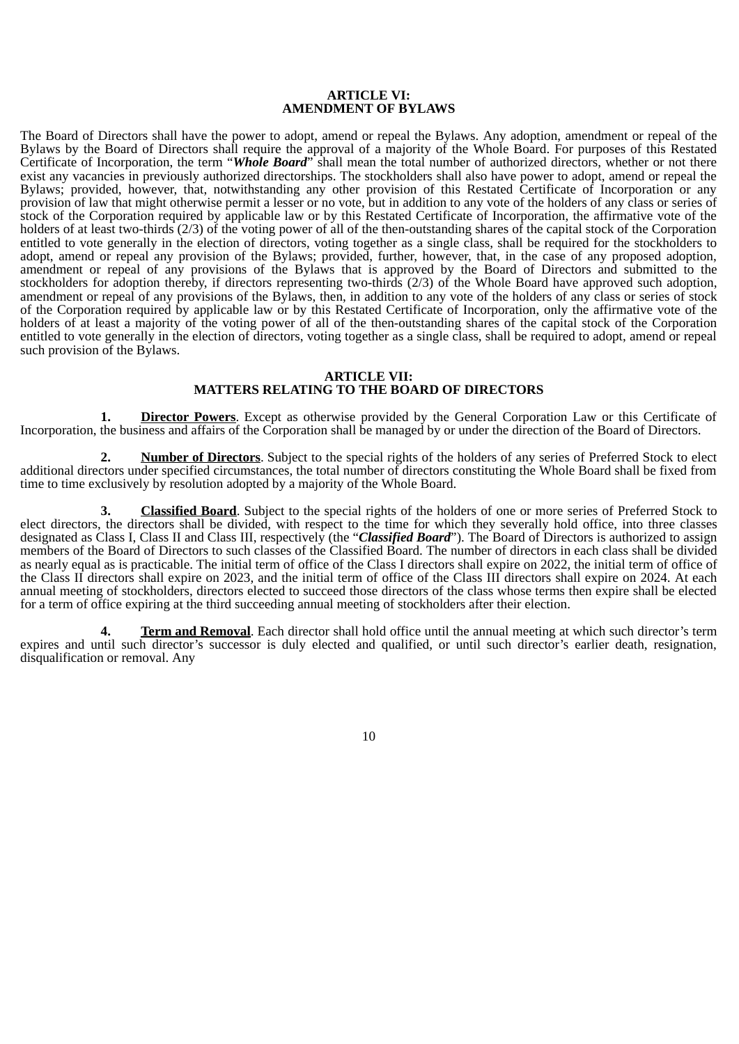## **ARTICLE VI: AMENDMENT OF BYLAWS**

The Board of Directors shall have the power to adopt, amend or repeal the Bylaws. Any adoption, amendment or repeal of the Bylaws by the Board of Directors shall require the approval of a majority of the Whole Board. For purposes of this Restated Certificate of Incorporation, the term "*Whole Board*" shall mean the total number of authorized directors, whether or not there exist any vacancies in previously authorized directorships. The stockholders shall also have power to adopt, amend or repeal the Bylaws; provided, however, that, notwithstanding any other provision of this Restated Certificate of Incorporation or any provision of law that might otherwise permit a lesser or no vote, but in addition to any vote of the holders of any class or series of stock of the Corporation required by applicable law or by this Restated Certificate of Incorporation, the affirmative vote of the holders of at least two-thirds (2/3) of the voting power of all of the then-outstanding shares of the capital stock of the Corporation entitled to vote generally in the election of directors, voting together as a single class, shall be required for the stockholders to adopt, amend or repeal any provision of the Bylaws; provided, further, however, that, in the case of any proposed adoption, amendment or repeal of any provisions of the Bylaws that is approved by the Board of Directors and submitted to the stockholders for adoption thereby, if directors representing two-thirds (2/3) of the Whole Board have approved such adoption, amendment or repeal of any provisions of the Bylaws, then, in addition to any vote of the holders of any class or series of stock of the Corporation required by applicable law or by this Restated Certificate of Incorporation, only the affirmative vote of the holders of at least a majority of the voting power of all of the then-outstanding shares of the capital stock of the Corporation entitled to vote generally in the election of directors, voting together as a single class, shall be required to adopt, amend or repeal such provision of the Bylaws.

## **ARTICLE VII: MATTERS RELATING TO THE BOARD OF DIRECTORS**

**1. Director Powers**. Except as otherwise provided by the General Corporation Law or this Certificate of Incorporation, the business and affairs of the Corporation shall be managed by or under the direction of the Board of Directors.

**2. Number of Directors**. Subject to the special rights of the holders of any series of Preferred Stock to elect additional directors under specified circumstances, the total number of directors constituting the Whole Board shall be fixed from time to time exclusively by resolution adopted by a majority of the Whole Board.

**3. Classified Board**. Subject to the special rights of the holders of one or more series of Preferred Stock to elect directors, the directors shall be divided, with respect to the time for which they severally hold office, into three classes designated as Class I, Class II and Class III, respectively (the "*Classified Board*"). The Board of Directors is authorized to assign members of the Board of Directors to such classes of the Classified Board. The number of directors in each class shall be divided as nearly equal as is practicable. The initial term of office of the Class I directors shall expire on 2022, the initial term of office of the Class II directors shall expire on 2023, and the initial term of office of the Class III directors shall expire on 2024. At each annual meeting of stockholders, directors elected to succeed those directors of the class whose terms then expire shall be elected for a term of office expiring at the third succeeding annual meeting of stockholders after their election.

**4. Term and Removal**. Each director shall hold office until the annual meeting at which such director's term expires and until such director's successor is duly elected and qualified, or until such director's earlier death, resignation, disqualification or removal. Any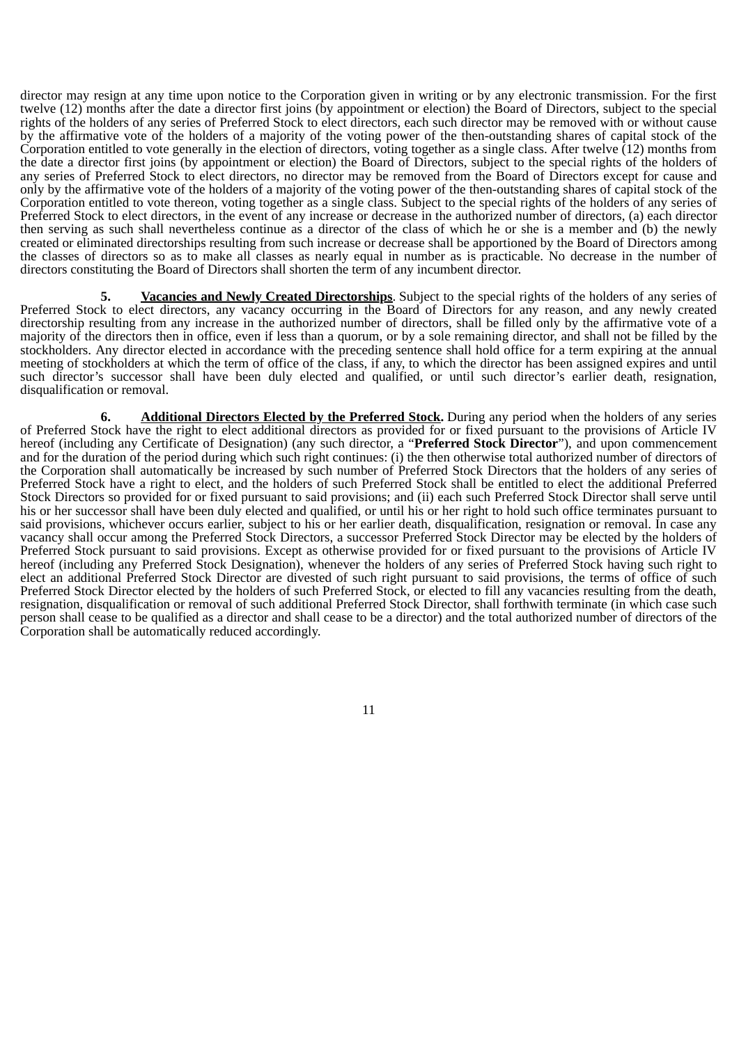director may resign at any time upon notice to the Corporation given in writing or by any electronic transmission. For the first twelve (12) months after the date a director first joins (by appointment or election) the Board of Directors, subject to the special rights of the holders of any series of Preferred Stock to elect directors, each such director may be removed with or without cause by the affirmative vote of the holders of a majority of the voting power of the then-outstanding shares of capital stock of the Corporation entitled to vote generally in the election of directors, voting together as a single class. After twelve (12) months from the date a director first joins (by appointment or election) the Board of Directors, subject to the special rights of the holders of any series of Preferred Stock to elect directors, no director may be removed from the Board of Directors except for cause and only by the affirmative vote of the holders of a majority of the voting power of the then-outstanding shares of capital stock of the Corporation entitled to vote thereon, voting together as a single class. Subject to the special rights of the holders of any series of Preferred Stock to elect directors, in the event of any increase or decrease in the authorized number of directors, (a) each director then serving as such shall nevertheless continue as a director of the class of which he or she is a member and (b) the newly created or eliminated directorships resulting from such increase or decrease shall be apportioned by the Board of Directors among the classes of directors so as to make all classes as nearly equal in number as is practicable. No decrease in the number of directors constituting the Board of Directors shall shorten the term of any incumbent director.

**5. Vacancies and Newly Created Directorships**. Subject to the special rights of the holders of any series of Preferred Stock to elect directors, any vacancy occurring in the Board of Directors for any reason, and any newly created directorship resulting from any increase in the authorized number of directors, shall be filled only by the affirmative vote of a majority of the directors then in office, even if less than a quorum, or by a sole remaining director, and shall not be filled by the stockholders. Any director elected in accordance with the preceding sentence shall hold office for a term expiring at the annual meeting of stockholders at which the term of office of the class, if any, to which the director has been assigned expires and until such director's successor shall have been duly elected and qualified, or until such director's earlier death, resignation, disqualification or removal.

**6. Additional Directors Elected by the Preferred Stock.** During any period when the holders of any series of Preferred Stock have the right to elect additional directors as provided for or fixed pursuant to the provisions of Article IV hereof (including any Certificate of Designation) (any such director, a "**Preferred Stock Director**"), and upon commencement and for the duration of the period during which such right continues: (i) the then otherwise total authorized number of directors of the Corporation shall automatically be increased by such number of Preferred Stock Directors that the holders of any series of Preferred Stock have a right to elect, and the holders of such Preferred Stock shall be entitled to elect the additional Preferred Stock Directors so provided for or fixed pursuant to said provisions; and (ii) each such Preferred Stock Director shall serve until his or her successor shall have been duly elected and qualified, or until his or her right to hold such office terminates pursuant to said provisions, whichever occurs earlier, subject to his or her earlier death, disqualification, resignation or removal. In case any vacancy shall occur among the Preferred Stock Directors, a successor Preferred Stock Director may be elected by the holders of Preferred Stock pursuant to said provisions. Except as otherwise provided for or fixed pursuant to the provisions of Article IV hereof (including any Preferred Stock Designation), whenever the holders of any series of Preferred Stock having such right to elect an additional Preferred Stock Director are divested of such right pursuant to said provisions, the terms of office of such Preferred Stock Director elected by the holders of such Preferred Stock, or elected to fill any vacancies resulting from the death, resignation, disqualification or removal of such additional Preferred Stock Director, shall forthwith terminate (in which case such person shall cease to be qualified as a director and shall cease to be a director) and the total authorized number of directors of the Corporation shall be automatically reduced accordingly.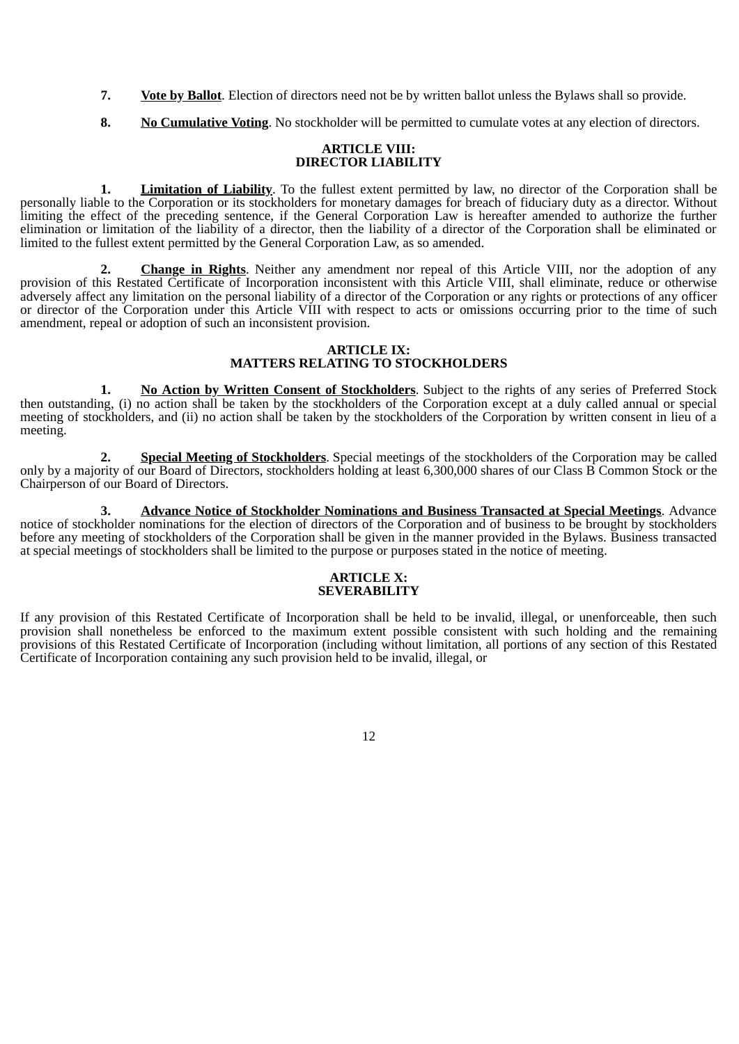- **7. Vote by Ballot**. Election of directors need not be by written ballot unless the Bylaws shall so provide.
- **8. No Cumulative Voting**. No stockholder will be permitted to cumulate votes at any election of directors.

## **ARTICLE VIII: DIRECTOR LIABILITY**

**1. Limitation of Liability**. To the fullest extent permitted by law, no director of the Corporation shall be personally liable to the Corporation or its stockholders for monetary damages for breach of fiduciary duty as a director. Without limiting the effect of the preceding sentence, if the General Corporation Law is hereafter amended to authorize the further elimination or limitation of the liability of a director, then the liability of a director of the Corporation shall be eliminated or limited to the fullest extent permitted by the General Corporation Law, as so amended.

**2. Change in Rights**. Neither any amendment nor repeal of this Article VIII, nor the adoption of any provision of this Restated Certificate of Incorporation inconsistent with this Article VIII, shall eliminate, reduce or otherwise adversely affect any limitation on the personal liability of a director of the Corporation or any rights or protections of any officer or director of the Corporation under this Article VIII with respect to acts or omissions occurring prior to the time of such amendment, repeal or adoption of such an inconsistent provision.

# **ARTICLE IX: MATTERS RELATING TO STOCKHOLDERS**

**1. No Action by Written Consent of Stockholders**. Subject to the rights of any series of Preferred Stock then outstanding, (i) no action shall be taken by the stockholders of the Corporation except at a duly called annual or special meeting of stockholders, and (ii) no action shall be taken by the stockholders of the Corporation by written consent in lieu of a meeting.

**2. Special Meeting of Stockholders**. Special meetings of the stockholders of the Corporation may be called only by a majority of our Board of Directors, stockholders holding at least 6,300,000 shares of our Class B Common Stock or the Chairperson of our Board of Directors.

**3. Advance Notice of Stockholder Nominations and Business Transacted at Special Meetings**. Advance notice of stockholder nominations for the election of directors of the Corporation and of business to be brought by stockholders before any meeting of stockholders of the Corporation shall be given in the manner provided in the Bylaws. Business transacted at special meetings of stockholders shall be limited to the purpose or purposes stated in the notice of meeting.

# **ARTICLE X: SEVERABILITY**

If any provision of this Restated Certificate of Incorporation shall be held to be invalid, illegal, or unenforceable, then such provision shall nonetheless be enforced to the maximum extent possible consistent with such holding and the remaining provisions of this Restated Certificate of Incorporation (including without limitation, all portions of any section of this Restated Certificate of Incorporation containing any such provision held to be invalid, illegal, or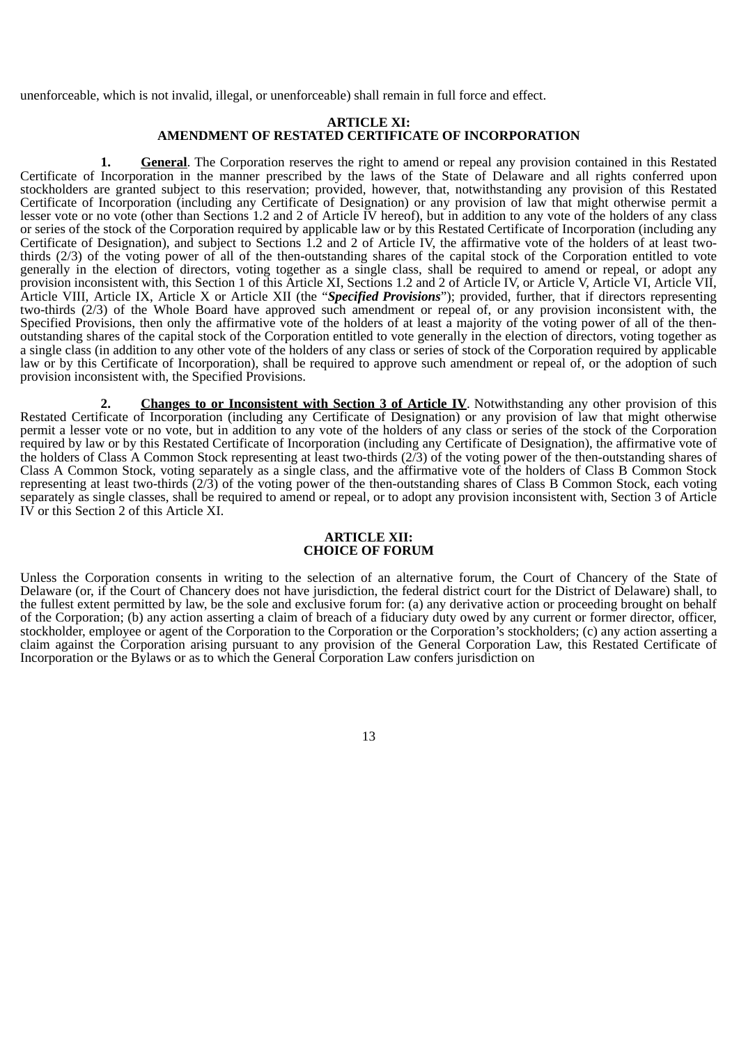unenforceable, which is not invalid, illegal, or unenforceable) shall remain in full force and effect.

## **ARTICLE XI: AMENDMENT OF RESTATED CERTIFICATE OF INCORPORATION**

**1. General**. The Corporation reserves the right to amend or repeal any provision contained in this Restated Certificate of Incorporation in the manner prescribed by the laws of the State of Delaware and all rights conferred upon stockholders are granted subject to this reservation; provided, however, that, notwithstanding any provision of this Restated Certificate of Incorporation (including any Certificate of Designation) or any provision of law that might otherwise permit a lesser vote or no vote (other than Sections 1.2 and 2 of Article IV hereof), but in addition to any vote of the holders of any class or series of the stock of the Corporation required by applicable law or by this Restated Certificate of Incorporation (including any Certificate of Designation), and subject to Sections 1.2 and 2 of Article IV, the affirmative vote of the holders of at least twothirds (2/3) of the voting power of all of the then-outstanding shares of the capital stock of the Corporation entitled to vote generally in the election of directors, voting together as a single class, shall be required to amend or repeal, or adopt any provision inconsistent with, this Section 1 of this Article XI, Sections 1.2 and 2 of Article IV, or Article V, Article VI, Article VII, Article VIII, Article IX, Article X or Article XII (the "*Specified Provisions*"); provided, further, that if directors representing two-thirds (2/3) of the Whole Board have approved such amendment or repeal of, or any provision inconsistent with, the Specified Provisions, then only the affirmative vote of the holders of at least a majority of the voting power of all of the thenoutstanding shares of the capital stock of the Corporation entitled to vote generally in the election of directors, voting together as a single class (in addition to any other vote of the holders of any class or series of stock of the Corporation required by applicable law or by this Certificate of Incorporation), shall be required to approve such amendment or repeal of, or the adoption of such provision inconsistent with, the Specified Provisions.

**2. Changes to or Inconsistent with Section 3 of Article IV**. Notwithstanding any other provision of this Restated Certificate of Incorporation (including any Certificate of Designation) or any provision of law that might otherwise permit a lesser vote or no vote, but in addition to any vote of the holders of any class or series of the stock of the Corporation required by law or by this Restated Certificate of Incorporation (including any Certificate of Designation), the affirmative vote of the holders of Class A Common Stock representing at least two-thirds (2/3) of the voting power of the then-outstanding shares of Class A Common Stock, voting separately as a single class, and the affirmative vote of the holders of Class B Common Stock representing at least two-thirds (2/3) of the voting power of the then-outstanding shares of Class B Common Stock, each voting separately as single classes, shall be required to amend or repeal, or to adopt any provision inconsistent with, Section 3 of Article IV or this Section 2 of this Article XI.

### **ARTICLE XII: CHOICE OF FORUM**

Unless the Corporation consents in writing to the selection of an alternative forum, the Court of Chancery of the State of Delaware (or, if the Court of Chancery does not have jurisdiction, the federal district court for the District of Delaware) shall, to the fullest extent permitted by law, be the sole and exclusive forum for: (a) any derivative action or proceeding brought on behalf of the Corporation; (b) any action asserting a claim of breach of a fiduciary duty owed by any current or former director, officer, stockholder, employee or agent of the Corporation to the Corporation or the Corporation's stockholders; (c) any action asserting a claim against the Corporation arising pursuant to any provision of the General Corporation Law, this Restated Certificate of Incorporation or the Bylaws or as to which the General Corporation Law confers jurisdiction on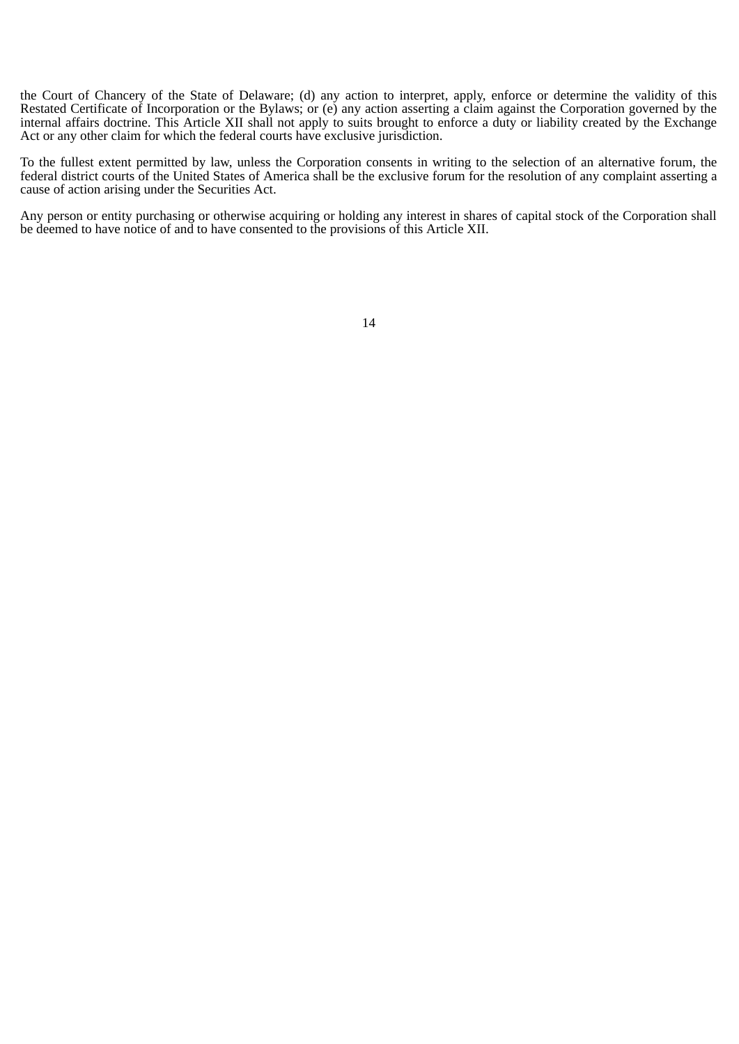the Court of Chancery of the State of Delaware; (d) any action to interpret, apply, enforce or determine the validity of this Restated Certificate of Incorporation or the Bylaws; or (e) any action asserting a claim against the Corporation governed by the internal affairs doctrine. This Article XII shall not apply to suits brought to enforce a duty or liability created by the Exchange Act or any other claim for which the federal courts have exclusive jurisdiction.

To the fullest extent permitted by law, unless the Corporation consents in writing to the selection of an alternative forum, the federal district courts of the United States of America shall be the exclusive forum for the resolution of any complaint asserting a cause of action arising under the Securities Act.

Any person or entity purchasing or otherwise acquiring or holding any interest in shares of capital stock of the Corporation shall be deemed to have notice of and to have consented to the provisions of this Article XII.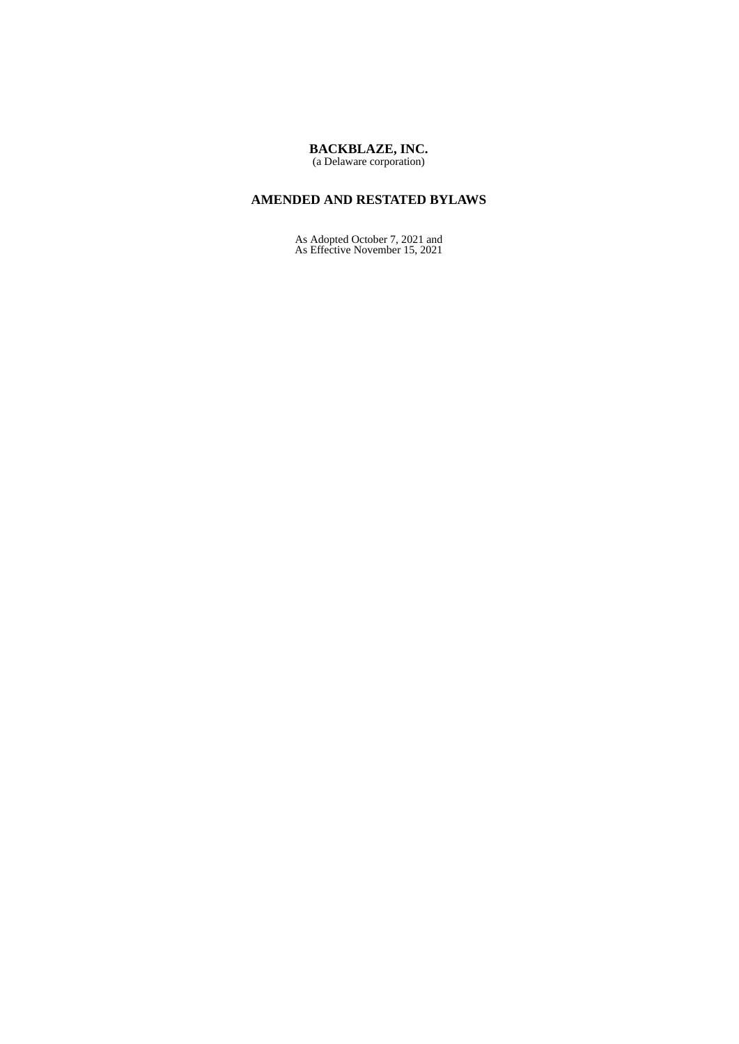**BACKBLAZE, INC.** (a Delaware corporation)

# **AMENDED AND RESTATED BYLAWS**

As Adopted October 7, 2021 and As Effective November 15, 2021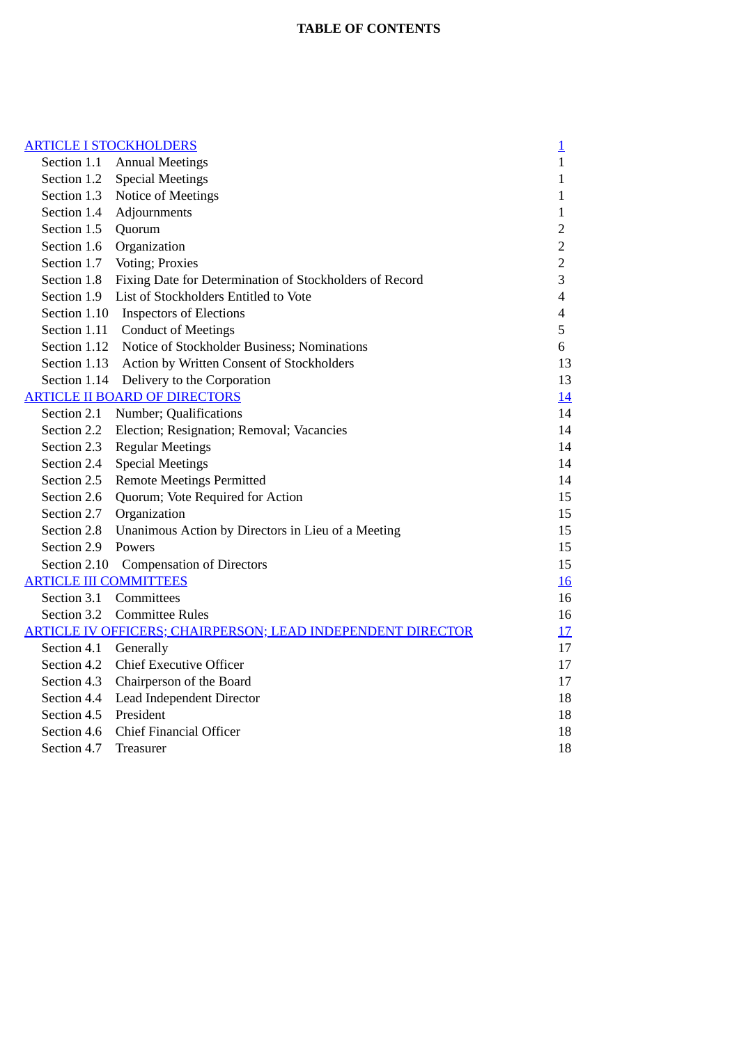# **TABLE OF CONTENTS**

| <b>ARTICLE I STOCKHOLDERS</b> |                                                                    | $\overline{1}$ |
|-------------------------------|--------------------------------------------------------------------|----------------|
|                               | Section 1.1 Annual Meetings                                        | $\mathbf{1}$   |
| Section 1.2                   | <b>Special Meetings</b>                                            | $\mathbf{1}$   |
| Section 1.3                   | Notice of Meetings                                                 | $\mathbf{1}$   |
| Section 1.4                   | Adjournments                                                       | $\mathbf{1}$   |
| Section 1.5                   | Quorum                                                             | $\overline{2}$ |
| Section 1.6                   | Organization                                                       | $\overline{2}$ |
| Section 1.7                   | <b>Voting</b> ; Proxies                                            | $\overline{2}$ |
| Section 1.8                   | Fixing Date for Determination of Stockholders of Record            | 3              |
| Section 1.9                   | List of Stockholders Entitled to Vote                              | 4              |
| Section 1.10                  | <b>Inspectors of Elections</b>                                     | $\overline{4}$ |
| Section 1.11                  | <b>Conduct of Meetings</b>                                         | 5              |
| Section 1.12                  | Notice of Stockholder Business; Nominations                        | 6              |
| Section 1.13                  | Action by Written Consent of Stockholders                          | 13             |
|                               | Section 1.14 Delivery to the Corporation                           | 13             |
|                               | <b>ARTICLE II BOARD OF DIRECTORS</b>                               | <u>14</u>      |
|                               | Section 2.1 Number; Qualifications                                 | 14             |
| Section 2.2                   | Election; Resignation; Removal; Vacancies                          | 14             |
|                               | Section 2.3 Regular Meetings                                       | 14             |
| Section 2.4                   | <b>Special Meetings</b>                                            | 14             |
| Section 2.5                   | <b>Remote Meetings Permitted</b>                                   | 14             |
| Section 2.6                   | Quorum; Vote Required for Action                                   | 15             |
|                               | Section 2.7 Organization                                           | 15             |
| Section 2.8                   | Unanimous Action by Directors in Lieu of a Meeting                 | 15             |
| Section 2.9                   | Powers                                                             | 15             |
|                               | Section 2.10 Compensation of Directors                             | 15             |
| <b>ARTICLE III COMMITTEES</b> |                                                                    | <u>16</u>      |
| Section 3.1 Committees        |                                                                    | 16             |
|                               | Section 3.2 Committee Rules                                        | 16             |
|                               | <u>ARTICLE IV OFFICERS; CHAIRPERSON; LEAD INDEPENDENT DIRECTOR</u> | <u>17</u>      |
| Section 4.1 Generally         |                                                                    | 17             |
|                               | Section 4.2 Chief Executive Officer                                | 17             |
|                               | Section 4.3 Chairperson of the Board                               | 17             |
| Section 4.4                   | <b>Lead Independent Director</b>                                   | 18             |
| Section 4.5                   | President                                                          | 18             |
| Section 4.6                   | <b>Chief Financial Officer</b>                                     | 18             |
| Section 4.7                   | Treasurer                                                          | 18             |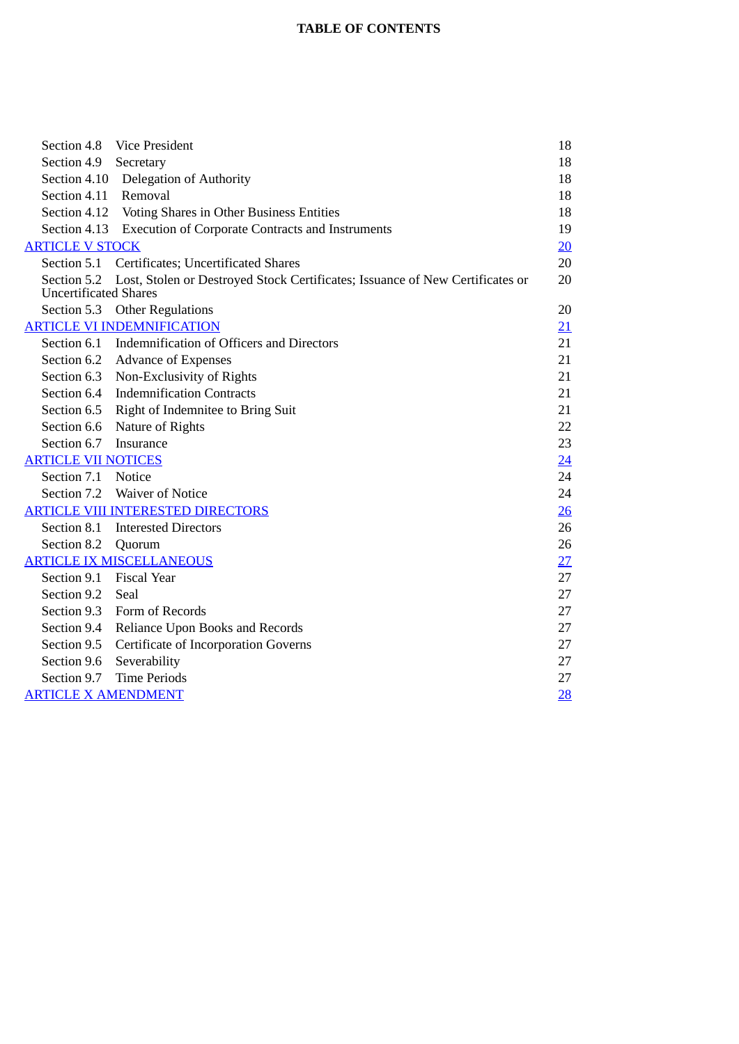# **TABLE OF CONTENTS**

<span id="page-82-0"></span>

| Section 4.8                  | Vice President                                                                            | 18              |
|------------------------------|-------------------------------------------------------------------------------------------|-----------------|
| Section 4.9                  | Secretary                                                                                 | 18              |
|                              | Section 4.10 Delegation of Authority                                                      | 18              |
| Section 4.11 Removal         |                                                                                           | 18              |
|                              | Section 4.12 Voting Shares in Other Business Entities                                     | 18              |
|                              | Section 4.13 Execution of Corporate Contracts and Instruments                             | 19              |
| <b>ARTICLE V STOCK</b>       |                                                                                           | 20              |
|                              | Section 5.1 Certificates; Uncertificated Shares                                           | 20              |
| <b>Uncertificated Shares</b> | Section 5.2 Lost, Stolen or Destroyed Stock Certificates; Issuance of New Certificates or | 20              |
|                              | Section 5.3 Other Regulations                                                             | 20              |
|                              | <b>ARTICLE VI INDEMNIFICATION</b>                                                         | 21              |
|                              | Section 6.1 Indemnification of Officers and Directors                                     | 21              |
|                              | Section 6.2 Advance of Expenses                                                           | 21              |
|                              | Section 6.3 Non-Exclusivity of Rights                                                     | 21              |
|                              | Section 6.4 Indemnification Contracts                                                     | 21              |
|                              | Section 6.5 Right of Indemnitee to Bring Suit                                             | 21              |
| Section 6.6                  | Nature of Rights                                                                          | 22              |
| Section 6.7                  | Insurance                                                                                 | 23              |
| <b>ARTICLE VII NOTICES</b>   |                                                                                           | $\overline{24}$ |
| Section 7.1 Notice           |                                                                                           | 24              |
| Section 7.2                  | <b>Waiver of Notice</b>                                                                   | 24              |
|                              | <b>ARTICLE VIII INTERESTED DIRECTORS</b>                                                  | 26              |
|                              | Section 8.1 Interested Directors                                                          | 26              |
| Section 8.2 Quorum           |                                                                                           | 26              |
|                              | <b>ARTICLE IX MISCELLANEOUS</b>                                                           | 27              |
| Section 9.1 Fiscal Year      |                                                                                           | 27              |
| Section 9.2                  | Seal                                                                                      | 27              |
|                              | Section 9.3 Form of Records                                                               | 27              |
|                              | Section 9.4 Reliance Upon Books and Records                                               | 27              |
| Section 9.5                  | Certificate of Incorporation Governs                                                      | 27              |
| Section 9.6                  | Severability                                                                              | 27              |
|                              | Section 9.7 Time Periods                                                                  | 27              |
| <b>ARTICLE X AMENDMENT</b>   |                                                                                           | 28              |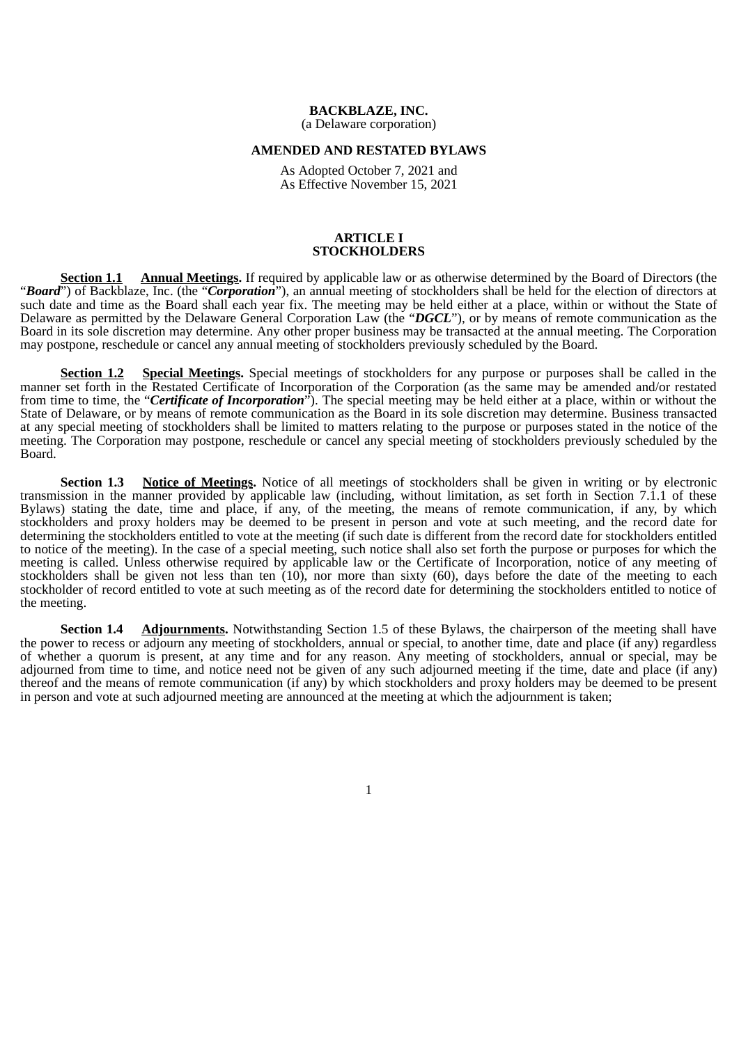# **BACKBLAZE, INC.**

(a Delaware corporation)

#### **AMENDED AND RESTATED BYLAWS**

As Adopted October 7, 2021 and As Effective November 15, 2021

## **ARTICLE I STOCKHOLDERS**

**Section 1.1 Annual Meetings.** If required by applicable law or as otherwise determined by the Board of Directors (the "Board") of Backblaze, Inc. (the "Corporation"), an annual meeting of stockholders shall be held for the election of directors at such date and time as the Board shall each year fix. The meeting may be held either at a place, within or without the State of Delaware as permitted by the Delaware General Corporation Law (the "*DGCL*"), or by means of remote communication as the Board in its sole discretion may determine. Any other proper business may be transacted at the annual meeting. The Corporation may postpone, reschedule or cancel any annual meeting of stockholders previously scheduled by the Board.

**Section 1.2 Special Meetings.** Special meetings of stockholders for any purpose or purposes shall be called in the manner set forth in the Restated Certificate of Incorporation of the Corporation (as the same may be amended and/or restated from time to time, the "*Certificate of Incorporation*"). The special meeting may be held either at a place, within or without the State of Delaware, or by means of remote communication as the Board in its sole discretion may determine. Business transacted at any special meeting of stockholders shall be limited to matters relating to the purpose or purposes stated in the notice of the meeting. The Corporation may postpone, reschedule or cancel any special meeting of stockholders previously scheduled by the Board.

**Section 1.3 Notice of Meetings.** Notice of all meetings of stockholders shall be given in writing or by electronic transmission in the manner provided by applicable law (including, without limitation, as set forth in Section 7.1.1 of these Bylaws) stating the date, time and place, if any, of the meeting, the means of remote communication, if any, by which stockholders and proxy holders may be deemed to be present in person and vote at such meeting, and the record date for determining the stockholders entitled to vote at the meeting (if such date is different from the record date for stockholders entitled to notice of the meeting). In the case of a special meeting, such notice shall also set forth the purpose or purposes for which the meeting is called. Unless otherwise required by applicable law or the Certificate of Incorporation, notice of any meeting of stockholders shall be given not less than ten (10), nor more than sixty (60), days before the date of the meeting to each stockholder of record entitled to vote at such meeting as of the record date for determining the stockholders entitled to notice of the meeting.

**Section 1.4 Adjournments.** Notwithstanding Section 1.5 of these Bylaws, the chairperson of the meeting shall have the power to recess or adjourn any meeting of stockholders, annual or special, to another time, date and place (if any) regardless of whether a quorum is present, at any time and for any reason. Any meeting of stockholders, annual or special, may be adjourned from time to time, and notice need not be given of any such adjourned meeting if the time, date and place (if any) thereof and the means of remote communication (if any) by which stockholders and proxy holders may be deemed to be present in person and vote at such adjourned meeting are announced at the meeting at which the adjournment is taken;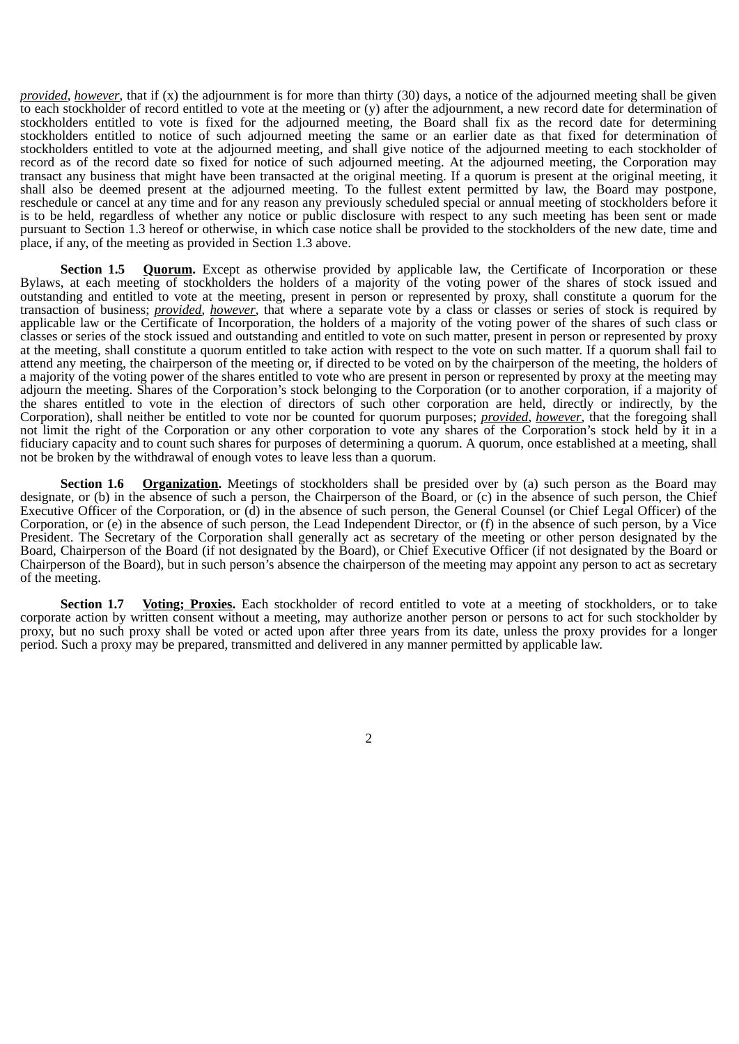*provided*, *however*, that if (x) the adjournment is for more than thirty (30) days, a notice of the adjourned meeting shall be given to each stockholder of record entitled to vote at the meeting or (y) after the adjournment, a new record date for determination of stockholders entitled to vote is fixed for the adjourned meeting, the Board shall fix as the record date for determining stockholders entitled to notice of such adjourned meeting the same or an earlier date as that fixed for determination of stockholders entitled to vote at the adjourned meeting, and shall give notice of the adjourned meeting to each stockholder of record as of the record date so fixed for notice of such adjourned meeting. At the adjourned meeting, the Corporation may transact any business that might have been transacted at the original meeting. If a quorum is present at the original meeting, it shall also be deemed present at the adjourned meeting. To the fullest extent permitted by law, the Board may postpone, reschedule or cancel at any time and for any reason any previously scheduled special or annual meeting of stockholders before it is to be held, regardless of whether any notice or public disclosure with respect to any such meeting has been sent or made pursuant to Section 1.3 hereof or otherwise, in which case notice shall be provided to the stockholders of the new date, time and place, if any, of the meeting as provided in Section 1.3 above.

**Section 1.5 Quorum.** Except as otherwise provided by applicable law, the Certificate of Incorporation or these Bylaws, at each meeting of stockholders the holders of a majority of the voting power of the shares of stock issued and outstanding and entitled to vote at the meeting, present in person or represented by proxy, shall constitute a quorum for the transaction of business; *provided*, *however*, that where a separate vote by a class or classes or series of stock is required by applicable law or the Certificate of Incorporation, the holders of a majority of the voting power of the shares of such class or classes or series of the stock issued and outstanding and entitled to vote on such matter, present in person or represented by proxy at the meeting, shall constitute a quorum entitled to take action with respect to the vote on such matter. If a quorum shall fail to attend any meeting, the chairperson of the meeting or, if directed to be voted on by the chairperson of the meeting, the holders of a majority of the voting power of the shares entitled to vote who are present in person or represented by proxy at the meeting may adjourn the meeting. Shares of the Corporation's stock belonging to the Corporation (or to another corporation, if a majority of the shares entitled to vote in the election of directors of such other corporation are held, directly or indirectly, by the Corporation), shall neither be entitled to vote nor be counted for quorum purposes; *provided*, *however*, that the foregoing shall not limit the right of the Corporation or any other corporation to vote any shares of the Corporation's stock held by it in a fiduciary capacity and to count such shares for purposes of determining a quorum. A quorum, once established at a meeting, shall not be broken by the withdrawal of enough votes to leave less than a quorum.

**Section 1.6 Organization.** Meetings of stockholders shall be presided over by (a) such person as the Board may designate, or (b) in the absence of such a person, the Chairperson of the Board, or (c) in the absence of such person, the Chief Executive Officer of the Corporation, or (d) in the absence of such person, the General Counsel (or Chief Legal Officer) of the Corporation, or (e) in the absence of such person, the Lead Independent Director, or (f) in the absence of such person, by a Vice President. The Secretary of the Corporation shall generally act as secretary of the meeting or other person designated by the Board, Chairperson of the Board (if not designated by the Board), or Chief Executive Officer (if not designated by the Board or Chairperson of the Board), but in such person's absence the chairperson of the meeting may appoint any person to act as secretary of the meeting.

**Section 1.7 Voting; Proxies.** Each stockholder of record entitled to vote at a meeting of stockholders, or to take corporate action by written consent without a meeting, may authorize another person or persons to act for such stockholder by proxy, but no such proxy shall be voted or acted upon after three years from its date, unless the proxy provides for a longer period. Such a proxy may be prepared, transmitted and delivered in any manner permitted by applicable law.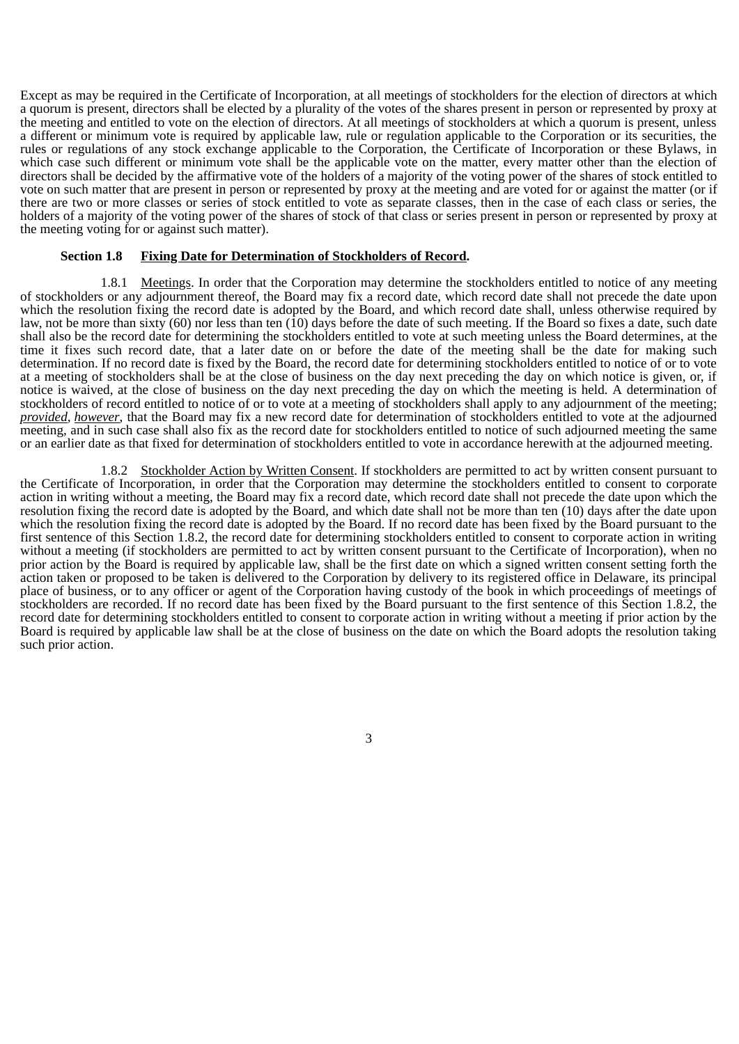Except as may be required in the Certificate of Incorporation, at all meetings of stockholders for the election of directors at which a quorum is present, directors shall be elected by a plurality of the votes of the shares present in person or represented by proxy at the meeting and entitled to vote on the election of directors. At all meetings of stockholders at which a quorum is present, unless a different or minimum vote is required by applicable law, rule or regulation applicable to the Corporation or its securities, the rules or regulations of any stock exchange applicable to the Corporation, the Certificate of Incorporation or these Bylaws, in which case such different or minimum vote shall be the applicable vote on the matter, every matter other than the election of directors shall be decided by the affirmative vote of the holders of a majority of the voting power of the shares of stock entitled to vote on such matter that are present in person or represented by proxy at the meeting and are voted for or against the matter (or if there are two or more classes or series of stock entitled to vote as separate classes, then in the case of each class or series, the holders of a majority of the voting power of the shares of stock of that class or series present in person or represented by proxy at the meeting voting for or against such matter).

# **Section 1.8 Fixing Date for Determination of Stockholders of Record.**

1.8.1 Meetings. In order that the Corporation may determine the stockholders entitled to notice of any meeting of stockholders or any adjournment thereof, the Board may fix a record date, which record date shall not precede the date upon which the resolution fixing the record date is adopted by the Board, and which record date shall, unless otherwise required by law, not be more than sixty (60) nor less than ten (10) days before the date of such meeting. If the Board so fixes a date, such date shall also be the record date for determining the stockholders entitled to vote at such meeting unless the Board determines, at the time it fixes such record date, that a later date on or before the date of the meeting shall be the date for making such determination. If no record date is fixed by the Board, the record date for determining stockholders entitled to notice of or to vote at a meeting of stockholders shall be at the close of business on the day next preceding the day on which notice is given, or, if notice is waived, at the close of business on the day next preceding the day on which the meeting is held. A determination of stockholders of record entitled to notice of or to vote at a meeting of stockholders shall apply to any adjournment of the meeting; *provided*, *however*, that the Board may fix a new record date for determination of stockholders entitled to vote at the adjourned meeting, and in such case shall also fix as the record date for stockholders entitled to notice of such adjourned meeting the same or an earlier date as that fixed for determination of stockholders entitled to vote in accordance herewith at the adjourned meeting.

1.8.2 Stockholder Action by Written Consent. If stockholders are permitted to act by written consent pursuant to the Certificate of Incorporation, in order that the Corporation may determine the stockholders entitled to consent to corporate action in writing without a meeting, the Board may fix a record date, which record date shall not precede the date upon which the resolution fixing the record date is adopted by the Board, and which date shall not be more than ten (10) days after the date upon which the resolution fixing the record date is adopted by the Board. If no record date has been fixed by the Board pursuant to the first sentence of this Section 1.8.2, the record date for determining stockholders entitled to consent to corporate action in writing without a meeting (if stockholders are permitted to act by written consent pursuant to the Certificate of Incorporation), when no prior action by the Board is required by applicable law, shall be the first date on which a signed written consent setting forth the action taken or proposed to be taken is delivered to the Corporation by delivery to its registered office in Delaware, its principal place of business, or to any officer or agent of the Corporation having custody of the book in which proceedings of meetings of stockholders are recorded. If no record date has been fixed by the Board pursuant to the first sentence of this Section 1.8.2, the record date for determining stockholders entitled to consent to corporate action in writing without a meeting if prior action by the Board is required by applicable law shall be at the close of business on the date on which the Board adopts the resolution taking such prior action.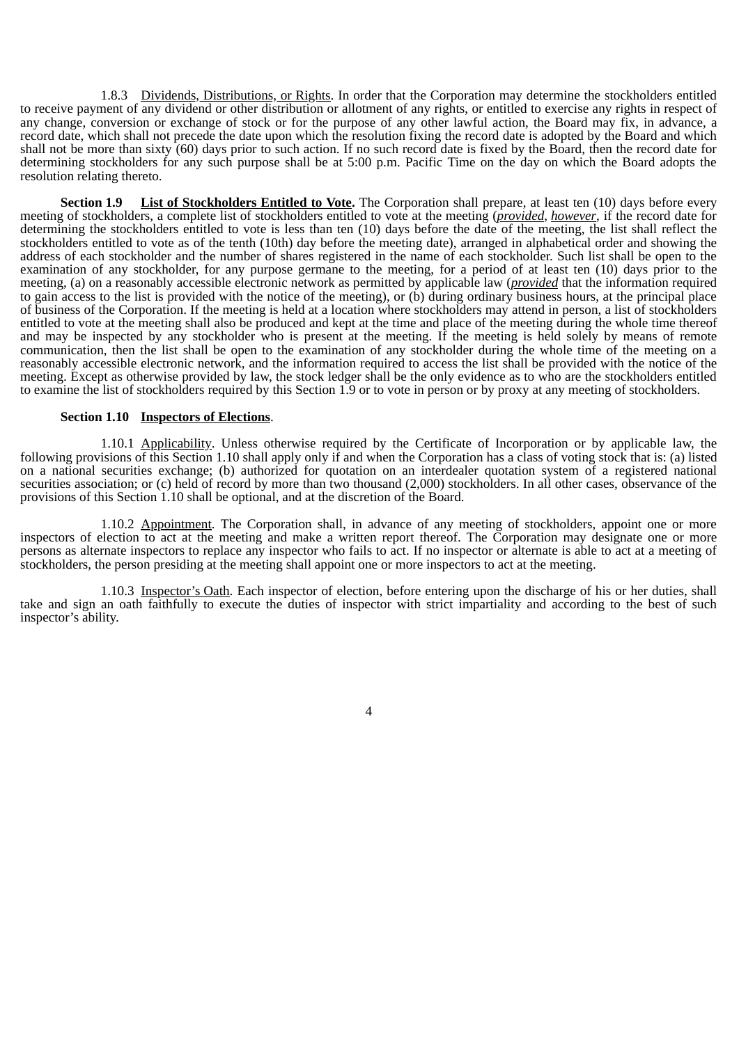1.8.3 Dividends, Distributions, or Rights. In order that the Corporation may determine the stockholders entitled to receive payment of any dividend or other distribution or allotment of any rights, or entitled to exercise any rights in respect of any change, conversion or exchange of stock or for the purpose of any other lawful action, the Board may fix, in advance, a record date, which shall not precede the date upon which the resolution fixing the record date is adopted by the Board and which shall not be more than sixty (60) days prior to such action. If no such record date is fixed by the Board, then the record date for determining stockholders for any such purpose shall be at 5:00 p.m. Pacific Time on the day on which the Board adopts the resolution relating thereto.

**Section 1.9** List of Stockholders Entitled to Vote. The Corporation shall prepare, at least ten (10) days before every meeting of stockholders, a complete list of stockholders entitled to vote at the meeting (*provided*, *however*, if the record date for determining the stockholders entitled to vote is less than ten (10) days before the date of the meeting, the list shall reflect the stockholders entitled to vote as of the tenth (10th) day before the meeting date), arranged in alphabetical order and showing the address of each stockholder and the number of shares registered in the name of each stockholder. Such list shall be open to the examination of any stockholder, for any purpose germane to the meeting, for a period of at least ten (10) days prior to the meeting, (a) on a reasonably accessible electronic network as permitted by applicable law (*provided* that the information required to gain access to the list is provided with the notice of the meeting), or (b) during ordinary business hours, at the principal place of business of the Corporation. If the meeting is held at a location where stockholders may attend in person, a list of stockholders entitled to vote at the meeting shall also be produced and kept at the time and place of the meeting during the whole time thereof and may be inspected by any stockholder who is present at the meeting. If the meeting is held solely by means of remote communication, then the list shall be open to the examination of any stockholder during the whole time of the meeting on a reasonably accessible electronic network, and the information required to access the list shall be provided with the notice of the meeting. Except as otherwise provided by law, the stock ledger shall be the only evidence as to who are the stockholders entitled to examine the list of stockholders required by this Section 1.9 or to vote in person or by proxy at any meeting of stockholders.

### **Section 1.10 Inspectors of Elections**.

1.10.1 Applicability. Unless otherwise required by the Certificate of Incorporation or by applicable law, the following provisions of this Section 1.10 shall apply only if and when the Corporation has a class of voting stock that is: (a) listed on a national securities exchange; (b) authorized for quotation on an interdealer quotation system of a registered national securities association; or (c) held of record by more than two thousand (2,000) stockholders. In all other cases, observance of the provisions of this Section 1.10 shall be optional, and at the discretion of the Board.

1.10.2 Appointment. The Corporation shall, in advance of any meeting of stockholders, appoint one or more inspectors of election to act at the meeting and make a written report thereof. The Corporation may designate one or more persons as alternate inspectors to replace any inspector who fails to act. If no inspector or alternate is able to act at a meeting of stockholders, the person presiding at the meeting shall appoint one or more inspectors to act at the meeting.

1.10.3 Inspector's Oath. Each inspector of election, before entering upon the discharge of his or her duties, shall take and sign an oath faithfully to execute the duties of inspector with strict impartiality and according to the best of such inspector's ability.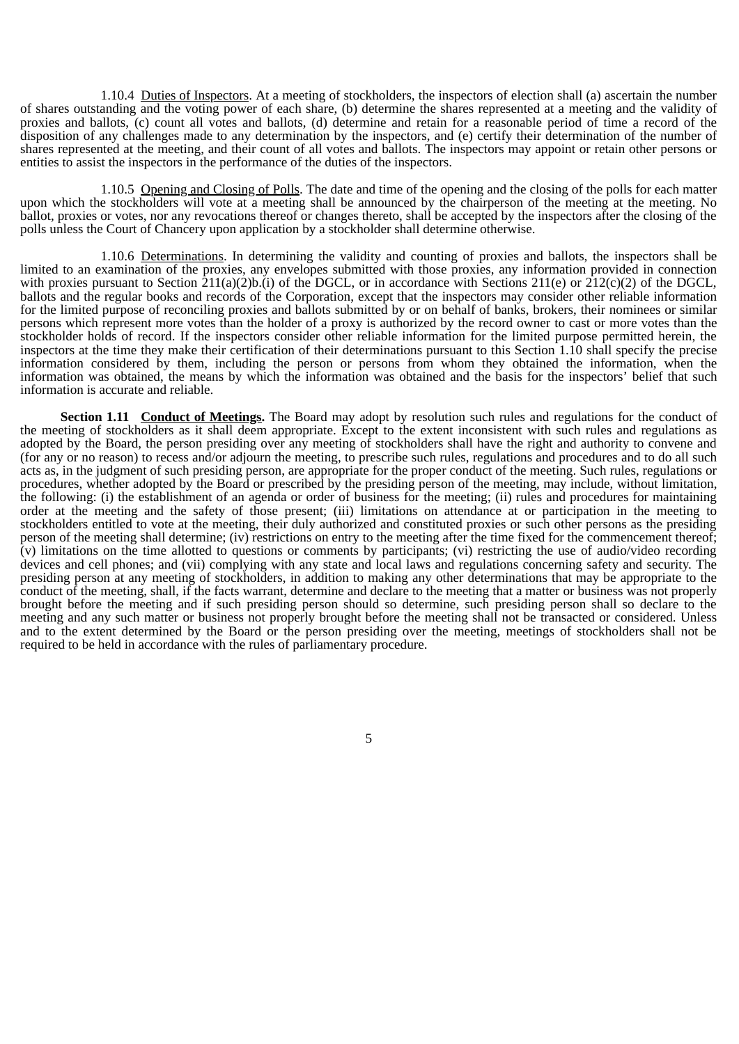1.10.4 Duties of Inspectors. At a meeting of stockholders, the inspectors of election shall (a) ascertain the number of shares outstanding and the voting power of each share, (b) determine the shares represented at a meeting and the validity of proxies and ballots, (c) count all votes and ballots, (d) determine and retain for a reasonable period of time a record of the disposition of any challenges made to any determination by the inspectors, and (e) certify their determination of the number of shares represented at the meeting, and their count of all votes and ballots. The inspectors may appoint or retain other persons or entities to assist the inspectors in the performance of the duties of the inspectors.

1.10.5 Opening and Closing of Polls. The date and time of the opening and the closing of the polls for each matter upon which the stockholders will vote at a meeting shall be announced by the chairperson of the meeting at the meeting. No ballot, proxies or votes, nor any revocations thereof or changes thereto, shall be accepted by the inspectors after the closing of the polls unless the Court of Chancery upon application by a stockholder shall determine otherwise.

1.10.6 Determinations. In determining the validity and counting of proxies and ballots, the inspectors shall be limited to an examination of the proxies, any envelopes submitted with those proxies, any information provided in connection with proxies pursuant to Section 211(a)(2)b.(i) of the DGCL, or in accordance with Sections 211(e) or 212(c)(2) of the DGCL, ballots and the regular books and records of the Corporation, except that the inspectors may consider other reliable information for the limited purpose of reconciling proxies and ballots submitted by or on behalf of banks, brokers, their nominees or similar persons which represent more votes than the holder of a proxy is authorized by the record owner to cast or more votes than the stockholder holds of record. If the inspectors consider other reliable information for the limited purpose permitted herein, the inspectors at the time they make their certification of their determinations pursuant to this Section 1.10 shall specify the precise information considered by them, including the person or persons from whom they obtained the information, when the information was obtained, the means by which the information was obtained and the basis for the inspectors' belief that such information is accurate and reliable.

**Section 1.11 Conduct of Meetings.** The Board may adopt by resolution such rules and regulations for the conduct of the meeting of stockholders as it shall deem appropriate. Except to the extent inconsistent with such rules and regulations as adopted by the Board, the person presiding over any meeting of stockholders shall have the right and authority to convene and (for any or no reason) to recess and/or adjourn the meeting, to prescribe such rules, regulations and procedures and to do all such acts as, in the judgment of such presiding person, are appropriate for the proper conduct of the meeting. Such rules, regulations or procedures, whether adopted by the Board or prescribed by the presiding person of the meeting, may include, without limitation, the following: (i) the establishment of an agenda or order of business for the meeting; (ii) rules and procedures for maintaining order at the meeting and the safety of those present; (iii) limitations on attendance at or participation in the meeting to stockholders entitled to vote at the meeting, their duly authorized and constituted proxies or such other persons as the presiding person of the meeting shall determine; (iv) restrictions on entry to the meeting after the time fixed for the commencement thereof; (v) limitations on the time allotted to questions or comments by participants; (vi) restricting the use of audio/video recording devices and cell phones; and (vii) complying with any state and local laws and regulations concerning safety and security. The presiding person at any meeting of stockholders, in addition to making any other determinations that may be appropriate to the conduct of the meeting, shall, if the facts warrant, determine and declare to the meeting that a matter or business was not properly brought before the meeting and if such presiding person should so determine, such presiding person shall so declare to the meeting and any such matter or business not properly brought before the meeting shall not be transacted or considered. Unless and to the extent determined by the Board or the person presiding over the meeting, meetings of stockholders shall not be required to be held in accordance with the rules of parliamentary procedure.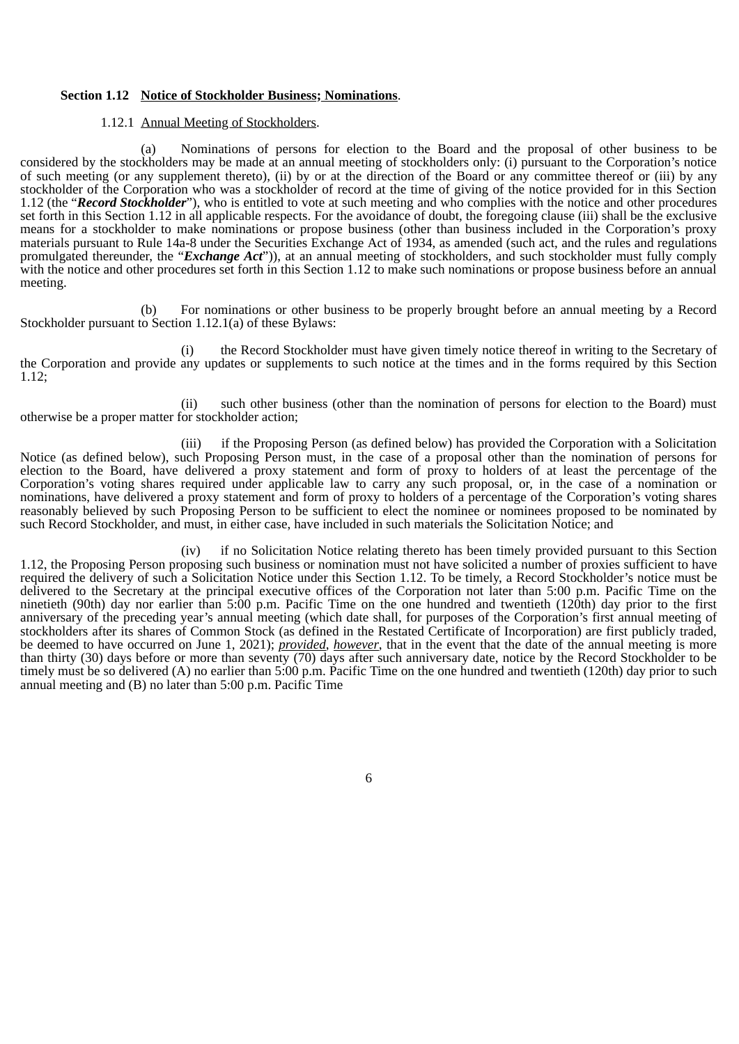# **Section 1.12 Notice of Stockholder Business; Nominations**.

# 1.12.1 Annual Meeting of Stockholders.

(a) Nominations of persons for election to the Board and the proposal of other business to be considered by the stockholders may be made at an annual meeting of stockholders only: (i) pursuant to the Corporation's notice of such meeting (or any supplement thereto), (ii) by or at the direction of the Board or any committee thereof or (iii) by any stockholder of the Corporation who was a stockholder of record at the time of giving of the notice provided for in this Section 1.12 (the "*Record Stockholder*"), who is entitled to vote at such meeting and who complies with the notice and other procedures set forth in this Section 1.12 in all applicable respects. For the avoidance of doubt, the foregoing clause (iii) shall be the exclusive means for a stockholder to make nominations or propose business (other than business included in the Corporation's proxy materials pursuant to Rule 14a-8 under the Securities Exchange Act of 1934, as amended (such act, and the rules and regulations promulgated thereunder, the "*Exchange Act*")), at an annual meeting of stockholders, and such stockholder must fully comply with the notice and other procedures set forth in this Section 1.12 to make such nominations or propose business before an annual meeting.

(b) For nominations or other business to be properly brought before an annual meeting by a Record Stockholder pursuant to Section 1.12.1(a) of these Bylaws:

(i) the Record Stockholder must have given timely notice thereof in writing to the Secretary of the Corporation and provide any updates or supplements to such notice at the times and in the forms required by this Section 1.12;

(ii) such other business (other than the nomination of persons for election to the Board) must otherwise be a proper matter for stockholder action;

(iii) if the Proposing Person (as defined below) has provided the Corporation with a Solicitation Notice (as defined below), such Proposing Person must, in the case of a proposal other than the nomination of persons for election to the Board, have delivered a proxy statement and form of proxy to holders of at least the percentage of the Corporation's voting shares required under applicable law to carry any such proposal, or, in the case of a nomination or nominations, have delivered a proxy statement and form of proxy to holders of a percentage of the Corporation's voting shares reasonably believed by such Proposing Person to be sufficient to elect the nominee or nominees proposed to be nominated by such Record Stockholder, and must, in either case, have included in such materials the Solicitation Notice; and

(iv) if no Solicitation Notice relating thereto has been timely provided pursuant to this Section 1.12, the Proposing Person proposing such business or nomination must not have solicited a number of proxies sufficient to have required the delivery of such a Solicitation Notice under this Section 1.12. To be timely, a Record Stockholder's notice must be delivered to the Secretary at the principal executive offices of the Corporation not later than 5:00 p.m. Pacific Time on the ninetieth (90th) day nor earlier than 5:00 p.m. Pacific Time on the one hundred and twentieth (120th) day prior to the first anniversary of the preceding year's annual meeting (which date shall, for purposes of the Corporation's first annual meeting of stockholders after its shares of Common Stock (as defined in the Restated Certificate of Incorporation) are first publicly traded, be deemed to have occurred on June 1, 2021); *provided*, *however*, that in the event that the date of the annual meeting is more than thirty (30) days before or more than seventy (70) days after such anniversary date, notice by the Record Stockholder to be timely must be so delivered (A) no earlier than 5:00 p.m. Pacific Time on the one hundred and twentieth (120th) day prior to such annual meeting and (B) no later than 5:00 p.m. Pacific Time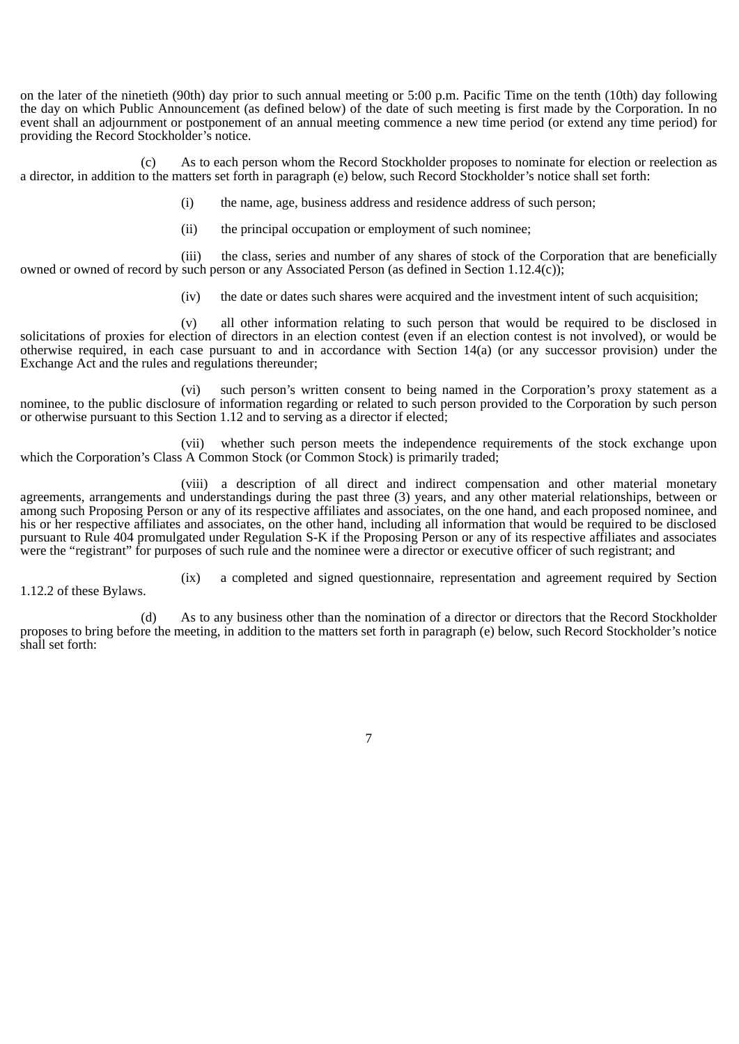on the later of the ninetieth (90th) day prior to such annual meeting or 5:00 p.m. Pacific Time on the tenth (10th) day following the day on which Public Announcement (as defined below) of the date of such meeting is first made by the Corporation. In no event shall an adjournment or postponement of an annual meeting commence a new time period (or extend any time period) for providing the Record Stockholder's notice.

(c) As to each person whom the Record Stockholder proposes to nominate for election or reelection as a director, in addition to the matters set forth in paragraph (e) below, such Record Stockholder's notice shall set forth:

(i) the name, age, business address and residence address of such person;

(ii) the principal occupation or employment of such nominee;

(iii) the class, series and number of any shares of stock of the Corporation that are beneficially owned or owned of record by such person or any Associated Person (as defined in Section 1.12.4(c));

(iv) the date or dates such shares were acquired and the investment intent of such acquisition;

(v) all other information relating to such person that would be required to be disclosed in solicitations of proxies for election of directors in an election contest (even if an election contest is not involved), or would be otherwise required, in each case pursuant to and in accordance with Section 14(a) (or any successor provision) under the Exchange Act and the rules and regulations thereunder;

(vi) such person's written consent to being named in the Corporation's proxy statement as a nominee, to the public disclosure of information regarding or related to such person provided to the Corporation by such person or otherwise pursuant to this Section 1.12 and to serving as a director if elected;

(vii) whether such person meets the independence requirements of the stock exchange upon which the Corporation's Class A Common Stock (or Common Stock) is primarily traded;

(viii) a description of all direct and indirect compensation and other material monetary agreements, arrangements and understandings during the past three (3) years, and any other material relationships, between or among such Proposing Person or any of its respective affiliates and associates, on the one hand, and each proposed nominee, and his or her respective affiliates and associates, on the other hand, including all information that would be required to be disclosed pursuant to Rule 404 promulgated under Regulation S-K if the Proposing Person or any of its respective affiliates and associates were the "registrant" for purposes of such rule and the nominee were a director or executive officer of such registrant; and

(ix) a completed and signed questionnaire, representation and agreement required by Section

1.12.2 of these Bylaws.

(d) As to any business other than the nomination of a director or directors that the Record Stockholder proposes to bring before the meeting, in addition to the matters set forth in paragraph (e) below, such Record Stockholder's notice shall set forth: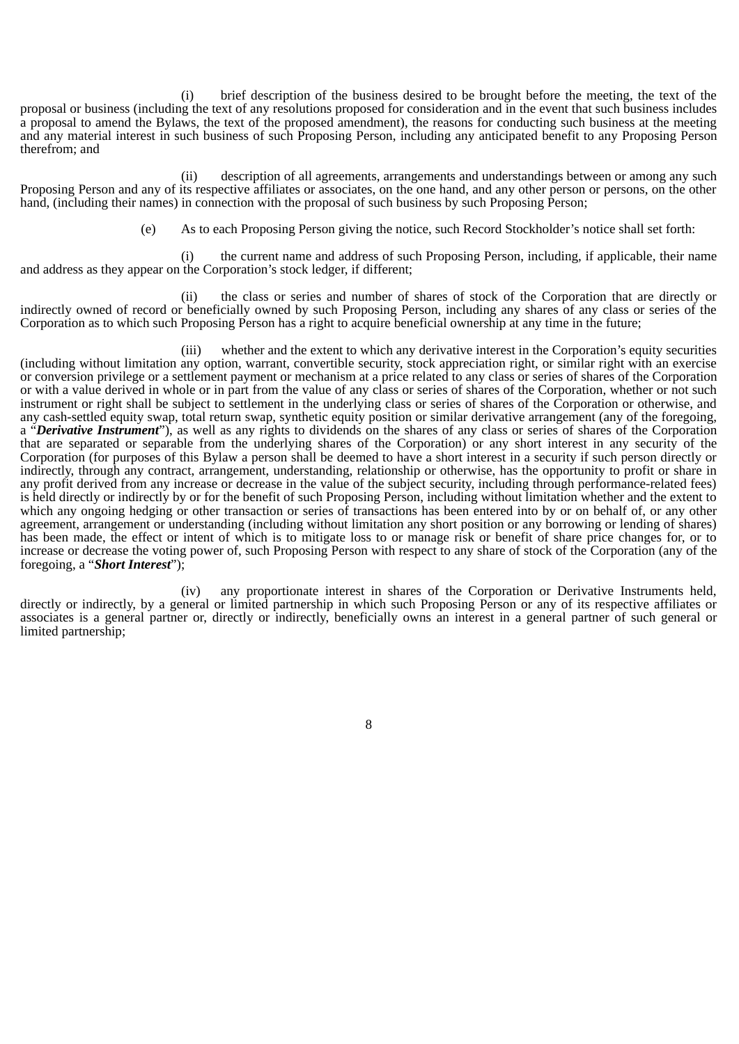(i) brief description of the business desired to be brought before the meeting, the text of the proposal or business (including the text of any resolutions proposed for consideration and in the event that such business includes a proposal to amend the Bylaws, the text of the proposed amendment), the reasons for conducting such business at the meeting and any material interest in such business of such Proposing Person, including any anticipated benefit to any Proposing Person therefrom; and

(ii) description of all agreements, arrangements and understandings between or among any such Proposing Person and any of its respective affiliates or associates, on the one hand, and any other person or persons, on the other hand, (including their names) in connection with the proposal of such business by such Proposing Person;

(e) As to each Proposing Person giving the notice, such Record Stockholder's notice shall set forth:

(i) the current name and address of such Proposing Person, including, if applicable, their name and address as they appear on the Corporation's stock ledger, if different;

(ii) the class or series and number of shares of stock of the Corporation that are directly or indirectly owned of record or beneficially owned by such Proposing Person, including any shares of any class or series of the Corporation as to which such Proposing Person has a right to acquire beneficial ownership at any time in the future;

(iii) whether and the extent to which any derivative interest in the Corporation's equity securities (including without limitation any option, warrant, convertible security, stock appreciation right, or similar right with an exercise or conversion privilege or a settlement payment or mechanism at a price related to any class or series of shares of the Corporation or with a value derived in whole or in part from the value of any class or series of shares of the Corporation, whether or not such instrument or right shall be subject to settlement in the underlying class or series of shares of the Corporation or otherwise, and any cash-settled equity swap, total return swap, synthetic equity position or similar derivative arrangement (any of the foregoing, a "*Derivative Instrument*"), as well as any rights to dividends on the shares of any class or series of shares of the Corporation that are separated or separable from the underlying shares of the Corporation) or any short interest in any security of the Corporation (for purposes of this Bylaw a person shall be deemed to have a short interest in a security if such person directly or indirectly, through any contract, arrangement, understanding, relationship or otherwise, has the opportunity to profit or share in any profit derived from any increase or decrease in the value of the subject security, including through performance-related fees) is held directly or indirectly by or for the benefit of such Proposing Person, including without limitation whether and the extent to which any ongoing hedging or other transaction or series of transactions has been entered into by or on behalf of, or any other agreement, arrangement or understanding (including without limitation any short position or any borrowing or lending of shares) has been made, the effect or intent of which is to mitigate loss to or manage risk or benefit of share price changes for, or to increase or decrease the voting power of, such Proposing Person with respect to any share of stock of the Corporation (any of the foregoing, a "*Short Interest*");

(iv) any proportionate interest in shares of the Corporation or Derivative Instruments held, directly or indirectly, by a general or limited partnership in which such Proposing Person or any of its respective affiliates or associates is a general partner or, directly or indirectly, beneficially owns an interest in a general partner of such general or limited partnership;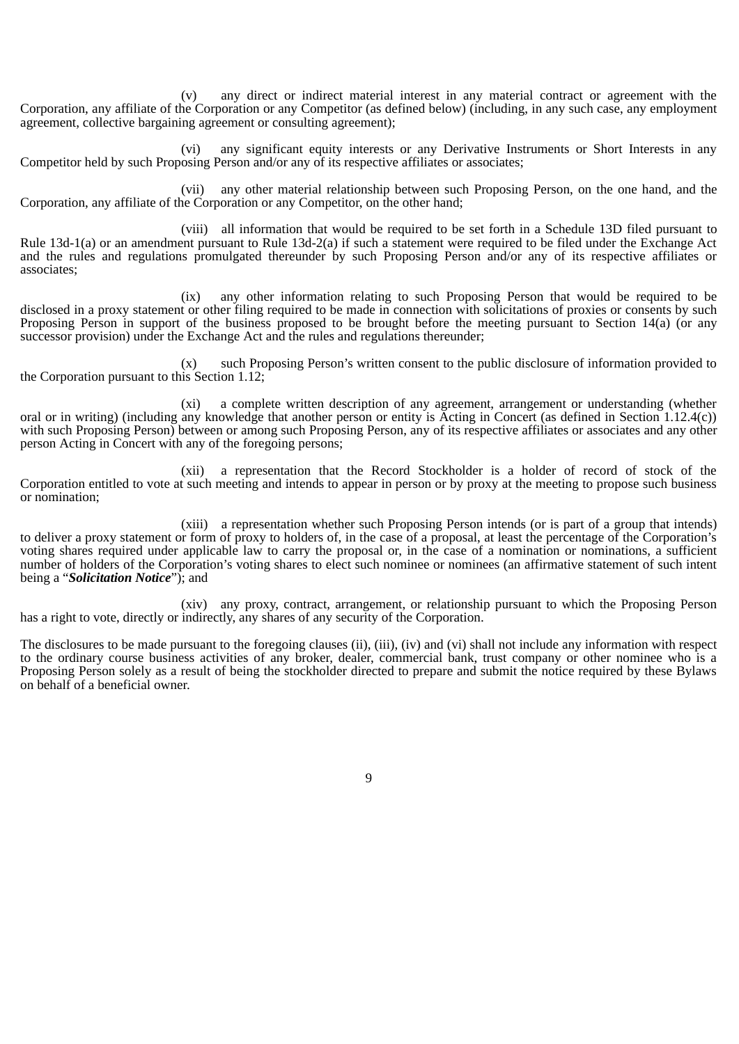(v) any direct or indirect material interest in any material contract or agreement with the Corporation, any affiliate of the Corporation or any Competitor (as defined below) (including, in any such case, any employment agreement, collective bargaining agreement or consulting agreement);

(vi) any significant equity interests or any Derivative Instruments or Short Interests in any Competitor held by such Proposing Person and/or any of its respective affiliates or associates;

(vii) any other material relationship between such Proposing Person, on the one hand, and the Corporation, any affiliate of the Corporation or any Competitor, on the other hand;

(viii) all information that would be required to be set forth in a Schedule 13D filed pursuant to Rule 13d-1(a) or an amendment pursuant to Rule 13d-2(a) if such a statement were required to be filed under the Exchange Act and the rules and regulations promulgated thereunder by such Proposing Person and/or any of its respective affiliates or associates;

(ix) any other information relating to such Proposing Person that would be required to be disclosed in a proxy statement or other filing required to be made in connection with solicitations of proxies or consents by such Proposing Person in support of the business proposed to be brought before the meeting pursuant to Section 14(a) (or any successor provision) under the Exchange Act and the rules and regulations thereunder;

(x) such Proposing Person's written consent to the public disclosure of information provided to the Corporation pursuant to this Section 1.12;

(xi) a complete written description of any agreement, arrangement or understanding (whether oral or in writing) (including any knowledge that another person or entity is Acting in Concert (as defined in Section 1.12.4(c)) with such Proposing Person) between or among such Proposing Person, any of its respective affiliates or associates and any other person Acting in Concert with any of the foregoing persons;

(xii) a representation that the Record Stockholder is a holder of record of stock of the Corporation entitled to vote at such meeting and intends to appear in person or by proxy at the meeting to propose such business or nomination;

(xiii) a representation whether such Proposing Person intends (or is part of a group that intends) to deliver a proxy statement or form of proxy to holders of, in the case of a proposal, at least the percentage of the Corporation's voting shares required under applicable law to carry the proposal or, in the case of a nomination or nominations, a sufficient number of holders of the Corporation's voting shares to elect such nominee or nominees (an affirmative statement of such intent being a "*Solicitation Notice*"); and

(xiv) any proxy, contract, arrangement, or relationship pursuant to which the Proposing Person has a right to vote, directly or indirectly, any shares of any security of the Corporation.

The disclosures to be made pursuant to the foregoing clauses (ii), (iii), (iv) and (vi) shall not include any information with respect to the ordinary course business activities of any broker, dealer, commercial bank, trust company or other nominee who is a Proposing Person solely as a result of being the stockholder directed to prepare and submit the notice required by these Bylaws on behalf of a beneficial owner.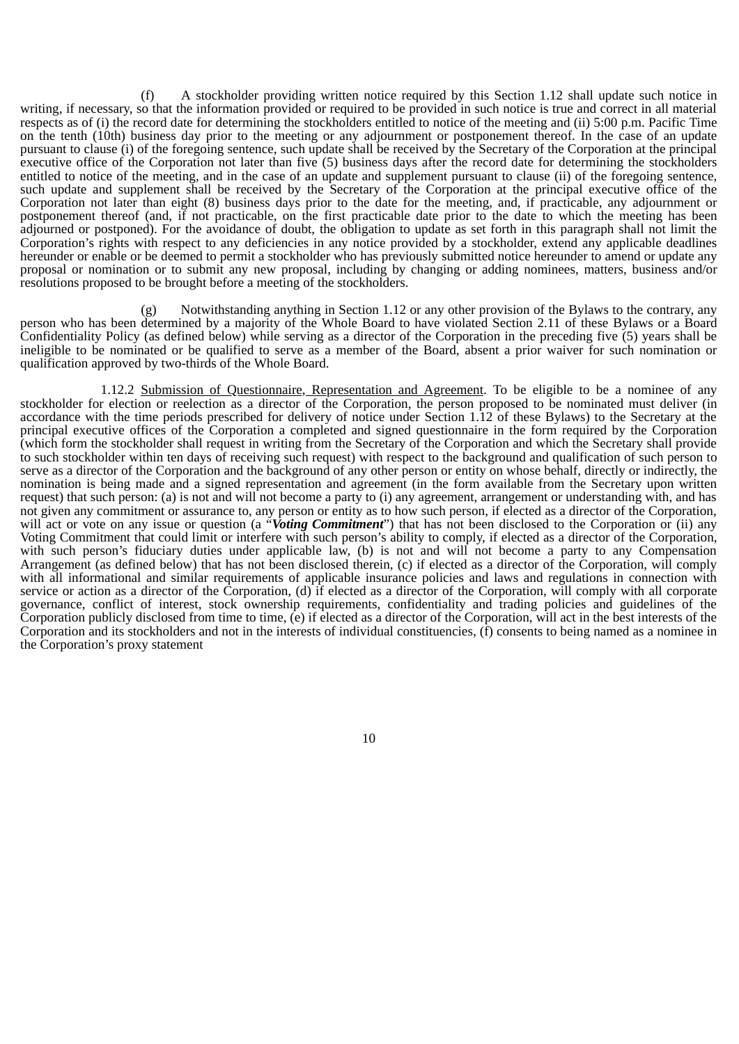(f) A stockholder providing written notice required by this Section 1.12 shall update such notice in writing, if necessary, so that the information provided or required to be provided in such notice is true and correct in all material respects as of (i) the record date for determining the stockholders entitled to notice of the meeting and (ii) 5:00 p.m. Pacific Time on the tenth (10th) business day prior to the meeting or any adjournment or postponement thereof. In the case of an update pursuant to clause (i) of the foregoing sentence, such update shall be received by the Secretary of the Corporation at the principal executive office of the Corporation not later than five (5) business days after the record date for determining the stockholders entitled to notice of the meeting, and in the case of an update and supplement pursuant to clause (ii) of the foregoing sentence, such update and supplement shall be received by the Secretary of the Corporation at the principal executive office of the Corporation not later than eight (8) business days prior to the date for the meeting, and, if practicable, any adjournment or postponement thereof (and, if not practicable, on the first practicable date prior to the date to which the meeting has been adjourned or postponed). For the avoidance of doubt, the obligation to update as set forth in this paragraph shall not limit the Corporation's rights with respect to any deficiencies in any notice provided by a stockholder, extend any applicable deadlines hereunder or enable or be deemed to permit a stockholder who has previously submitted notice hereunder to amend or update any proposal or nomination or to submit any new proposal, including by changing or adding nominees, matters, business and/or resolutions proposed to be brought before a meeting of the stockholders.

(g) Notwithstanding anything in Section 1.12 or any other provision of the Bylaws to the contrary, any person who has been determined by a majority of the Whole Board to have violated Section 2.11 of these Bylaws or a Board Confidentiality Policy (as defined below) while serving as a director of the Corporation in the preceding five (5) years shall be ineligible to be nominated or be qualified to serve as a member of the Board, absent a prior waiver for such nomination or qualification approved by two-thirds of the Whole Board.

1.12.2 Submission of Questionnaire, Representation and Agreement. To be eligible to be a nominee of any stockholder for election or reelection as a director of the Corporation, the person proposed to be nominated must deliver (in accordance with the time periods prescribed for delivery of notice under Section 1.12 of these Bylaws) to the Secretary at the principal executive offices of the Corporation a completed and signed questionnaire in the form required by the Corporation (which form the stockholder shall request in writing from the Secretary of the Corporation and which the Secretary shall provide to such stockholder within ten days of receiving such request) with respect to the background and qualification of such person to serve as a director of the Corporation and the background of any other person or entity on whose behalf, directly or indirectly, the nomination is being made and a signed representation and agreement (in the form available from the Secretary upon written request) that such person: (a) is not and will not become a party to (i) any agreement, arrangement or understanding with, and has not given any commitment or assurance to, any person or entity as to how such person, if elected as a director of the Corporation, will act or vote on any issue or question (a "*Voting Commitment*") that has not been disclosed to the Corporation or (ii) any Voting Commitment that could limit or interfere with such person's ability to comply, if elected as a director of the Corporation, with such person's fiduciary duties under applicable law, (b) is not and will not become a party to any Compensation Arrangement (as defined below) that has not been disclosed therein, (c) if elected as a director of the Corporation, will comply with all informational and similar requirements of applicable insurance policies and laws and regulations in connection with service or action as a director of the Corporation, (d) if elected as a director of the Corporation, will comply with all corporate governance, conflict of interest, stock ownership requirements, confidentiality and trading policies and guidelines of the Corporation publicly disclosed from time to time, (e) if elected as a director of the Corporation, will act in the best interests of the Corporation and its stockholders and not in the interests of individual constituencies, (f) consents to being named as a nominee in the Corporation's proxy statement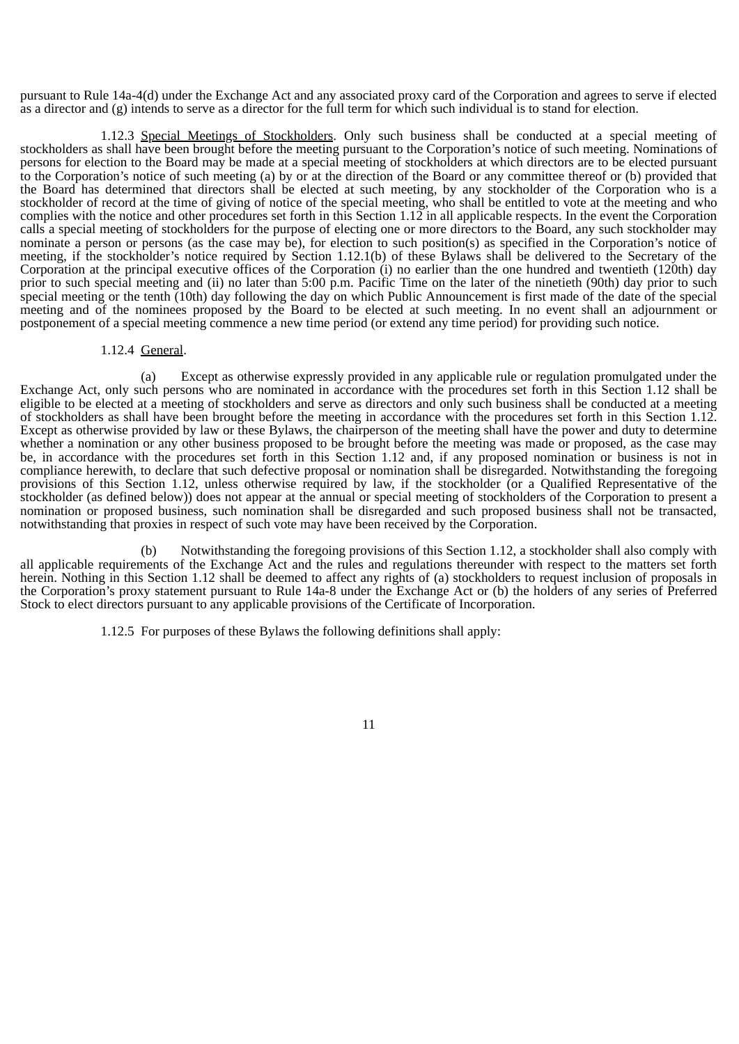pursuant to Rule 14a-4(d) under the Exchange Act and any associated proxy card of the Corporation and agrees to serve if elected as a director and (g) intends to serve as a director for the full term for which such individual is to stand for election.

1.12.3 Special Meetings of Stockholders. Only such business shall be conducted at a special meeting of stockholders as shall have been brought before the meeting pursuant to the Corporation's notice of such meeting. Nominations of persons for election to the Board may be made at a special meeting of stockholders at which directors are to be elected pursuant to the Corporation's notice of such meeting (a) by or at the direction of the Board or any committee thereof or (b) provided that the Board has determined that directors shall be elected at such meeting, by any stockholder of the Corporation who is a stockholder of record at the time of giving of notice of the special meeting, who shall be entitled to vote at the meeting and who complies with the notice and other procedures set forth in this Section 1.12 in all applicable respects. In the event the Corporation calls a special meeting of stockholders for the purpose of electing one or more directors to the Board, any such stockholder may nominate a person or persons (as the case may be), for election to such position(s) as specified in the Corporation's notice of meeting, if the stockholder's notice required by Section 1.12.1(b) of these Bylaws shall be delivered to the Secretary of the Corporation at the principal executive offices of the Corporation (i) no earlier than the one hundred and twentieth (120th) day prior to such special meeting and (ii) no later than 5:00 p.m. Pacific Time on the later of the ninetieth (90th) day prior to such special meeting or the tenth (10th) day following the day on which Public Announcement is first made of the date of the special meeting and of the nominees proposed by the Board to be elected at such meeting. In no event shall an adjournment or postponement of a special meeting commence a new time period (or extend any time period) for providing such notice.

### 1.12.4 General.

(a) Except as otherwise expressly provided in any applicable rule or regulation promulgated under the Exchange Act, only such persons who are nominated in accordance with the procedures set forth in this Section 1.12 shall be eligible to be elected at a meeting of stockholders and serve as directors and only such business shall be conducted at a meeting of stockholders as shall have been brought before the meeting in accordance with the procedures set forth in this Section 1.12. Except as otherwise provided by law or these Bylaws, the chairperson of the meeting shall have the power and duty to determine whether a nomination or any other business proposed to be brought before the meeting was made or proposed, as the case may be, in accordance with the procedures set forth in this Section 1.12 and, if any proposed nomination or business is not in compliance herewith, to declare that such defective proposal or nomination shall be disregarded. Notwithstanding the foregoing provisions of this Section 1.12, unless otherwise required by law, if the stockholder (or a Qualified Representative of the stockholder (as defined below)) does not appear at the annual or special meeting of stockholders of the Corporation to present a nomination or proposed business, such nomination shall be disregarded and such proposed business shall not be transacted, notwithstanding that proxies in respect of such vote may have been received by the Corporation.

(b) Notwithstanding the foregoing provisions of this Section 1.12, a stockholder shall also comply with all applicable requirements of the Exchange Act and the rules and regulations thereunder with respect to the matters set forth herein. Nothing in this Section 1.12 shall be deemed to affect any rights of (a) stockholders to request inclusion of proposals in the Corporation's proxy statement pursuant to Rule 14a-8 under the Exchange Act or (b) the holders of any series of Preferred Stock to elect directors pursuant to any applicable provisions of the Certificate of Incorporation.

1.12.5 For purposes of these Bylaws the following definitions shall apply: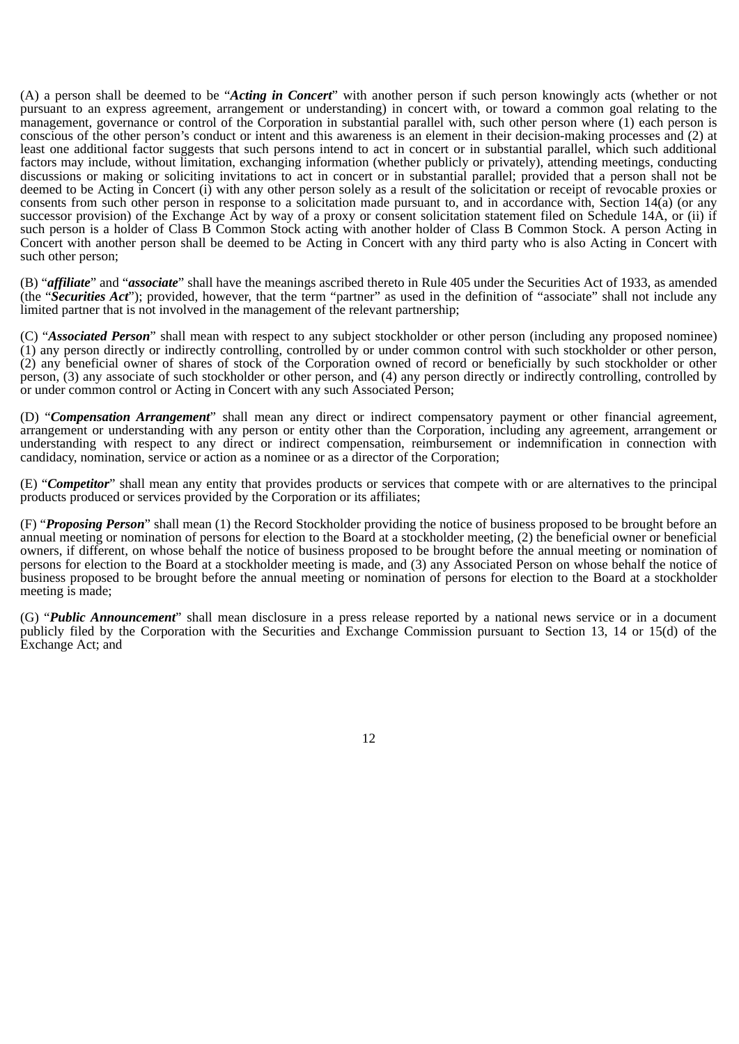(A) a person shall be deemed to be "*Acting in Concert*" with another person if such person knowingly acts (whether or not pursuant to an express agreement, arrangement or understanding) in concert with, or toward a common goal relating to the management, governance or control of the Corporation in substantial parallel with, such other person where (1) each person is conscious of the other person's conduct or intent and this awareness is an element in their decision-making processes and (2) at least one additional factor suggests that such persons intend to act in concert or in substantial parallel, which such additional factors may include, without limitation, exchanging information (whether publicly or privately), attending meetings, conducting discussions or making or soliciting invitations to act in concert or in substantial parallel; provided that a person shall not be deemed to be Acting in Concert (i) with any other person solely as a result of the solicitation or receipt of revocable proxies or consents from such other person in response to a solicitation made pursuant to, and in accordance with, Section 14(a) (or any successor provision) of the Exchange Act by way of a proxy or consent solicitation statement filed on Schedule 14A, or (ii) if such person is a holder of Class B Common Stock acting with another holder of Class B Common Stock. A person Acting in Concert with another person shall be deemed to be Acting in Concert with any third party who is also Acting in Concert with such other person;

(B) "*affiliate*" and "*associate*" shall have the meanings ascribed thereto in Rule 405 under the Securities Act of 1933, as amended (the "*Securities Act*"); provided, however, that the term "partner" as used in the definition of "associate" shall not include any limited partner that is not involved in the management of the relevant partnership;

(C) "*Associated Person*" shall mean with respect to any subject stockholder or other person (including any proposed nominee) (1) any person directly or indirectly controlling, controlled by or under common control with such stockholder or other person, (2) any beneficial owner of shares of stock of the Corporation owned of record or beneficially by such stockholder or other person, (3) any associate of such stockholder or other person, and (4) any person directly or indirectly controlling, controlled by or under common control or Acting in Concert with any such Associated Person;

(D) "*Compensation Arrangement*" shall mean any direct or indirect compensatory payment or other financial agreement, arrangement or understanding with any person or entity other than the Corporation, including any agreement, arrangement or understanding with respect to any direct or indirect compensation, reimbursement or indemnification in connection with candidacy, nomination, service or action as a nominee or as a director of the Corporation;

(E) "*Competitor*" shall mean any entity that provides products or services that compete with or are alternatives to the principal products produced or services provided by the Corporation or its affiliates;

(F) "*Proposing Person*" shall mean (1) the Record Stockholder providing the notice of business proposed to be brought before an annual meeting or nomination of persons for election to the Board at a stockholder meeting, (2) the beneficial owner or beneficial owners, if different, on whose behalf the notice of business proposed to be brought before the annual meeting or nomination of persons for election to the Board at a stockholder meeting is made, and (3) any Associated Person on whose behalf the notice of business proposed to be brought before the annual meeting or nomination of persons for election to the Board at a stockholder meeting is made;

(G) "*Public Announcement*" shall mean disclosure in a press release reported by a national news service or in a document publicly filed by the Corporation with the Securities and Exchange Commission pursuant to Section 13, 14 or 15(d) of the Exchange Act; and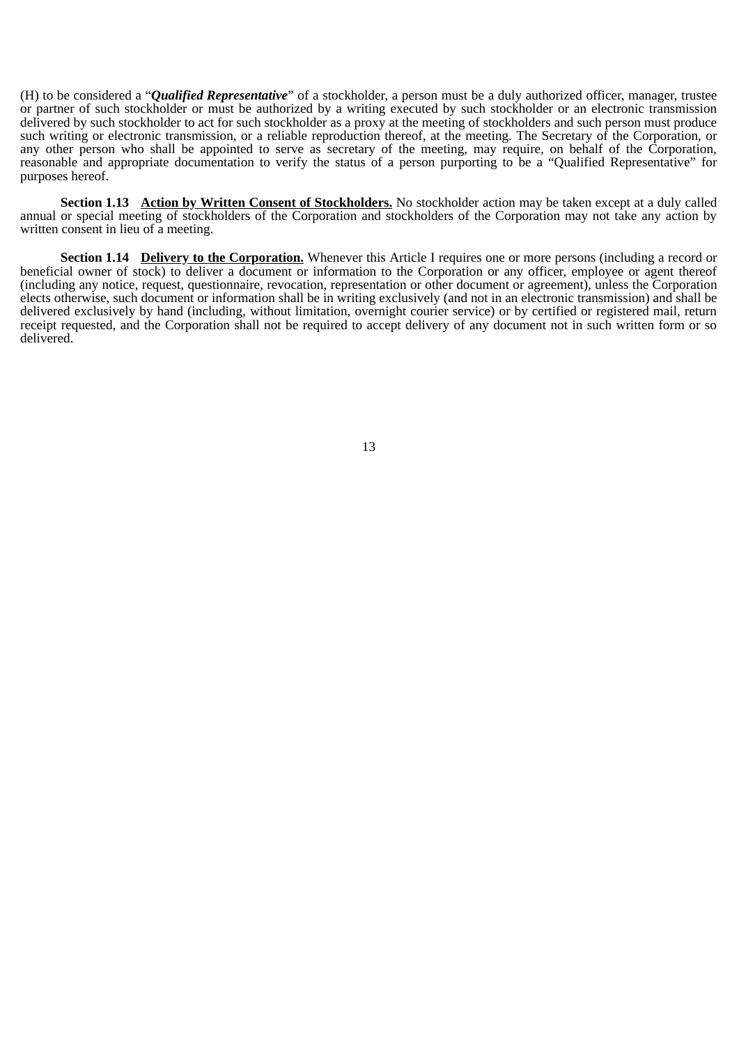(H) to be considered a "*Qualified Representative*" of a stockholder, a person must be a duly authorized officer, manager, trustee or partner of such stockholder or must be authorized by a writing executed by such stockholder or an electronic transmission delivered by such stockholder to act for such stockholder as a proxy at the meeting of stockholders and such person must produce such writing or electronic transmission, or a reliable reproduction thereof, at the meeting. The Secretary of the Corporation, or any other person who shall be appointed to serve as secretary of the meeting, may require, on behalf of the Corporation, reasonable and appropriate documentation to verify the status of a person purporting to be a "Qualified Representative" for purposes hereof.

**Section 1.13 Action by Written Consent of Stockholders.** No stockholder action may be taken except at a duly called annual or special meeting of stockholders of the Corporation and stockholders of the Corporation may not take any action by written consent in lieu of a meeting.

<span id="page-95-0"></span>**Section 1.14 Delivery to the Corporation.** Whenever this Article I requires one or more persons (including a record or beneficial owner of stock) to deliver a document or information to the Corporation or any officer, employee or agent thereof (including any notice, request, questionnaire, revocation, representation or other document or agreement), unless the Corporation elects otherwise, such document or information shall be in writing exclusively (and not in an electronic transmission) and shall be delivered exclusively by hand (including, without limitation, overnight courier service) or by certified or registered mail, return receipt requested, and the Corporation shall not be required to accept delivery of any document not in such written form or so delivered.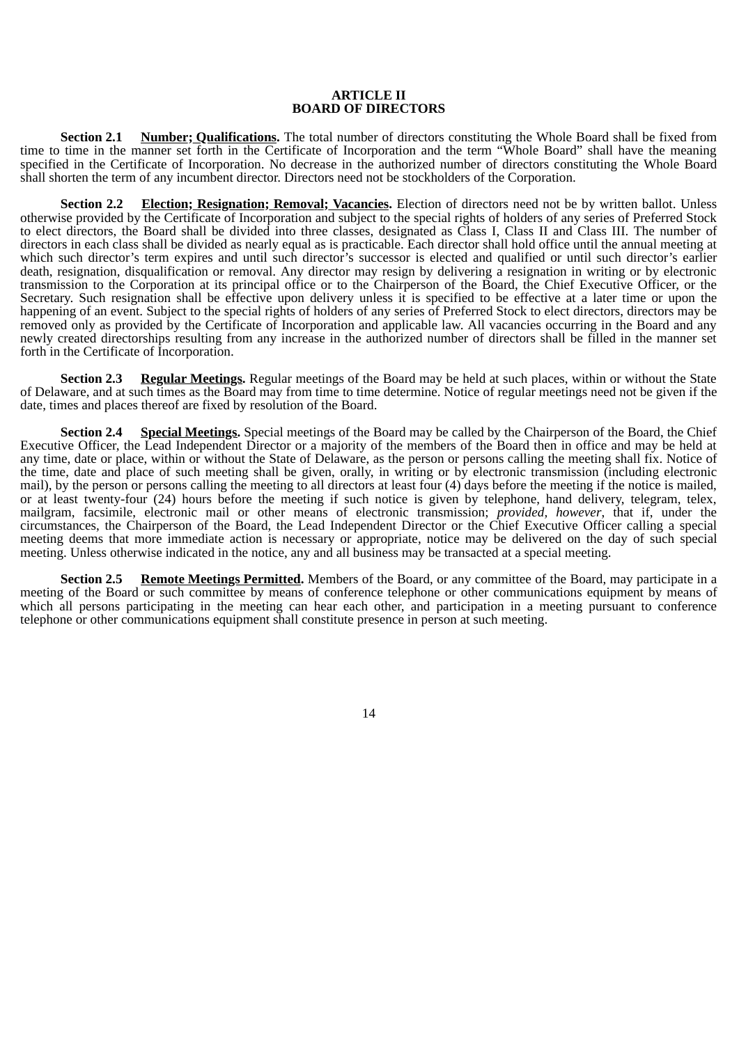## **ARTICLE II BOARD OF DIRECTORS**

**Section 2.1 Number; Qualifications.** The total number of directors constituting the Whole Board shall be fixed from time to time in the manner set forth in the Certificate of Incorporation and the term "Whole Board" shall have the meaning specified in the Certificate of Incorporation. No decrease in the authorized number of directors constituting the Whole Board shall shorten the term of any incumbent director. Directors need not be stockholders of the Corporation.

**Section 2.2 Election; Resignation; Removal; Vacancies.** Election of directors need not be by written ballot. Unless otherwise provided by the Certificate of Incorporation and subject to the special rights of holders of any series of Preferred Stock to elect directors, the Board shall be divided into three classes, designated as Class I, Class II and Class III. The number of directors in each class shall be divided as nearly equal as is practicable. Each director shall hold office until the annual meeting at which such director's term expires and until such director's successor is elected and qualified or until such director's earlier death, resignation, disqualification or removal. Any director may resign by delivering a resignation in writing or by electronic transmission to the Corporation at its principal office or to the Chairperson of the Board, the Chief Executive Officer, or the Secretary. Such resignation shall be effective upon delivery unless it is specified to be effective at a later time or upon the happening of an event. Subject to the special rights of holders of any series of Preferred Stock to elect directors, directors may be removed only as provided by the Certificate of Incorporation and applicable law. All vacancies occurring in the Board and any newly created directorships resulting from any increase in the authorized number of directors shall be filled in the manner set forth in the Certificate of Incorporation.

**Section 2.3 Regular Meetings.** Regular meetings of the Board may be held at such places, within or without the State of Delaware, and at such times as the Board may from time to time determine. Notice of regular meetings need not be given if the date, times and places thereof are fixed by resolution of the Board.

**Section 2.4 Special Meetings.** Special meetings of the Board may be called by the Chairperson of the Board, the Chief Executive Officer, the Lead Independent Director or a majority of the members of the Board then in office and may be held at any time, date or place, within or without the State of Delaware, as the person or persons calling the meeting shall fix. Notice of the time, date and place of such meeting shall be given, orally, in writing or by electronic transmission (including electronic mail), by the person or persons calling the meeting to all directors at least four (4) days before the meeting if the notice is mailed, or at least twenty-four (24) hours before the meeting if such notice is given by telephone, hand delivery, telegram, telex, mailgram, facsimile, electronic mail or other means of electronic transmission; *provided, however*, that if, under the circumstances, the Chairperson of the Board, the Lead Independent Director or the Chief Executive Officer calling a special meeting deems that more immediate action is necessary or appropriate, notice may be delivered on the day of such special meeting. Unless otherwise indicated in the notice, any and all business may be transacted at a special meeting.

**Section 2.5 Remote Meetings Permitted.** Members of the Board, or any committee of the Board, may participate in a meeting of the Board or such committee by means of conference telephone or other communications equipment by means of which all persons participating in the meeting can hear each other, and participation in a meeting pursuant to conference telephone or other communications equipment shall constitute presence in person at such meeting.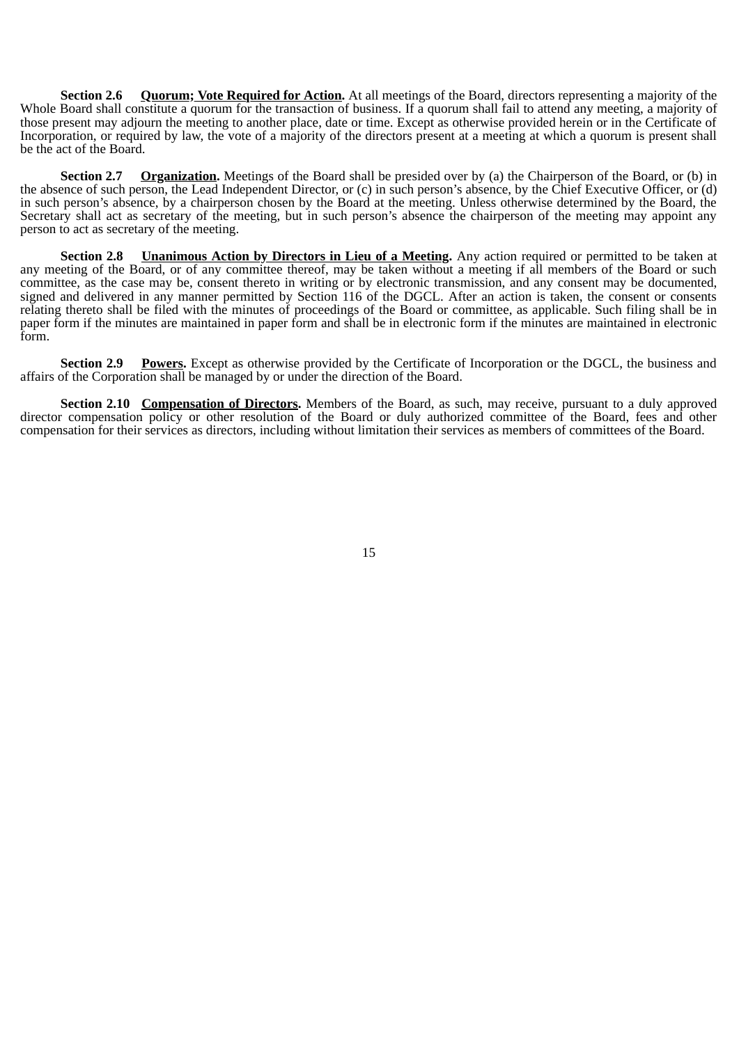**Section 2.6 Quorum; Vote Required for Action.** At all meetings of the Board, directors representing a majority of the Whole Board shall constitute a quorum for the transaction of business. If a quorum shall fail to attend any meeting, a majority of those present may adjourn the meeting to another place, date or time. Except as otherwise provided herein or in the Certificate of Incorporation, or required by law, the vote of a majority of the directors present at a meeting at which a quorum is present shall be the act of the Board.

**Section 2.7 Organization.** Meetings of the Board shall be presided over by (a) the Chairperson of the Board, or (b) in the absence of such person, the Lead Independent Director, or (c) in such person's absence, by the Chief Executive Officer, or (d) in such person's absence, by a chairperson chosen by the Board at the meeting. Unless otherwise determined by the Board, the Secretary shall act as secretary of the meeting, but in such person's absence the chairperson of the meeting may appoint any person to act as secretary of the meeting.

**Section 2.8 Unanimous Action by Directors in Lieu of a Meeting.** Any action required or permitted to be taken at any meeting of the Board, or of any committee thereof, may be taken without a meeting if all members of the Board or such committee, as the case may be, consent thereto in writing or by electronic transmission, and any consent may be documented, signed and delivered in any manner permitted by Section 116 of the DGCL. After an action is taken, the consent or consents relating thereto shall be filed with the minutes of proceedings of the Board or committee, as applicable. Such filing shall be in paper form if the minutes are maintained in paper form and shall be in electronic form if the minutes are maintained in electronic form.

**Section 2.9 Powers.** Except as otherwise provided by the Certificate of Incorporation or the DGCL, the business and affairs of the Corporation shall be managed by or under the direction of the Board.

<span id="page-97-0"></span>**Section 2.10 Compensation of Directors.** Members of the Board, as such, may receive, pursuant to a duly approved director compensation policy or other resolution of the Board or duly authorized committee of the Board, fees and other compensation for their services as directors, including without limitation their services as members of committees of the Board.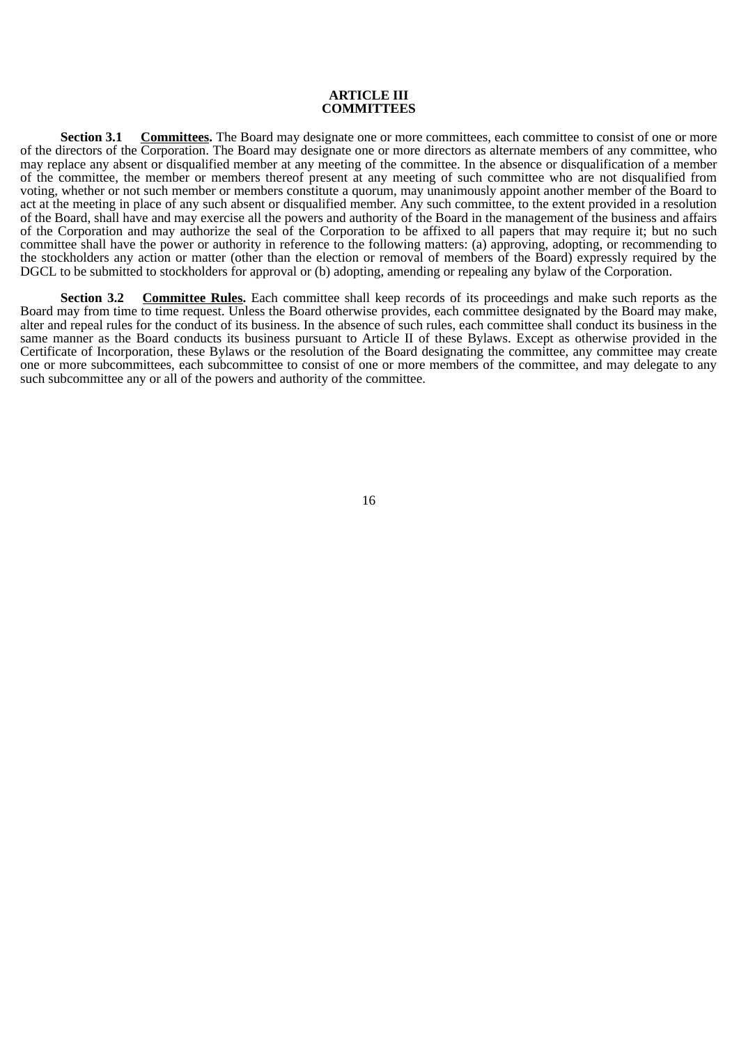### **ARTICLE III COMMITTEES**

**Section 3.1 Committees.** The Board may designate one or more committees, each committee to consist of one or more of the directors of the Corporation. The Board may designate one or more directors as alternate members of any committee, who may replace any absent or disqualified member at any meeting of the committee. In the absence or disqualification of a member of the committee, the member or members thereof present at any meeting of such committee who are not disqualified from voting, whether or not such member or members constitute a quorum, may unanimously appoint another member of the Board to act at the meeting in place of any such absent or disqualified member. Any such committee, to the extent provided in a resolution of the Board, shall have and may exercise all the powers and authority of the Board in the management of the business and affairs of the Corporation and may authorize the seal of the Corporation to be affixed to all papers that may require it; but no such committee shall have the power or authority in reference to the following matters: (a) approving, adopting, or recommending to the stockholders any action or matter (other than the election or removal of members of the Board) expressly required by the DGCL to be submitted to stockholders for approval or (b) adopting, amending or repealing any bylaw of the Corporation.

<span id="page-98-0"></span>**Section 3.2 Committee Rules.** Each committee shall keep records of its proceedings and make such reports as the Board may from time to time request. Unless the Board otherwise provides, each committee designated by the Board may make, alter and repeal rules for the conduct of its business. In the absence of such rules, each committee shall conduct its business in the same manner as the Board conducts its business pursuant to Article II of these Bylaws. Except as otherwise provided in the Certificate of Incorporation, these Bylaws or the resolution of the Board designating the committee, any committee may create one or more subcommittees, each subcommittee to consist of one or more members of the committee, and may delegate to any such subcommittee any or all of the powers and authority of the committee.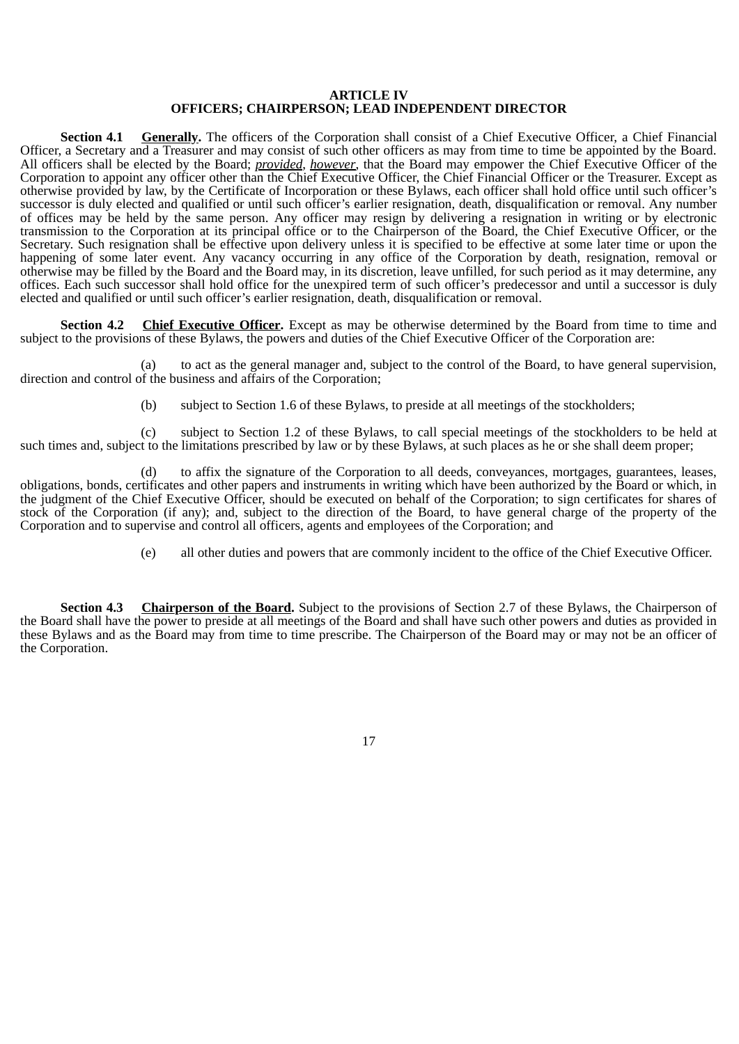## **ARTICLE IV OFFICERS; CHAIRPERSON; LEAD INDEPENDENT DIRECTOR**

**Section 4.1 Generally.** The officers of the Corporation shall consist of a Chief Executive Officer, a Chief Financial Officer, a Secretary and a Treasurer and may consist of such other officers as may from time to time be appointed by the Board. All officers shall be elected by the Board; *provided*, *however*, that the Board may empower the Chief Executive Officer of the Corporation to appoint any officer other than the Chief Executive Officer, the Chief Financial Officer or the Treasurer. Except as otherwise provided by law, by the Certificate of Incorporation or these Bylaws, each officer shall hold office until such officer's successor is duly elected and qualified or until such officer's earlier resignation, death, disqualification or removal. Any number of offices may be held by the same person. Any officer may resign by delivering a resignation in writing or by electronic transmission to the Corporation at its principal office or to the Chairperson of the Board, the Chief Executive Officer, or the Secretary. Such resignation shall be effective upon delivery unless it is specified to be effective at some later time or upon the happening of some later event. Any vacancy occurring in any office of the Corporation by death, resignation, removal or otherwise may be filled by the Board and the Board may, in its discretion, leave unfilled, for such period as it may determine, any offices. Each such successor shall hold office for the unexpired term of such officer's predecessor and until a successor is duly elected and qualified or until such officer's earlier resignation, death, disqualification or removal.

**Section 4.2 Chief Executive Officer.** Except as may be otherwise determined by the Board from time to time and subject to the provisions of these Bylaws, the powers and duties of the Chief Executive Officer of the Corporation are:

(a) to act as the general manager and, subject to the control of the Board, to have general supervision, direction and control of the business and affairs of the Corporation;

(b) subject to Section 1.6 of these Bylaws, to preside at all meetings of the stockholders;

(c) subject to Section 1.2 of these Bylaws, to call special meetings of the stockholders to be held at such times and, subject to the limitations prescribed by law or by these Bylaws, at such places as he or she shall deem proper;

(d) to affix the signature of the Corporation to all deeds, conveyances, mortgages, guarantees, leases, obligations, bonds, certificates and other papers and instruments in writing which have been authorized by the Board or which, in the judgment of the Chief Executive Officer, should be executed on behalf of the Corporation; to sign certificates for shares of stock of the Corporation (if any); and, subject to the direction of the Board, to have general charge of the property of the Corporation and to supervise and control all officers, agents and employees of the Corporation; and

(e) all other duties and powers that are commonly incident to the office of the Chief Executive Officer.

**Section 4.3 Chairperson of the Board.** Subject to the provisions of Section 2.7 of these Bylaws, the Chairperson of the Board shall have the power to preside at all meetings of the Board and shall have such other powers and duties as provided in these Bylaws and as the Board may from time to time prescribe. The Chairperson of the Board may or may not be an officer of the Corporation.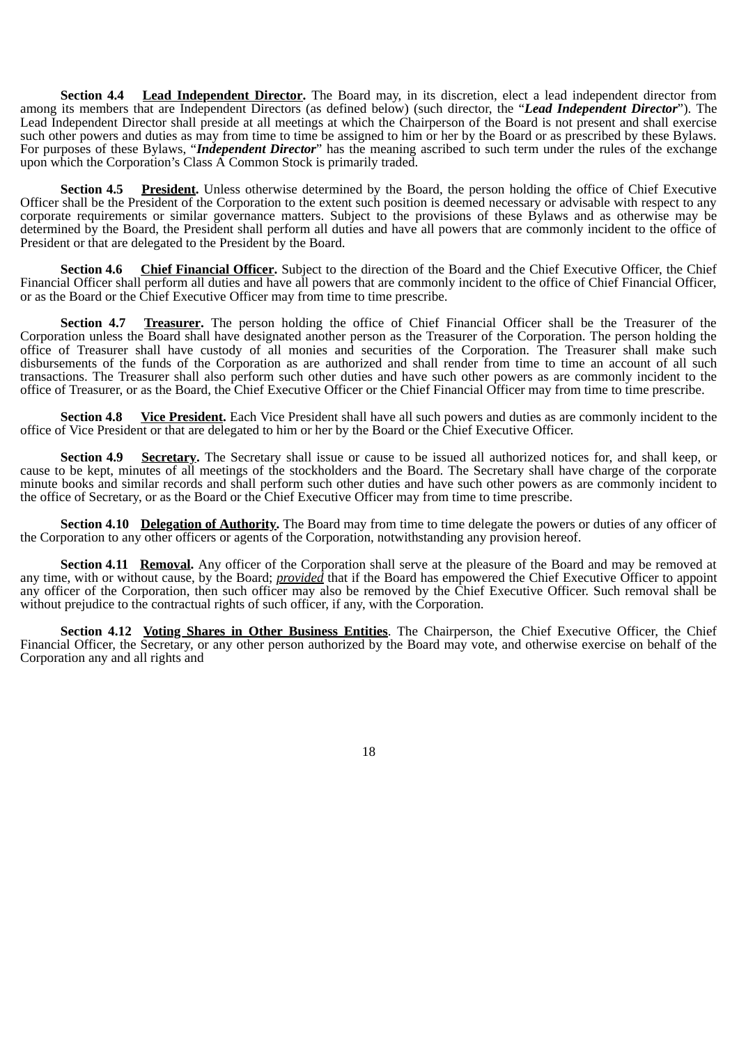**Section 4.4 Lead Independent Director.** The Board may, in its discretion, elect a lead independent director from among its members that are Independent Directors (as defined below) (such director, the "*Lead Independent Director*"). The Lead Independent Director shall preside at all meetings at which the Chairperson of the Board is not present and shall exercise such other powers and duties as may from time to time be assigned to him or her by the Board or as prescribed by these Bylaws. For purposes of these Bylaws, "*Independent Director*" has the meaning ascribed to such term under the rules of the exchange upon which the Corporation's Class A Common Stock is primarily traded.

**Section 4.5 President.** Unless otherwise determined by the Board, the person holding the office of Chief Executive Officer shall be the President of the Corporation to the extent such position is deemed necessary or advisable with respect to any corporate requirements or similar governance matters. Subject to the provisions of these Bylaws and as otherwise may be determined by the Board, the President shall perform all duties and have all powers that are commonly incident to the office of President or that are delegated to the President by the Board.

**Section 4.6 Chief Financial Officer.** Subject to the direction of the Board and the Chief Executive Officer, the Chief Financial Officer shall perform all duties and have all powers that are commonly incident to the office of Chief Financial Officer, or as the Board or the Chief Executive Officer may from time to time prescribe.

**Section 4.7 Treasurer.** The person holding the office of Chief Financial Officer shall be the Treasurer of the Corporation unless the Board shall have designated another person as the Treasurer of the Corporation. The person holding the office of Treasurer shall have custody of all monies and securities of the Corporation. The Treasurer shall make such disbursements of the funds of the Corporation as are authorized and shall render from time to time an account of all such transactions. The Treasurer shall also perform such other duties and have such other powers as are commonly incident to the office of Treasurer, or as the Board, the Chief Executive Officer or the Chief Financial Officer may from time to time prescribe.

**Section 4.8 Vice President.** Each Vice President shall have all such powers and duties as are commonly incident to the office of Vice President or that are delegated to him or her by the Board or the Chief Executive Officer.

**Section 4.9 Secretary.** The Secretary shall issue or cause to be issued all authorized notices for, and shall keep, or cause to be kept, minutes of all meetings of the stockholders and the Board. The Secretary shall have charge of the corporate minute books and similar records and shall perform such other duties and have such other powers as are commonly incident to the office of Secretary, or as the Board or the Chief Executive Officer may from time to time prescribe.

**Section 4.10 Delegation of Authority.** The Board may from time to time delegate the powers or duties of any officer of the Corporation to any other officers or agents of the Corporation, notwithstanding any provision hereof.

**Section 4.11 Removal.** Any officer of the Corporation shall serve at the pleasure of the Board and may be removed at any time, with or without cause, by the Board; *provided* that if the Board has empowered the Chief Executive Officer to appoint any officer of the Corporation, then such officer may also be removed by the Chief Executive Officer. Such removal shall be without prejudice to the contractual rights of such officer, if any, with the Corporation.

**Section 4.12 Voting Shares in Other Business Entities**. The Chairperson, the Chief Executive Officer, the Chief Financial Officer, the Secretary, or any other person authorized by the Board may vote, and otherwise exercise on behalf of the Corporation any and all rights and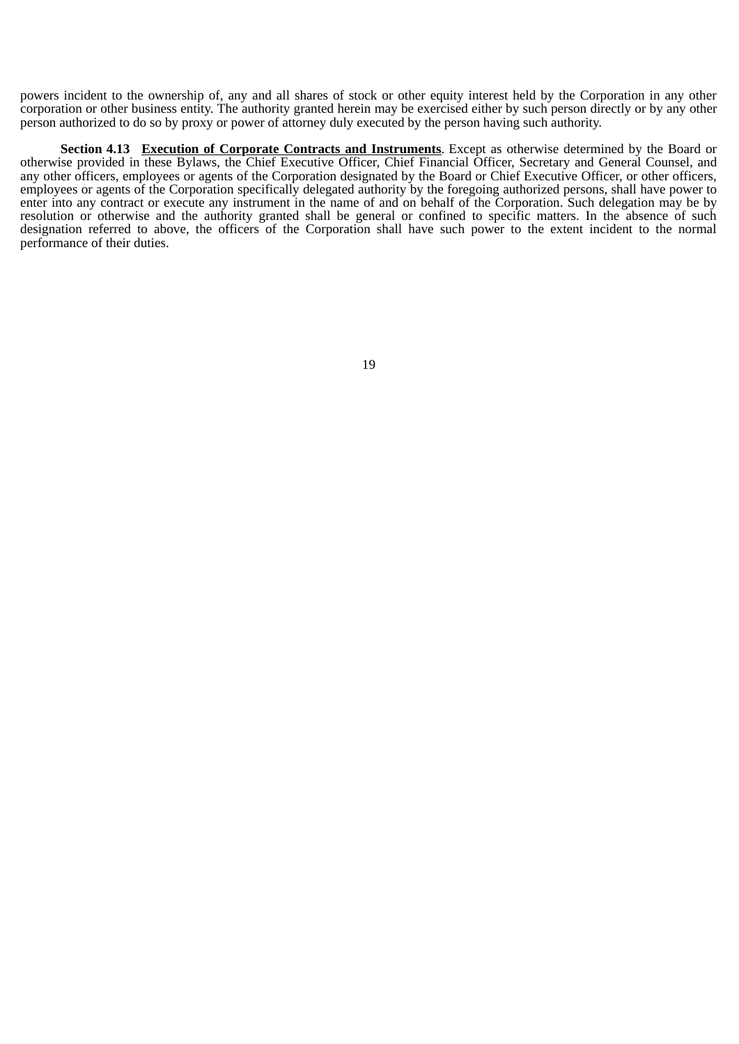powers incident to the ownership of, any and all shares of stock or other equity interest held by the Corporation in any other corporation or other business entity. The authority granted herein may be exercised either by such person directly or by any other person authorized to do so by proxy or power of attorney duly executed by the person having such authority.

<span id="page-101-0"></span>**Section 4.13 Execution of Corporate Contracts and Instruments**. Except as otherwise determined by the Board or otherwise provided in these Bylaws, the Chief Executive Officer, Chief Financial Officer, Secretary and General Counsel, and any other officers, employees or agents of the Corporation designated by the Board or Chief Executive Officer, or other officers, employees or agents of the Corporation specifically delegated authority by the foregoing authorized persons, shall have power to enter into any contract or execute any instrument in the name of and on behalf of the Corporation. Such delegation may be by resolution or otherwise and the authority granted shall be general or confined to specific matters. In the absence of such designation referred to above, the officers of the Corporation shall have such power to the extent incident to the normal performance of their duties.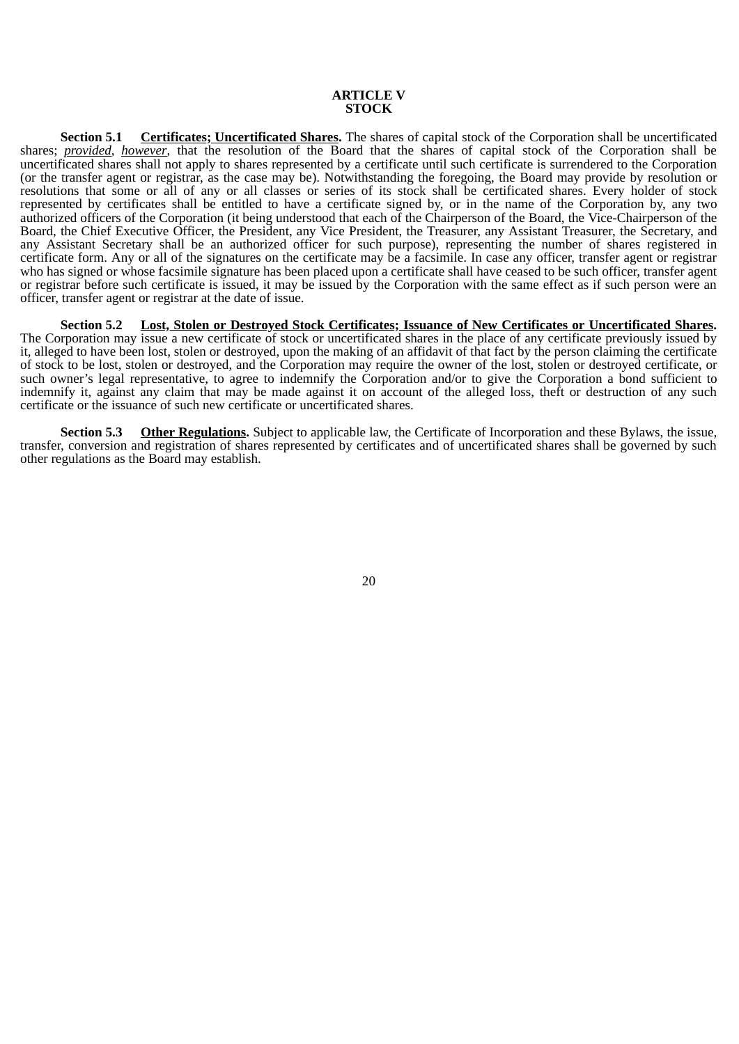**Section 5.1 Certificates; Uncertificated Shares.** The shares of capital stock of the Corporation shall be uncertificated shares; *provided*, *however*, that the resolution of the Board that the shares of capital stock of the Corporation shall be uncertificated shares shall not apply to shares represented by a certificate until such certificate is surrendered to the Corporation (or the transfer agent or registrar, as the case may be). Notwithstanding the foregoing, the Board may provide by resolution or resolutions that some or all of any or all classes or series of its stock shall be certificated shares. Every holder of stock represented by certificates shall be entitled to have a certificate signed by, or in the name of the Corporation by, any two authorized officers of the Corporation (it being understood that each of the Chairperson of the Board, the Vice-Chairperson of the Board, the Chief Executive Officer, the President, any Vice President, the Treasurer, any Assistant Treasurer, the Secretary, and any Assistant Secretary shall be an authorized officer for such purpose), representing the number of shares registered in certificate form. Any or all of the signatures on the certificate may be a facsimile. In case any officer, transfer agent or registrar who has signed or whose facsimile signature has been placed upon a certificate shall have ceased to be such officer, transfer agent or registrar before such certificate is issued, it may be issued by the Corporation with the same effect as if such person were an officer, transfer agent or registrar at the date of issue.

**Section 5.2 Lost, Stolen or Destroyed Stock Certificates; Issuance of New Certificates or Uncertificated Shares.** The Corporation may issue a new certificate of stock or uncertificated shares in the place of any certificate previously issued by it, alleged to have been lost, stolen or destroyed, upon the making of an affidavit of that fact by the person claiming the certificate of stock to be lost, stolen or destroyed, and the Corporation may require the owner of the lost, stolen or destroyed certificate, or such owner's legal representative, to agree to indemnify the Corporation and/or to give the Corporation a bond sufficient to indemnify it, against any claim that may be made against it on account of the alleged loss, theft or destruction of any such certificate or the issuance of such new certificate or uncertificated shares.

<span id="page-102-0"></span>**Section 5.3 Other Regulations.** Subject to applicable law, the Certificate of Incorporation and these Bylaws, the issue, transfer, conversion and registration of shares represented by certificates and of uncertificated shares shall be governed by such other regulations as the Board may establish.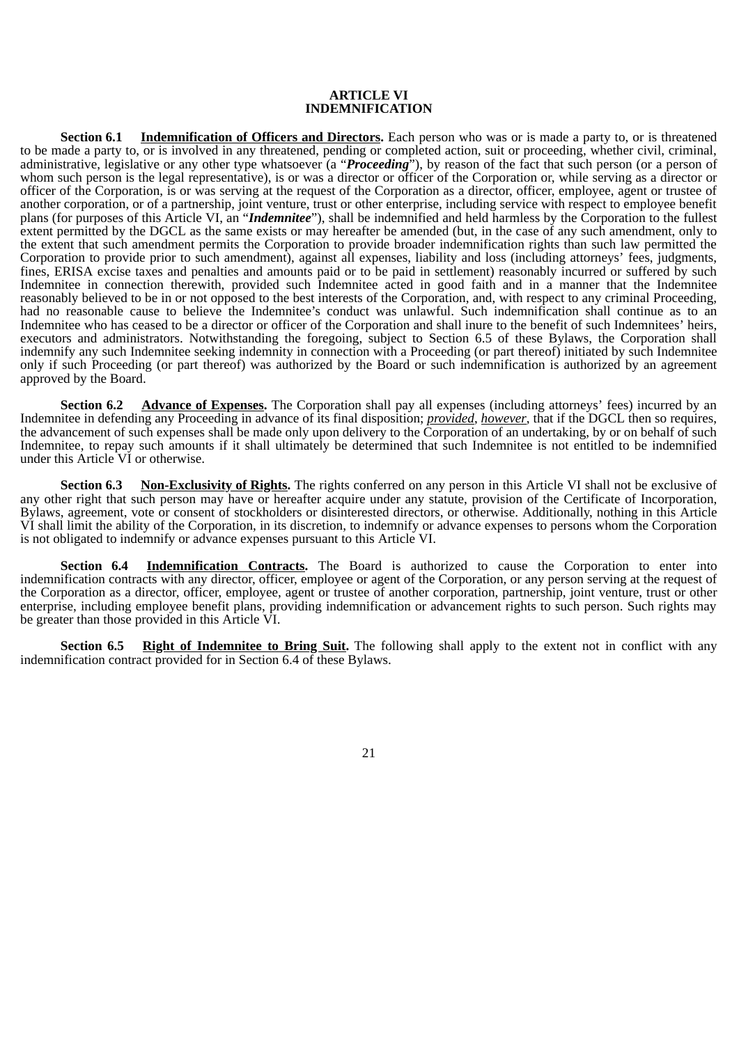## **ARTICLE VI INDEMNIFICATION**

**Section 6.1 Indemnification of Officers and Directors.** Each person who was or is made a party to, or is threatened to be made a party to, or is involved in any threatened, pending or completed action, suit or proceeding, whether civil, criminal, administrative, legislative or any other type whatsoever (a "*Proceeding*"), by reason of the fact that such person (or a person of whom such person is the legal representative), is or was a director or officer of the Corporation or, while serving as a director or officer of the Corporation, is or was serving at the request of the Corporation as a director, officer, employee, agent or trustee of another corporation, or of a partnership, joint venture, trust or other enterprise, including service with respect to employee benefit plans (for purposes of this Article VI, an "*Indemnitee*"), shall be indemnified and held harmless by the Corporation to the fullest extent permitted by the DGCL as the same exists or may hereafter be amended (but, in the case of any such amendment, only to the extent that such amendment permits the Corporation to provide broader indemnification rights than such law permitted the Corporation to provide prior to such amendment), against all expenses, liability and loss (including attorneys' fees, judgments, fines, ERISA excise taxes and penalties and amounts paid or to be paid in settlement) reasonably incurred or suffered by such Indemnitee in connection therewith, provided such Indemnitee acted in good faith and in a manner that the Indemnitee reasonably believed to be in or not opposed to the best interests of the Corporation, and, with respect to any criminal Proceeding, had no reasonable cause to believe the Indemnitee's conduct was unlawful. Such indemnification shall continue as to an Indemnitee who has ceased to be a director or officer of the Corporation and shall inure to the benefit of such Indemnitees' heirs, executors and administrators. Notwithstanding the foregoing, subject to Section 6.5 of these Bylaws, the Corporation shall indemnify any such Indemnitee seeking indemnity in connection with a Proceeding (or part thereof) initiated by such Indemnitee only if such Proceeding (or part thereof) was authorized by the Board or such indemnification is authorized by an agreement approved by the Board.

**Section 6.2 Advance of Expenses.** The Corporation shall pay all expenses (including attorneys' fees) incurred by an Indemnitee in defending any Proceeding in advance of its final disposition; *provided*, *however*, that if the DGCL then so requires, the advancement of such expenses shall be made only upon delivery to the Corporation of an undertaking, by or on behalf of such Indemnitee, to repay such amounts if it shall ultimately be determined that such Indemnitee is not entitled to be indemnified under this Article VI or otherwise.

**Section 6.3 Non-Exclusivity of Rights.** The rights conferred on any person in this Article VI shall not be exclusive of any other right that such person may have or hereafter acquire under any statute, provision of the Certificate of Incorporation, Bylaws, agreement, vote or consent of stockholders or disinterested directors, or otherwise. Additionally, nothing in this Article VI shall limit the ability of the Corporation, in its discretion, to indemnify or advance expenses to persons whom the Corporation is not obligated to indemnify or advance expenses pursuant to this Article VI.

**Section 6.4 Indemnification Contracts.** The Board is authorized to cause the Corporation to enter into indemnification contracts with any director, officer, employee or agent of the Corporation, or any person serving at the request of the Corporation as a director, officer, employee, agent or trustee of another corporation, partnership, joint venture, trust or other enterprise, including employee benefit plans, providing indemnification or advancement rights to such person. Such rights may be greater than those provided in this Article VI.

**Section 6.5 Right of Indemnitee to Bring Suit.** The following shall apply to the extent not in conflict with any indemnification contract provided for in Section 6.4 of these Bylaws.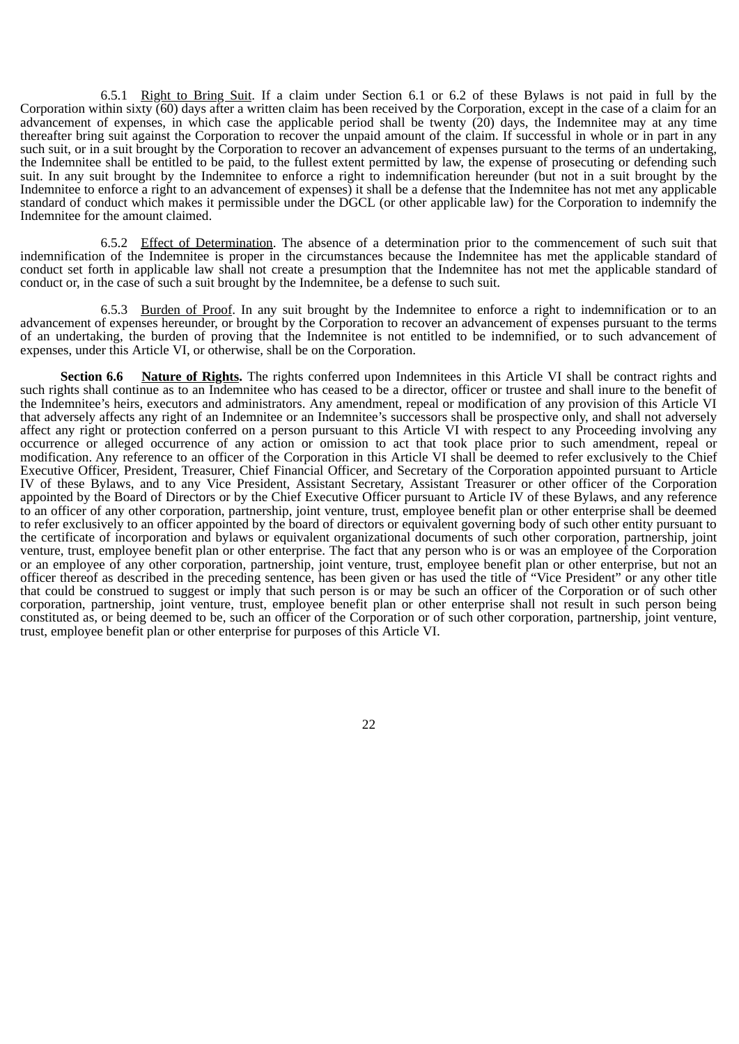6.5.1 Right to Bring Suit. If a claim under Section 6.1 or 6.2 of these Bylaws is not paid in full by the Corporation within sixty  $\overline{(60)}$  days after a written claim has been received by the Corporation, except in the case of a claim for an advancement of expenses, in which case the applicable period shall be twenty (20) days, the Indemnitee may at any time thereafter bring suit against the Corporation to recover the unpaid amount of the claim. If successful in whole or in part in any such suit, or in a suit brought by the Corporation to recover an advancement of expenses pursuant to the terms of an undertaking, the Indemnitee shall be entitled to be paid, to the fullest extent permitted by law, the expense of prosecuting or defending such suit. In any suit brought by the Indemnitee to enforce a right to indemnification hereunder (but not in a suit brought by the Indemnitee to enforce a right to an advancement of expenses) it shall be a defense that the Indemnitee has not met any applicable standard of conduct which makes it permissible under the DGCL (or other applicable law) for the Corporation to indemnify the Indemnitee for the amount claimed.

6.5.2 Effect of Determination. The absence of a determination prior to the commencement of such suit that indemnification of the Indemnitee is proper in the circumstances because the Indemnitee has met the applicable standard of conduct set forth in applicable law shall not create a presumption that the Indemnitee has not met the applicable standard of conduct or, in the case of such a suit brought by the Indemnitee, be a defense to such suit.

6.5.3 Burden of Proof. In any suit brought by the Indemnitee to enforce a right to indemnification or to an advancement of expenses hereunder, or brought by the Corporation to recover an advancement of expenses pursuant to the terms of an undertaking, the burden of proving that the Indemnitee is not entitled to be indemnified, or to such advancement of expenses, under this Article VI, or otherwise, shall be on the Corporation.

**Section 6.6 Nature of Rights.** The rights conferred upon Indemnitees in this Article VI shall be contract rights and such rights shall continue as to an Indemnitee who has ceased to be a director, officer or trustee and shall inure to the benefit of the Indemnitee's heirs, executors and administrators. Any amendment, repeal or modification of any provision of this Article VI that adversely affects any right of an Indemnitee or an Indemnitee's successors shall be prospective only, and shall not adversely affect any right or protection conferred on a person pursuant to this Article VI with respect to any Proceeding involving any occurrence or alleged occurrence of any action or omission to act that took place prior to such amendment, repeal or modification. Any reference to an officer of the Corporation in this Article VI shall be deemed to refer exclusively to the Chief Executive Officer, President, Treasurer, Chief Financial Officer, and Secretary of the Corporation appointed pursuant to Article IV of these Bylaws, and to any Vice President, Assistant Secretary, Assistant Treasurer or other officer of the Corporation appointed by the Board of Directors or by the Chief Executive Officer pursuant to Article IV of these Bylaws, and any reference to an officer of any other corporation, partnership, joint venture, trust, employee benefit plan or other enterprise shall be deemed to refer exclusively to an officer appointed by the board of directors or equivalent governing body of such other entity pursuant to the certificate of incorporation and bylaws or equivalent organizational documents of such other corporation, partnership, joint venture, trust, employee benefit plan or other enterprise. The fact that any person who is or was an employee of the Corporation or an employee of any other corporation, partnership, joint venture, trust, employee benefit plan or other enterprise, but not an officer thereof as described in the preceding sentence, has been given or has used the title of "Vice President" or any other title that could be construed to suggest or imply that such person is or may be such an officer of the Corporation or of such other corporation, partnership, joint venture, trust, employee benefit plan or other enterprise shall not result in such person being constituted as, or being deemed to be, such an officer of the Corporation or of such other corporation, partnership, joint venture, trust, employee benefit plan or other enterprise for purposes of this Article VI.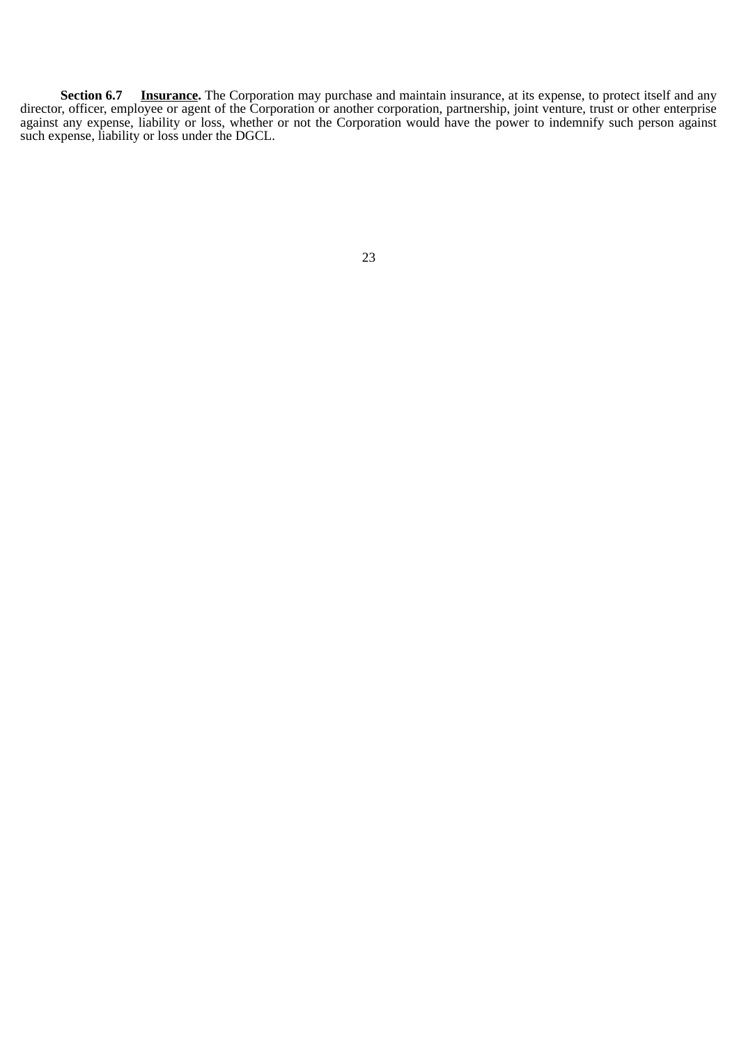<span id="page-105-0"></span>**Section 6.7 Insurance.** The Corporation may purchase and maintain insurance, at its expense, to protect itself and any director, officer, employee or agent of the Corporation or another corporation, partnership, joint venture, trust or other enterprise against any expense, liability or loss, whether or not the Corporation would have the power to indemnify such person against such expense, liability or loss under the DGCL.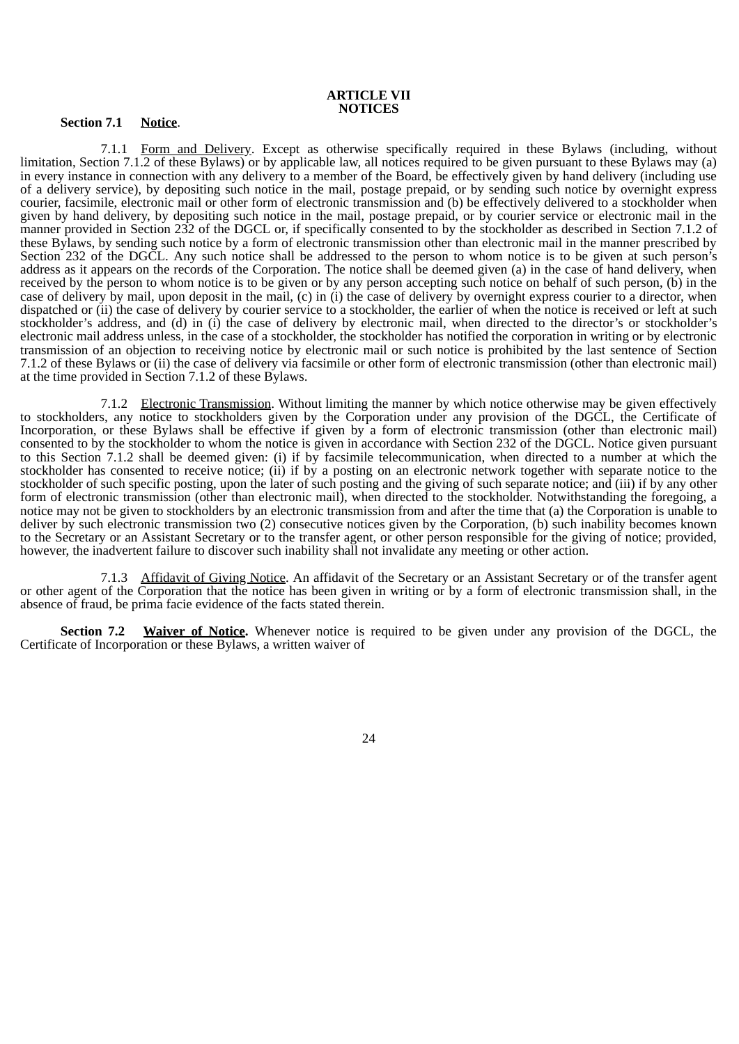#### **ARTICLE VII NOTICES**

## **Section 7.1 Notice**.

7.1.1 Form and Delivery. Except as otherwise specifically required in these Bylaws (including, without limitation, Section 7.1.2 of these Bylaws) or by applicable law, all notices required to be given pursuant to these Bylaws may (a) in every instance in connection with any delivery to a member of the Board, be effectively given by hand delivery (including use of a delivery service), by depositing such notice in the mail, postage prepaid, or by sending such notice by overnight express courier, facsimile, electronic mail or other form of electronic transmission and (b) be effectively delivered to a stockholder when given by hand delivery, by depositing such notice in the mail, postage prepaid, or by courier service or electronic mail in the manner provided in Section 232 of the DGCL or, if specifically consented to by the stockholder as described in Section 7.1.2 of these Bylaws, by sending such notice by a form of electronic transmission other than electronic mail in the manner prescribed by Section 232 of the DGCL. Any such notice shall be addressed to the person to whom notice is to be given at such person's address as it appears on the records of the Corporation. The notice shall be deemed given (a) in the case of hand delivery, when received by the person to whom notice is to be given or by any person accepting such notice on behalf of such person, (b) in the case of delivery by mail, upon deposit in the mail, (c) in (i) the case of delivery by overnight express courier to a director, when dispatched or (ii) the case of delivery by courier service to a stockholder, the earlier of when the notice is received or left at such stockholder's address, and (d) in (i) the case of delivery by electronic mail, when directed to the director's or stockholder's electronic mail address unless, in the case of a stockholder, the stockholder has notified the corporation in writing or by electronic transmission of an objection to receiving notice by electronic mail or such notice is prohibited by the last sentence of Section 7.1.2 of these Bylaws or (ii) the case of delivery via facsimile or other form of electronic transmission (other than electronic mail) at the time provided in Section 7.1.2 of these Bylaws.

7.1.2 Electronic Transmission. Without limiting the manner by which notice otherwise may be given effectively to stockholders, any notice to stockholders given by the Corporation under any provision of the DGCL, the Certificate of Incorporation, or these Bylaws shall be effective if given by a form of electronic transmission (other than electronic mail) consented to by the stockholder to whom the notice is given in accordance with Section 232 of the DGCL. Notice given pursuant to this Section 7.1.2 shall be deemed given: (i) if by facsimile telecommunication, when directed to a number at which the stockholder has consented to receive notice; (ii) if by a posting on an electronic network together with separate notice to the stockholder of such specific posting, upon the later of such posting and the giving of such separate notice; and (iii) if by any other form of electronic transmission (other than electronic mail), when directed to the stockholder. Notwithstanding the foregoing, a notice may not be given to stockholders by an electronic transmission from and after the time that (a) the Corporation is unable to deliver by such electronic transmission two (2) consecutive notices given by the Corporation, (b) such inability becomes known to the Secretary or an Assistant Secretary or to the transfer agent, or other person responsible for the giving of notice; provided, however, the inadvertent failure to discover such inability shall not invalidate any meeting or other action.

7.1.3 Affidavit of Giving Notice. An affidavit of the Secretary or an Assistant Secretary or of the transfer agent or other agent of the Corporation that the notice has been given in writing or by a form of electronic transmission shall, in the absence of fraud, be prima facie evidence of the facts stated therein.

**Section 7.2 Waiver of Notice.** Whenever notice is required to be given under any provision of the DGCL, the Certificate of Incorporation or these Bylaws, a written waiver of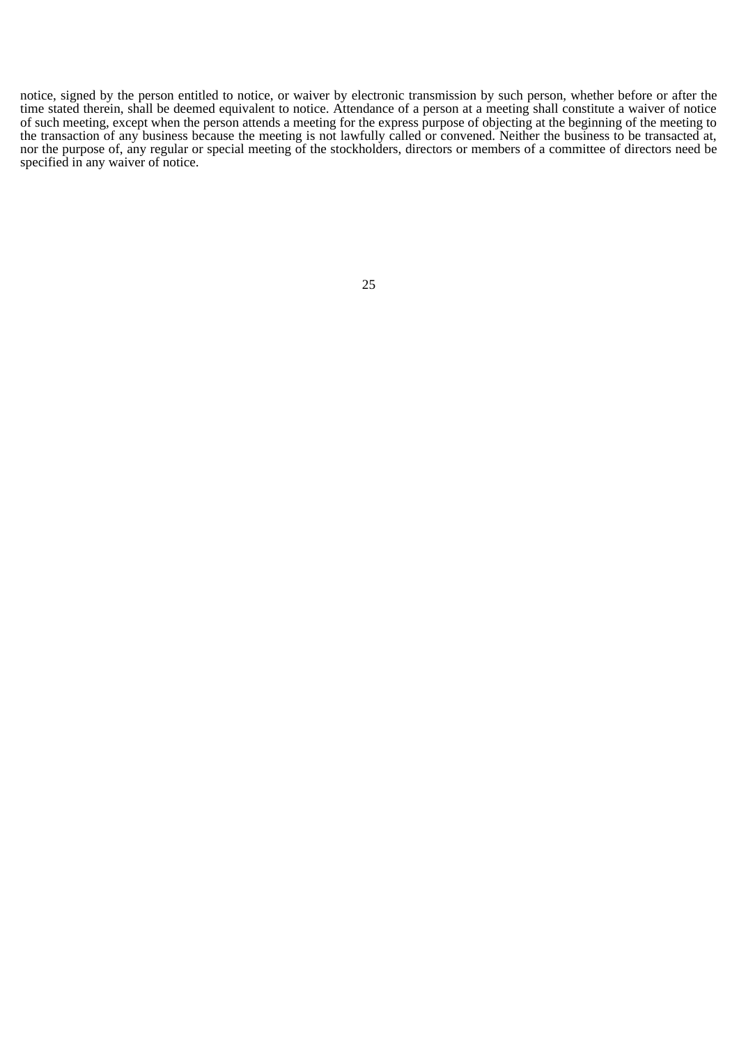<span id="page-107-0"></span>notice, signed by the person entitled to notice, or waiver by electronic transmission by such person, whether before or after the time stated therein, shall be deemed equivalent to notice. Attendance of a person at a meeting shall constitute a waiver of notice of such meeting, except when the person attends a meeting for the express purpose of objecting at the beginning of the meeting to the transaction of any business because the meeting is not lawfully called or convened. Neither the business to be transacted at, nor the purpose of, any regular or special meeting of the stockholders, directors or members of a committee of directors need be specified in any waiver of notice.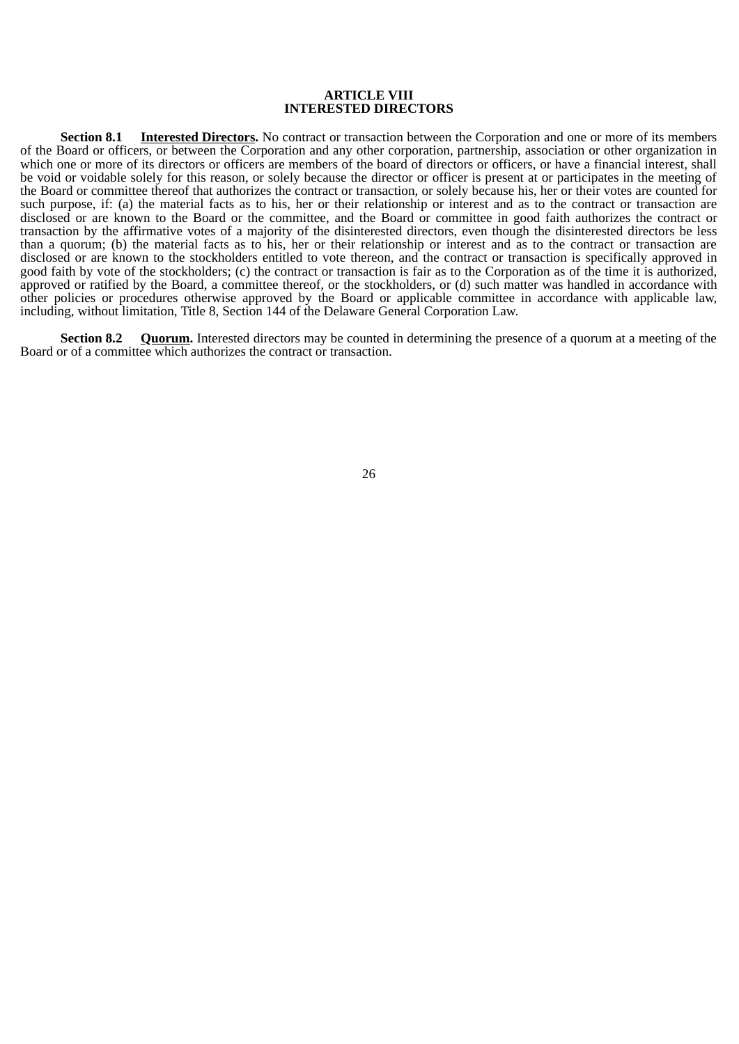# **ARTICLE VIII INTERESTED DIRECTORS**

**Section 8.1 Interested Directors.** No contract or transaction between the Corporation and one or more of its members of the Board or officers, or between the Corporation and any other corporation, partnership, association or other organization in which one or more of its directors or officers are members of the board of directors or officers, or have a financial interest, shall be void or voidable solely for this reason, or solely because the director or officer is present at or participates in the meeting of the Board or committee thereof that authorizes the contract or transaction, or solely because his, her or their votes are counted for such purpose, if: (a) the material facts as to his, her or their relationship or interest and as to the contract or transaction are disclosed or are known to the Board or the committee, and the Board or committee in good faith authorizes the contract or transaction by the affirmative votes of a majority of the disinterested directors, even though the disinterested directors be less than a quorum; (b) the material facts as to his, her or their relationship or interest and as to the contract or transaction are disclosed or are known to the stockholders entitled to vote thereon, and the contract or transaction is specifically approved in good faith by vote of the stockholders; (c) the contract or transaction is fair as to the Corporation as of the time it is authorized, approved or ratified by the Board, a committee thereof, or the stockholders, or (d) such matter was handled in accordance with other policies or procedures otherwise approved by the Board or applicable committee in accordance with applicable law, including, without limitation, Title 8, Section 144 of the Delaware General Corporation Law.

**Section 8.2 Quorum.** Interested directors may be counted in determining the presence of a quorum at a meeting of the Board or of a committee which authorizes the contract or transaction.

26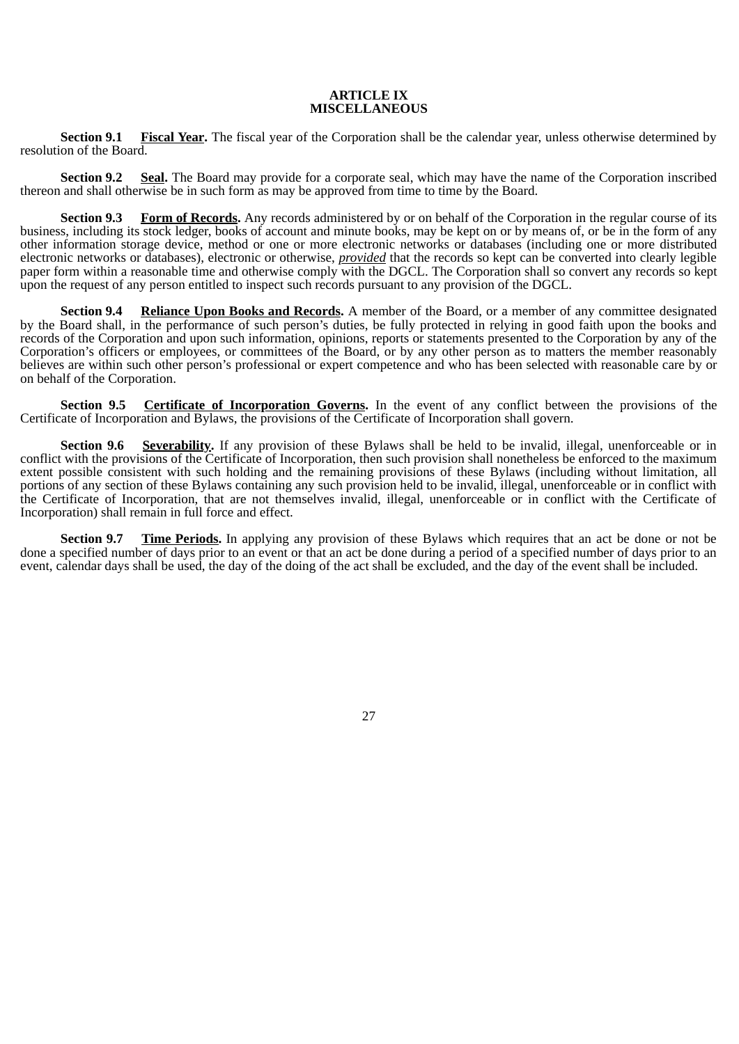# **ARTICLE IX MISCELLANEOUS**

**Section 9.1 Fiscal Year.** The fiscal year of the Corporation shall be the calendar year, unless otherwise determined by resolution of the Board.

**Section 9.2 Seal.** The Board may provide for a corporate seal, which may have the name of the Corporation inscribed thereon and shall otherwise be in such form as may be approved from time to time by the Board.

**Section 9.3 Form of Records.** Any records administered by or on behalf of the Corporation in the regular course of its business, including its stock ledger, books of account and minute books, may be kept on or by means of, or be in the form of any other information storage device, method or one or more electronic networks or databases (including one or more distributed electronic networks or databases), electronic or otherwise, *provided* that the records so kept can be converted into clearly legible paper form within a reasonable time and otherwise comply with the DGCL. The Corporation shall so convert any records so kept upon the request of any person entitled to inspect such records pursuant to any provision of the DGCL.

**Section 9.4 Reliance Upon Books and Records.** A member of the Board, or a member of any committee designated by the Board shall, in the performance of such person's duties, be fully protected in relying in good faith upon the books and records of the Corporation and upon such information, opinions, reports or statements presented to the Corporation by any of the Corporation's officers or employees, or committees of the Board, or by any other person as to matters the member reasonably believes are within such other person's professional or expert competence and who has been selected with reasonable care by or on behalf of the Corporation.

**Section 9.5 Certificate of Incorporation Governs.** In the event of any conflict between the provisions of the Certificate of Incorporation and Bylaws, the provisions of the Certificate of Incorporation shall govern.

**Section 9.6 Severability.** If any provision of these Bylaws shall be held to be invalid, illegal, unenforceable or in conflict with the provisions of the Certificate of Incorporation, then such provision shall nonetheless be enforced to the maximum extent possible consistent with such holding and the remaining provisions of these Bylaws (including without limitation, all portions of any section of these Bylaws containing any such provision held to be invalid, illegal, unenforceable or in conflict with the Certificate of Incorporation, that are not themselves invalid, illegal, unenforceable or in conflict with the Certificate of Incorporation) shall remain in full force and effect.

**Section 9.7 Time Periods.** In applying any provision of these Bylaws which requires that an act be done or not be done a specified number of days prior to an event or that an act be done during a period of a specified number of days prior to an event, calendar days shall be used, the day of the doing of the act shall be excluded, and the day of the event shall be included.

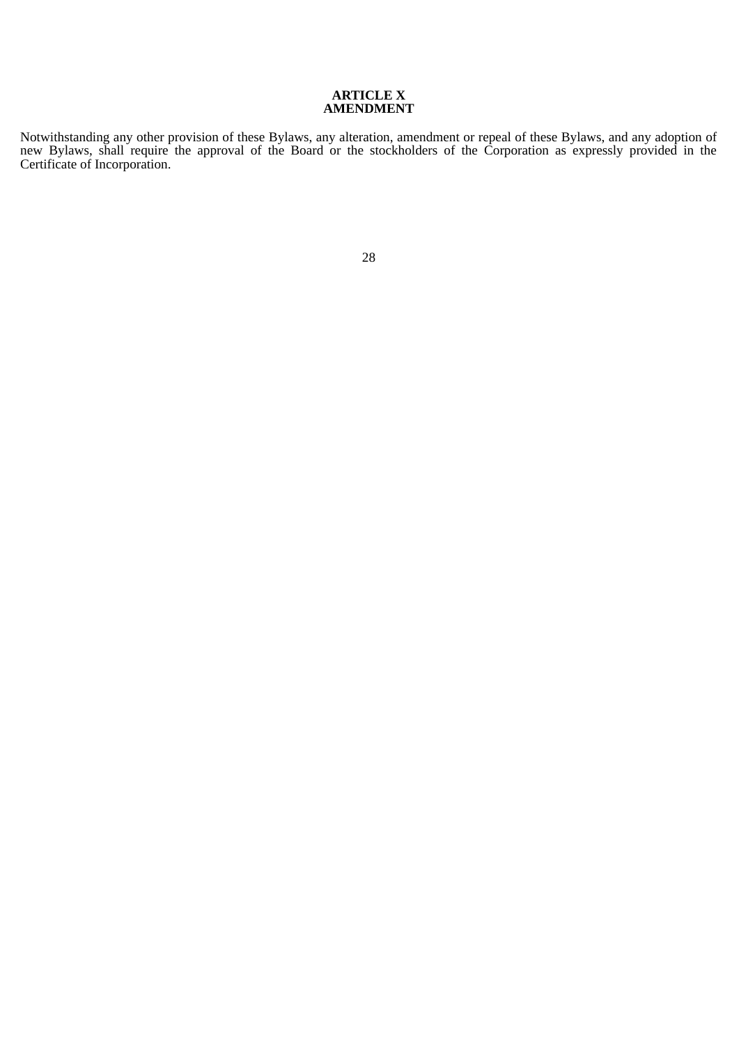# **ARTICLE X AMENDMENT**

Notwithstanding any other provision of these Bylaws, any alteration, amendment or repeal of these Bylaws, and any adoption of new Bylaws, shall require the approval of the Board or the stockholders of the Corporation as expressly provided in the Certificate of Incorporation.

28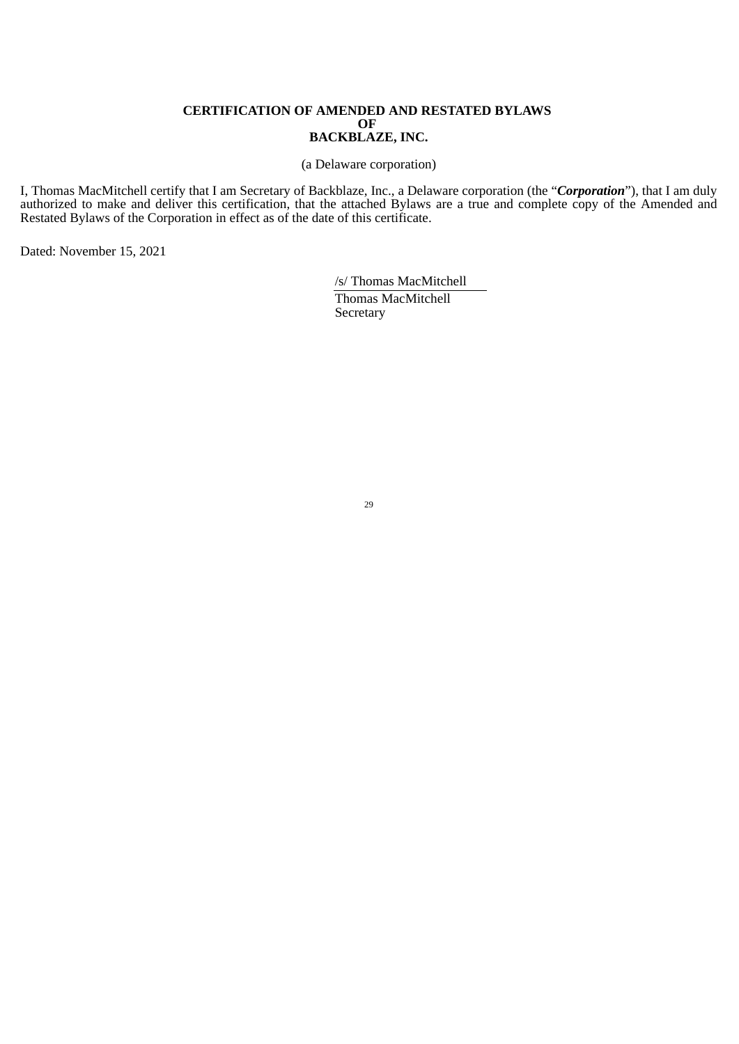# **CERTIFICATION OF AMENDED AND RESTATED BYLAWS OF BACKBLAZE, INC.**

(a Delaware corporation)

I, Thomas MacMitchell certify that I am Secretary of Backblaze, Inc., a Delaware corporation (the "*Corporation*"), that I am duly authorized to make and deliver this certification, that the attached Bylaws are a true and complete copy of the Amended and Restated Bylaws of the Corporation in effect as of the date of this certificate.

Dated: November 15, 2021

/s/ Thomas MacMitchell Thomas MacMitchell **Secretary** 

29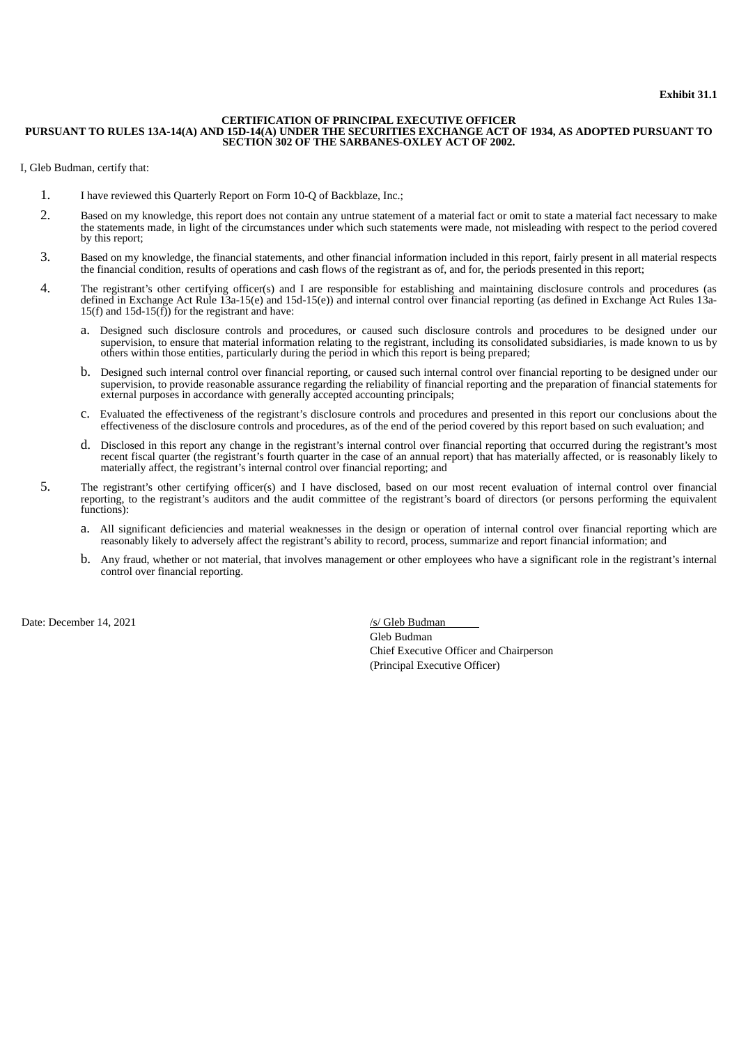#### **CERTIFICATION OF PRINCIPAL EXECUTIVE OFFICER** PURSUANT TO RULES 13A-14(A) AND 15D-14(A) UNDER THE SECURITIES EXCHANGE ACT OF 1934, AS ADOPTED PURSUANT TO **SECTION 302 OF THE SARBANES-OXLEY ACT OF 2002.**

I, Gleb Budman, certify that:

- 1. I have reviewed this Quarterly Report on Form 10-Q of Backblaze, Inc.;
- 2. Based on my knowledge, this report does not contain any untrue statement of a material fact or omit to state a material fact necessary to make the statements made, in light of the circumstances under which such statements were made, not misleading with respect to the period covered by this report;
- 3. Based on my knowledge, the financial statements, and other financial information included in this report, fairly present in all material respects the financial condition, results of operations and cash flows of the registrant as of, and for, the periods presented in this report;
- 4. The registrant's other certifying officer(s) and I are responsible for establishing and maintaining disclosure controls and procedures (as defined in Exchange Act Rule 13a-15(e) and 15d-15(e)) and internal control over financial reporting (as defined in Exchange Act Rules 13a-15(f) and 15d-15(f)) for the registrant and have:
	- Designed such disclosure controls and procedures, or caused such disclosure controls and procedures to be designed under our supervision, to ensure that material information relating to the registrant, including its consolidated subsidiaries, is made known to us by others within those entities, particularly during the period in which this report is being prepared;
	- b. Designed such internal control over financial reporting, or caused such internal control over financial reporting to be designed under our supervision, to provide reasonable assurance regarding the reliability of financial reporting and the preparation of financial statements for external purposes in accordance with generally accepted accounting principals;
	- c. Evaluated the effectiveness of the registrant's disclosure controls and procedures and presented in this report our conclusions about the effectiveness of the disclosure controls and procedures, as of the end of the period covered by this report based on such evaluation; and
	- d. Disclosed in this report any change in the registrant's internal control over financial reporting that occurred during the registrant's most recent fiscal quarter (the registrant's fourth quarter in the case of an annual report) that has materially affected, or is reasonably likely to materially affect, the registrant's internal control over financial reporting; and
- 5. The registrant's other certifying officer(s) and I have disclosed, based on our most recent evaluation of internal control over financial reporting, to the registrant's auditors and the audit committee of the registrant's board of directors (or persons performing the equivalent functions):
	- a. All significant deficiencies and material weaknesses in the design or operation of internal control over financial reporting which are reasonably likely to adversely affect the registrant's ability to record, process, summarize and report financial information; and
	- b. Any fraud, whether or not material, that involves management or other employees who have a significant role in the registrant's internal control over financial reporting.

Date: December 14, 2021 */s/ Gleb Budman* 

Gleb Budman Chief Executive Officer and Chairperson (Principal Executive Officer)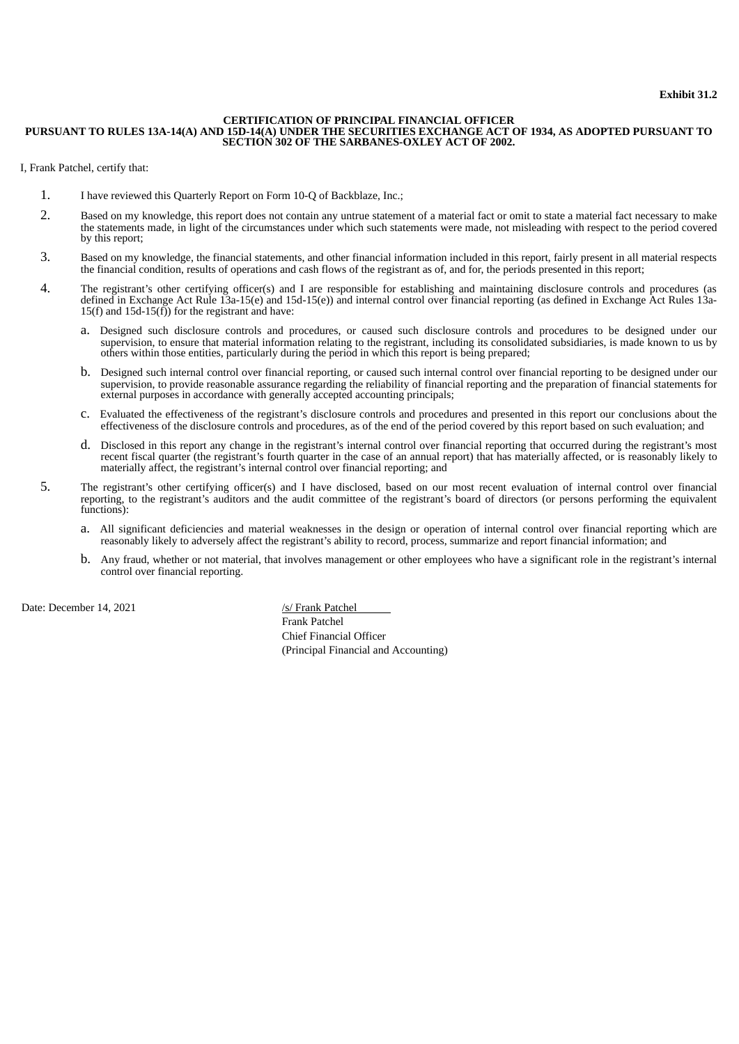#### **CERTIFICATION OF PRINCIPAL FINANCIAL OFFICER** PURSUANT TO RULES 13A-14(A) AND 15D-14(A) UNDER THE SECURITIES EXCHANGE ACT OF 1934, AS ADOPTED PURSUANT TO **SECTION 302 OF THE SARBANES-OXLEY ACT OF 2002.**

I, Frank Patchel, certify that:

- 1. I have reviewed this Quarterly Report on Form 10-Q of Backblaze, Inc.;
- 2. Based on my knowledge, this report does not contain any untrue statement of a material fact or omit to state a material fact necessary to make the statements made, in light of the circumstances under which such statements were made, not misleading with respect to the period covered by this report;
- 3. Based on my knowledge, the financial statements, and other financial information included in this report, fairly present in all material respects the financial condition, results of operations and cash flows of the registrant as of, and for, the periods presented in this report;
- 4. The registrant's other certifying officer(s) and I are responsible for establishing and maintaining disclosure controls and procedures (as defined in Exchange Act Rule 13a-15(e) and 15d-15(e)) and internal control over financial reporting (as defined in Exchange Act Rules 13a-15(f) and 15d-15(f)) for the registrant and have:
	- Designed such disclosure controls and procedures, or caused such disclosure controls and procedures to be designed under our supervision, to ensure that material information relating to the registrant, including its consolidated subsidiaries, is made known to us by others within those entities, particularly during the period in which this report is being prepared;
	- b. Designed such internal control over financial reporting, or caused such internal control over financial reporting to be designed under our supervision, to provide reasonable assurance regarding the reliability of financial reporting and the preparation of financial statements for external purposes in accordance with generally accepted accounting principals;
	- c. Evaluated the effectiveness of the registrant's disclosure controls and procedures and presented in this report our conclusions about the effectiveness of the disclosure controls and procedures, as of the end of the period covered by this report based on such evaluation; and
	- d. Disclosed in this report any change in the registrant's internal control over financial reporting that occurred during the registrant's most recent fiscal quarter (the registrant's fourth quarter in the case of an annual report) that has materially affected, or is reasonably likely to materially affect, the registrant's internal control over financial reporting; and
- 5. The registrant's other certifying officer(s) and I have disclosed, based on our most recent evaluation of internal control over financial reporting, to the registrant's auditors and the audit committee of the registrant's board of directors (or persons performing the equivalent functions):
	- a. All significant deficiencies and material weaknesses in the design or operation of internal control over financial reporting which are reasonably likely to adversely affect the registrant's ability to record, process, summarize and report financial information; and
	- b. Any fraud, whether or not material, that involves management or other employees who have a significant role in the registrant's internal control over financial reporting.

Date: December 14, 2021 /s/ Frank Patchel

Frank Patchel Chief Financial Officer (Principal Financial and Accounting)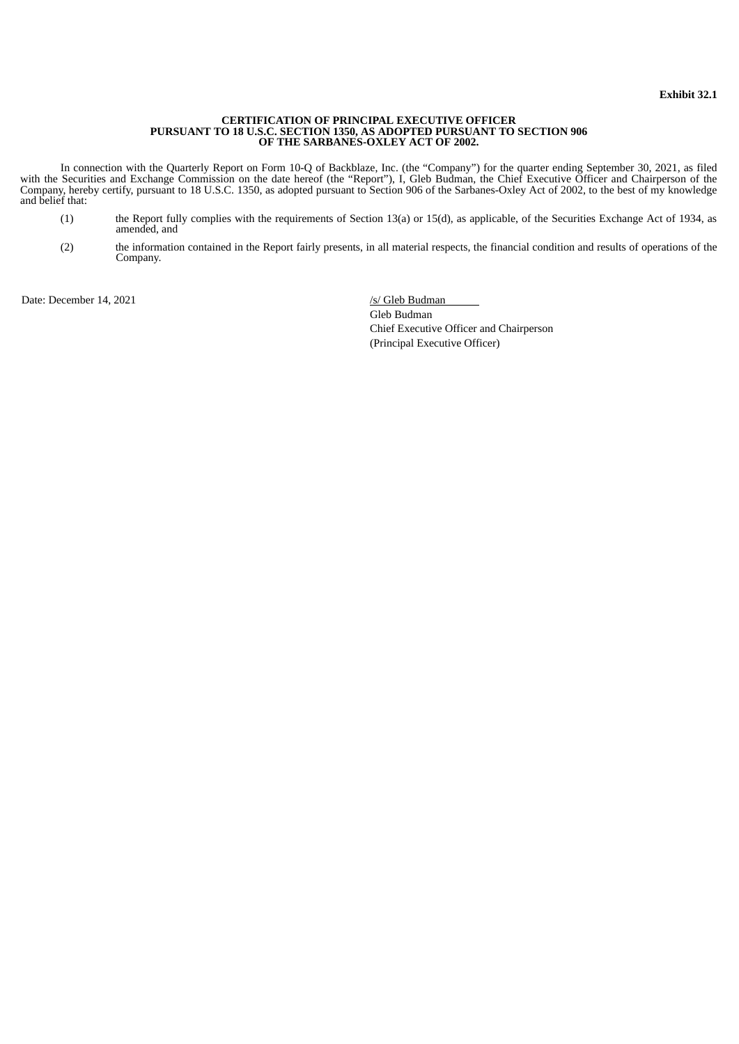#### **CERTIFICATION OF PRINCIPAL EXECUTIVE OFFICER PURSUANT TO 18 U.S.C. SECTION 1350, AS ADOPTED PURSUANT TO SECTION 906 OF THE SARBANES-OXLEY ACT OF 2002.**

In connection with the Quarterly Report on Form 10-Q of Backblaze, Inc. (the "Company") for the quarter ending September 30, 2021, as filed with the Securities and Exchange Commission on the date hereof (the "Report"), I, Gleb Budman, the Chief Executive Officer and Chairperson of the Company, hereby certify, pursuant to 18 U.S.C. 1350, as adopted pursuant to Section 906 of the Sarbanes-Oxley Act of 2002, to the best of my knowledge and belief that:

- (1) the Report fully complies with the requirements of Section 13(a) or 15(d), as applicable, of the Securities Exchange Act of 1934, as amended, and
- (2) the information contained in the Report fairly presents, in all material respects, the financial condition and results of operations of the Company.

Date: December 14, 2021 /s/ Gleb Budman

Gleb Budman Chief Executive Officer and Chairperson (Principal Executive Officer)